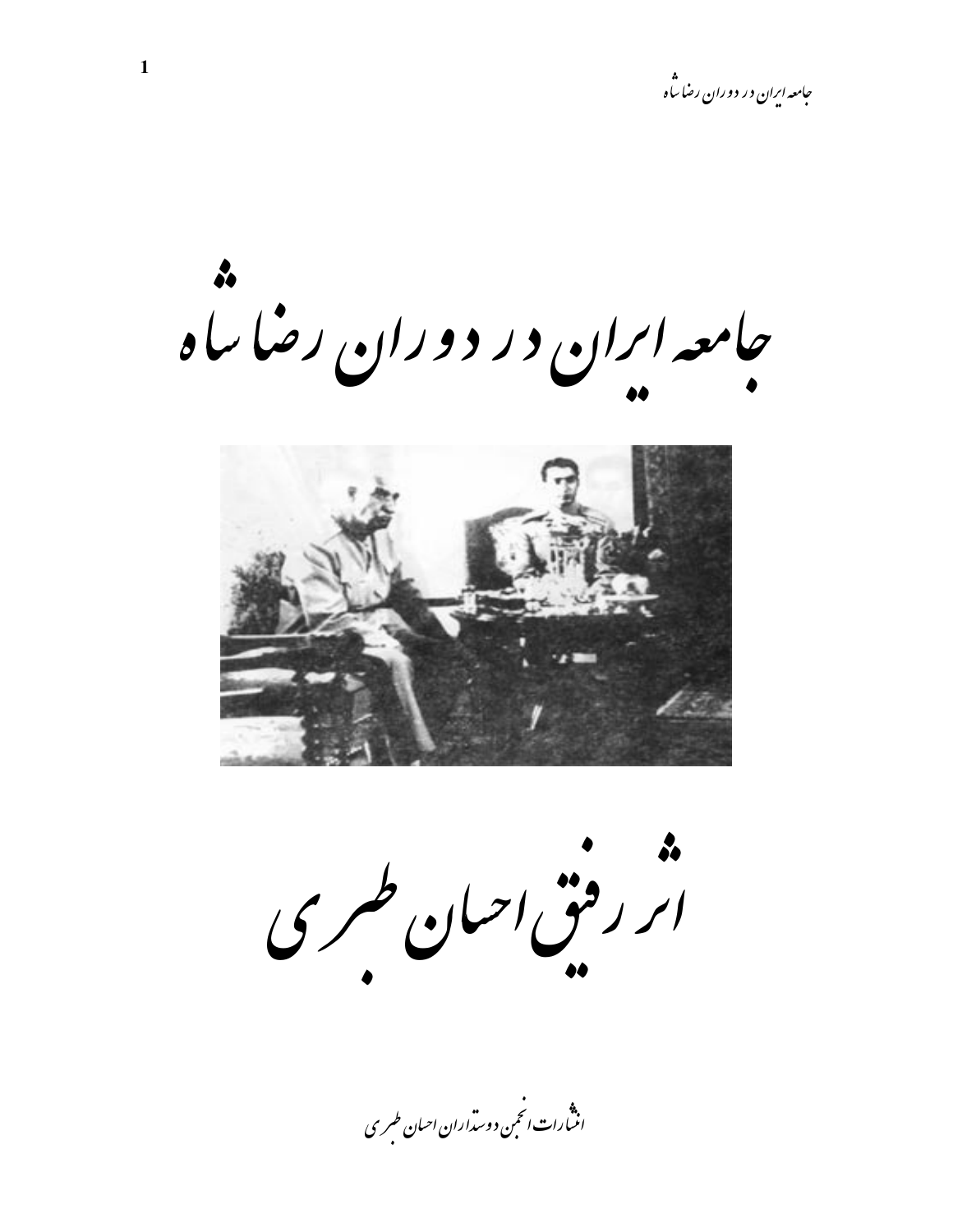جامعه ابران در دوران رضا ساه



ة.<br>ابر رقبی احبان طری

.<br>اننسارات انځمن دوست<sub>را</sub>ران احسان طسری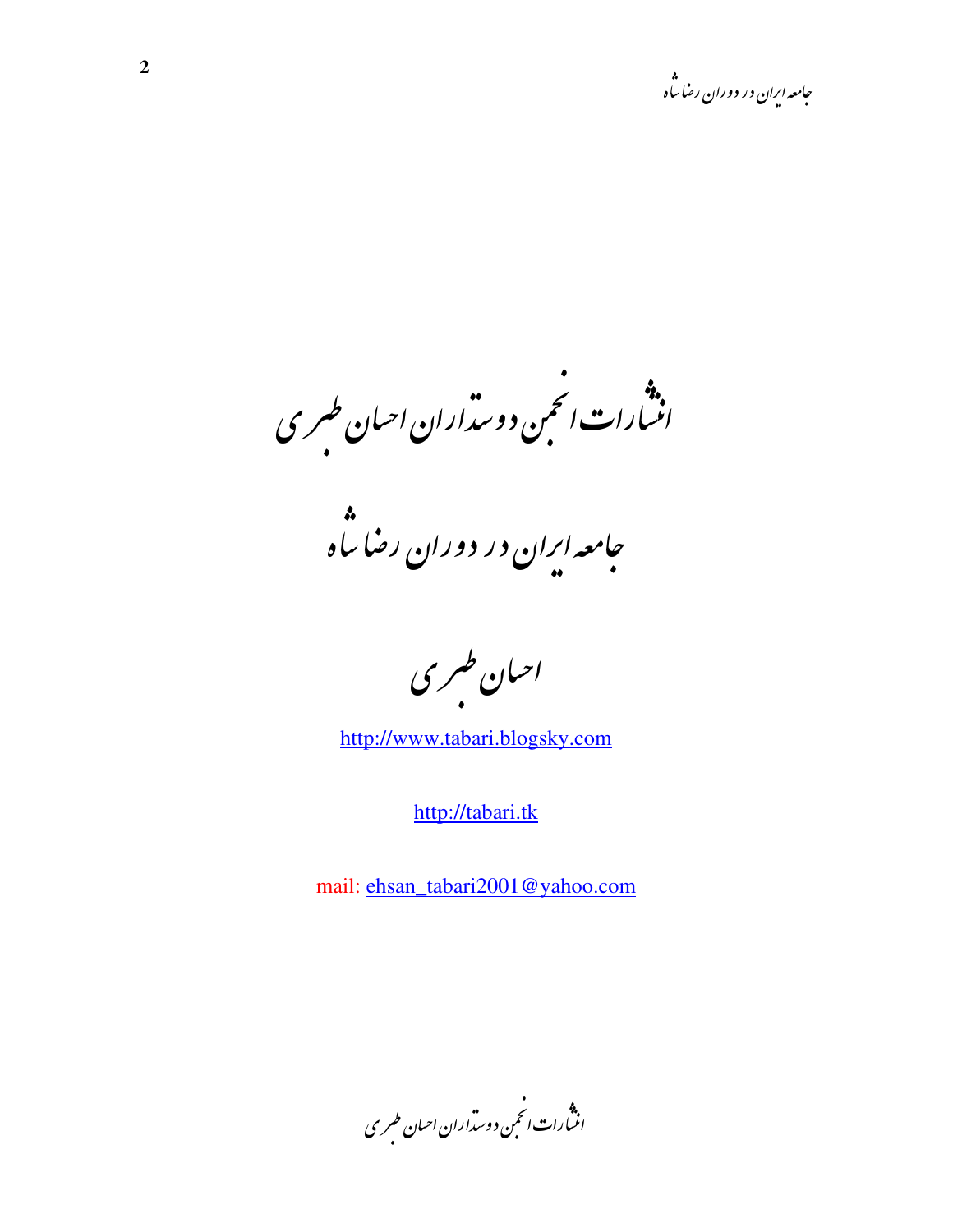<sub>اران</sub> احبان طسری  $\ddot{\bullet}$  $\frac{1}{2}$  $\overline{\phantom{a}}$  $\ddot{\bullet}$ .<br>ب بن دور<br>. ∕4<br>♦  $\ddot{\phantom{a}}$  $\ddot{\bullet}$  $\frac{1}{2}$  $\overline{\phantom{a}}$ ارات .<br>ارا**ت** i.  $\ddot{\mathcal{L}}$  $\ddot{r}$ )<br>|<br>|  $\ddot{\bullet}$ .<br>.<br>.  $\frac{1}{2}$ 

<u>ا ه</u> **..** ..<br>ا سا .<br>سا ان در دوران رضا  $\frac{1}{2}$ .<br>امعه ا<sup>ر</sup>  $\epsilon$  $\frac{1}{2}$ 

حبان طسری  $\ddot{\bullet}$  $\frac{1}{2}$  $\overline{\phantom{a}}$ 

http://www.tabari.blogsky.com

http://tabari.tk

mail: ehsan\_tabari2001@yahoo.com

.<br>مداران احسان طسر ی  $\ddot{\phantom{0}}$ b  $\overline{\phantom{a}}$  $\ddot{\ }$ ېن د و<sup>ر</sup>  $\ddot{\cdot}$ :  $\ddot{\cdot}$ .<br>م  $\overline{\phantom{a}}$ ارات<br>ا 4  $\ddot{\iota}$ i. ,<br>,<br>, ֦֧֦֧֦֧֦֧֦֧֦֧֢֧֦֧֢֦֧֧֝֝֜֜֜֜֜֜<br>֧֪֪֝**֦** :  $\overline{\phantom{a}}$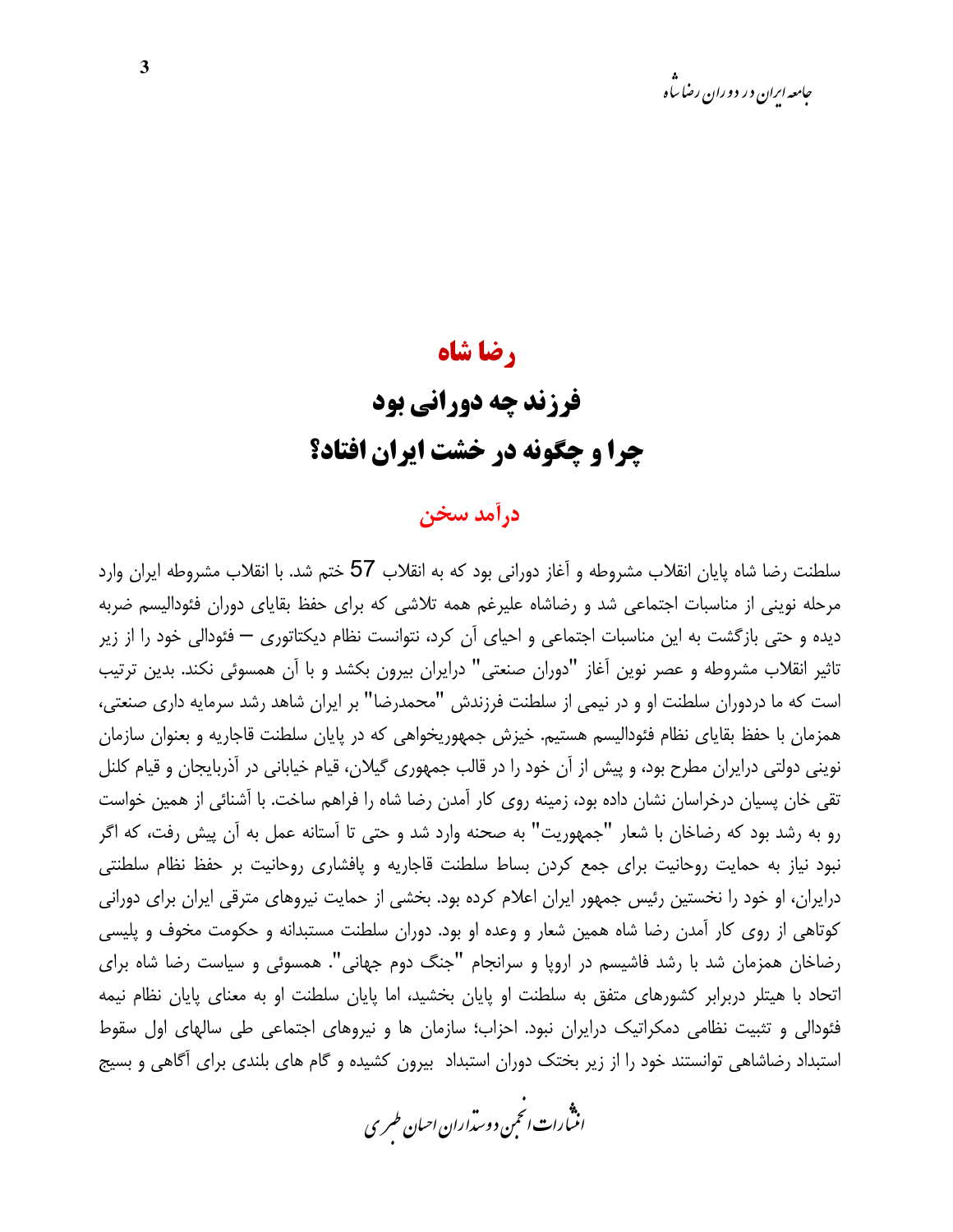### , ضا شاه

## **فرزند چه دورانی بود** چرا و چگونه در خشت ایران افتاد؟

### درآمد سخن

سلطنت رضا شاه پایان انقلاب مشروطه و آغاز دورانی بود که به انقلاب 57 ختم شد. با انقلاب مشروطه ایران وارد مرحله نوینی از مناسبات اجتماعی شد و رضاشاه علیرغم همه تلاشی که برای حفظ بقایای دوران فئودالیسم ضربه دیده و حتی بازگشت به این مناسبات اجتماعی و احیای آن کرد، نتوانست نظام دیکتاتوری — فئودالی خود را از زیر تاثیر انقلاب مشروطه و عصر نوین آغاز "دوران صنعتی" درایران بیرون بکشد و با آن همسوئی نکند. بدین ترتیب است که ما دردوران سلطنت او و در نیمی از سلطنت فرزندش "محمدرضا" بر ایران شاهد رشد سرمایه داری صنعتی، همزمان با حفظ بقایای نظام فئودالیسم هستیم. خیزش جمهوریخواهی که در پایان سلطنت قاجاریه و بعنوان سازمان نوینی دولتی درایران مطرح بود، و پیش از آن خود را در قالب جمهوری گیلان، قیام خیابانی در آذربایجان و قیام کلنل تقی خان پسیان درخراسان نشان داده بود، زمینه روی کار آمدن رضا شاه را فراهم ساخت. با آشنائی از همین خواست رو به رشد بود که رضاخان با شعار "جمهوریت" به صحنه وارد شد و حتی تا آستانه عمل به آن پیش رفت، که اگر نبود نیاز به حمایت روحانیت برای جمع کردن بساط سلطنت قاجاریه و یافشاری روحانیت بر حفظ نظام سلطنتی درایران، او خود را نخستین رئیس جمهور ایران اعلام کرده بود. بخشی از حمایت نیروهای مترقی ایران برای دورانی کوتاهی از روی کار آمدن رضا شاه همین شعار و وعده او بود. دوران سلطنت مستبدانه و حکومت مخوف و پلیسی رضاخان همزمان شد با رشد فاشیسم در اروپا و سرانجام "جنگ دوم جهانی". همسوئی و سیاست رضا شاه برای اتحاد با هیتلر دربرابر کشورهای متفق به سلطنت او پایان بخشید، اما پایان سلطنت او به معنای پایان نظام نیمه فئودالی و تثبیت نظامی دمکراتیک درایران نبود. احزاب؛ سازمان ها و نیروهای اجتماعی طی سالهای اول سقوط استبداد رضاشاهی توانستند خود را از زیر بختک دوران استبداد بیرون کشیده و گام های بلندی برای آگاهی و بسیج

.<br>انن رات انحمن دوسداران احبان طسری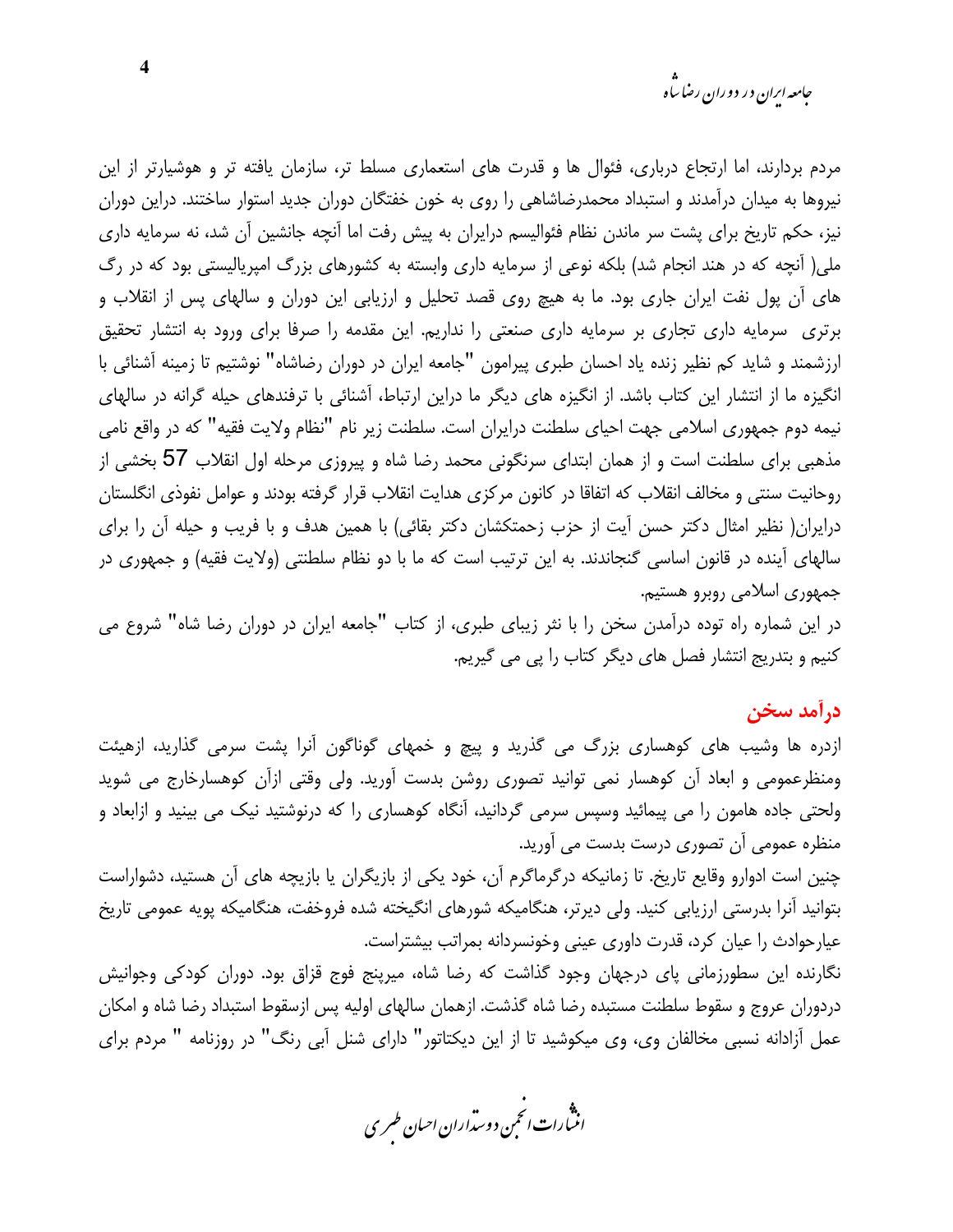مردم بردارند، اما ارتجاع درباری، فئوال ها و قدرت های استعماری مسلط تر، سازمان یافته تر و هوشیارتر از این نیروها به میدان درآمدند و استبداد محمدرضاشاهی را روی به خون خفتگان دوران جدید استوار ساختند. دراین دوران نیز، حکم تاریخ برای پشت سر ماندن نظام فئوالیسم درایران به پیش رفت اما آنچه جانشین آن شد، نه سرمایه داری ملی( آنچه که در هند انجام شد) بلکه نوعی از سرمایه داری وابسته به کشورهای بزرگ امپریالیستی بود که در رگ های آن پول نفت ایران جاری بود. ما به هیچ روی قصد تحلیل و ارزیابی این دوران و سالهای پس از انقلاب و برتری سرمایه داری تجاری بر سرمایه داری صنعتی را نداریم. این مقدمه را صرفا برای ورود به انتشار تحقیق ارزشمند و شاید کم نظیر زنده یاد احسان طبری پیرامون "جامعه ایران در دوران رضاشاه" نوشتیم تا زمینه آشنائی با انگیزه ما از انتشار این کتاب باشد. از انگیزه های دیگر ما دراین ارتباط، آشنائی با ترفندهای حیله گرانه در سالهای نیمه دوم جمهوری اسلامی جهت احیای سلطنت درایران است. سلطنت زیر نام "نظام ولایت فقیه" که در واقع نامی مذهبی برای سلطنت است و از همان ابتدای سرنگونی محمد رضا شاه و پیروزی مرحله اول انقلاب 57 بخشی از روحانيت سنتي و مخالف انقلاب كه اتفاقا در كانون مركزي هدايت انقلاب قرار گرفته بودند و عوامل نفوذي انگلستان درایران( نظیر امثال دکتر حسن آیت از حزب زحمتکشان دکتر بقائی) با همین هدف و با فریب و حیله آن را برای سالهای آینده در قانون اساسی گنجاندند. به این ترتیب است که ما با دو نظام سلطنتی (ولایت فقیه) و جمهوری در جمهوري اسلامي روبرو هستيم.

در این شماره راه توده درآمدن سخن را با نثر زیبای طبری، از کتاب "جامعه ایران در دوران رضا شاه" شروع می كنيم و بتدريج انتشار فصل هاي ديگر كتاب را پي مي گيريم.

درآمد سخن

ازدره ها وشیب های کوهساری بزرگ می گذرید و پیچ و خمهای گوناگون آنرا پشت سرمی گذارید، ازهیئت ومنظرعمومی و ابعاد اّن کوهسار نمی توانید تصوری روشن بدست اّورید. ولی وقتی ازاّن کوهسارخارج می شوید ولحتی جاده هامون را می پیمائید وسپس سرمی گردانید، آنگاه کوهساری را که درنوشتید نیک می بینید و ازابعاد و منظرہ عمومی آن تصوری درست بدست می آورید.

چنین است ادوارو وقایع تاریخ. تا زمانیکه درگرماگرم آن، خود یکی از بازیگران یا بازیچه های آن هستید، دشواراست بتوانید آنرا بدرستی ارزیابی کنید. ولی دیرتر، هنگامیکه شورهای انگیخته شده فروخفت، هنگامیکه پویه عمومی تاریخ عیارحوادث را عیان کرد، قدرت داوری عینی وخونسردانه بمراتب بیشتراست.

نگارنده این سطورزمانی پای درجهان وجود گذاشت که رضا شاه، میرپنج فوج قزاق بود. دوران کودکی وجوانیش دردوران عروج و سقوط سلطنت مستبده رضا شاه گذشت. ازهمان سالهای اولیه پس ازسقوط استبداد رضا شاه و امکان عمل آزادانه نسبی مخالفان وی، وی میکوشید تا از این دیکتاتور" دارای شنل آبی رنگ" در روزنامه " مردم برای

.<br>انن رات انجمن دوسداران احبان طسری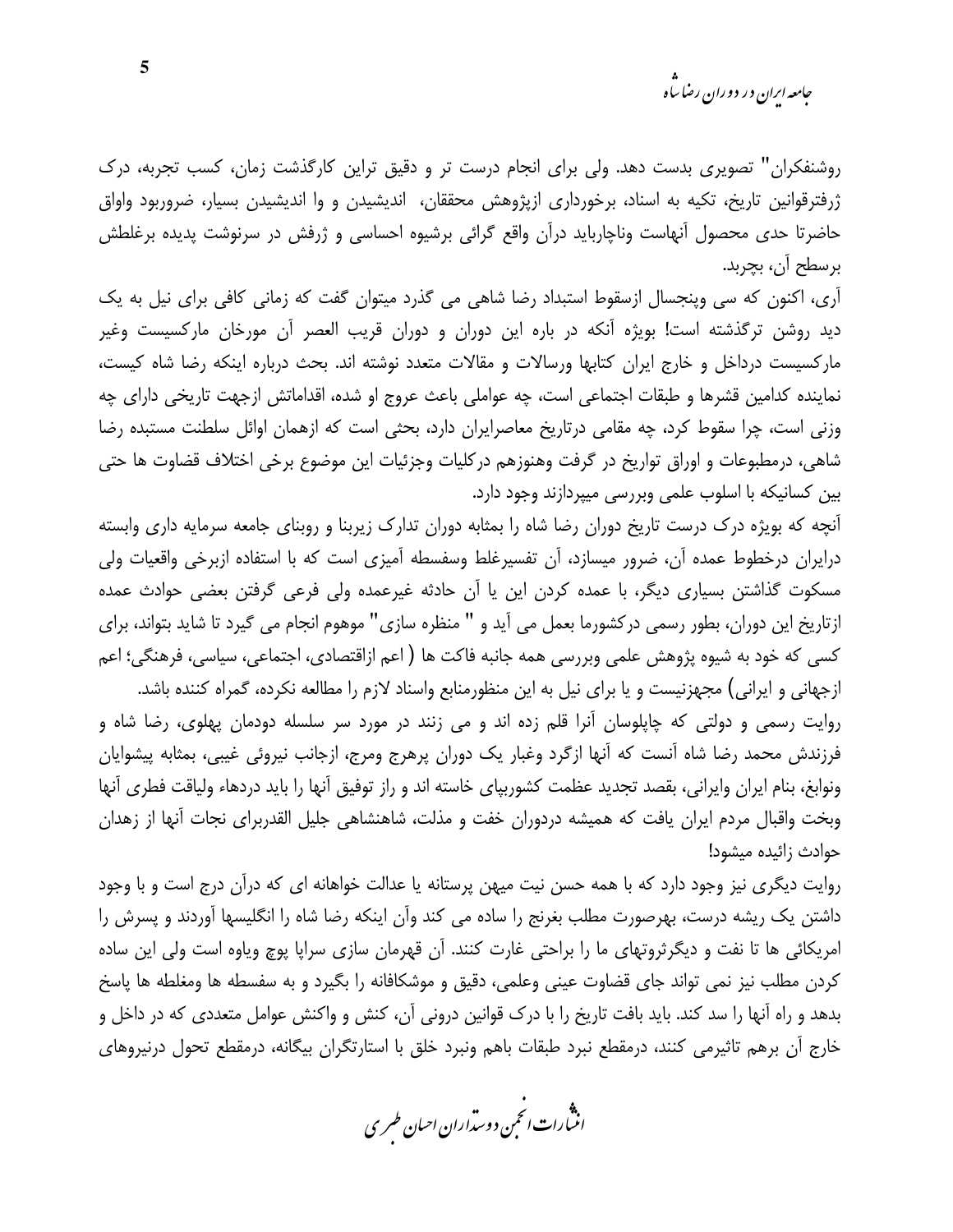روشنفکران" تصویری بدست دهد. ولی برای انجام درست تر و دقیق تراین کارگذشت زمان، کسب تجربه، درک ژرفترقوانین تاریخ، تکیه به اسناد، برخورداری ازپژوهش محققان، اندیشیدن و وا اندیشیدن بسیار، ضروربود واواق حاضرتا حدی محصول آنهاست وناچارباید درآن واقع گرائی برشیوه احساسی و ژرفش در سرنوشت پدیده برغلطش برسطح آن، بچربد.

آری، اکنون که سی وپنجسال ازسقوط استبداد رضا شاهی می گذرد میتوان گفت که زمانی کافی برای نیل به یک دید روشن ترگذشته است! بویژه آنکه در باره این دوران و دوران قریب العصر آن مورخان مارکسیست وغیر مارکسیست درداخل و خارج ایران کتابها ورسالات و مقالات متعدد نوشته اند. بحث درباره اینکه رضا شاه کیست، نماينده كدامين قشرها و طبقات اجتماعي است، چه عواملي باعث عروج او شده، اقداماتش ازجهت تاريخي داراي چه وزنی است، چرا سقوط کرد، چه مقامی درتاریخ معاصرایران دارد، بحثی است که ازهمان اوائل سلطنت مستبده رضا شاهي، درمطبوعات و اوراق تواريخ در گرفت وهنوزهم دركليات وجزئيات اين موضوع برخي اختلاف قضاوت ها حتى بین کسانیکه با اسلوب علمی وبررسی میپردازند وجود دارد.

آنچه که بویژه درک درست تاریخ دوران رضا شاه را بمثابه دوران تدارک زیربنا و روبنای جامعه سرمایه داری وابسته درایران درخطوط عمده آن، ضرور میسازد، آن تفسیرغلط وسفسطه آمیزی است که با استفاده ازبرخی واقعیات ولی مسکوت گذاشتن بسیاری دیگر، با عمده کردن این یا آن حادثه غیرعمده ولی فرعی گرفتن بعضی حوادث عمده ازتاریخ این دوران، بطور رسمی درکشورما بعمل می آید و " منظره سازی" موهوم انجام می گیرد تا شاید بتواند، برای کسی که خود به شیوه پژوهش علمی وبررسی همه جانبه فاکت ها ( اعم ازاقتصادی، اجتماعی، سیاسی، فرهنگی؛ اعم ازجهانی و ایرانی) مجهزنیست و یا برای نیل به این منظورمنابع واسناد لازم را مطالعه نکرده، گمراه کننده باشد. روایت رسمی و دولتی که چاپلوسان آنرا قلم زده اند و می زنند در مورد سر سلسله دودمان پهلوی، رضا شاه و

فرزندش محمد رضا شاه آنست که آنها ازگرد وغبار یک دوران پرهرج ومرج، ازجانب نیروئی غیبی، بمثابه پیشوایان ونوابغ، بنام ايران وايراني، بقصد تجديد عظمت كشوربياي خاسته اند و راز توفيق أنها را بايد دردهاء ولياقت فطرى أنها وبخت واقبال مردم ایران یافت که همیشه دردوران خفت و مذلت، شاهنشاهی جلیل القدربرای نجات آنها از زهدان حوادث زائيده ميشود!

روایت دیگری نیز وجود دارد که با همه حسن نیت میهن پرستانه یا عدالت خواهانه ای که درآن درج است و با وجود داشتن یک ریشه درست، بهرصورت مطلب بغرنج را ساده می کند وآن اینکه رضا شاه را انگلیسها آوردند و پسرش را امریکائی ها تا نفت و دیگرثروتهای ما را براحتی غارت کنند. آن قهرمان سازی سرایا یوچ ویاوه است ولی این ساده كردن مطلب نيز نمي تواند جاي قضاوت عيني وعلمي، دقيق و موشكافانه را بگيرد و به سفسطه ها ومغلطه ها پاسخ بدهد و راه آنها را سد کند. باید بافت تاریخ را با درک قوانین درونی آن، کنش و واکنش عوامل متعددی که در داخل و خارج آن برهم تاثيرمي كنند، درمقطع نبرد طبقات باهم ونبرد خلق با استارتگران بيگانه، درمقطع تحول درنيروهاي

.<br>انث رات انجمن دوسداران احبان طسری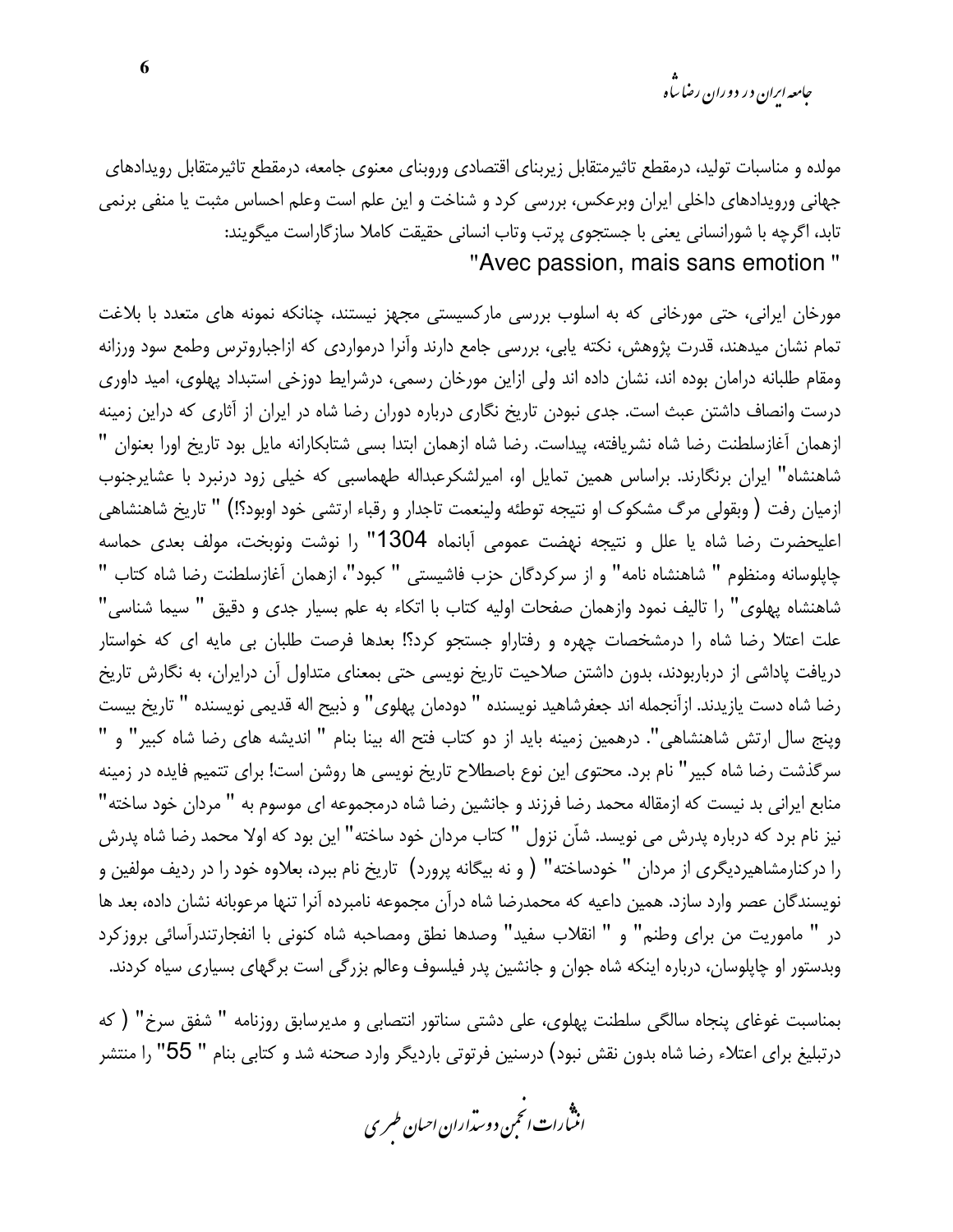*جامعه ایران در دوران رضا ساه* 

مولده و مناسبات تولید، درمقطع تاثیرمتقابل زیربنای اقتصادی وروبنای معنوی جامعه، درمقطع تاثیرمتقابل رویدادهای جهانی ورویدادهای داخلی ایران وبرعکس، بررسی کرد و شناخت و این علم است وعلم احساس مثبت یا منفی برنمی تابد، اگرچه با شورانسانی یعنی با جستجوی پرتب وتاب انسانی حقیقت کاملا سازگاراست میگویند: "Avec passion, mais sans emotion"

مورخان ایرانی، حتی مورخانی که به اسلوب بررسی مارکسیستی مجهز نیستند، چنانکه نمونه های متعدد با بلاغت تمام نشان میدهند، قدرت پژوهش، نکته پابی، بررسی جامع دارند وآنرا درمواردی که ازاجباروترس وطمع سود ورزانه ومقام طلبانه درامان بوده اند، نشان داده اند ولي ازاين مورخان رسمي، درشرايط دوزخي استبداد پهلوي، اميد داوري درست وانصاف داشتن عبث است. جدی نبودن تاریخ نگاری درباره دوران رضا شاه در ایران از آثاری که دراین زمینه ازهمان آغازسلطنت رضا شاه نشریافته، پیداست. رضا شاه ازهمان ابتدا بسی شتابکارانه مایل بود تاریخ اورا بعنوان " شاهنشاه" ایران برنگارند. براساس همین تمایل او، امیرلشکرعبداله طهماسبی که خیلی زود درنبرد با عشایرجنوب ازمیان رفت ( وبقولی مرگ مشکوک او نتیجه توطئه ولینعمت تاجدار و رقباء ارتشی خود اوبود؟!) " تاریخ شاهنشاهی اعلیحضرت رضا شاه یا علل و نتیجه نهضت عمومی آبانماه 1304" را نوشت ونوبخت، مولف بعدی حماسه چاپلوسانه ومنظوم " شاهنشاه نامه" و از سركردگان حزب فاشيستي " كبود"، ازهمان آغازسلطنت رضا شاه كتاب " شاهنشاه پهلوی" را تالیف نمود وازهمان صفحات اولیه کتاب با اتکاء به علم بسیار جدی و دقیق " سیما شناسی" علت اعتلا رضا شاه را درمشخصات چهره و رفتاراو جستجو کرد؟! بعدها فرصت طلبان بی مایه ای که خواستار دریافت پاداشی از درباربودند، بدون داشتن صلاحیت تاریخ نویسی حتی بمعنای متداول آن درایران، به نگارش تاریخ رضا شاه دست يازيدند. ازآنجمله اند جعفرشاهيد نويسنده " دودمان پهلوى" و ذبيح اله قديمي نويسنده " تاريخ بيست وينج سال ارتش شاهنشاهي". درهمين زمينه بايد از دو كتاب فتح اله بينا بنام " انديشه هاي رضا شاه كبير" و " سرگذشت رضا شاه کبیر" نام برد. محتوی این نوع باصطلاح تاریخ نویسی ها روشن است! برای تتمیم فایده در زمینه منابع ایرانی بد نیست که ازمقاله محمد رضا فرزند و جانشین رضا شاه درمجموعه ای موسوم به " مردان خود ساخته" نيز نام برد كه درباره پدرش مي نويسد. شاّن نزول " كتاب مردان خود ساخته" اين بود كه اولا محمد رضا شاه پدرش را درکنارمشاهیردیگری از مردان " خودساخته" ( و نه بیگانه پرورد) تاریخ نام ببرد، بعلاوه خود را در ردیف مولفین و نویسندگان عصر وارد سازد. همین داعیه که محمدرضا شاه درآن مجموعه نامبرده آنرا تنها مرعوبانه نشان داده، بعد ها در " ماموريت من براي وطنم" و " انقلاب سفيد" وصدها نطق ومصاحبه شاه كنوني با انفجارتندرآسائي بروزكرد وبدستور او چاپلوسان، درباره اینکه شاه جوان و جانشین پدر فیلسوف وعالم بزرگی است برگهای بسیاری سیاه کردند.

بمناسبت غوغای پنجاه سالگی سلطنت پهلوی، علی دشتی سناتور انتصابی و مدیرسابق روزنامه " شفق سرخ" ( که درتبلیغ برای اعتلاء رضا شاه بدون نقش نبود) درسنین فرتوتی باردیگر وارد صحنه شد و کتابی بنام " 55" را منتشر

.<br>انثمارات *انحم*ن دوستراران ا*حی*ان *طهر*ی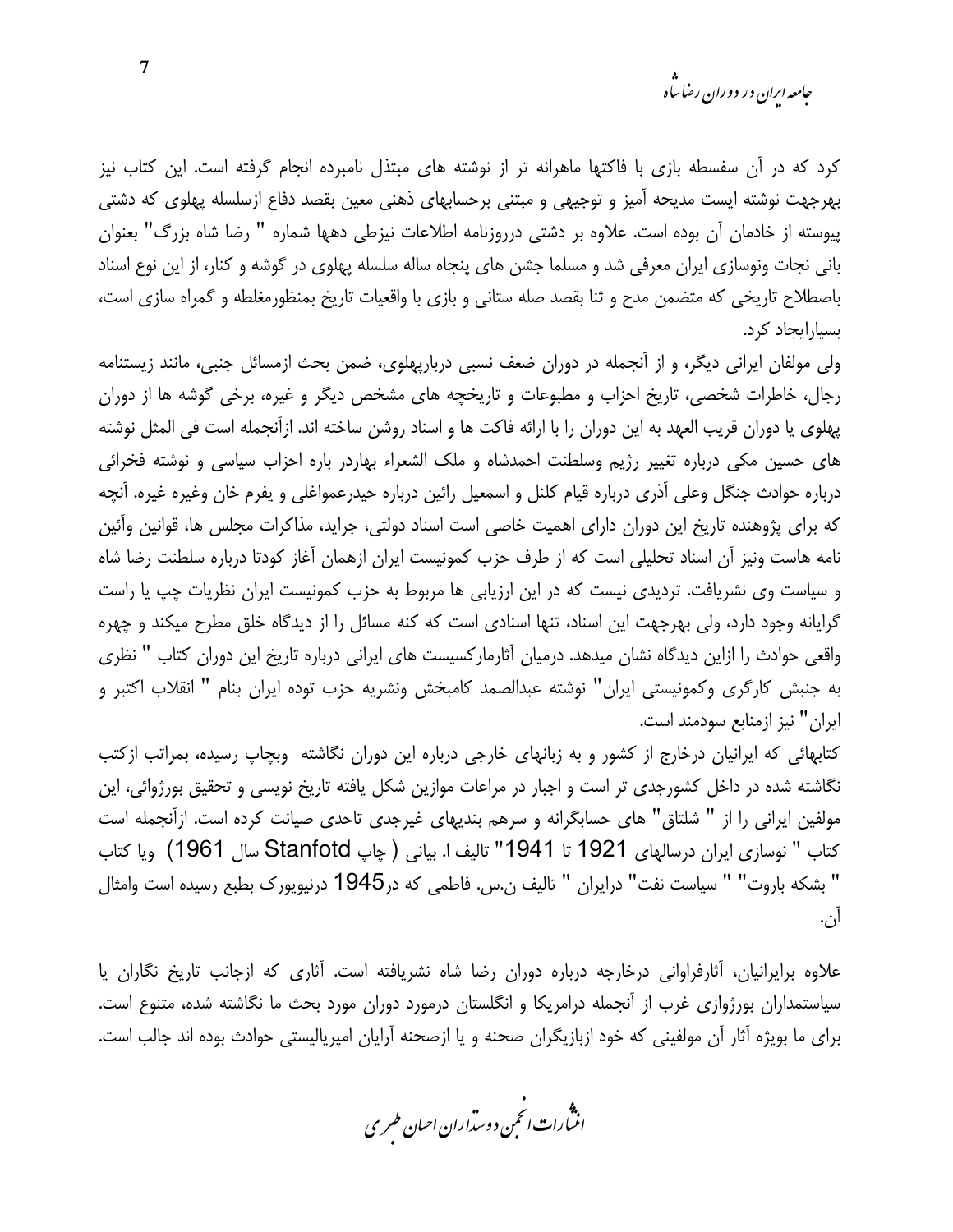کرد که در آن سفسطه بازی با فاکتها ماهرانه تر از نوشته های مبتذل نامبرده انجام گرفته است. این کتاب نیز بهرجهت نوشته ایست مدیحه آمیز و توجیهی و مبتنی برحسابهای ذهنی معین بقصد دفاع ازسلسله پهلوی که دشتی پیوسته از خادمان آن بوده است. علاوه بر دشتی درروزنامه اطلاعات نیزطی دهها شماره " رضا شاه بزرگ" بعنوان بانی نجات ونوسازی ایران معرفی شد و مسلما جشن های پنجاه ساله سلسله پهلوی در گوشه و کنار، از این نوع اسناد باصطلاح تاریخی که متضمن مدح و ثنا بقصد صله ستانی و بازی با واقعیات تاریخ بمنظورمغلطه و گمراه سازی است، بسیارایجاد کرد.

ولی مولفان ایرانی دیگر، و از آنجمله در دوران ضعف نسبی دربارپهلوی، ضمن بحث ازمسائل جنبی، مانند زیستنامه رجال، خاطرات شخصی، تاریخ احزاب و مطبوعات و تاریخچه های مشخص دیگر و غیره، برخی گوشه ها از دوران پهلوی یا دوران قریب العهد به این دوران را با ارائه فاکت ها و اسناد روشن ساخته اند. ازآنجمله است فی المثل نوشته های حسین مکی درباره تغییر رژیم وسلطنت احمدشاه و ملک الشعراء بهاردر باره احزاب سیاسی و نوشته فخرائی درباره حوادث جنگل وعلی آذری درباره قیام کلنل و اسمعیل رائین درباره حیدرعمواغلی و یفرم خان وغیره غیره. آنچه كه براي پژوهنده تاريخ اين دوران داراي اهميت خاصي است اسناد دولتي، جرايد، مذاكرات مجلس ها، قوانين وآئين نامه هاست ونیز آن اسناد تحلیلی است که از طرف حزب کمونیست ایران ازهمان آغاز کودتا درباره سلطنت رضا شاه و سیاست وی نشریافت. تردیدی نیست که در این ارزیابی ها مربوط به حزب کمونیست ایران نظریات چپ یا راست گرایانه وجود دارد، ولی بهرجهت این اسناد، تنها اسنادی است که کنه مسائل را از دیدگاه خلق مطرح میکند و چهره واقعی حوادث را ازاین دیدگاه نشان میدهد. درمیان آثارمارکسیست های ایرانی درباره تاریخ این دوران کتاب " نظری به جنبش كارگرى وكمونيستى ايران" نوشته عبدالصمد كامبخش ونشريه حزب توده ايران بنام " انقلاب اكتبر و ایران" نیز ازمنابع سودمند است.

کتابهائی که ایرانیان درخارج از کشور و به زبانهای خارجی درباره این دوران نگاشته وبچاپ رسیده، بمراتب ازکتب نگاشته شده در داخل کشورجدی تر است و اجبار در مراعات موازین شکل یافته تاریخ نویسی و تحقیق بورژوائی، این مولفین ایرانی را از " شلتاق" های حسابگرانه و سرهم بندیهای غیرجدی تاحدی صیانت کرده است. ازآنجمله است كتاب " نوسازي ايران درسالهاي 1921 تا 1941" تاليف ا. بياني ( چاپ Stanfotd سال 1961) ويا كتاب " بشكه باروت" " سياست نفت" درايران " تاليف ن.س. فاطمى كه در1945 درنيويورك بطبع رسيده است وامثال آن.

علاوه برایرانیان، آثارفراوانی درخارجه درباره دوران رضا شاه نشریافته است. آثاری که ازجانب تاریخ نگاران یا سیاستمداران بورژوازی غرب از آنجمله درامریکا و انگلستان درمورد دوران مورد بحث ما نگاشته شده، متنوع است. برای ما بویژه آثار آن مولفینی که خود ازبازیگران صحنه و یا ازصحنه آرایان امپریالیستی حوادث بوده اند جالب است.

.<br>انث رات انجمن دوسداران احبان طسری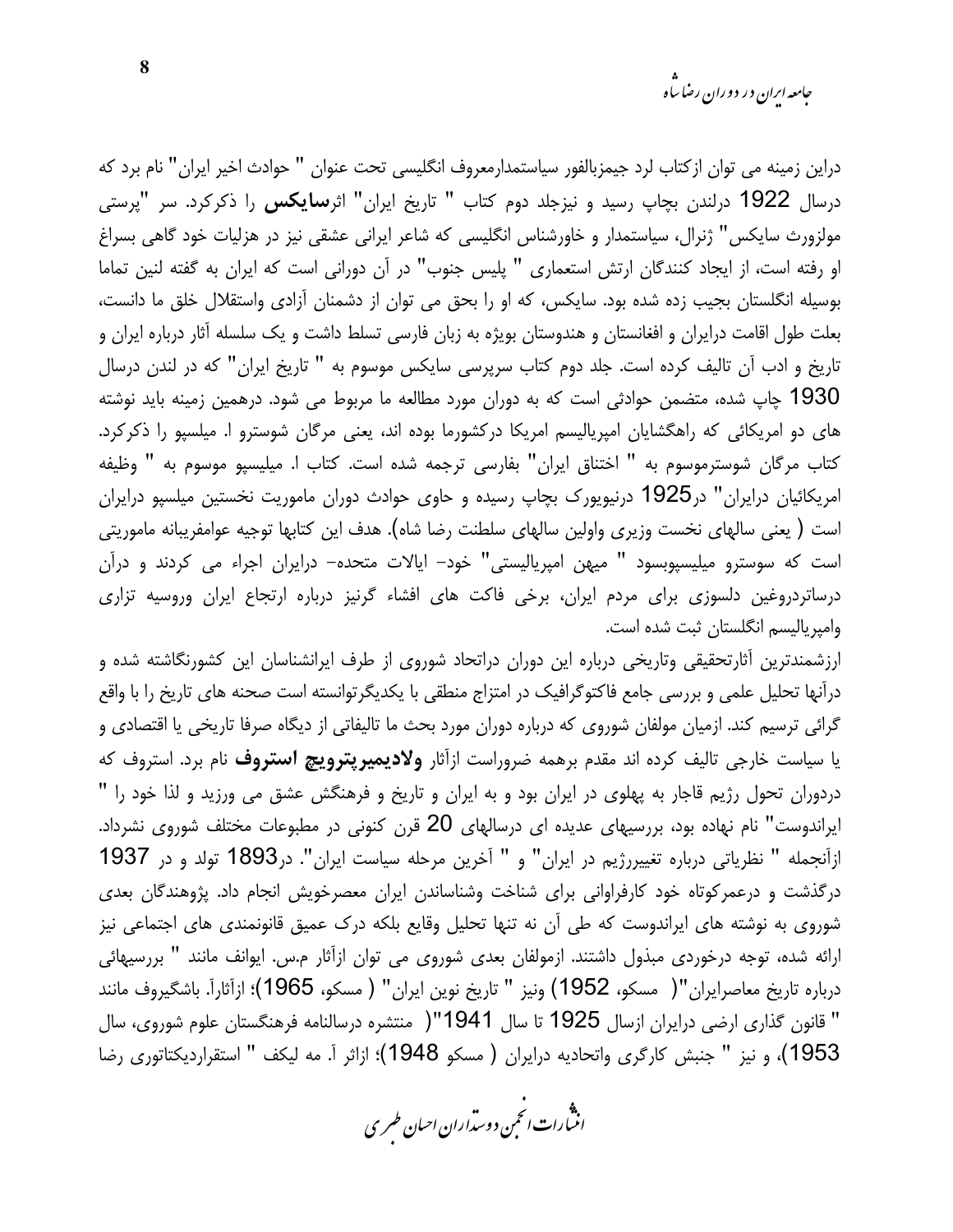*جامعه ایران د*ر دوران رضا س<sup>ا</sup>ه

دراین زمینه می توان از کتاب لرد جیمزبالفور سیاستمدارمعروف انگلیسی تحت عنوان " حوادث اخیر ایران" نام برد که درسال 1922 درلندن بچاپ رسید و نیزجلد دوم کتاب " تاریخ ایران" اثر**سایکس** را ذکرکرد. سر "پرستی مولزورث سایکس" ژنرال، سیاستمدار و خاورشناس انگلیسی که شاعر ایرانی عشقی نیز در هزلیات خود گاهی بسراغ او رفته است، از ایجاد کنندگان ارتش استعماری " پلیس جنوب" در آن دورانی است که ایران به گفته لنین تماما بوسیله انگلستان بجیب زده شده بود. سایکس، که او را بحق می توان از دشمنان آزادی واستقلال خلق ما دانست، بعلت طول اقامت درایران و افغانستان و هندوستان بویژه به زبان فارسی تسلط داشت و یک سلسله آثار درباره ایران و تاریخ و ادب آن تالیف کرده است. جلد دوم کتاب سرپرسی سایکس موسوم به " تاریخ ایران" که در لندن درسال 1930 چاپ شده، متضمن حوادثی است که به دوران مورد مطالعه ما مربوط می شود. درهمین زمینه باید نوشته های دو امریکائی که راهگشایان امپریالیسم امریکا درکشورما بوده اند، یعنی مرگان شوسترو ا. میلسپو را ذکرکرد. كتاب مركان شوسترموسوم به " اختناق ايران" بفارسي ترجمه شده است. كتاب ا. ميليسپو موسوم به " وظيفه امریکائیان درایران" در1925 درنیویورک بچاپ رسیده و حاوی حوادث دوران ماموریت نخستین میلسپو درایران است ( يعني سالهاي نخست وزيري واولين سالهاي سلطنت رضا شاه). هدف اين كتابها توجيه عوامفريبانه ماموريتي است که سوسترو میلیسپوبسود " میهن امپریالیستی" خود– ایالات متحده– درایران اجراء می کردند و درآن درساتردروغین دلسوزی برای مردم ایران، برخی فاکت های افشاء گرنیز درباره ارتجاع ایران وروسیه تزاری وامپریالیسم انگلستان ثبت شده است.

ارزشمندترین آثارتحقیقی وتاریخی درباره این دوران دراتحاد شوروی از طرف ایرانشناسان این کشورنگاشته شده و درآنها تحلیل علمی و بررسی جامع فاکتوگرافیک در امتزاج منطقی با یکدیگرتوانسته است صحنه های تاریخ را با واقع گرائی ترسیم کند. ازمیان مولفان شوروی که درباره دوران مورد بحث ما تالیفاتی از دیگاه صرفا تاریخی یا اقتصادی و یا سیاست خارجی تالیف کرده اند مقدم برهمه ضروراست ازآثار **ولادیمیرپترویچ استروف** نام برد. استروف که دردوران تحول رژیم قاجار به پهلوی در ایران بود و به ایران و تاریخ و فرهنگش عشق می ورزید و لذا خود را " ایراندوست" نام نهاده بود، بررسیهای عدیده ای درسالهای 20 قرن کنونی در مطبوعات مختلف شوروی نشرداد. ازآنجمله " نظریاتی درباره تغییررژیم در ایران" و " آخرین مرحله سیاست ایران". در1893 تولد و در 1937 درگذشت و درعمرکوتاه خود کارفراوانی برای شناخت وشناساندن ایران معصرخویش انجام داد. پژوهندگان بعدی شوروی به نوشته های ایراندوست که طی آن نه تنها تحلیل وقایع بلکه درک عمیق قانونمندی های اجتماعی نیز ارائه شده، توجه درخوردی مبذول داشتند. ازمولفان بعدی شوروی می توان ازآثار م.س. ایوانف مانند " بررسیهائی درباره تاريخ معاصرايران"( مسكو، 1952) ونيز " تاريخ نوين ايران" ( مسكو، 1965)؛ ازآثاراً. باشگيروف مانند " قانون گذاری ارضی درایران ازسال 1925 تا سال 1941"( منتشره درسالنامه فرهنگستان علوم شوروی، سال 1953)، و نيز " جنبش كارگرى واتحاديه درايران ( مسكو 1948)؛ ازاثر آ. مه ليكف " استقرارديكتاتورى رضا

.<br>انن رات انځمن د وسداران احبان طسری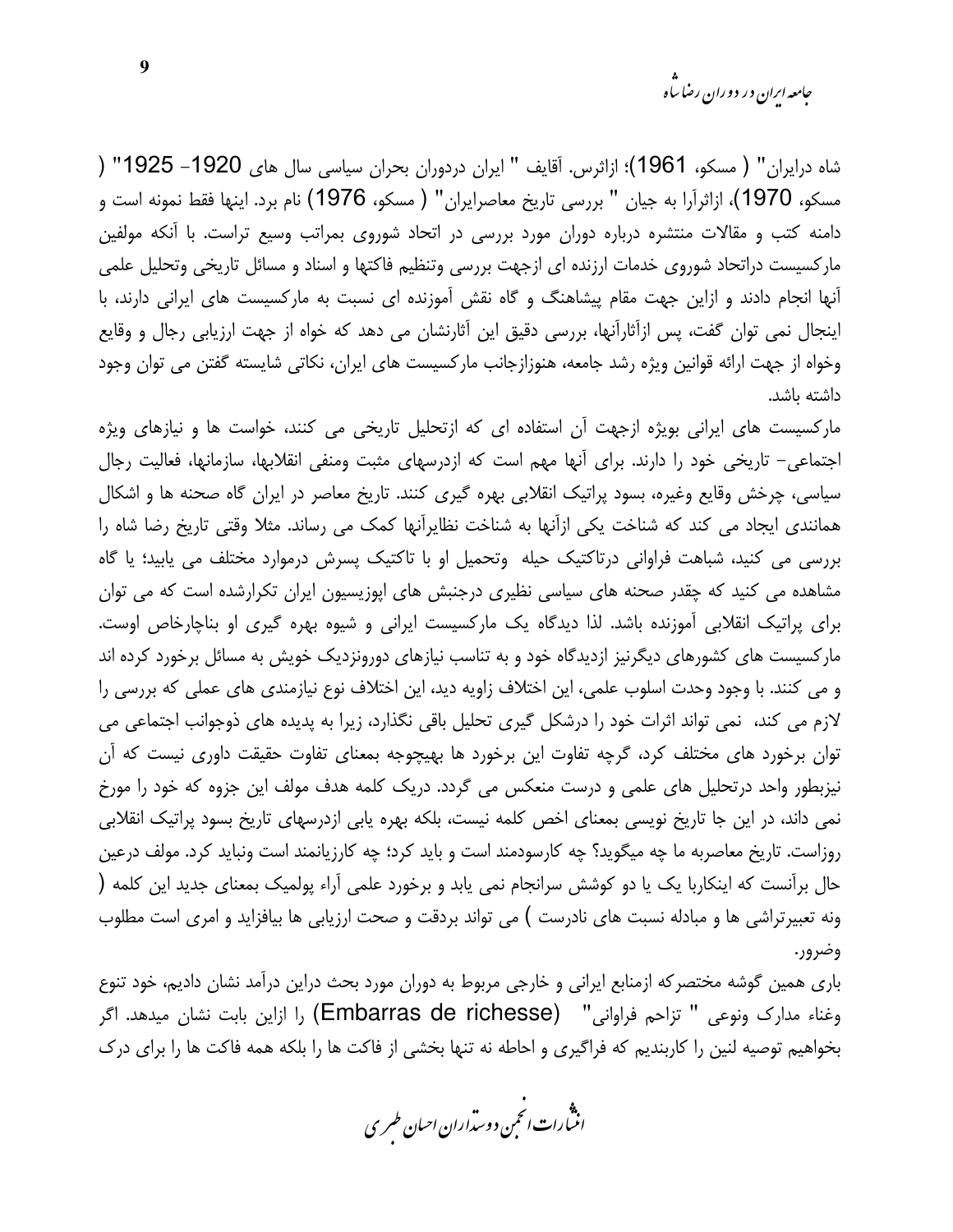*جامعه ایرا*ن در دوران رضا س<sup>ا</sup>ه

شاه درايران" ( مسكو، 1961)؛ ازاثرس. آقايف " ايران دردوران بحران سياسي سال هاي 1920– 1925" ( مسكو، 1970)، ازاثرآرا به جيان " بررسي تاريخ معاصرايران" ( مسكو، 1976) نام برد. اينها فقط نمونه است و دامنه کتب و مقالات منتشره درباره دوران مورد بررسی در اتحاد شوروی بمراتب وسیع تراست. با آنکه مولفین مارکسیست دراتحاد شوروی خدمات ارزنده ای ازجهت بررسی وتنظیم فاکتها و اسناد و مسائل تاریخی وتحلیل علمی آنها انجام دادند و ازاین جهت مقام پیشاهنگ و گاه نقش آموزنده ای نسبت به مارکسیست های ایرانی دارند، با اینجال نمی توان گفت، پس ازآثارآنها، بررسی دقیق این آثارنشان می دهد که خواه از جهت ارزیابی رجال و وقایع وخواه از جهت ارائه قوانین ویژه رشد جامعه، هنوزازجانب مارکسیست های ایران، نکاتی شایسته گفتن می توان وجود داشته باشد.

مارکسیست های ایرانی بویژه ازجهت آن استفاده ای که ازتحلیل تاریخی می کنند، خواست ها و نیازهای ویژه اجتماعی– تاریخی خود را دارند. برای آنها مهم است که ازدرسهای مثبت ومنفی انقلابها، سازمانها، فعالیت رجال سیاسی، چرخش وقایع وغیره، بسود پراتیک انقلابی بهره گیری کنند. تاریخ معاصر در ایران گاه صحنه ها و اشکال همانندی ایجاد می کند که شناخت یکی ازآنها به شناخت نظایرآنها کمک می رساند. مثلا وقتی تاریخ رضا شاه را بررسی می کنید، شباهت فراوانی درتاکتیک حیله وتحمیل او با تاکتیک پسرش درموارد مختلف می پابید؛ یا گاه مشاهده می کنید که چقدر صحنه های سیاسی نظیری درجنبش های ایوزیسیون ایران تکرارشده است که می توان برای پراتیک انقلابی آموزنده باشد. لذا دیدگاه یک مارکسیست ایرانی و شیوه بهره گیری او بناچارخاص اوست. مارکسیست های کشورهای دیگرنیز ازدیدگاه خود و به تناسب نیازهای دورونزدیک خویش به مسائل برخورد کرده اند و می کنند. با وجود وحدت اسلوب علمی، این اختلاف زاویه دید، این اختلاف نوع نیازمندی های عملی که بررسی را لازم می کند، نمی تواند اثرات خود را درشکل گیری تحلیل باقی نگذارد، زیرا به پدیده های ذوجوانب اجتماعی می توان برخورد های مختلف کرد، گرچه تفاوت این برخورد ها بهیچوجه بمعنای تفاوت حقیقت داوری نیست که آن نیزبطور واحد درتحلیل های علمی و درست منعکس می گردد. دریک کلمه هدف مولف این جزوه که خود را مورخ نمی داند، در این جا تاریخ نویسی بمعنای اخص کلمه نیست، بلکه بهره یابی ازدرسهای تاریخ بسود پراتیک انقلابی روزاست. تاریخ معاصربه ما چه میگوید؟ چه کارسودمند است و باید کرد؛ چه کارزیانمند است ونباید کرد. مولف درعین حال برآنست که اینکاربا یک یا دو کوشش سرانجام نمی یابد و برخورد علمی آراء پولمیک بمعنای جدید این کلمه ( ونه تعبیرتراشی ها و مبادله نسبت های نادرست ) می تواند بردقت و صحت ارزیابی ها بیافزاید و امری است مطلوب وضرور.

باری همین گوشه مختصرکه ازمنابع ایرانی و خارجی مربوط به دوران مورد بحث دراین درآمد نشان دادیم، خود تنوع وغناء مدارك ونوعي " تزاحم فراواني" (Embarras de richesse) را ازاين بابت نشان ميدهد. اگر بخواهیم توصیه لنین را کاربندیم که فراگیری و احاطه نه تنها بخشی از فاکت ها را بلکه همه فاکت ها را برای درک

.<br>انث رات انجمن دوسداران احبان طسری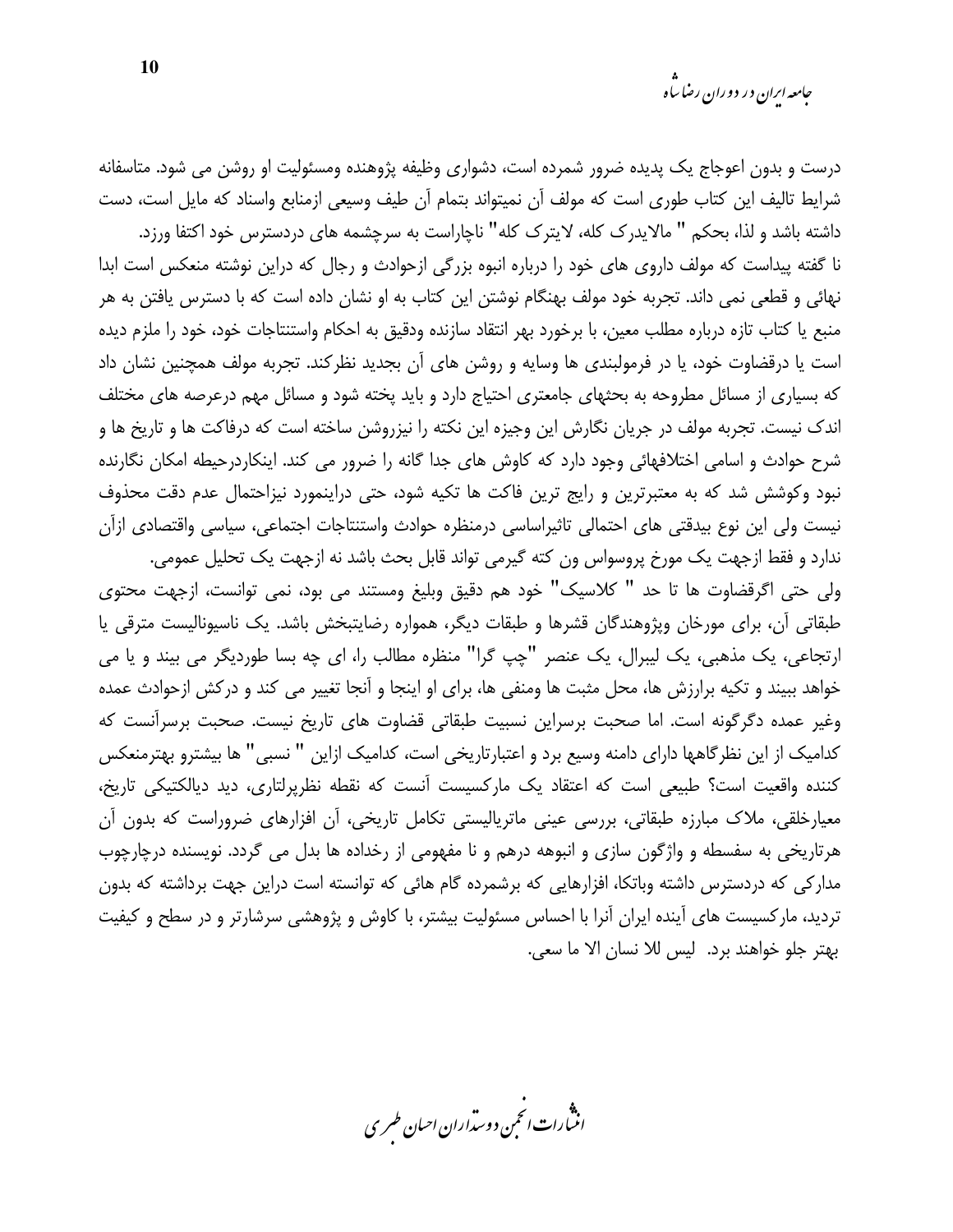درست و بدون اعوجاج یک پدیده ضرور شمرده است، دشواری وظیفه پژوهنده ومسئولیت او روشن می شود. متاسفانه شرايط تاليف اين كتاب طوري است كه مولف آن نميتواند بتمام آن طيف وسيعي ازمنابع واسناد كه مايل است، دست

داشته باشد و لذا، بحکم " مالایدرک کله، لایترک کله" ناچاراست به سرچشمه های دردسترس خود اکتفا ورزد. نا گفته پیداست که مولف داروی های خود را درباره انبوه بزرگی ازحوادث و رجال که دراین نوشته منعکس است ابدا نهائی و قطعی نمی داند. تجربه خود مولف بهنگام نوشتن این کتاب به او نشان داده است که با دسترس یافتن به هر منبع يا كتاب تازه درباره مطلب معين، با برخورد بهر انتقاد سازنده ودقيق به احكام واستنتاجات خود، خود را ملزم ديده است یا درقضاوت خود، یا در فرمولبندی ها وسایه و روشن های آن بجدید نظرکند. تجربه مولف همچنین نشان داد که بسیاری از مسائل مطروحه به بحثهای جامعتری احتیاج دارد و باید پخته شود و مسائل مهم درعرصه های مختلف اندک نیست. تجربه مولف در جریان نگارش این وجیزه این نکته را نیزروشن ساخته است که درفاکت ها و تاریخ ها و شرح حوادث و اسامی اختلافهائی وجود دارد که کاوش های جدا گانه را ضرور می کند. اینکاردرحیطه امکان نگارنده نبود وكوشش شد كه به معتبرترين و رايج ترين فاكت ها تكيه شود، حتى دراينمورد نيزاحتمال عدم دقت محذوف نیست ولی این نوع بیدقتی های احتمالی تاثیراساسی درمنظره حوادث واستنتاجات اجتماعی، سیاسی واقتصادی ازآن ندارد و فقط ازجهت یک مورخ پروسواس ون کته گیرمی تواند قابل بحث باشد نه ازجهت یک تحلیل عمومی.

ولي حتى اگرقضاوت ها تا حد " كلاسيك" خود هم دقيق وبليغ ومستند مي بود، نمي توانست، ازجهت محتوى طبقاتی آن، برای مورخان وپژوهندگان قشرها و طبقات دیگر، همواره رضایتبخش باشد. یک ناسپونالیست مترقی یا ارتجاعی، یک مذهبی، یک لیبرال، یک عنصر "چپ گرا" منظره مطالب را، ای چه بسا طوردیگر می بیند و یا می خواهد ببیند و تکیه برارزش ها، محل مثبت ها ومنفی ها، برای او اینجا و آنجا تغییر می کند و درکش ازحوادث عمده وغير عمده دگرگونه است. اما صحبت برسراين نسبيت طبقاتي قضاوت هاي تاريخ نيست. صحبت برسرآنست كه کدامیک از این نظرگاهها دارای دامنه وسیع برد و اعتبارتاریخی است، کدامیک ازاین " نسبی" ها بیشترو بهترمنعکس كننده واقعيت است؟ طبيعي است كه اعتقاد يك ماركسيست آنست كه نقطه نظرپرلتاري، ديد ديالكتيكي تاريخ، معیارخلقی، ملاک مبارزه طبقاتی، بررسی عینی ماتریالیستی تکامل تاریخی، آن افزارهای ضروراست که بدون آن هرتاریخی به سفسطه و واژگون سازی و انبوهه درهم و نا مفهومی از رخداده ها بدل می گردد. نویسنده درچارچوب مدارکی که دردسترس داشته وباتکا، افزارهایی که برشمرده گام هائی که توانسته است دراین جهت برداشته که بدون تردید، مارکسیست های آینده ایران آنرا با احساس مسئولیت بیشتر، با کاوش و پژوهشی سرشارتر و در سطح و کیفیت بهتر جلو خواهند برد. ليس للا نسان الا ما سعى.

.<br>انن رات انجمن دوسداران احبان طسری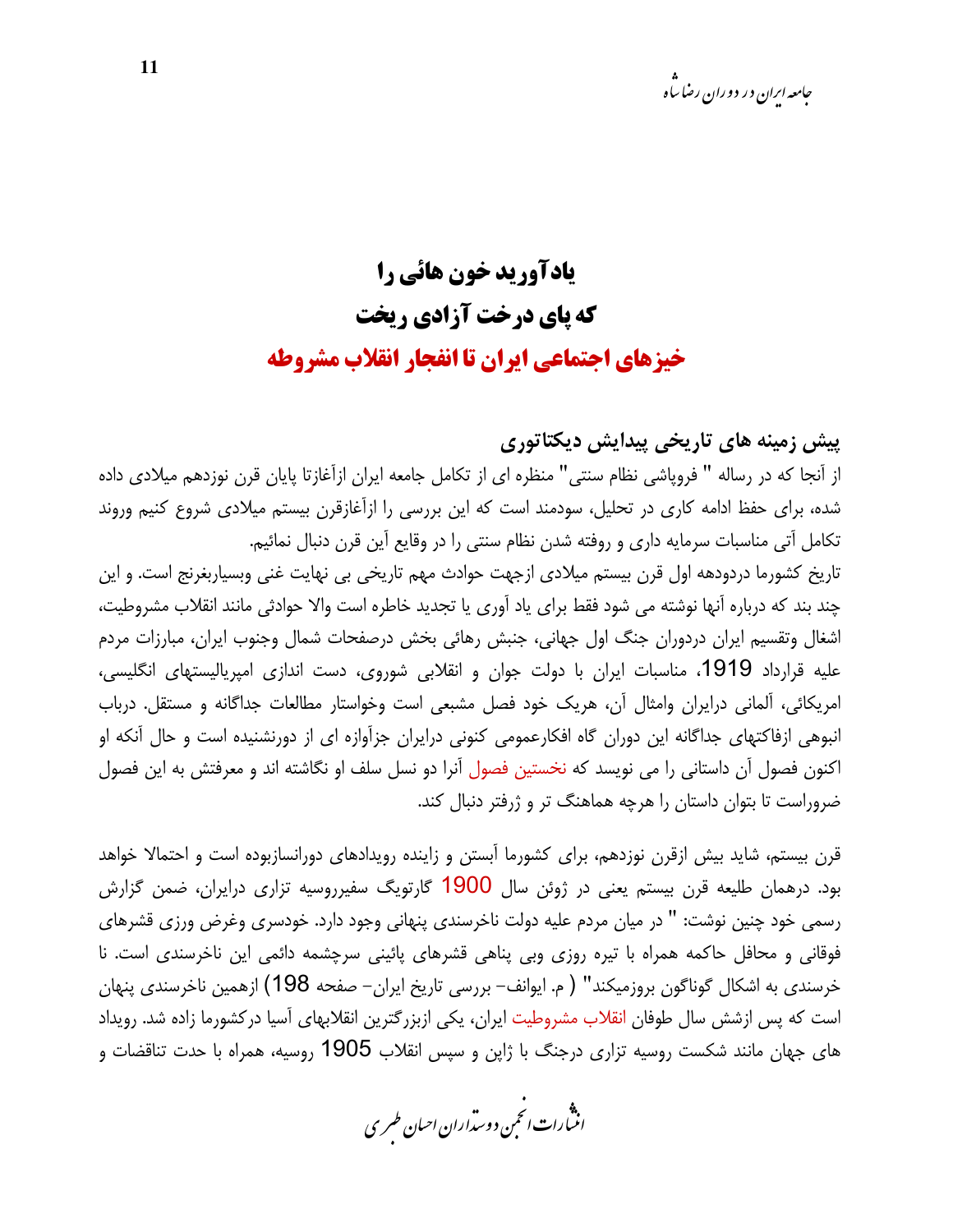## **یادآورید خون هائی را** که یای درخت آزادی ریخت خیزهای احتماعی ایران تا انفحار انقلاب مشروطه

پیش زمینه های تاریخی پیدایش دیکتاتوری از آنجا که در رساله " فرویاشی نظام سنتی" منظره ای از تکامل جامعه ایران ازآغازتا پایان قرن نوزدهم میلادی داده شده، برای حفظ ادامه کاری در تحلیل، سودمند است که این بررسی را ازآغازقرن بیستم میلادی شروع کنیم وروند تكامل آتي مناسبات سرمايه داري و روفته شدن نظام سنتي را در وقايع آين قرن دنبال نمائيم. تاريخ كشورما دردودهه اول قرن بيستم ميلادي ازجهت حوادث مهم تاريخي بي نهايت غني وبسياربغرنج است. و اين چند بند که درباره آنها نوشته می شود فقط برای یاد آوری یا تجدید خاطره است والا حوادثی مانند انقلاب مشروطیت، اشغال وتقسيم ايران دردوران جنگ اول جهاني، جنبش رهائي بخش درصفحات شمال وجنوب ايران، مبارزات مردم علیه قرارداد 1919، مناسبات ایران با دولت جوان و انقلابی شوروی، دست اندازی امپریالیستهای انگلیسی، امریکائی، آلمانی درایران وامثال آن، هریک خود فصل مشبعی است وخواستار مطالعات جداگانه و مستقل. درباب انبوهی ازفاکتهای جداگانه این دوران گاه افکارعمومی کنونی درایران جزآوازه ای از دورنشنیده است و حال آنکه او اکنون فصول آن داستانی را می نویسد که نخستین فصول آنرا دو نسل سلف او نگاشته اند و معرفتش به این فصول

قرن بیستم، شاید بیش ازقرن نوزدهم، برای کشورما آبستن و زاینده رویدادهای دورانسازبوده است و احتمالا خواهد بود. درهمان طلیعه قرن بیستم یعنی در ژوئن سال 1900 گارتویگ سفیرروسیه تزاری درایران، ضمن گزارش رسمی خود چنین نوشت: " در میان مردم علیه دولت ناخرسندی پنهانی وجود دارد. خودسری وغرض ورزی قشرهای فوقانی و محافل حاکمه همراه با تیره روزی وبی پناهی قشرهای پائینی سرچشمه دائمی این ناخرسندی است. نا خرسندی به اشکال گوناگون بروزمیکند" ( م. ایوانف– بررسی تاریخ ایران– صفحه 198) ازهمین ناخرسندی پنهان است که پس ازشش سال طوفان انقلاب مشروطیت ایران، یکی ازبزرگترین انقلابهای آسیا درکشورما زاده شد. رویداد های جهان مانند شکست روسیه تزاری درجنگ با ژاین و سپس انقلاب 1905 روسیه، همراه با حدت تناقضات و

ضروراست تا بتوان داستان را هرچه هماهنگ تر و ژرفتر دنبال کند.

.<br>انن رات انجمن دوسداران احبان طسری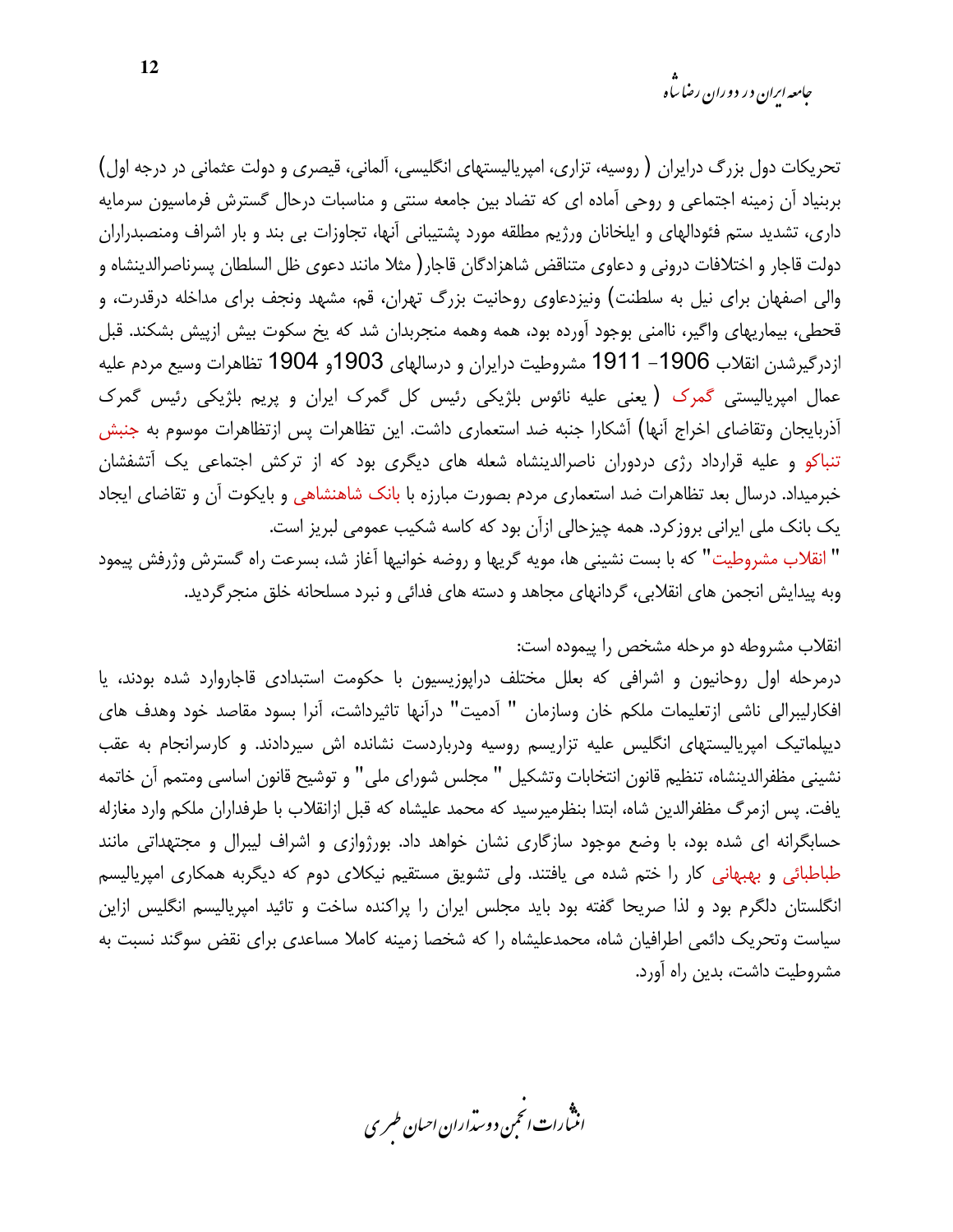جامعه ایران در دوران رضا ساه

تحریکات دول بزرگ درایران ( روسیه، تزاری، امپریالیستهای انگلیسی، آلمانی، قیصری و دولت عثمانی در درجه اول) بربنیاد آن زمینه اجتماعی و روحی آماده ای که تضاد بین جامعه سنتی و مناسبات درحال گسترش فرماسیون سرمایه داری، تشدید ستم فئودالهای و ایلخانان ورژیم مطلقه مورد پشتیبانی آنها، تجاوزات بی بند و بار اشراف ومنصبدراران دولت قاجار و اختلافات درونی و دعاوی متناقض شاهزادگان قاجار( مثلا مانند دعوی ظل السلطان پسرناصرالدینشاه و والی اصفهان برای نیل به سلطنت) ونیزدعاوی روحانیت بزرگ تهران، قم، مشهد ونجف برای مداخله درقدرت، و قحطی، بیماریهای واگیر، ناامنی بوجود آورده بود، همه وهمه منجربدان شد که یخ سکوت بیش ازپیش بشکند. قبل ازدرگیرشدن انقلاب 1906– 1911 مشروطیت درایران و درسالهای 1903و 1904 تظاهرات وسیع مردم علیه عمال امپریالیستی گمرک (یعنی علیه نائوس بلژیکی رئیس کل گمرک ایران و پریم بلژیکی رئیس گمرک آذربایجان وتقاضای اخراج آنها) آشکارا جنبه ضد استعماری داشت. این تظاهرات پس ازتظاهرات موسوم به جنبش تنباکو و علیه قرارداد رژی دردوران ناصرالدینشاه شعله های دیگری بود که از ترکش اجتماعی یک آتشفشان خبرمیداد. درسال بعد تظاهرات ضد استعماری مردم بصورت مبارزه با بانک شاهنشاهی و بایکوت آن و تقاضای ایجاد یک بانک ملی ایرانی بروز کرد. همه چیزحالی ازآن بود که کاسه شکیب عمومی لبریز است. " انقلاب مشروطيت" كه با بست نشيني ها، مويه گريها و روضه خوانيها آغاز شد، بسرعت راه گسترش وژرفش پيمود وبه پیدایش انجمن های انقلابی، گردانهای مجاهد و دسته های فدائی و نبرد مسلحانه خلق منجرگردید.

#### انقلاب مشروطه دو مرحله مشخص را پیموده است:

درمرحله اول روحانیون و اشرافی که بعلل مختلف دراپوزیسیون با حکومت استبدادی قاجاروارد شده بودند، یا افكارليبرالي ناشي ازتعليمات ملكم خان وسازمان " آدميت" درآنها تاثيرداشت، آنرا بسود مقاصد خود وهدف هاي دیپلماتیک امپریالیستهای انگلیس علیه تزاریسم روسیه ودرباردست نشانده اش سیردادند. و کارسرانجام به عقب نشيني مظفرالدينشاه، تنظيم قانون انتخابات وتشكيل " مجلس شوراي ملي" و توشيح قانون اساسي ومتمم آن خاتمه یافت. پس ازمرگ مظفرالدین شاه، ابتدا بنظرمیرسید که محمد علیشاه که قبل ازانقلاب با طرفداران ملکم وارد مغازله حسابگرانه ای شده بود، با وضع موجود سازگاری نشان خواهد داد. بورژوازی و اشراف لیبرال و مجتهداتی مانند طباطبائی و بهبهانی کار را ختم شده می یافتند. ولی تشویق مستقیم نیکلای دوم که دیگربه همکاری امپریالیسم انگلستان دلگرم بود و لذا صریحا گفته بود باید مجلس ایران را پراکنده ساخت و تائید امپریالیسم انگلیس ازاین سیاست وتحریک دائمی اطرافیان شاه، محمدعلیشاه را که شخصا زمینه کاملا مساعدی برای نقض سوگند نسبت به مشروطیت داشت، بدین راه آورد.

.<br>اننمارات انځمن د وسداران احبان طسری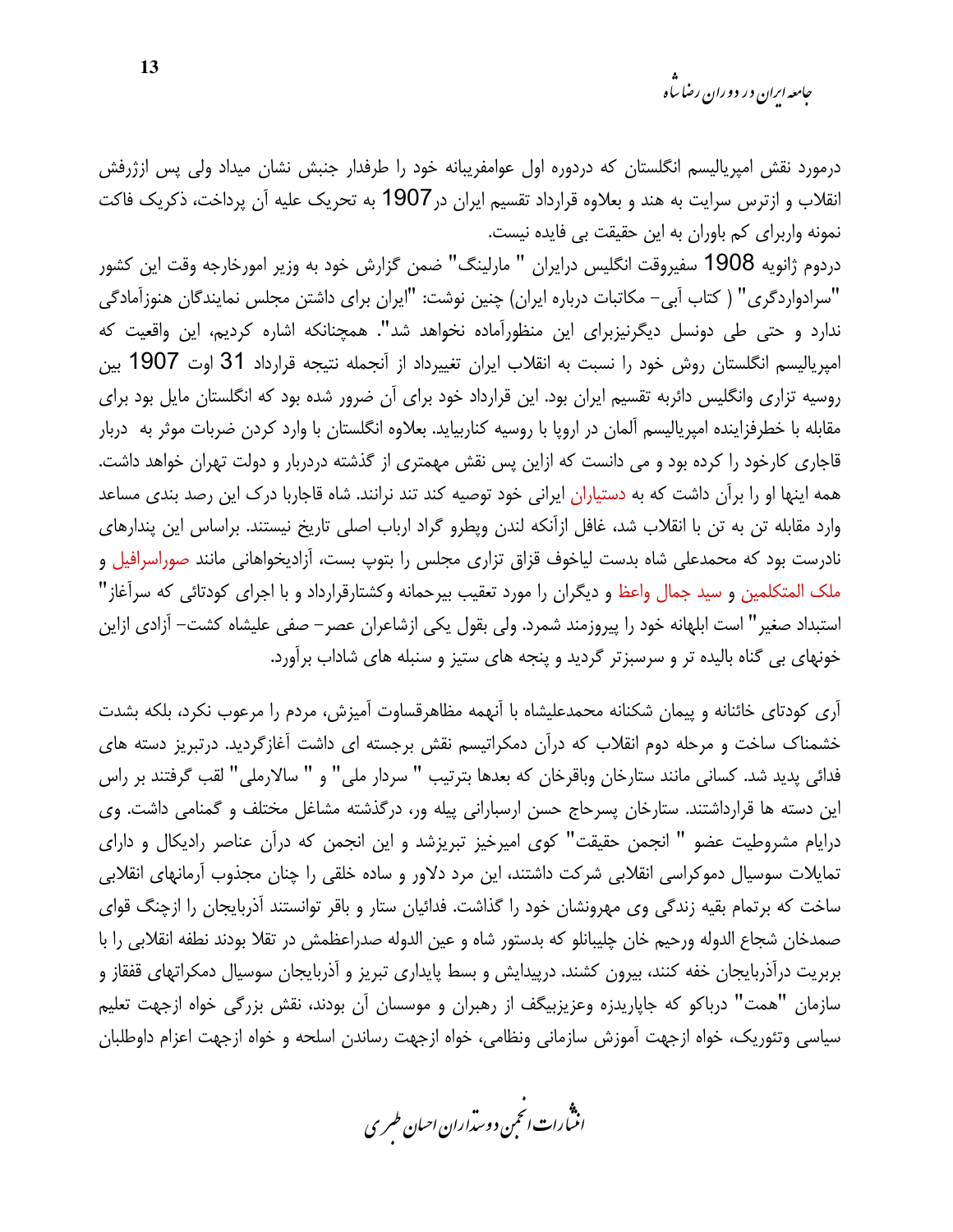درمورد نقش امپریالیسم انگلستان که دردوره اول عوامفریبانه خود را طرفدار جنبش نشان میداد ولی پس ازژرفش انقلاب و ازترس سرایت به هند و بعلاوه قرارداد تقسیم ایران در1907 به تحریک علیه آن پرداخت، ذکریک فاکت نمونه واربرای کم باوران به این حقیقت بی فایده نیست.

دردوم ژانويه 1908 سفيروقت انگليس درايران " مارلينگ" ضمن گزارش خود به وزير امورخارجه وقت اين كشور "سرادواردگری" ( کتاب آبی– مکاتبات درباره ایران) چنین نوشت: "ایران برای داشتن مجلس نمایندگان هنوزآمادگی ندارد و حتی طی دونسل دیگرنیزبرای این منظورآماده نخواهد شد". همچنانکه اشاره کردیم، این واقعیت که امپریالیسم انگلستان روش خود را نسبت به انقلاب ایران تغییرداد از آنجمله نتیجه قرارداد 31 اوت 1907 بین روسیه تزاری وانگلیس دائربه تقسیم ایران بود. این قرارداد خود برای آن ضرور شده بود که انگلستان مایل بود برای مقابله با خطرفزاینده امپریالیسم آلمان در اروپا با روسیه کناربیاید. بعلاوه انگلستان با وارد کردن ضربات موثر به دربار قاجاری کارخود را کرده بود و می دانست که ازاین پس نقش مهمتری از گذشته دردربار و دولت تهران خواهد داشت. همه اینها او را برآن داشت که به دستیاران ایرانی خود توصیه کند تند نرانند. شاه قاجاربا درک این رصد بندی مساعد وارد مقابله تن به تن با انقلاب شد، غافل ازآنکه لندن وپطرو گراد ارباب اصلی تاریخ نیستند. براساس این پندارهای نادرست بود که محمدعلی شاه بدست لیاخوف قزاق تزاری مجلس را بتوپ بست، آزادیخواهانی مانند صوراسرافیل و ملک المتکلمین و سید جمال واعظ و دیگران را مورد تعقیب بیرحمانه وکشتارقرارداد و با اجرای کودتائی که سرآغاز" استبداد صغیر" است ابلهانه خود را پیروزمند شمرد. ولی بقول یکی ازشاعران عصر– صفی علیشاه کشت– آزادی ازاین خونهای بی گناه بالیده تر و سرسبزتر گردید و پنجه های ستیز و سنبله های شاداب برآورد.

آری کودتای خائنانه و پیمان شکنانه محمدعلیشاه با آنهمه مظاهرقساوت آمیزش، مردم را مرعوب نکرد، بلکه بشدت خشمناک ساخت و مرحله دوم انقلاب که درآن دمکراتیسم نقش برجسته ای داشت آغازگردید. درتبریز دسته های فدائی پدید شد. کسانی مانند ستارخان وباقرخان که بعدها بترتیب " سردار ملی" و " سالارملی" لقب گرفتند بر راس این دسته ها قرارداشتند. ستارخان پسرحاج حسن ارسبارانی پیله ور، درگذشته مشاغل مختلف و گمنامی داشت. وی درایام مشروطیت عضو " انجمن حقیقت" کوی امیرخیز تبریزشد و این انجمن که درآن عناصر رادیکال و دارای تمایلات سوسیال دموکراسی انقلابی شرکت داشتند، این مرد دلاور و ساده خلقی را چنان مجذوب آرمانهای انقلابی ساخت که برتمام بقیه زندگی وی مهرونشان خود را گذاشت. فدائیان ستار و باقر توانستند آذربایجان را ازچنگ قوای صمدخان شجاع الدوله ورحيم خان چليبانلو كه بدستور شاه و عين الدوله صدراعظمش در تقلا بودند نطفه انقلابي را با بربریت درآذربایجان خفه کنند، بیرون کشند. درپیدایش و بسط پایداری تبریز و آذربایجان سوسیال دمکراتهای قفقاز و سازمان "همت" درباكو كه جاپاريدزه وعزيزبيگف از رهبران و موسسان آن بودند، نقش بزرگي خواه ازجهت تعليم سیاسی وتئوریک، خواه ازجهت آموزش سازمانی ونظامی، خواه ازجهت رساندن اسلحه و خواه ازجهت اعزام داوطلبان

.<br>انن رات انجمن دوسداران احبان طسری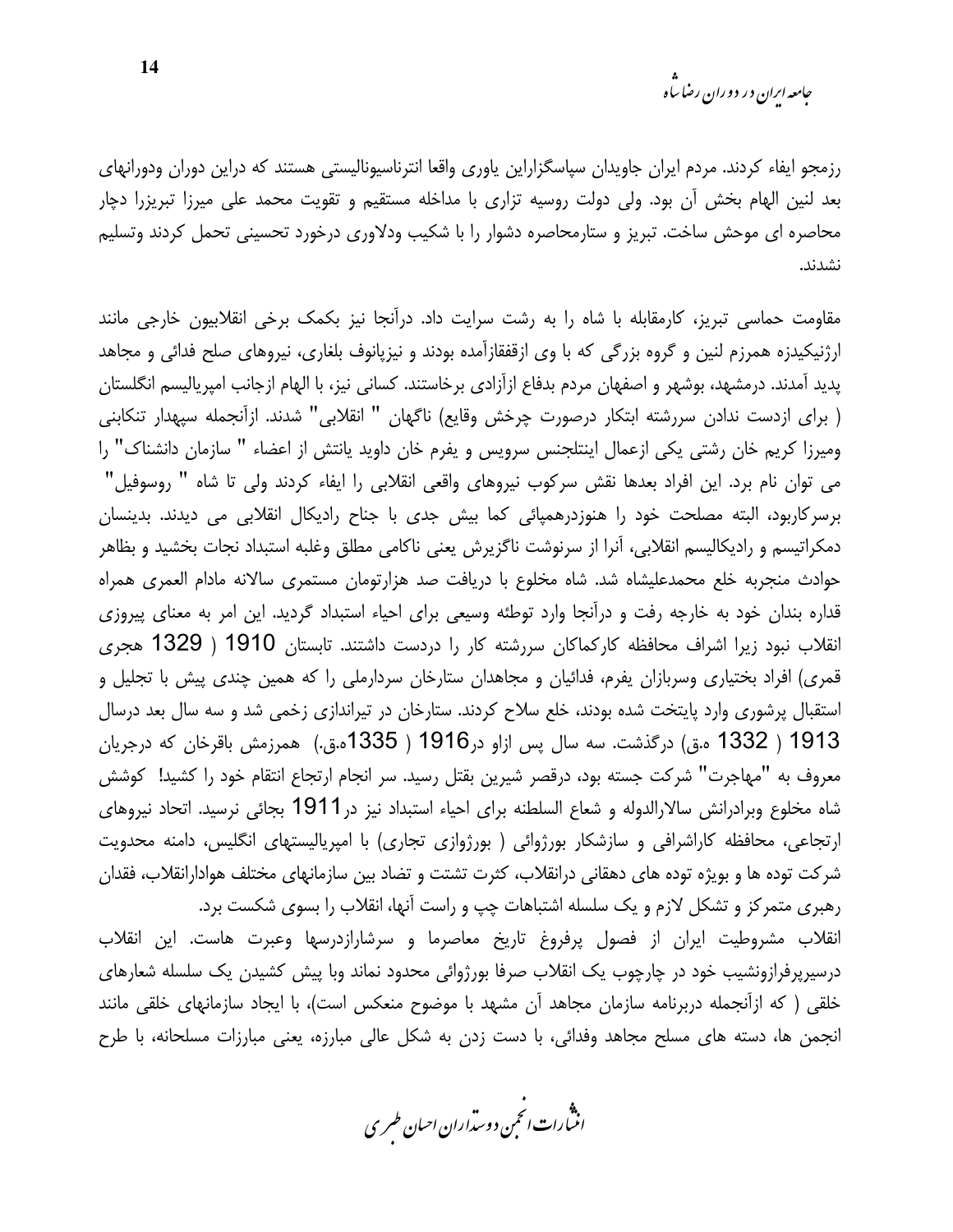*جامعه ایرا*ن در دوران رضا س<sup>ا</sup>ه

رزمجو ایفاء کردند. مردم ایران جاویدان سپاسگزاراین یاوری واقعا انترناسیونالیستی هستند که دراین دوران ودورانهای بعد لنین الهام بخش آن بود. ولی دولت روسیه تزاری با مداخله مستقیم و تقویت محمد علی میرزا تبریزرا دچار محاصره ای موحش ساخت. تبریز و ستارمحاصره دشوار را با شکیب ودلاوری درخورد تحسینی تحمل کردند وتسلیم نشدند.

مقاومت حماسی تبریز، کارمقابله با شاه را به رشت سرایت داد. درآنجا نیز بکمک برخی انقلابیون خارجی مانند ارژنیکیدزه همرزم لنین و گروه بزرگی که با وی ازقفقازآمده بودند و نیزپانوف بلغاری، نیروهای صلح فدائی و مجاهد پدید آمدند. درمشهد، بوشهر و اصفهان مردم بدفاع ازآزادی برخاستند. کسانی نیز، با الهام ازجانب امپریالیسم انگلستان ( براي ازدست ندادن سررشته ابتكار درصورت چرخش وقايع) ناگهان " انقلابي" شدند. ازآنجمله سپهدار تنكابني وميرزا كريم خان رشتي يكي ازعمال اينتلجنس سرويس ويفرم خان داويد يانتش از اعضاء " سازمان دانشناك" را می توان نام برد. این افراد بعدها نقش سرکوب نیروهای واقعی انقلابی را ایفاء کردند ولی تا شاه " روسوفیل" برسرکاربود، البته مصلحت خود را هنوزدرهمپائی کما بیش جدی با جناح رادیکال انقلابی می دیدند. بدینسان دمكراتيسم و راديكاليسم انقلابي، آنرا از سرنوشت ناگزيرش يعني ناكامي مطلق وغلبه استبداد نجات بخشيد و بظاهر حوادث منجربه خلع محمدعلیشاه شد. شاه مخلوع با دریافت صد هزارتومان مستمری سالانه مادام العمری همراه قداره بندان خود به خارجه رفت و درآنجا وارد توطئه وسیعی برای احیاء استبداد گردید. این امر به معنای پیروزی انقلاب نبود زیرا اشراف محافظه کارکماکان سررشته کار را دردست داشتند. تابستان 1910 ( 1329 هجری قمری) افراد بختیاری وسربازان یفرم، فدائیان و مجاهدان ستارخان سردارملی را که همین چندی پیش با تجلیل و استقبال پرشوری وارد پایتخت شده بودند، خلع سلاح کردند. ستارخان در تیراندازی زخمی شد و سه سال بعد درسال 1913 ( 1332 ه.ق) درگذشت. سه سال پس ازاو در1916 ( 1335م.ق.) همرزمش باقرخان که درجریان معروف به "مهاجرت" شركت جسته بود، درقصر شيرين بقتل رسيد. سر انجام ارتجاع انتقام خود را كشيد! كوشش شاه مخلوع وبرادرانش سالارالدوله و شعاع السلطنه براي احياء استبداد نيز در 1911 بجائي نرسيد. اتحاد نيروهاي ارتجاعی، محافظه کاراشرافی و سازشکار بورژوائی ( بورژوازی تجاری) با امپریالیستهای انگلیس، دامنه محدویت شرکت توده ها و بویژه توده های دهقانی درانقلاب، کثرت تشتت و تضاد بین سازمانهای مختلف هوادارانقلاب، فقدان رهبری متمرکز و تشکل لازم و یک سلسله اشتباهات چپ و راست آنها، انقلاب را بسوی شکست برد. انقلاب مشروطيت ايران از فصول پرفروغ تاريخ معاصرما و سرشارازدرسها وعبرت هاست. اين انقلاب درسیرپرفرازونشیب خود در چارچوب یک انقلاب صرفا بورژوائی محدود نماند وبا پیش کشیدن یک سلسله شعارهای خلقی ( که ازآنجمله دربرنامه سازمان مجاهد آن مشهد با موضوح منعکس است)، با ایجاد سازمانهای خلقی مانند انجمن ها، دسته های مسلح مجاهد وفدائی، با دست زدن به شکل عالی مبارزه، یعنی مبارزات مسلحانه، با طرح

.<br>انن رات انجمن دوسداران احبان طسری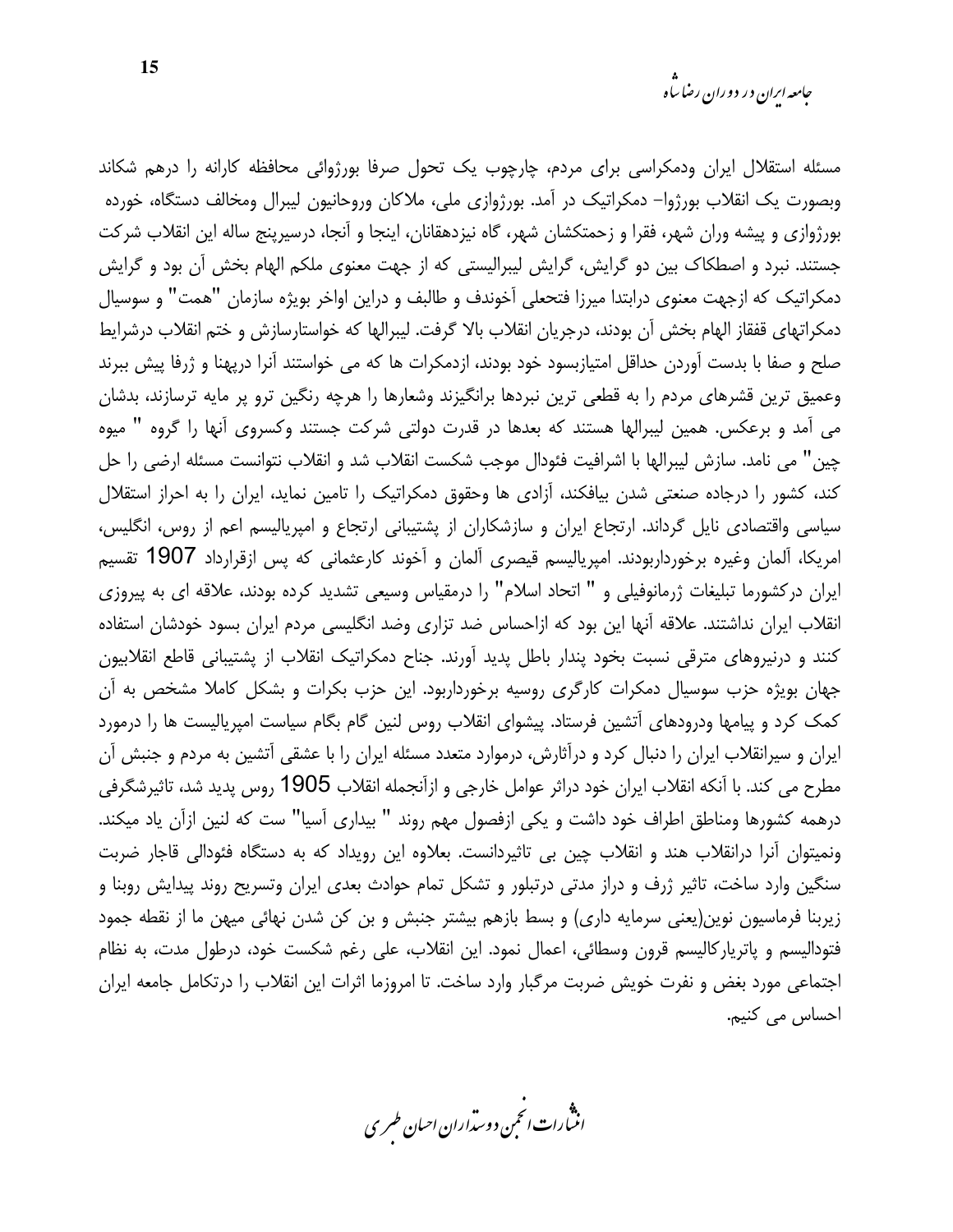مسئله استقلال ایران ودمکراسی برای مردم، چارچوب یک تحول صرفا بورژوائی محافظه کارانه را درهم شکاند وبصورت یک انقلاب بورژوا– دمکراتیک در آمد. بورژوازی ملی، ملاکان وروحانیون لیبرال ومخالف دستگاه، خورده بورژوازی و پیشه وران شهر، فقرا و زحمتکشان شهر، گاه نیزدهقانان، اینجا و آنجا، درسیرپنج ساله این انقلاب شرکت جستند. نبرد و اصطکاک بین دو گرایش، گرایش لیبرالیستی که از جهت معنوی ملکم الهام بخش آن بود و گرایش دمکراتیک که ازجهت معنوی درابتدا میرزا فتحعلی آخوندف و طالبف و دراین اواخر بویژه سازمان "همت" و سوسیال دمكراتهاى قفقاز الهام بخش آن بودند، درجريان انقلاب بالا گرفت. ليبرالها كه خواستارسازش و ختم انقلاب درشرايط صلح و صفا با بدست آوردن حداقل امتیازبسود خود بودند، ازدمکرات ها که می خواستند آنرا درپهنا و ژرفا پیش ببرند وعمیق ترین قشرهای مردم را به قطعی ترین نبردها برانگیزند وشعارها را هرچه رنگین ترو پر مایه ترسازند، بدشان می آمد و برعکس. همین لیبرالها هستند که بعدها در قدرت دولتی شرکت جستند وکسروی آنها را گروه " میوه چین" می نامد. سازش لیبرالها با اشرافیت فئودال موجب شکست انقلاب شد و انقلاب نتوانست مسئله ارضی را حل کند، کشور را درجاده صنعتی شدن بیافکند، آزادی ها وحقوق دمکراتیک را تامین نماید، ایران را به احراز استقلال سیاسی واقتصادی نایل گرداند. ارتجاع ایران و سازشکاران از پشتیبانی ارتجاع و امپریالیسم اعم از روس، انگلیس، امریکا، آلمان وغیرہ برخورداربودند. امپریالیسم قیصری آلمان و آخوند کارعثمانی که پس ازقرارداد 1907 تقسیم ایران درکشورما تبلیغات ژرمانوفیلی و " اتحاد اسلام" را درمقیاس وسیعی تشدید کرده بودند، علاقه ای به پیروزی انقلاب ایران نداشتند. علاقه آنها این بود که ازاحساس ضد تزاری وضد انگلیسی مردم ایران بسود خودشان استفاده کنند و درنیروهای مترقی نسبت بخود پندار باطل پدید آورند. جناح دمکراتیک انقلاب از پشتیبانی قاطع انقلابیون جهان بویژه حزب سوسیال دمکرات کارگری روسیه برخورداربود. این حزب بکرات و بشکل کاملا مشخص به آن کمک کرد و پیامها ودرودهای آتشین فرستاد. پیشوای انقلاب روس لنین گام بگام سیاست امپریالیست ها را درمورد ایران و سیرانقلاب ایران را دنبال کرد و درآثارش، درموارد متعدد مسئله ایران را با عشقی آتشین به مردم و جنبش آن مطرح می کند. با آنکه انقلاب ایران خود دراثر عوامل خارجی و ازآنجمله انقلاب 1905 روس پدید شد، تاثیرشگرفی درهمه كشورها ومناطق اطراف خود داشت و يكي ازفصول مهم روند " بيداري آسيا" ست كه لنين ازآن ياد ميكند. ونمیتوان آنرا درانقلاب هند و انقلاب چین بی تاثیردانست. بعلاوه این رویداد که به دستگاه فئودالی قاجار ضربت سنگین وارد ساخت، تاثیر ژرف و دراز مدتی درتبلور و تشکل تمام حوادث بعدی ایران وتسریح روند پیدایش روبنا و زیربنا فرماسیون نوین(یعنی سرمایه داری) و بسط بازهم بیشتر جنبش و بن کن شدن نهائی میهن ما از نقطه جمود فتودالیسم و پاترپارکالیسم قرون وسطائی، اعمال نمود. این انقلاب، علی رغم شکست خود، درطول مدت، به نظام اجتماعی مورد بغض و نفرت خویش ضربت مرگبار وارد ساخت. تا امروزما اثرات این انقلاب را درتکامل جامعه ایران احساس می کنیم.

.»<br>اننسارات انجمن دوسداران احبان طسری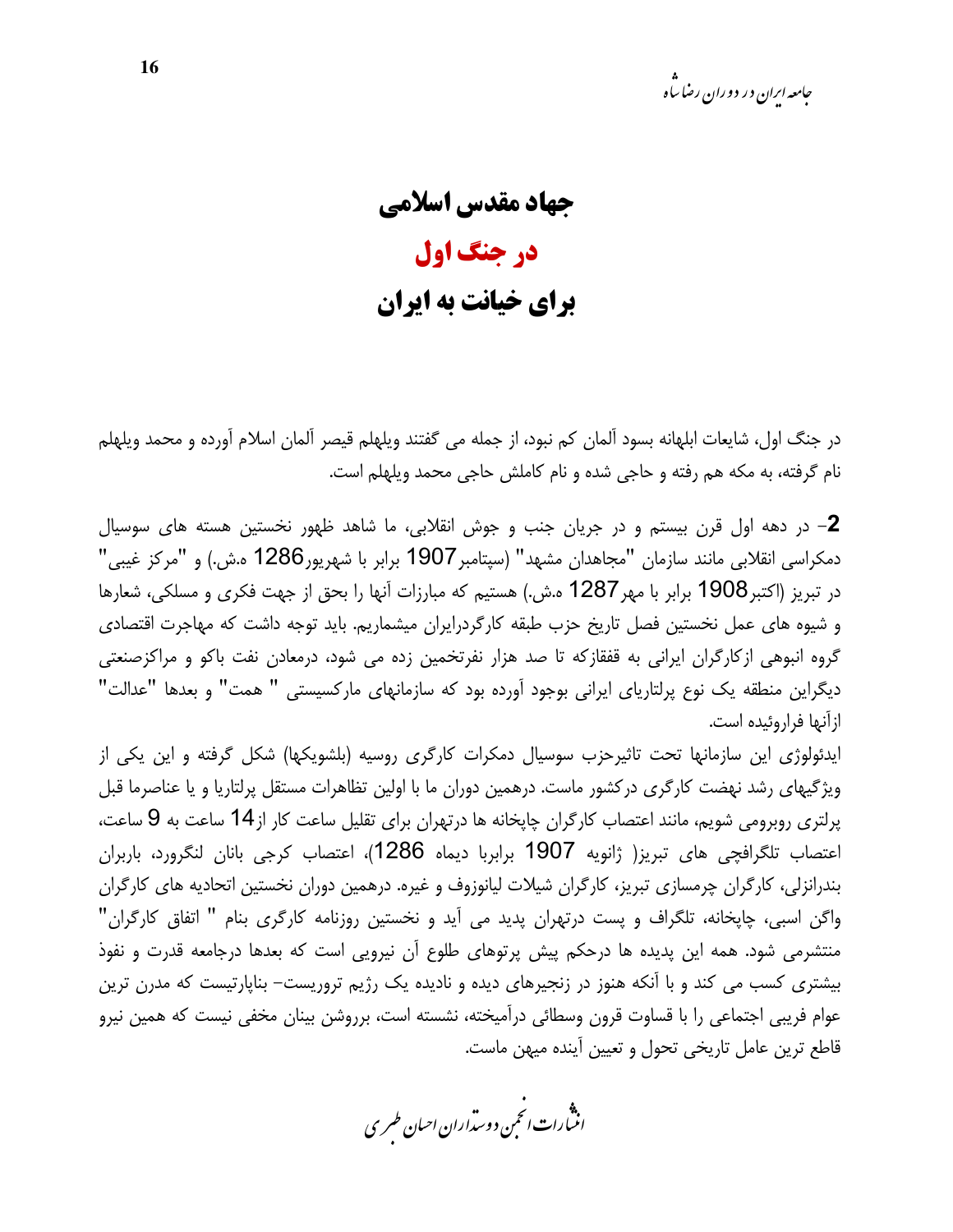جهاد مقدس اسلامي در جنگ اول **برای خیانت به ایران** 

در جنگ اول، شايعات ابلهانه بسود آلمان كم نبود، از جمله مي گفتند ويلهلم قيصر آلمان اسلام آورده و محمد ويلهلم نام گرفته، به مکه هم رفته و حاجی شده و نام کاملش حاجی محمد ویلهلم است.

**2**– در دهه اول قرن بیستم و در جریان جنب و جوش انقلابی، ما شاهد ظهور نخستین هسته های سوسیال دمکراسی انقلابی مانند سازمان "مجاهدان مشهد" (سیتامبر 1907 برابر با شهریور1286 ه.ش.) و "مرکز غیبی" در تبریز (اکتبر1908 برابر با مهر 1287 ه.ش.) هستیم که مبارزات آنها را بحق از جهت فکری و مسلکی، شعارها و شیوه های عمل نخستین فصل تاریخ حزب طبقه کارگردرایران میشماریم. باید توجه داشت که مهاجرت اقتصادی گروه انبوهی ازکارگران ایرانی به قفقازکه تا صد هزار نفرتخمین زده می شود، درمعادن نفت باکو و مراکزصنعتی دیگراین منطقه یک نوع پرلتاریای ایرانی بوجود آورده بود که سازمانهای مارکسیستی " همت" و بعدها "عدالت" ازآنها فراروئيده است.

ایدئولوژی این سازمانها تحت تاثیرحزب سوسیال دمکرات کارگری روسیه (بلشویکها) شکل گرفته و این یکی از ویژگیهای رشد نهضت کارگری درکشور ماست. درهمین دوران ما با اولین تظاهرات مستقل پرلتاریا و یا عناصرما قبل پرلتری روبرومی شویم، مانند اعتصاب کارگران چاپخانه ها درتهران برای تقلیل ساعت کار از14 ساعت به 9 ساعت، اعتصاب تلگرافچی های تبریز( ژانویه 1907 برابربا دیماه 1286)، اعتصاب کرجی بانان لنگرورد، باربران بندرانزلی، کارگران چرمسازی تبریز، کارگران شیلات لیانوزوف و غیره. درهمین دوران نخستین اتحادیه های کارگران واگن اسبی، چاپخانه، تلگراف و پست درتهران پدید می آید و نخستین روزنامه کارگری بنام " اتفاق کارگران" منتشرمی شود. همه این پدیده ها درحکم پیش پرتوهای طلوع آن نیرویی است که بعدها درجامعه قدرت و نفوذ بیشتری کسب می کند و با آنکه هنوز در زنجیرهای دیده و نادیده یک رژیم تروریست– بنایارتیست که مدرن ترین عوام فریبی اجتماعی را با قساوت قرون وسطائی درآمیخته، نشسته است، برروشن بینان مخفی نیست که همین نیرو قاطع ترين عامل تاريخي تحول و تعيين أينده ميهن ماست.

.<br>انثمارات *انحم*ن دوستراران ا*حی*ان *طهر*ی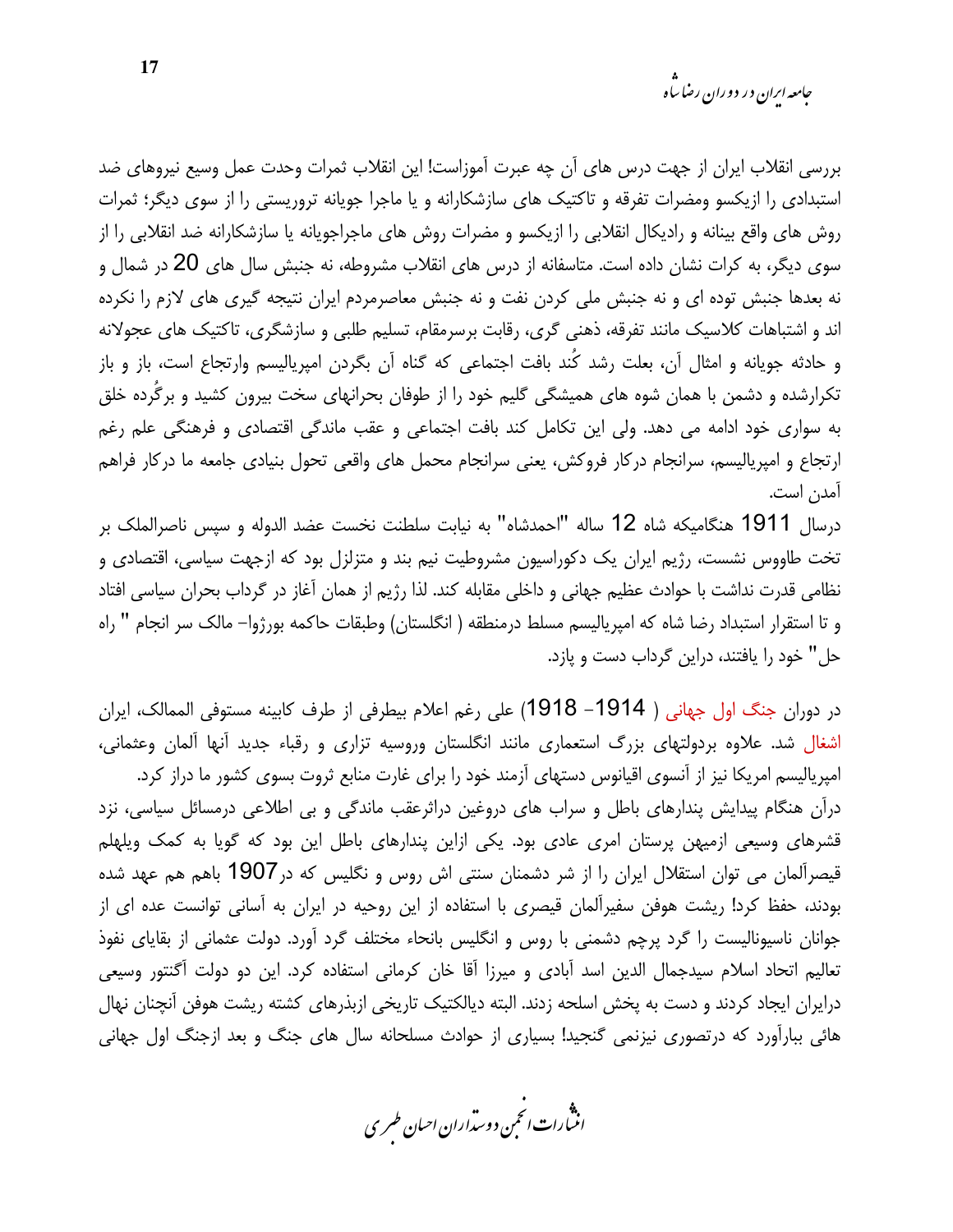*جامعه ایرا*ن در دوران رضا س<sup>ا</sup>ه

بررسی انقلاب ایران از جهت درس های آن چه عبرت آموزاست! این انقلاب ثمرات وحدت عمل وسیع نیروهای ضد استبدادی را ازیکسو ومضرات تفرقه و تاکتیک های سازشکارانه و یا ماجرا جویانه تروریستی را از سوی دیگر؛ ثمرات روش های واقع بینانه و رادیکال انقلابی را ازیکسو و مضرات روش های ماجراجویانه یا سازشکارانه ضد انقلابی را از سوی دیگر، به کرات نشان داده است. متاسفانه از درس های انقلاب مشروطه، نه جنبش سال های 20 در شمال و نه بعدها جنبش توده ای و نه جنبش ملی کردن نفت و نه جنبش معاصرمردم ایران نتیجه گیری های لازم را نکرده اند و اشتباهات کلاسیک مانند تفرقه، ذهنی گری، رقابت برسرمقام، تسلیم طلبی و سازشگری، تاکتیک های عجولانه و حادثه جویانه و امثال آن، بعلت رشد کُند بافت اجتماعی که گناه آن بگردن امپریالیسم وارتجاع است، باز و باز تکرارشده و دشمن با همان شوه های همیشگی گلیم خود را از طوفان بحرانهای سخت بیرون کشید و برگُرده خلق به سواری خود ادامه می دهد. ولی این تکامل کند بافت اجتماعی و عقب ماندگی اقتصادی و فرهنگی علم رغم ارتجاع و امپریالیسم، سرانجام درکار فروکش، یعنی سرانجام محمل های واقعی تحول بنیادی جامعه ما درکار فراهم آمدن است.

درسال 1911 هنگامیکه شاه 12 ساله "احمدشاه" به نیابت سلطنت نخست عضد الدوله و سپس ناصرالملک بر تخت طاووس نشست، رژیم ایران یک دکوراسیون مشروطیت نیم بند و متزلزل بود که ازجهت سیاسی، اقتصادی و نظامی قدرت نداشت با حوادث عظیم جهانی و داخلی مقابله کند. لذا رژیم از همان آغاز در گرداب بحران سیاسی افتاد و تا استقرار استبداد رضا شاه که امیریالیسم مسلط درمنطقه ( انگلستان) وطبقات حاکمه بورژوا– مالک سر انجام " راه حل" خود را یافتند، دراین گرداب دست و پازد.

در دوران جنگ اول جهانی ( 1914– 1918) علی رغم اعلام بیطرفی از طرف کابینه مستوفی الممالک، ایران اشغال شد. علاوه بردولتهای بزرگ استعماری مانند انگلستان وروسیه تزاری و رقباء جدید آنها آلمان وعثمانی، امپریالیسم امریکا نیز از آنسوی اقیانوس دستهای آزمند خود را برای غارت منابع ثروت بسوی کشور ما دراز کرد. درآن هنگام پیدایش پندارهای باطل و سراب های دروغین دراثرعقب ماندگی و بی اطلاعی درمسائل سیاسی، نزد قشرهای وسیعی ازمیهن پرستان امری عادی بود. یکی ازاین پندارهای باطل این بود که گویا به کمک ویلهلم قیصرآلمان می توان استقلال ایران را از شر دشمنان سنتی اش روس و نگلیس که در1907 باهم هم عهد شده بودند، حفظ کرد! ریشت هوفن سفیرآلمان قیصری با استفاده از این روحیه در ایران به آسانی توانست عده ای از جوانان ناسیونالیست را گرد پرچم دشمنی با روس و انگلیس بانحاء مختلف گرد آورد. دولت عثمانی از بقایای نفوذ تعالیم اتحاد اسلام سیدجمال الدین اسد آبادی و میرزا آقا خان کرمانی استفاده کرد. این دو دولت آگنتور وسیعی درایران ایجاد کردند و دست به پخش اسلحه زدند. البته دیالکتیک تاریخی ازبذرهای کشته ریشت هوفن آنچنان نهال هائی بباراًورد که درتصوری نیزنمی گنجید! بسیاری از حوادث مسلحانه سال های جنگ و بعد ازجنگ اول جهانی

.<br>انن رات انجمن دوسداران احبان طسری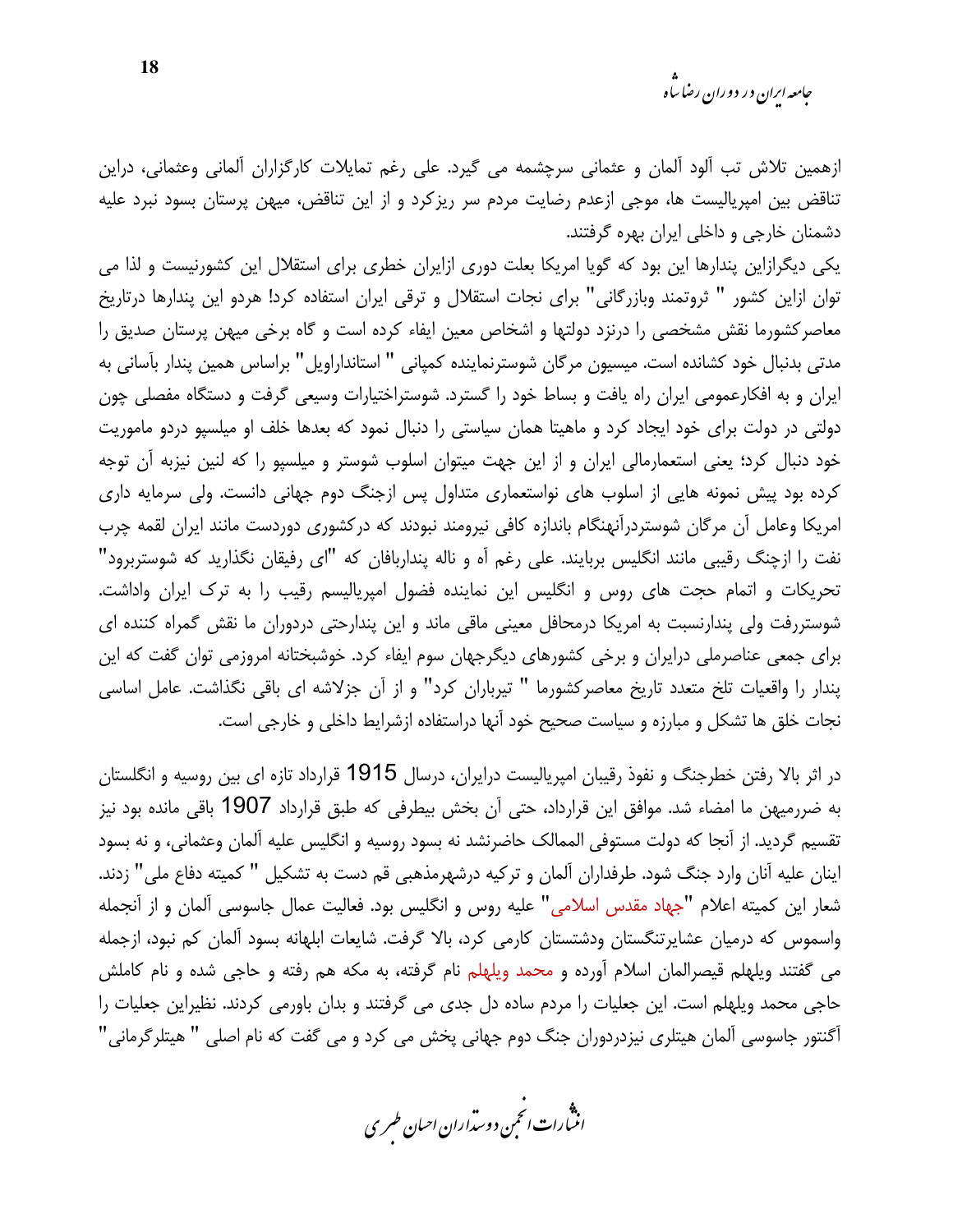ازهمین تلاش تب آلود آلمان و عثمانی سرچشمه می گیرد. علی رغم تمایلات کارگزاران آلمانی وعثمانی، دراین تناقض بین امپریالیست ها، موجی ازعدم رضایت مردم سر ریزکرد و از این تناقض، میهن پرستان بسود نبرد علیه دشمنان خارجي و داخلي ايران بهره گرفتند.

یکی دیگرازاین پندارها این بود که گویا امریکا بعلت دوری ازایران خطری برای استقلال این کشورنیست و لذا می توان ازاین کشور " ثروتمند وبازرگانی" برای نجات استقلال و ترقی ایران استفاده کرد! هردو این پندارها درتاریخ معاصرکشورما نقش مشخصی را درنزد دولتها و اشخاص معین ایفاء کرده است و گاه برخی میهن پرستان صدیق را مدتی بدنبال خود کشانده است. میسیون مرگان شوسترنماینده کمپانی " استانداراویل" براساس همین پندار بآسانی به ایران و به افکارعمومی ایران راه یافت و بساط خود را گسترد. شوستراختیارات وسیعی گرفت و دستگاه مفصلی چون دولتی در دولت برای خود ایجاد کرد و ماهیتا همان سیاستی را دنبال نمود که بعدها خلف او میلسپو دردو ماموریت خود دنبال کرد؛ یعنی استعمارمالی ایران و از این جهت میتوان اسلوب شوستر و میلسپو را که لنین نیزبه آن توجه کرده بود پیش نمونه هایی از اسلوب های نواستعماری متداول پس ازجنگ دوم جهانی دانست. ولی سرمایه داری امریکا وعامل آن مرگان شوستردرآنهنگام باندازه کافی نیرومند نبودند که درکشوری دوردست مانند ایران لقمه چرب نفت را ازچنگ رقیبی مانند انگلیس بربایند. علی رغم آه و ناله پنداربافان که "ای رفیقان نگذارید که شوستربرود" تحریکات و اتمام حجت های روس و انگلیس این نماینده فضول امیریالیسم رقیب را به ترک ایران واداشت. شوستررفت ولی پندارنسبت به امریکا درمحافل معینی ماقی ماند و این پندارحتی دردوران ما نقش گمراه کننده ای برای جمعی عناصرملی درایران و برخی کشورهای دیگرجهان سوم ایفاء کرد. خوشبختانه امروزمی توان گفت که این پندار را واقعیات تلخ متعدد تاریخ معاصرکشورما " تیرباران کرد" و از آن جزلاشه ای باقی نگذاشت. عامل اساسی نجات خلق ها تشکل و مبارزه و سیاست صحیح خود آنها دراستفاده ازشرایط داخلی و خارجی است.

در اثر بالا رفتن خطرجنگ و نفوذ رقیبان امپریالیست درایران، درسال 1915 قرارداد تازه ای بین روسیه و انگلستان به ضررمیهن ما امضاء شد. موافق این قرارداد، حتی آن بخش بیطرفی که طبق قرارداد 1907 باقی مانده بود نیز تقسیم گردید. از آنجا که دولت مستوفی الممالک حاضرنشد نه بسود روسیه و انگلیس علیه آلمان وعثمانی، و نه بسود اینان علیه آنان وارد جنگ شود. طرفداران آلمان و ترکیه درشهرمذهبی قم دست به تشکیل " کمیته دفاع ملی" زدند. شعار این کمیته اعلام "جهاد مقدس اسلامی" علیه روس و انگلیس بود. فعالیت عمال جاسوسی آلمان و از آنجمله واسموس كه درميان عشايرتنگستان ودشتستان كارمي كرد، بالا گرفت. شايعات ابلهانه بسود آلمان كم نبود، ازجمله می گفتند ویلهلم قیصرالمان اسلام آورده و محمد ویلهلم نام گرفته، به مکه هم رفته و حاجی شده و نام کاملش حاجی محمد ویلهلم است. این جعلیات را مردم ساده دل جدی می گرفتند و بدان باورمی کردند. نظیراین جعلیات را آگنتور جاسوسی آلمان هیتلری نیزدردوران جنگ دوم جهانی پخش می کرد و می گفت که نام اصلی " هیتلرگرمانی"

.<br>انن رات انجمن دوسداران احبان طسری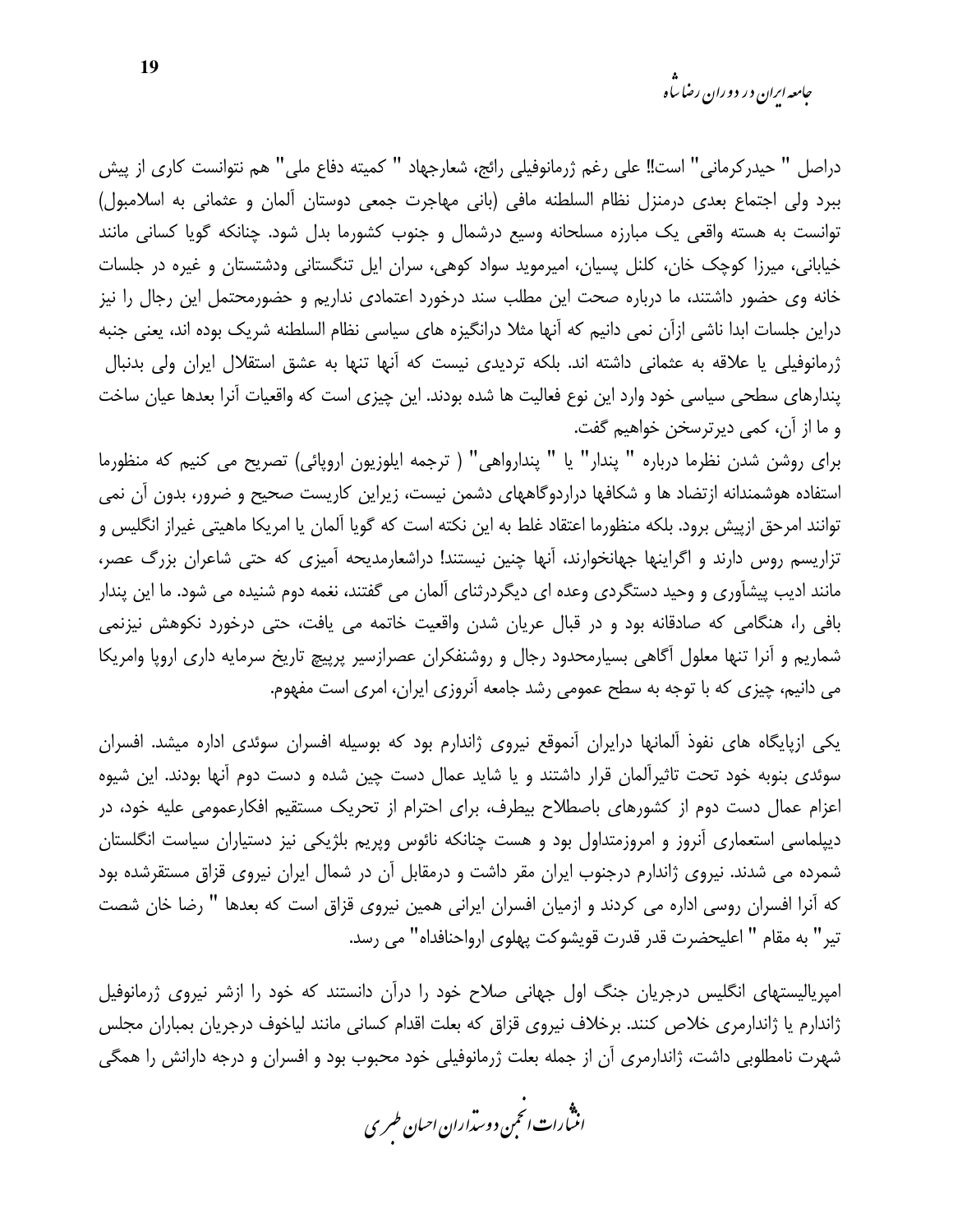*جامعه ایران د*ر دوران رضا س<sup>ا</sup>ه

دراصل " حيدركرماني" است!! على رغم ژرمانوفيلي رائج، شعارجهاد " كميته دفاع ملي" هم نتوانست كاري از پيش ببرد ولي اجتماع بعدي درمنزل نظام السلطنه مافي (باني مهاجرت جمعي دوستان ألمان و عثماني به اسلامبول) توانست به هسته واقعی یک مبارزه مسلحانه وسیع درشمال و جنوب کشورما بدل شود. چنانکه گویا کسانی مانند خیابانی، میرزا کوچک خان، کلنل پسیان، امیرموید سواد کوهی، سران ایل تنگستانی ودشتستان و غیره در جلسات خانه وی حضور داشتند، ما درباره صحت این مطلب سند درخورد اعتمادی نداریم و حضورمحتمل این رجال را نیز دراین جلسات ابدا ناشی ازآن نمی دانیم که آنها مثلا درانگیزه های سیاسی نظام السلطنه شریک بوده اند، یعنی جنبه ژرمانوفیلی یا علاقه به عثمانی داشته اند. بلکه تردیدی نیست که آنها تنها به عشق استقلال ایران ولی بدنبال پندارهای سطحی سیاسی خود وارد این نوع فعالیت ها شده بودند. این چیزی است که واقعیات آنرا بعدها عیان ساخت و ما از آن، کمی دیرترسخن خواهیم گفت.

براي روشن شدن نظرما درباره " پندار" يا " پندارواهي" ( ترجمه ايلوزيون اروپائي) تصريح مي كنيم كه منظورما استفاده هوشمندانه ازتضاد ها و شکافها دراردوگاههای دشمن نیست، زیراین کاریست صحیح و ضرور، بدون آن نمی توانند امرحق ازپیش برود. بلکه منظورما اعتقاد غلط به این نکته است که گویا آلمان یا امریکا ماهیتی غیراز انگلیس و تزاریسم روس دارند و اگراینها جهانخوارند، آنها چنین نیستند! دراشعارمدیحه آمیزی که حتی شاعران بزرگ عصر، مانند ادیب پیشآوری و وحید دستگردی وعده ای دیگردرثنای آلمان می گفتند، نغمه دوم شنیده می شود. ما این پندار بافی را، هنگامی که صادقانه بود و در قبال عریان شدن واقعیت خاتمه می یافت، حتی درخورد نکوهش نیزنمی شماریم و آنرا تنها معلول آگاهی بسیارمحدود رجال و روشنفکران عصرازسیر پرپیچ تاریخ سرمایه داری اروپا وامریکا می دانیم، چیزی که با توجه به سطح عمومی رشد جامعه آنروزی ایران، امری است مفهوم.

یکی ازپایگاه های نفوذ آلمانها درایران آنموقع نیروی ژاندارم بود که بوسیله افسران سوئدی اداره میشد. افسران سوئدی بنوبه خود تحت تاثیراًلمان قرار داشتند و یا شاید عمال دست چین شده و دست دوم اّنها بودند. این شیوه اعزام عمال دست دوم از کشورهای باصطلاح بیطرف، برای احترام از تحریک مستقیم افکارعمومی علیه خود، در دیپلماسی استعماری آنروز و امروزمتداول بود و هست چنانکه نائوس وپریم بلژیکی نیز دستیاران سیاست انگلستان شمرده می شدند. نیروی ژاندارم درجنوب ایران مقر داشت و درمقابل آن در شمال ایران نیروی قزاق مستقرشده بود که آنرا افسران روسی اداره می کردند و ازمیان افسران ایرانی همین نیروی قزاق است که بعدها " رضا خان شصت تير" به مقام " اعليحضرت قدر قدرت قويشوكت پهلوى ارواحنافداه" مى رسد.

امپریالیستهای انگلیس درجریان جنگ اول جهانی صلاح خود را درآن دانستند که خود را ازشر نیروی ژرمانوفیل ژاندارم یا ژاندارمری خلاص کنند. برخلاف نیروی قزاق که بعلت اقدام کسانی مانند لیاخوف درجریان بمباران مجلس شهرت نامطلوبی داشت، ژاندارمری آن از جمله بعلت ژرمانوفیلی خود محبوب بود و افسران و درجه دارانش را همگی

.<br>انثیارات انجمن دوسداران احبان طسری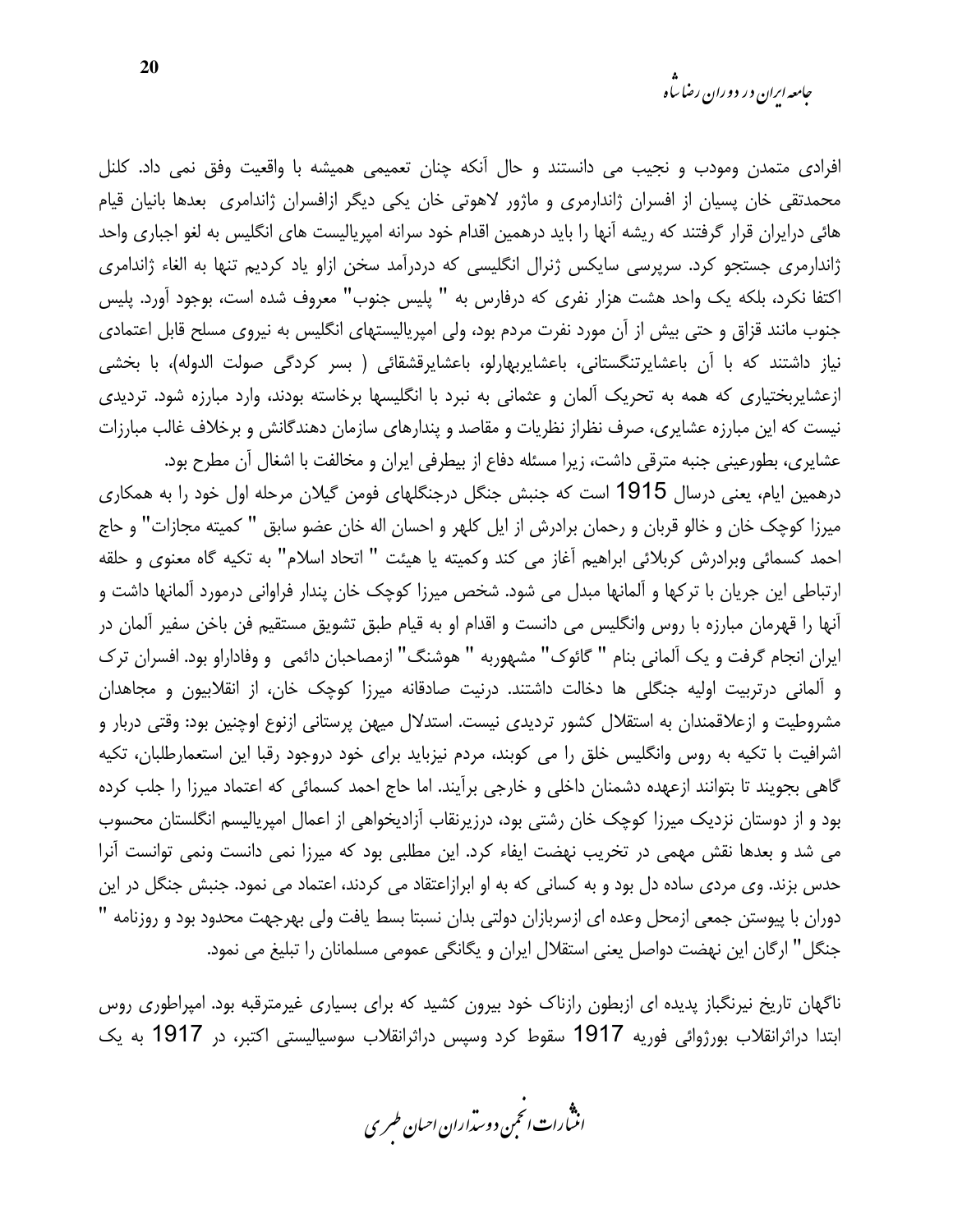افرادی متمدن ومودب و نجیب می دانستند و حال آنکه چنان تعمیمی همیشه با واقعیت وفق نمی داد. کلنل محمدتقی خان پسیان از افسران ژاندارمری و ماژور لاهوتی خان یکی دیگر ازافسران ژاندامری بعدها بانیان قیام هائی درایران قرار گرفتند که ریشه آنها را باید درهمین اقدام خود سرانه امیریالیست های انگلیس به لغو اجباری واحد ژاندارمری جستجو کرد. سرپرسی سایکس ژنرال انگلیسی که دردرآمد سخن ازاو یاد کردیم تنها به الغاء ژاندامری اکتفا نکرد، بلکه یک واحد هشت هزار نفری که درفارس به " پلیس جنوب" معروف شده است، بوجود آورد. پلیس جنوب مانند قزاق و حتی بیش از آن مورد نفرت مردم بود، ولی امپریالیستهای انگلیس به نیروی مسلح قابل اعتمادی نیاز داشتند که با آن باعشایرتنگستانی، باعشایربهارلو، باعشایرقشقائی ( بسر کردگی صولت الدوله)، با بخشی ازعشایربختیاری که همه به تحریک آلمان و عثمانی به نبرد با انگلیسها برخاسته بودند، وارد مبارزه شود. تردیدی نیست که این مبارزه عشایری، صرف نظراز نظریات و مقاصد و پندارهای سازمان دهندگانش و برخلاف غالب مبارزات عشایری، بطورعینی جنبه مترقی داشت، زیرا مسئله دفاع از بیطرفی ایران و مخالفت با اشغال آن مطرح بود.

درهمین ایام، یعنی درسال 1915 است که جنبش جنگل درجنگلهای فومن گیلان مرحله اول خود را به همکاری میرزا کوچک خان و خالو قربان و رحمان برادرش از ایل کلهر و احسان اله خان عضو سابق " کمیته مجازات" و حاج احمد كسمائي وبرادرش كربلائي ابراهيم آغاز مي كند وكميته يا هيئت " اتحاد اسلام" به تكيه گاه معنوى و حلقه ارتباطی این جریان با ترکها و آلمانها مبدل می شود. شخص میرزا کوچک خان پندار فراوانی درمورد آلمانها داشت و آنها را قهرمان مبارزه با روس وانگليس مي دانست و اقدام او به قيام طبق تشويق مستقيم فن باخن سفير آلمان در ايران انجام گرفت و يک آلماني بنام " گائوک" مشهوربه " هوشنگ" ازمصاحبان دائمي و وفاداراو بود. افسران ترک و آلمانی درتربیت اولیه جنگلی ها دخالت داشتند. درنیت صادقانه میرزا کوچک خان، از انقلابیون و مجاهدان مشروطیت و ازعلاقمندان به استقلال کشور تردیدی نیست. استدلال میهن پرستانی ازنوع اوچنین بود: وقتی دربار و اشرافیت با تکیه به روس وانگلیس خلق را می کوبند، مردم نیزباید برای خود دروجود رقبا این استعمارطلبان، تکیه گاهی بجویند تا بتوانند ازعهده دشمنان داخلی و خارجی برآیند. اما حاج احمد کسمائی که اعتماد میرزا را جلب کرده بود و از دوستان نزدیک میرزا کوچک خان رشتی بود، درزیرنقاب آزادیخواهی از اعمال امیریالیسم انگلستان محسوب می شد و بعدها نقش مهمی در تخریب نهضت ایفاء کرد. این مطلبی بود که میرزا نمی دانست ونمی توانست آنرا حدس بزند. وی مردی ساده دل بود و به کسانی که به او ابرازاعتقاد می کردند، اعتماد می نمود. جنبش جنگل در این دوران با پیوستن جمعی ازمحل وعده ای ازسربازان دولتی بدان نسبتا بسط یافت ولی بهرجهت محدود بود و روزنامه " جنگل" ارگان این نهضت دواصل یعنی استقلال ایران و یگانگی عمومی مسلمانان را تبلیغ می نمود.

ناگهان تاریخ نیرنگباز پدیده ای ازبطون رازناک خود بیرون کشید که برای بسیاری غیرمترقبه بود. امیراطوری روس ابتدا دراثرانقلاب بورژوائی فوریه 1917 سقوط کرد وسپس دراثرانقلاب سوسیالیستی اکتبر، در 1917 به یک

.<br>اننمارات انځمن د وسداران احبان طسری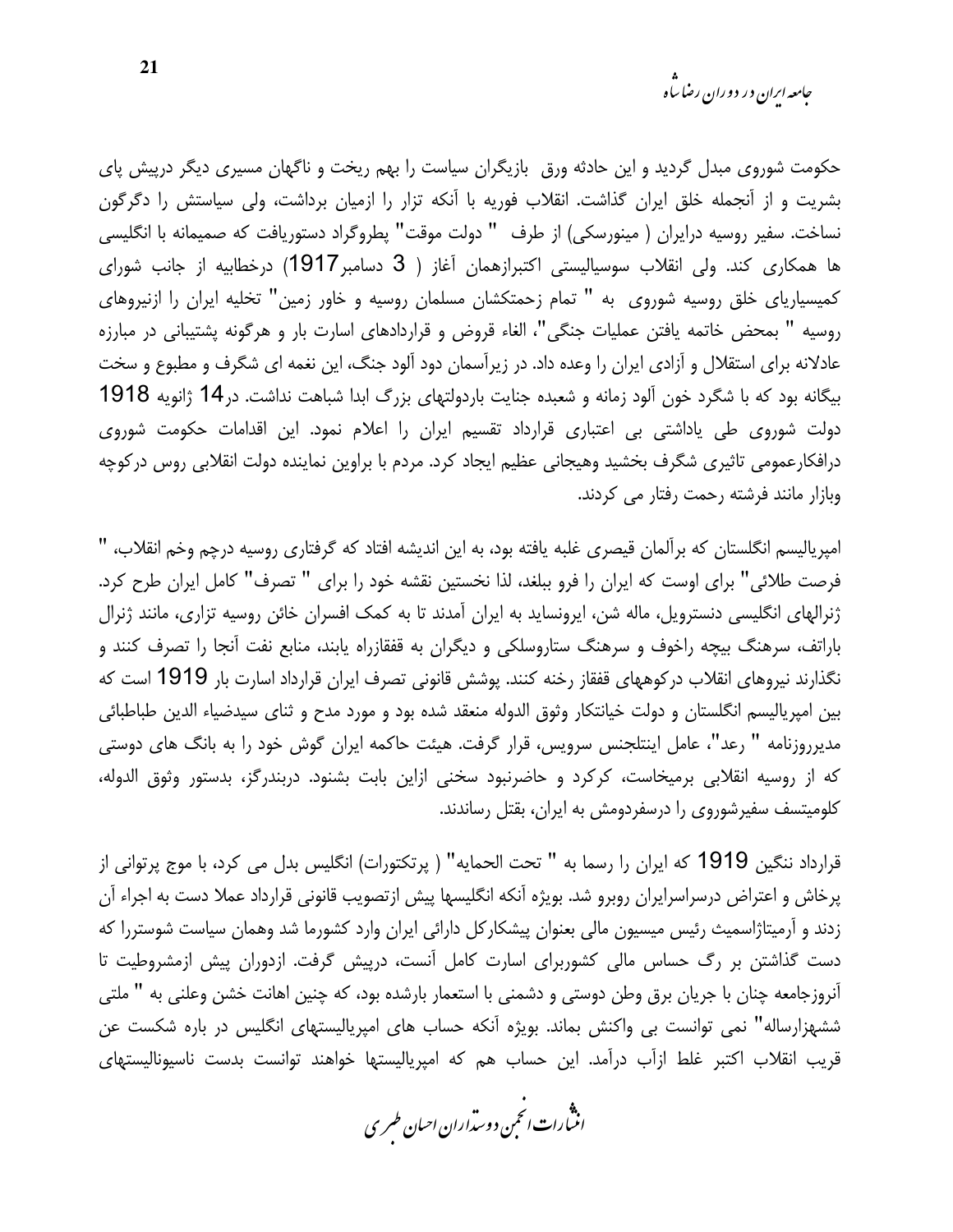حکومت شوروی مبدل گردید و این حادثه ورق بازیگران سیاست را بهم ریخت و ناگهان مسیری دیگر درپیش پای بشریت و از آنجمله خلق ایران گذاشت. انقلاب فوریه با آنکه تزار را ازمیان برداشت، ولی سیاستش را دگرگون نساخت. سفير روسيه درايران ( مينورسكي) از طرف " دولت موقت" يطروگراد دستوريافت كه صميمانه با انگليسي ها همکاری کند. ولی انقلاب سوسیالیستی اکتبرازهمان آغاز ( 3 دسامبر1917) درخطابیه از جانب شورای کمیسیاریای خلق روسیه شوروی به " تمام زحمتکشان مسلمان روسیه و خاور زمین" تخلیه ایران را ازنیروهای روسيه " بمحض خاتمه يافتن عمليات جنگى"، الغاء قروض و قراردادهاى اسارت بار و هرگونه پشتيبانى در مبارزه عادلانه برای استقلال و آزادی ایران را وعده داد. در زیرآسمان دود آلود جنگ، این نغمه ای شگرف و مطبوع و سخت بیگانه بود که با شگرد خون آلود زمانه و شعبده جنایت باردولتهای بزرگ ابدا شباهت نداشت. در14 ژانویه 1918 دولت شوروی طی یاداشتی بی اعتباری قرارداد تقسیم ایران را اعلام نمود. این اقدامات حکومت شوروی درافکارعمومی تاثیری شگرف بخشید وهیجانی عظیم ایجاد کرد. مردم با براوین نماینده دولت انقلابی روس در کوچه وبازار مانند فرشته رحمت رفتار می کردند.

امپریالیسم انگلستان که برآلمان قیصری غلبه یافته بود، به این اندیشه افتاد که گرفتاری روسیه درچم وخم انقلاب، " فرصت طلائي" براي اوست كه ايران را فرو ببلغد، لذا نخستين نقشه خود را براي " تصرف" كامل ايران طرح كرد. ژنرالهای انگلیسی دنسترویل، ماله شن، ایرونساید به ایران آمدند تا به کمک افسران خائن روسیه تزاری، مانند ژنرال باراتف، سرهنگ بیچه راخوف و سرهنگ ستاروسلکی و دیگران به قفقازراه پابند، منابع نفت آنجا را تصرف کنند و نگذارند نیروهای انقلاب درکوههای قفقاز رخنه کنند. پوشش قانونی تصرف ایران قرارداد اسارت بار 1919 است که بين امپرياليسم انگلستان و دولت خيانتكار وثوق الدوله منعقد شده بود و مورد مدح و ثناي سيدضياء الدين طباطبائي مدیرروزنامه " رعد"، عامل اینتلجنس سرویس، قرار گرفت. هیئت حاکمه ایران گوش خود را به بانگ های دوستی كه از روسيه انقلابي برميخاست، كركرد و حاضرنبود سخنى ازاين بابت بشنود. دربندرگز، بدستور وثوق الدوله، کلومیتسف سفیرشوروی را درسفردومش به ایران، بقتل رساندند.

قرارداد ننگین 1919 که ایران را رسما به " تحت الحمایه" ( پرتکتورات) انگلیس بدل می کرد، با موج پرتوانی از پرخاش و اعتراض درسراسرایران روبرو شد. بویژه آنکه انگلیسها پیش ازتصویب قانونی قرارداد عملا دست به اجراء آن زدند و آرمیتاژاسمیث رئیس میسیون مالی بعنوان پیشکارکل دارائی ایران وارد کشورما شد وهمان سیاست شوستررا که دست گذاشتن بر رگ حساس مالی کشوربرای اسارت کامل آنست، درپیش گرفت. ازدوران پیش ازمشروطیت تا آنروزجامعه چنان با جریان برق وطن دوستی و دشمنی با استعمار بارشده بود، که چنین اهانت خشن وعلنی به " ملتی ششهزارساله" نمی توانست بی واکنش بماند. بویژه آنکه حساب های امپریالیستهای انگلیس در باره شکست عن قریب انقلاب اکتبر غلط ازآب درآمد. این حساب هم که امپریالیستها خواهند توانست بدست ناسیونالیستهای

.<br>انن رات انحمن دوسداران احبان طسری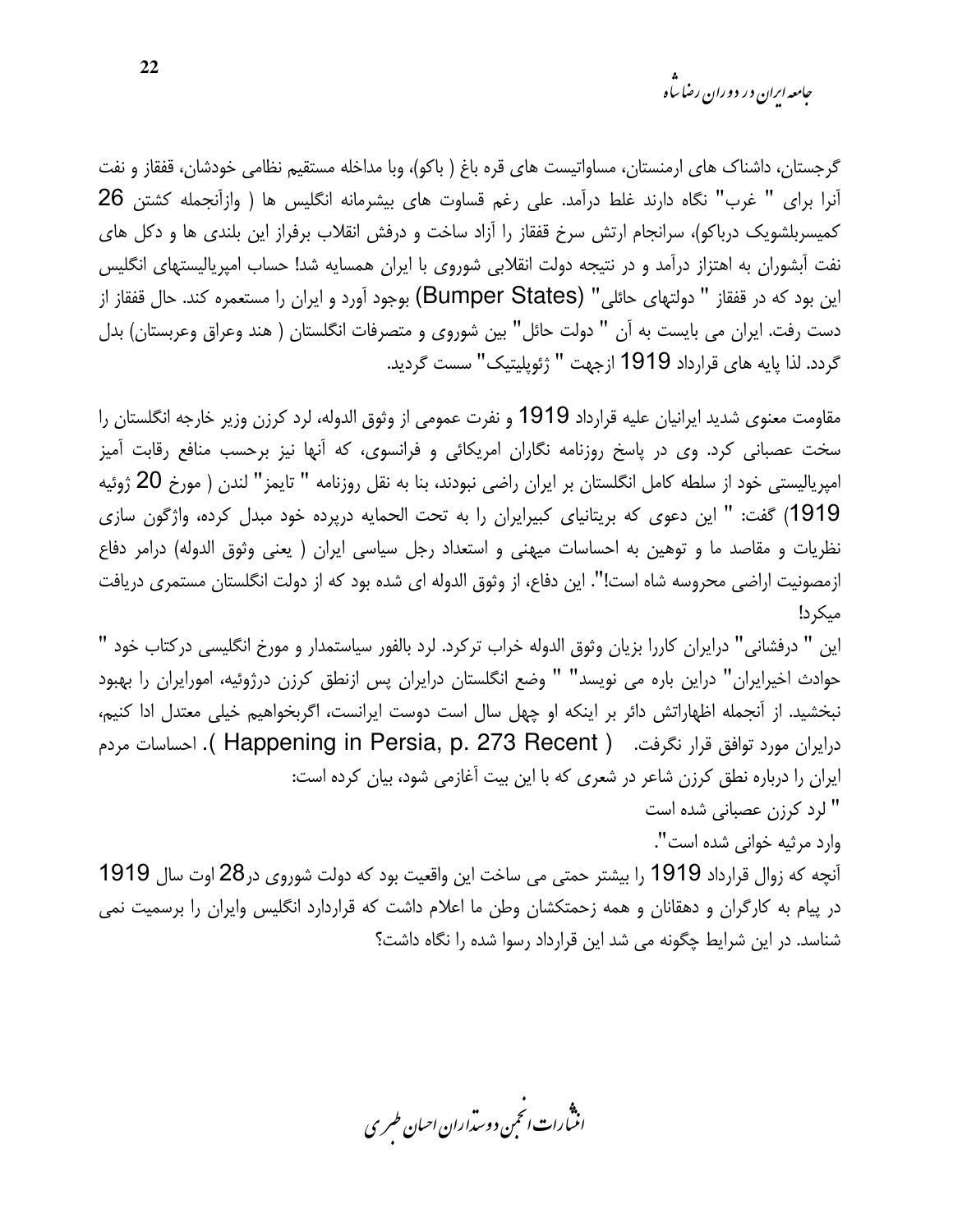*جامعه ایرا*ن در دوران رضا س<sup>ا</sup>ه

گرجستان، داشناک های ارمنستان، مساواتیست های قره باغ ( باکو)، وبا مداخله مستقیم نظامی خودشان، قفقاز و نفت آنرا برای " غرب" نگاه دارند غلط درآمد. علی رغم قساوت های بیشرمانه انگلیس ها ( وازآنجمله کشتن 26 کمیسربلشویک درباکو)، سرانجام ارتش سرخ قفقاز را آزاد ساخت و درفش انقلاب برفراز این بلندی ها و دکل های نفت آبشوران به اهتزاز درآمد و در نتیجه دولت انقلابی شوروی با ایران همسایه شد! حساب امیریالیستهای انگلیس این بود که در قفقاز " دولتهای حائلی" (Bumper States) بوجود آورد و ایران را مستعمره کند. حال قفقاز از دست رفت. ایران می بایست به آن " دولت حائل" بین شوروی و متصرفات انگلستان ( هند وعراق وعربستان) بدل گردد. لذا پایه های قرارداد 1919 ازجهت " ژئوپلیتیک" سست گردید.

مقاومت معنوى شديد ايرانيان عليه قرارداد 1919 و نفرت عمومي از وثوق الدوله، لرد كرزن وزير خارجه انگلستان را سخت عصبانی کرد. وی در پاسخ روزنامه نگاران امریکائی و فرانسوی، که آنها نیز برحسب منافع رقابت آمیز امپریالیستی خود از سلطه کامل انگلستان بر ایران راضی نبودند، بنا به نقل روزنامه " تایمز" لندن ( مورخ 20 ژوئیه 1919) گفت: " این دعوی که بریتانیای کبیرایران را به تحت الحمایه درپرده خود مبدل کرده، واژگون سازی نظریات و مقاصد ما و توهین به احساسات میهنی و استعداد رجل سیاسی ایران ( یعنی وثوق الدوله) درامر دفاع ازمصونيت اراضي محروسه شاه است!". اين دفاع، از وثوق الدوله اي شده بود كه از دولت انگلستان مستمري دريافت میکر د!

این " درفشانی" درایران کاررا بزیان وثوق الدوله خراب ترکرد. لرد بالفور سیاستمدار و مورخ انگلیسی درکتاب خود " حوادث اخیرایران" دراین باره می نویسد" " وضع انگلستان درایران پس ازنطق کرزن درژوئیه، امورایران را بهبود نبخشید. از آنجمله اظهاراتش دائر بر اینکه او چهل سال است دوست ایرانست، اگربخواهیم خیلی معتدل ادا کنیم، درايران مورد توافق قرار نگرفت. ( Happening in Persia, p. 273 Recent ). احساسات مردم ایران را درباره نطق کرزن شاعر در شعری که با این بیت آغازمی شود، بیان کرده است: " لرد کرزن عصبانی شده است

وارد مرثيه خواني شده است".

آنچه که زوال قرارداد 1919 را بیشتر حمتی می ساخت این واقعیت بود که دولت شوروی در28 اوت سال 1919 در پیام به کارگران و دهقانان و همه زحمتکشان وطن ما اعلام داشت که قراردارد انگلیس وایران را برسمیت نمی شناسد. در این شرایط چگونه می شد این قرارداد رسوا شده را نگاه داشت؟

.<br>انن رات انجمن دوسداران احبان طسری

22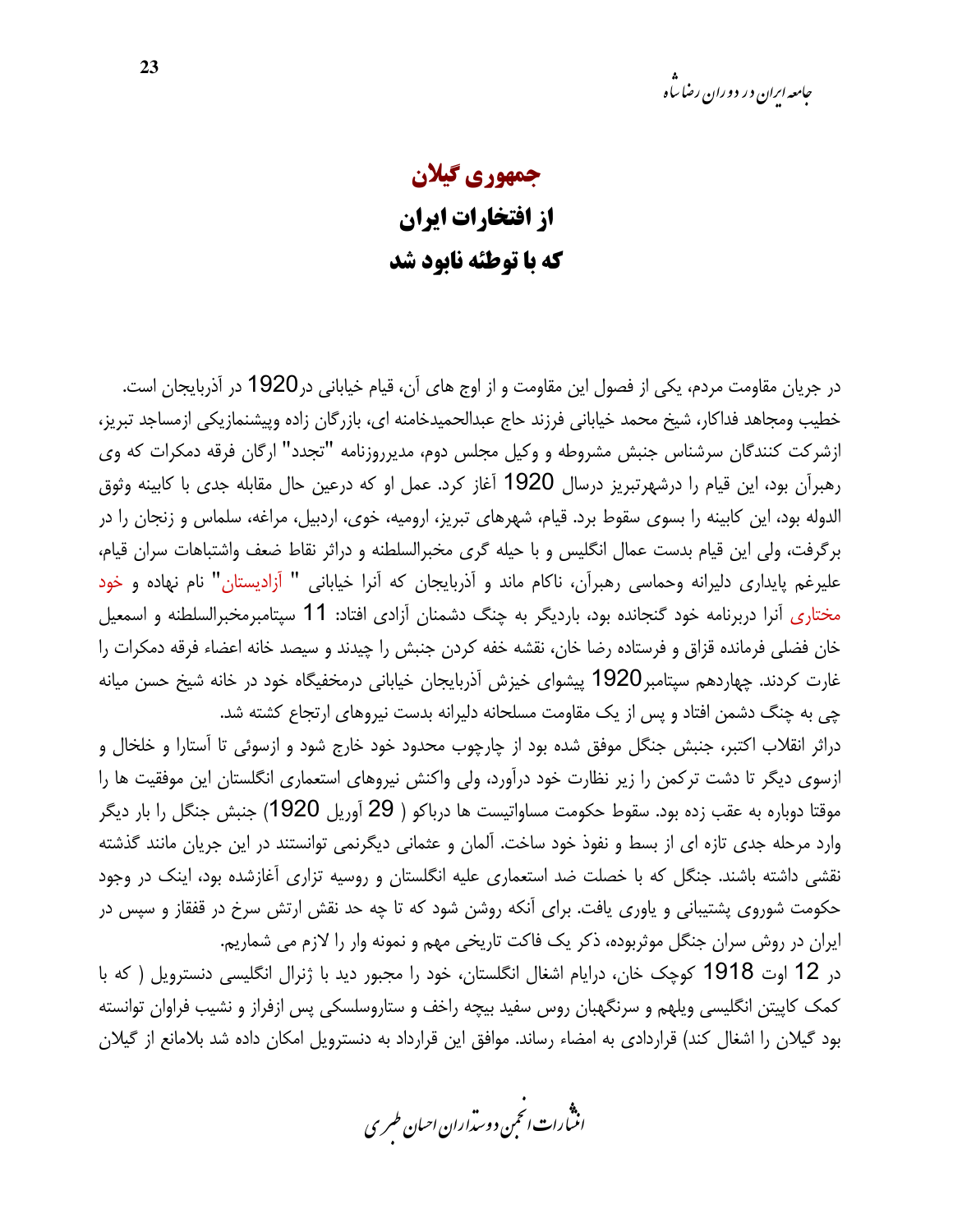## جمهوري گيلان از افتخارات ایران که با توطئه نابود شد

در جریان مقاومت مردم، یکی از فصول این مقاومت و از اوج های آن، قیام خیابانی در1920 در آذربایجان است. خطیب ومجاهد فداکار، شیخ محمد خیابانی فرزند حاج عبدالحمیدخامنه ای، بازرگان زاده وییشنمازیکی ازمساجد تبریز، ازشرکت کنندگان سرشناس جنبش مشروطه و وکیل مجلس دوم، مدیرروزنامه "تجدد" ارگان فرقه دمکرات که وی رهبرآن بود، این قیام را درشهرتبریز درسال 1920 آغاز کرد. عمل او که درعین حال مقابله جدی با کابینه وثوق الدوله بود، این کابینه را بسوی سقوط برد. قیام، شهرهای تبریز، ارومیه، خوی، اردبیل، مراغه، سلماس و زنجان را در برگرفت، ولي اين قيام بدست عمال انگليس و با حيله گري مخبرالسلطنه و دراثر نقاط ضعف واشتباهات سران قيام، علیرغم پایداری دلیرانه وحماسی رهبرآن، ناکام ماند و آذربایجان که آنرا خیابانی " آزادیستان" نام نهاده و خود مختاری آنرا دربرنامه خود گنجانده بود، باردیگر به چنگ دشمنان آزادی افتاد: 11 سپتامبرمخبرالسلطنه و اسمعیل خان فضلی فرمانده قزاق و فرستاده رضا خان، نقشه خفه کردن جنبش را چیدند و سیصد خانه اعضاء فرقه دمکرات را غارت کردند. چهاردهم سپتامبر1920 پیشوای خیزش آذربایجان خیابانی درمخفیگاه خود در خانه شیخ حسن میانه چی به چنگ دشمن افتاد و پس از یک مقاومت مسلحانه دلیرانه بدست نیروهای ارتجاع کشته شد.

دراثر انقلاب اکتبر، جنبش جنگل موفق شده بود از چارچوب محدود خود خارج شود و ازسوئی تا آستارا و خلخال و ازسوی دیگر تا دشت ترکمن را زیر نظارت خود درآورد، ولی واکنش نیروهای استعماری انگلستان این موفقیت ها را موقتا دوباره به عقب زده بود. سقوط حکومت مساواتیست ها درباکو ( 29 آوریل 1920) جنبش جنگل را بار دیگر وارد مرحله جدی تازه ای از بسط و نفوذ خود ساخت. آلمان و عثمانی دیگرنمی توانستند در این جریان مانند گذشته نقشی داشته باشند. جنگل که با خصلت ضد استعماری علیه انگلستان و روسیه تزاری آغازشده بود، اینک در وجود حکومت شوروی پشتیبانی و یاوری یافت. برای آنکه روشن شود که تا چه حد نقش ارتش سرخ در قفقاز و سپس در ايران در روش سران جنگل موثربوده، ذكر يک فاكت تاريخي مهم و نمونه وار را لازم مي شماريم. در 12 اوت 1918 کوچک خان، درایام اشغال انگلستان، خود را مجبور دید با ژنرال انگلیسی دنسترویل ( که با

کمک کاپیتن انگلیسی ویلهم و سرنگهبان روس سفید بیچه راخف و ستاروسلسکی پس ازفراز و نشیب فراوان توانسته بود گیلان را اشغال کند) قراردادی به امضاء رساند. موافق این قرارداد به دنسترویل امکان داده شد بلامانع از گیلان

.<br>اننمارات *انحمن د*وستراران ا*حسان طسر* ی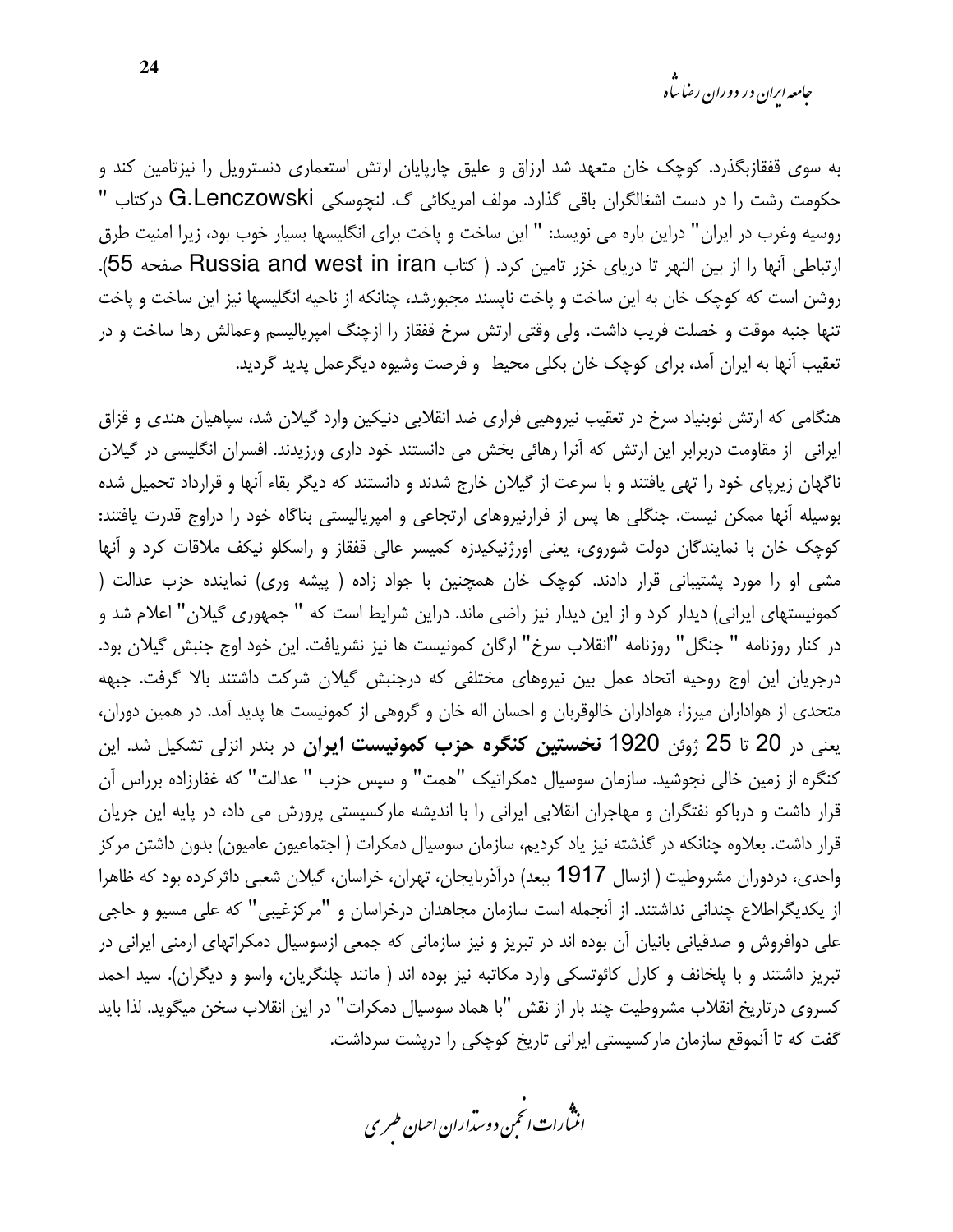به سوی قفقازبگذرد. کوچک خان متعهد شد ارزاق و علیق چارپایان ارتش استعماری دنسترویل را نیزتامین کند و حکومت رشت را در دست اشغالگران باقی گذارد. مولف امریکائی گ. لنچوسکی G.Lenczowski درکتاب " روسيه وغرب در ايران" دراين باره مي نويسد: " اين ساخت و پاخت براي انگليسها بسيار خوب بود، زيرا امنيت طرق ارتباطي آنها را از بين النهر تا درياى خزر تامين كرد. ( كتاب Russia and west in iran صفحه 55). روشن است که کوچک خان به این ساخت و پاخت ناپسند مجبورشد، چنانکه از ناحیه انگلیسها نیز این ساخت و پاخت تنها جنبه موقت و خصلت فريب داشت. ولي وقتي ارتش سرخ قفقاز را ازچنگ امپرياليسم وعمالش رها ساخت و در تعقيب آنها به ايران آمد، براي كوچک خان بكلي محيط و فرصت وشيوه ديگرعمل پديد گرديد.

هنگامی که ارتش نوبنیاد سرخ در تعقیب نیروهیی فراری ضد انقلابی دنیکین وارد گیلان شد، سپاهیان هندی و قزاق ایرانی از مقاومت دربرابر این ارتش که آنرا رهائی بخش می دانستند خود داری ورزیدند. افسران انگلیسی در گیلان ناگهان زیرپای خود را تهی یافتند و با سرعت از گیلان خارج شدند و دانستند که دیگر بقاء آنها و قرارداد تحمیل شده بوسیله آنها ممکن نیست. جنگلی ها پس از فرارنیروهای ارتجاعی و امپریالیستی بناگاه خود را دراوج قدرت یافتند: کوچک خان با نمایندگان دولت شوروی، یعنی اورژنیکیدزه کمیسر عالی قفقاز و راسکلو نیکف ملاقات کرد و آنها مشی او را مورد پشتیبانی قرار دادند. کوچک خان همچنین با جواد زاده ( پیشه وری) نماینده حزب عدالت ( کمونیستهای ایرانی) دیدار کرد و از این دیدار نیز راضی ماند. دراین شرایط است که " جمهوری گیلان" اعلام شد و در كنار روزنامه " جنگل" روزنامه "انقلاب سرخ" ارگان كمونيست ها نيز نشريافت. اين خود اوج جنبش گيلان بود. درجریان این اوج روحیه اتحاد عمل بین نیروهای مختلفی که درجنبش گیلان شرکت داشتند بالا گرفت. جبهه متحدی از هواداران میرزا، هواداران خالوقربان و احسان اله خان و گروهی از کمونیست ها پدید آمد. در همین دوران، یعنی در 20 تا 25 ژوئن 1920 **نخستین کنگره حزب کمونیست ایران** در بندر انزلی تشکیل شد. این کنگره از زمین خالی نجوشید. سازمان سوسیال دمکراتیک "همت" و سپس حزب " عدالت" که غفارزاده برراس آن قرار داشت و درباکو نفتگران و مهاجران انقلابی ایرانی را با اندیشه مارکسیستی پرورش می داد، در پایه این جریان قرار داشت. بعلاوه چنانکه در گذشته نیز یاد کردیم، سازمان سوسیال دمکرات ( اجتماعیون عامیون) بدون داشتن مرکز واحدی، دردوران مشروطیت ( ازسال 1917 ببعد) درآذربایجان، تهران، خراسان، گیلان شعبی داثرکرده بود که ظاهرا از یکدیگراطلاع چندانی نداشتند. از آنجمله است سازمان مجاهدان درخراسان و "مرکزغیبی" که علی مسیو و حاجی علی دوافروش و صدقیانی بانیان آن بوده اند در تبریز و نیز سازمانی که جمعی ازسوسیال دمکراتهای ارمنی ایرانی در تبریز داشتند و با پلخانف و کارل کائوتسکی وارد مکاتبه نیز بوده اند ( مانند چلنگریان، واسو و دیگران). سید احمد كسروى درتاريخ انقلاب مشروطيت چند بار از نقش "با هماد سوسيال دمكرات" در اين انقلاب سخن ميگويد. لذا بايد گفت که تا آنموقع سازمان مارکسیستی ایرانی تاریخ کوچکی را درپشت سرداشت.

.<br>اننمارات *انحمن د*وستراران ا*حسان طسر* ی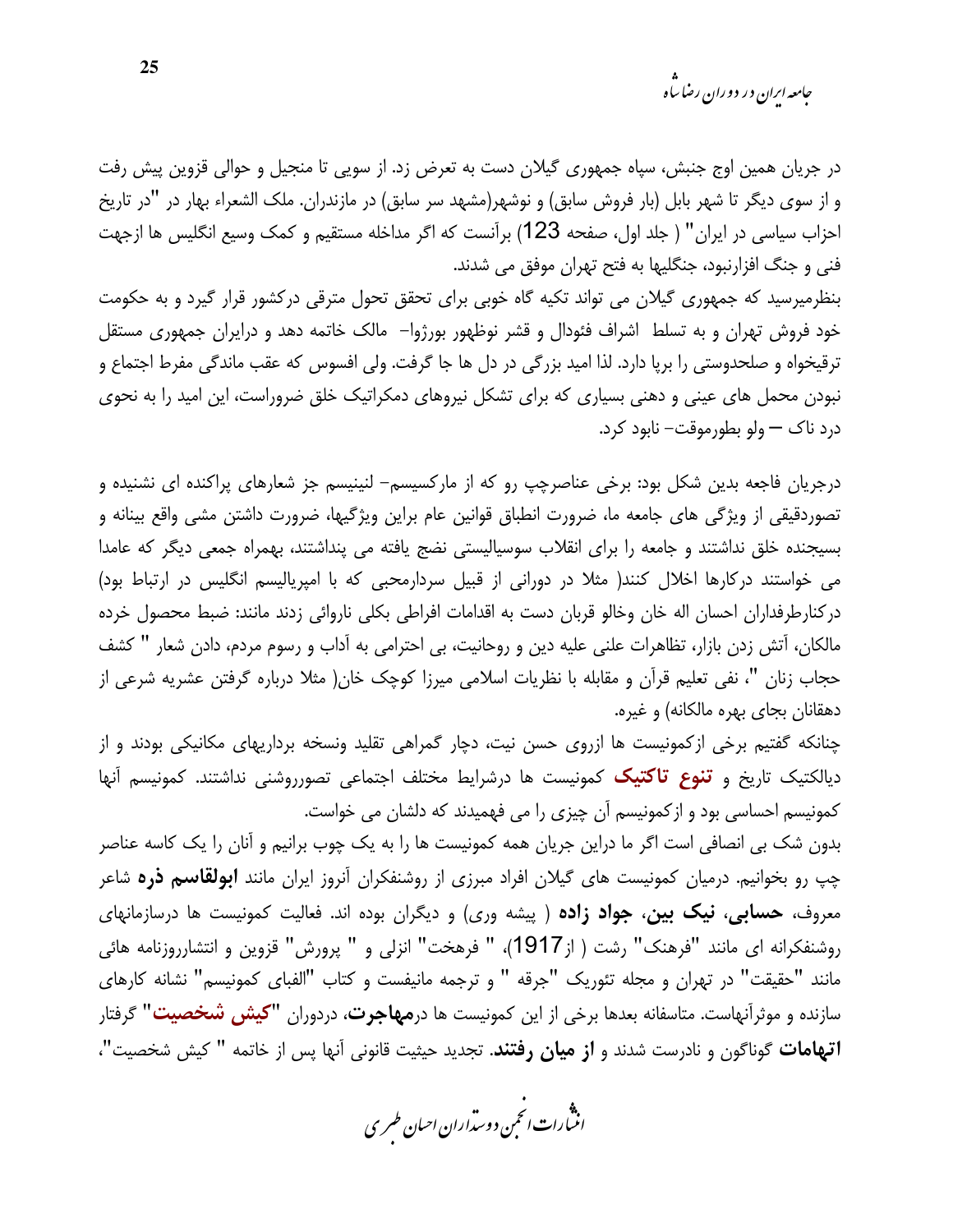*جامعه ایران د*ر دوران رضا س<sup>ا</sup>ه

در جریان همین اوج جنبش، سپاه جمهوری گیلان دست به تعرض زد. از سویی تا منجیل و حوالی قزوین پیش رفت و از سوی دیگر تا شهر بابل (بار فروش سابق) و نوشهر(مشهد سر سابق) در مازندران. ملک الشعراء بهار در "در تاریخ احزاب سیاسی در ایران" ( جلد اول، صفحه 123) برآنست که اگر مداخله مستقیم و کمک وسیع انگلیس ها ازجهت فنی و جنگ افزارنبود، جنگلیها به فتح تهران موفق می شدند.

بنظرمیرسید که جمهوری گیلان می تواند تکیه گاه خوبی برای تحقق تحول مترقی درکشور قرار گیرد و به حکومت خود فروش تهران و به تسلط اشراف فئودال و قشر نوظهور بورژوا– مالک خاتمه دهد و درایران جمهوری مستقل ترقیخواه و صلحدوستی را برپا دارد. لذا امید بزرگی در دل ها جا گرفت. ولی افسوس که عقب ماندگی مفرط اجتماع و نبودن محمل های عینی و دهنی بسیاری که برای تشکل نیروهای دمکراتیک خلق ضروراست، این امید را به نحوی درد ناک — ولو بطورموقت– نابود کرد.

درجریان فاجعه بدین شکل بود: برخی عناصرچپ رو که از مارکسیسم– لنینیسم جز شعارهای پراکنده ای نشنیده و تصوردقیقی از ویژگی های جامعه ما، ضرورت انطباق قوانین عام براین ویژگیها، ضرورت داشتن مشی واقع بینانه و بسیجنده خلق نداشتند و جامعه را برای انقلاب سوسیالیستی نضج یافته می پنداشتند، بهمراه جمعی دیگر که عامدا می خواستند درکارها اخلال کنند( مثلا در دورانی از قبیل سردارمحبی که با امپریالیسم انگلیس در ارتباط بود) دركنارطرفداران احسان اله خان وخالو قربان دست به اقدامات افراطي بكلي ناروائي زدند مانند: ضبط محصول خرده مالکان، اّتش زدن بازار، تظاهرات علنی علیه دین و روحانیت، بی احترامی به اّداب و رسوم مردم، دادن شعار " کشف حجاب زنان "، نفي تعليم قرآن و مقابله با نظريات اسلامي ميرزا كوچک خان( مثلا درباره گرفتن عشريه شرعي از دهقانان بجای بهره مالکانه) و غیره.

چنانکه گفتیم برخی ازکمونیست ها ازروی حسن نیت، دچار گمراهی تقلید ونسخه برداریهای مکانیکی بودند و از دیالکتیک تاریخ و **تنوع تاکتیک** کمونیست ها درشرایط مختلف اجتماعی تصورروشنی نداشتند. کمونیسم آنها کمونیسم احساسی بود و ازکمونیسم آن چیزی را می فهمیدند که دلشان می خواست.

بدون شک بی انصافی است اگر ما دراین جریان همه کمونیست ها را به یک چوب برانیم و آنان را یک کاسه عناصر چپ رو بخوانیم. درمیان کمونیست های گیلان افراد مبرزی از روشنفکران آنروز ایران مانند **ابولقاسم ذره** شاعر معروف، ح**سابی، نیک بین، جواد زاده** (پیشه وری) و دیگران بوده اند. فعالیت کمونیست ها درسازمانهای روشنفكرانه اي مانند "فرهنك" رشت ( از1917)، " فرهخت" انزلي و " پرورش" قزوين و انتشارروزنامه هائي مانند "حقيقت" در تهران و مجله تئوريک "جرقه " و ترجمه مانيفست و کتاب "الفبای کمونيسم" نشانه کارهای سازنده و موثرآنهاست. متاسفانه بعدها برخی از این کمونیست ها در**مهاجرت**، دردوران **"کیش شخصیت"** گرفتار **اتهامات** گوناگون و نادرست شدند و **از میان رفتند**. تجدید حیثیت قانونی آنها پس از خاتمه " کیش شخصیت"،

.<br>انن رات انحمن دوسداران احبان طسری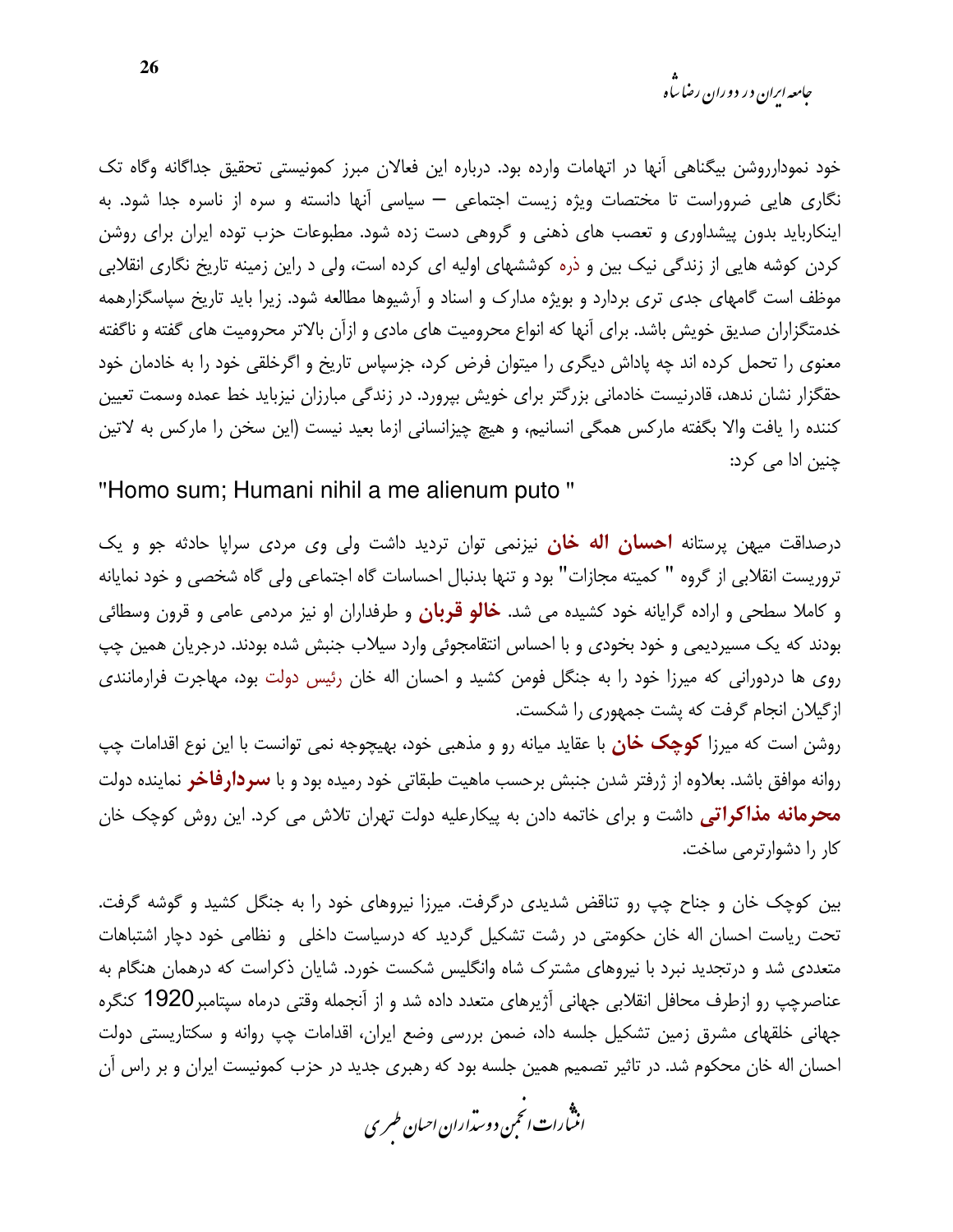*جامعه ایرا*ن در دوران رضا س<sup>ا</sup>ه

خود نمودارروشن بيگناهي آنها در اتهامات وارده بود. درباره اين فعالان مبرز كمونيستي تحقيق جداگانه وگاه تک نگاری هایی ضروراست تا مختصات ویژه زیست اجتماعی — سیاسی آنها دانسته و سره از ناسره جدا شود. به اینکارباید بدون پیشداوری و تعصب های ذهنی و گروهی دست زده شود. مطبوعات حزب توده ایران برای روشن کردن کوشه هایی از زندگی نیک بین و ذره کوششهای اولیه ای کرده است، ولی د راین زمینه تاریخ نگاری انقلابی موظف است گامهای جدی تری بردارد و بویژه مدارک و اسناد و آرشیوها مطالعه شود. زیرا باید تاریخ سپاسگزارهمه خدمتگزاران صدیق خویش باشد. برای آنها که انواع محرومیت های مادی و ازآن بالاتر محرومیت های گفته و ناگفته معنوی را تحمل کرده اند چه پاداش دیگری را میتوان فرض کرد، جزسپاس تاریخ و اگرخلقی خود را به خادمان خود حقگزار نشان ندهد، قادرنیست خادمانی بزرگتر برای خویش بپرورد. در زندگی مبارزان نیزباید خط عمده وسمت تعیین كننده را يافت والا بگفته ماركس همگي انسانيم، و هيچ چيزانساني ازما بعيد نيست (اين سخن را ماركس به لاتين چنین ادا می کرد:

"Homo sum; Humani nihil a me alienum puto"

درصداقت میهن پرستانه **احسان اله خان** نیزنمی توان تردید داشت ولی وی مردی سرایا حادثه جو و یک تروریست انقلابی از گروه " کمیته مجازات" بود و تنها بدنبال احساسات گاه اجتماعی ولی گاه شخصی و خود نمایانه و کاملا سطحی و اراده گرایانه خود کشیده می شد. **خالو قربان** و طرفداران او نیز مردمی عامی و قرون وسطائی بودند که یک مسیردیمی و خود بخودی و با احساس انتقامجوئی وارد سیلاب جنبش شده بودند. درجریان همین چپ روی ها دردورانی که میرزا خود را به جنگل فومن کشید و احسان اله خان رئیس دولت بود، مهاجرت فرارمانندی ازگیلان انجام گرفت که پشت جمهوری را شکست.

روشن است که میرزا **کوچک خان** با عقاید میانه رو و مذهبی خود، بهیچوجه نمی توانست با این نوع اقدامات چپ روانه موافق باشد. بعلاوه از ژرفتر شدن جنبش برحسب ماهیت طبقاتی خود رمیده بود و با **سردارفاخر** نماینده دولت محرمانه مذاکراتی داشت و برای خاتمه دادن به پیکارعلیه دولت تهران تلاش می کرد. این روش کوچک خان كار را دشوارترمي ساخت.

بین کوچک خان و جناح چپ رو تناقض شدیدی درگرفت. میرزا نیروهای خود را به جنگل کشید و گوشه گرفت. تحت ریاست احسان اله خان حکومتی در رشت تشکیل گردید که درسیاست داخلی و نظامی خود دچار اشتباهات متعددی شد و درتجدید نبرد با نیروهای مشترک شاه وانگلیس شکست خورد. شایان ذکراست که درهمان هنگام به عناصرچپ رو ازطرف محافل انقلابی جهانی آژیرهای متعدد داده شد و از آنجمله وقتی درماه سپتامبر1920 کنگره جهانی خلقهای مشرق زمین تشکیل جلسه داد، ضمن بررسی وضع ایران، اقدامات چپ روانه و سکتاریستی دولت احسان اله خان محکوم شد. در تاثیر تصمیم همین جلسه بود که رهبری جدید در حزب کمونیست ایران و بر راس آن

.<br>انثیارات انجمن دوسداران احبان طسری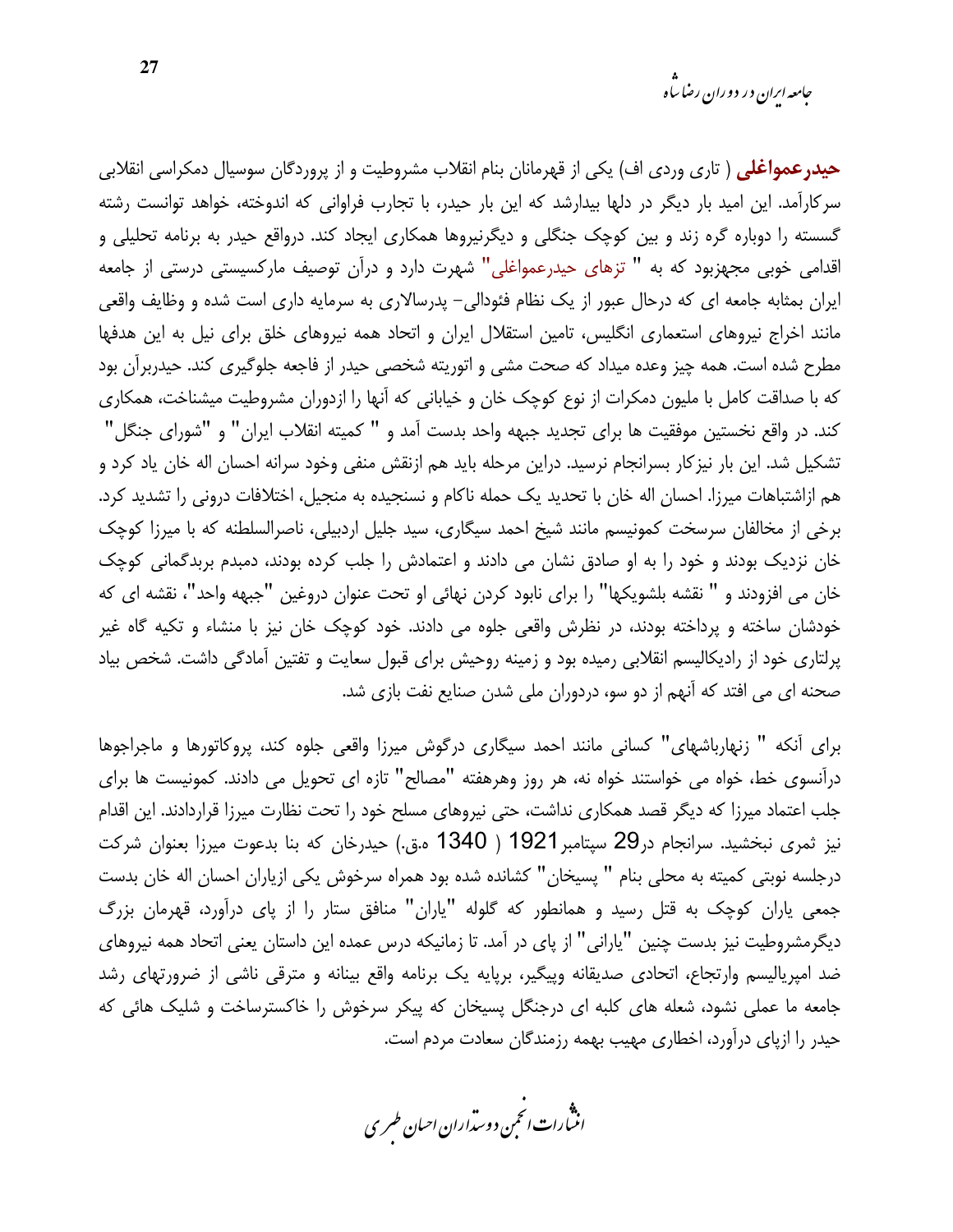حیدرعمواغلی ( تاری وردی اف) یکی از قهرمانان بنام انقلاب مشروطیت و از پروردگان سوسیال دمکراسی انقلابی سر کارآمد. این امید بار دیگر در دلها بیدارشد که این بار حیدر، با تجارب فراوانی که اندوخته، خواهد توانست رشته گسسته را دوباره گره زند و بین کوچک جنگلی و دیگرنیروها همکاری ایجاد کند. درواقع حیدر به برنامه تحلیلی و اقدامی خوبی مجهزبود که به " تزهای حیدرعمواغلی" شهرت دارد و درآن توصیف مارکسیستی درستی از جامعه ایران بمثابه جامعه ای که درحال عبور از یک نظام فئودالی- پدرسالاری به سرمایه داری است شده و وظایف واقعی مانند اخراج نیروهای استعماری انگلیس، تامین استقلال ایران و اتحاد همه نیروهای خلق برای نیل به این هدفها مطرح شده است. همه چیز وعده میداد که صحت مشی و اتوریته شخصی حیدر از فاجعه جلوگیری کند. حیدربرآن بود که با صداقت کامل با ملیون دمکرات از نوع کوچک خان و خیابانی که آنها را ازدوران مشروطیت میشناخت، همکاری كند. در واقع نخستين موفقيت ها براي تجديد جبهه واحد بدست آمد و " كميته انقلاب ايران" و "شوراي جنگل" تشکیل شد. این بار نیز کار بسرانجام نرسید. دراین مرحله باید هم ازنقش منفی وخود سرانه احسان اله خان یاد کرد و هم ازاشتباهات میرزا. احسان اله خان با تحدید یک حمله ناکام و نسنجیده به منجیل، اختلافات درونی را تشدید کرد. برخی از مخالفان سرسخت کمونیسم مانند شیخ احمد سیگاری، سید جلیل اردبیلی، ناصرالسلطنه که با میرزا کوچک خان نزدیک بودند و خود را به او صادق نشان می دادند و اعتمادش را جلب کرده بودند، دمبدم بربدگمانی کوچک خان مي افزودند و " نقشه بلشويكها" را براي نابود كردن نهائي او تحت عنوان دروغين "جبهه واحد"، نقشه اي كه خودشان ساخته و پرداخته بودند، در نظرش واقعی جلوه می دادند. خود کوچک خان نیز با منشاء و تکیه گاه غیر پرلتاری خود از رادیکالیسم انقلابی رمیده بود و زمینه روحیش برای قبول سعایت و تفتین آمادگی داشت. شخص بیاد صحنه ای می افتد که آنهم از دو سو، دردوران ملی شدن صنایع نفت بازی شد.

برای آنکه " زنهارباشهای" کسانی مانند احمد سیگاری درگوش میرزا واقعی جلوه کند، پروکاتورها و ماجراجوها درآنسوی خط، خواه می خواستند خواه نه، هر روز وهرهفته "مصالح" تازه ای تحویل می دادند. کمونیست ها برای جلب اعتماد میرزا که دیگر قصد همکاری نداشت، حتی نیروهای مسلح خود را تحت نظارت میرزا قراردادند. این اقدام نیز ثمری نبخشید. سرانجام در29 سپتامبر1921 ( 1340 ه.ق.) حیدرخان که بنا بدعوت میرزا بعنوان شرکت درجلسه نوبتی کمیته به محلی بنام " پسیخان" کشانده شده بود همراه سرخوش یکی ازیاران احسان اله خان بدست جمعی یاران کوچک به قتل رسید و همانطور که گلوله "یاران" منافق ستار را از پای درآورد، قهرمان بزرگ دیگرمشروطیت نیز بدست چنین "یارانی" از پای در آمد. تا زمانیکه درس عمده این داستان یعنی اتحاد همه نیروهای ضد امپریالیسم وارتجاع، اتحادی صدیقانه وپیگیر، برپایه یک برنامه واقع بینانه و مترقی ناشی از ضرورتهای رشد جامعه ما عملی نشود، شعله های کلبه ای درجنگل پسیخان که پیکر سرخوش را خاکسترساخت و شلیک هائی که حیدر را ازپای درآورد، اخطاری مهیب بهمه رزمندگان سعادت مردم است.

.<br>انن رات انجمن دوسداران احبان طسری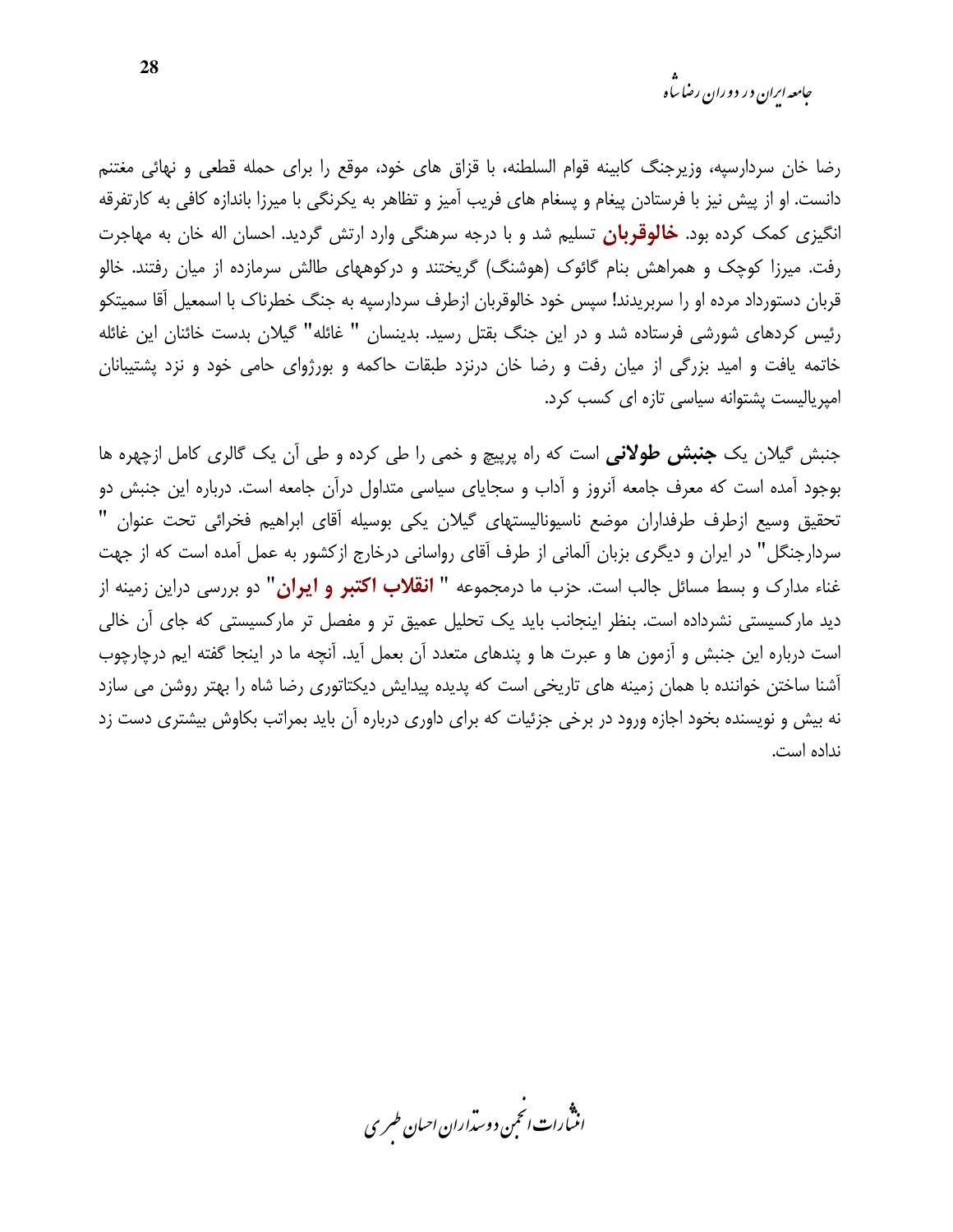رضا خان سردارسیه، وزیرجنگ کابینه قوام السلطنه، با قزاق های خود، موقع را برای حمله قطعی و نهائی مغتنم دانست. او از پیش نیز با فرستادن پیغام و پسغام های فریب آمیز و تظاهر به یکرنگی با میرزا باندازه کافی به کارتفرقه انگیزی کمک کرده بود. **خالوقربان** تسلیم شد و با درجه سرهنگی وارد ارتش گردید. احسان اله خان به مهاجرت رفت. میرزا کوچک و همراهش بنام گائوک (هوشنگ) گریختند و درکوههای طالش سرمازده از میان رفتند. خالو قربان دستورداد مرده او را سربریدند! سپس خود خالوقربان ازطرف سردارسیه به جنگ خطرناک با اسمعیل آقا سمیتکو رئیس کردهای شورشی فرستاده شد و در این جنگ بقتل رسید. بدینسان " غائله" گیلان بدست خائنان این غائله خاتمه یافت و امید بزرگی از میان رفت و رضا خان درنزد طبقات حاکمه و بورژوای حامی خود و نزد پشتیبانان امیریالیست یشتوانه سیاسی تازه ای کسب کرد.

جنبش گیلان یک **جنبش طولانی** است که راه پرییچ و خمی را طی کرده و طی آن یک گالری کامل ازچهره ها بوجود آمده است که معرف جامعه آنروز و آداب و سجایای سیاسی متداول درآن جامعه است. درباره این جنبش دو تحقيق وسيع ازطرف طرفداران موضع ناسيوناليستهاى گيلان يكي بوسيله أقاى ابراهيم فخرائي تحت عنوان " سردارجنگل" در ایران و دیگری بزبان آلمانی از طرف آقای رواسانی درخارج ازکشور به عمل آمده است که از جهت غناء مدارک و بسط مسائل جالب است. حزب ما درمجموعه **" انقلاب اکتبر و ایران"** دو بررسی دراین زمینه از دید مارکسیستی نشرداده است. بنظر اینجانب باید یک تحلیل عمیق تر و مفصل تر مارکسیستی که جای آن خالی است درباره این جنبش و آزمون ها و عبرت ها و پندهای متعدد آن بعمل آید. آنچه ما در اینجا گفته ایم درچارچوب آشنا ساختن خواننده با همان زمینه های تاریخی است که پدیده پیدایش دیکتاتوری رضا شاه را بهتر روشن می سازد نه بیش و نویسنده بخود اجازه ورود در برخی جزئیات که برای داوری درباره آن باید بمراتب بکاوش بیشتری دست زد نداده است.

.<br>انتبارات *انتم*ن دوسداران ا*ح*یان طسری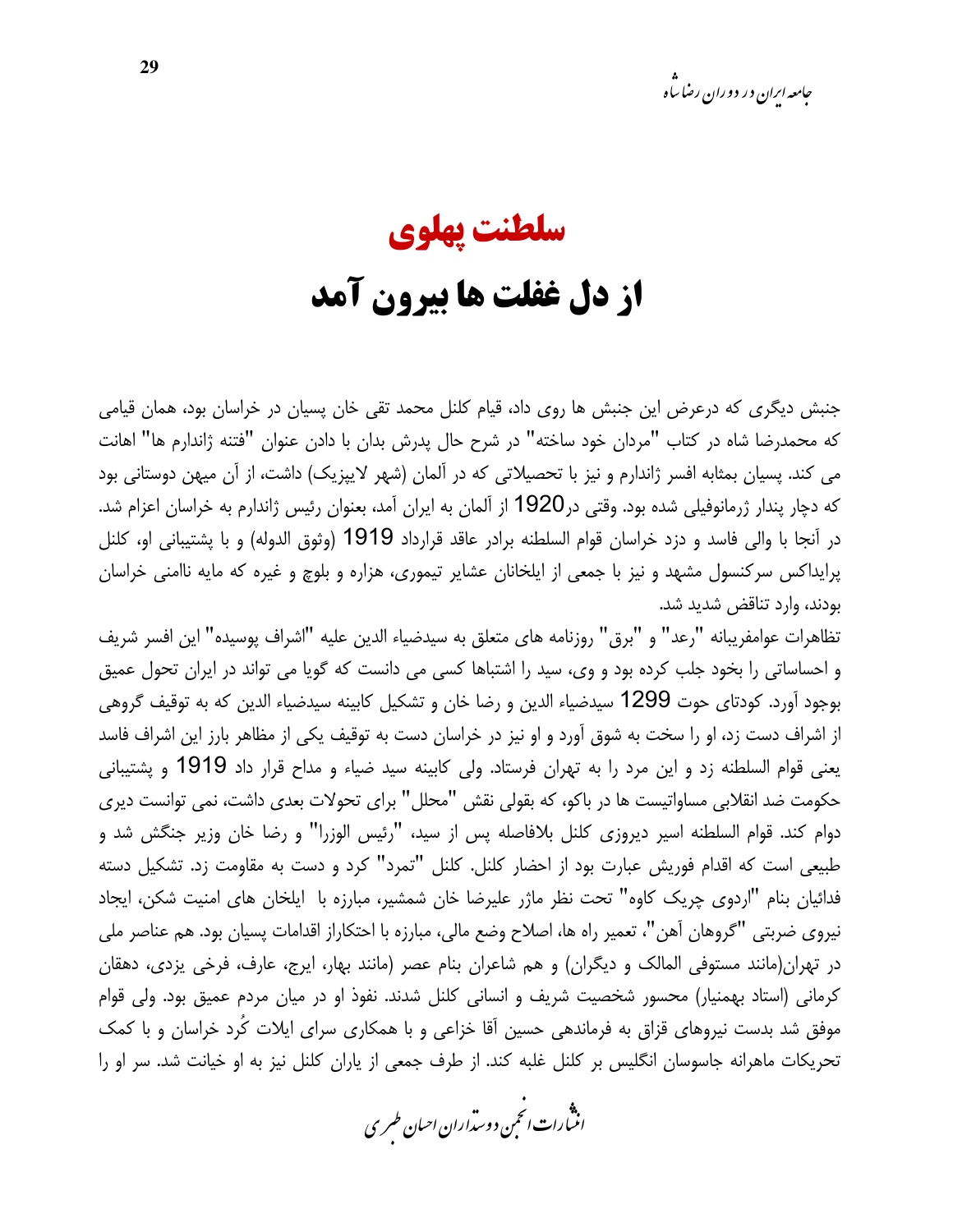# سلطنت يهلوي از دل غفلت ها بیرون آمد

جنبش دیگری که درعرض این جنبش ها روی داد، قیام کلنل محمد تقی خان پسیان در خراسان بود، همان قیامی كه محمدرضا شاه در كتاب "مردان خود ساخته" در شرح حال پدرش بدان با دادن عنوان "فتنه ژاندارم ها" اهانت می کند. پسیان بمثابه افسر ژاندارم و نیز با تحصیلاتی که در آلمان (شهر لایپزیک) داشت، از آن میهن دوستانی بود که دچار پندار ژرمانوفیلی شده بود. وقتی در1920 از آلمان به ایران آمد، بعنوان رئیس ژاندارم به خراسان اعزام شد. در آنجا با والی فاسد و دزد خراسان قوام السلطنه برادر عاقد قرارداد 1919 (وثوق الدوله) و با پشتیبانی او، کلنل پرایداکس سرکنسول مشهد و نیز با جمعی از ایلخانان عشایر تیموری، هزاره و بلوچ و غیره که مایه ناامنی خراسان بودند، وارد تناقض شدید شد.

تظاهرات عوامفريبانه "رعد" و "برق" روزنامه هاي متعلق به سيدضياء الدين عليه "اشراف پوسيده" اين افسر شريف و احساساتی را بخود جلب کرده بود و وی، سید را اشتباها کسی می دانست که گویا می تواند در ایران تحول عمیق بوجود آورد. كودتاي حوت 1299 سيدضياء الدين و رضا خان و تشكيل كابينه سيدضياء الدين كه به توقيف گروهي از اشراف دست زد، او را سخت به شوق آورد و او نیز در خراسان دست به توقیف یکی از مظاهر بارز این اشراف فاسد يعني قوام السلطنه زد و اين مرد را به تهران فرستاد. ولي كابينه سيد ضياء و مداح قرار داد 1919 و پشتيباني حکومت ضد انقلابی مساواتیست ها در باکو، که بقولی نقش "محلل" برای تحولات بعدی داشت، نمی توانست دیری دوام کند. قوام السلطنه اسیر دیروزی کلنل بلافاصله پس از سید، "رئیس الوزرا" و رضا خان وزیر جنگش شد و طبیعی است که اقدام فوریش عبارت بود از احضار کلنل. کلنل "تمرد" کرد و دست به مقاومت زد. تشکیل دسته فدائيان بنام "اردوى چريک کاوه" تحت نظر ماژر عليرضا خان شمشير، مبارزه با ايلخان هاى امنيت شکن، ايجاد نيروي ضربتي "گروهان آهن"، تعمير راه ها، اصلاح وضع مالي، مبارزه با احتكاراز اقدامات يسيان بود. هم عناصر ملي در تهران(مانند مستوفى المالک و ديگران) و هم شاعران بنام عصر (مانند بهار، ايرج، عارف، فرخى يزدى، دهقان کرمانی (استاد بهمنیار) محسور شخصیت شریف و انسانی کلنل شدند. نفوذ او در میان مردم عمیق بود. ولی قوام موفق شد بدست نیروهای قزاق به فرماندهی حسین آقا خزاعی و با همکاری سرای ایلات کُرد خراسان و با کمک تحریکات ماهرانه جاسوسان انگلیس بر کلنل غلبه کند. از طرف جمعی از پاران کلنل نیز به او خیانت شد. سر او را

.<br>انن رات انجمن دوسداران احبان طسری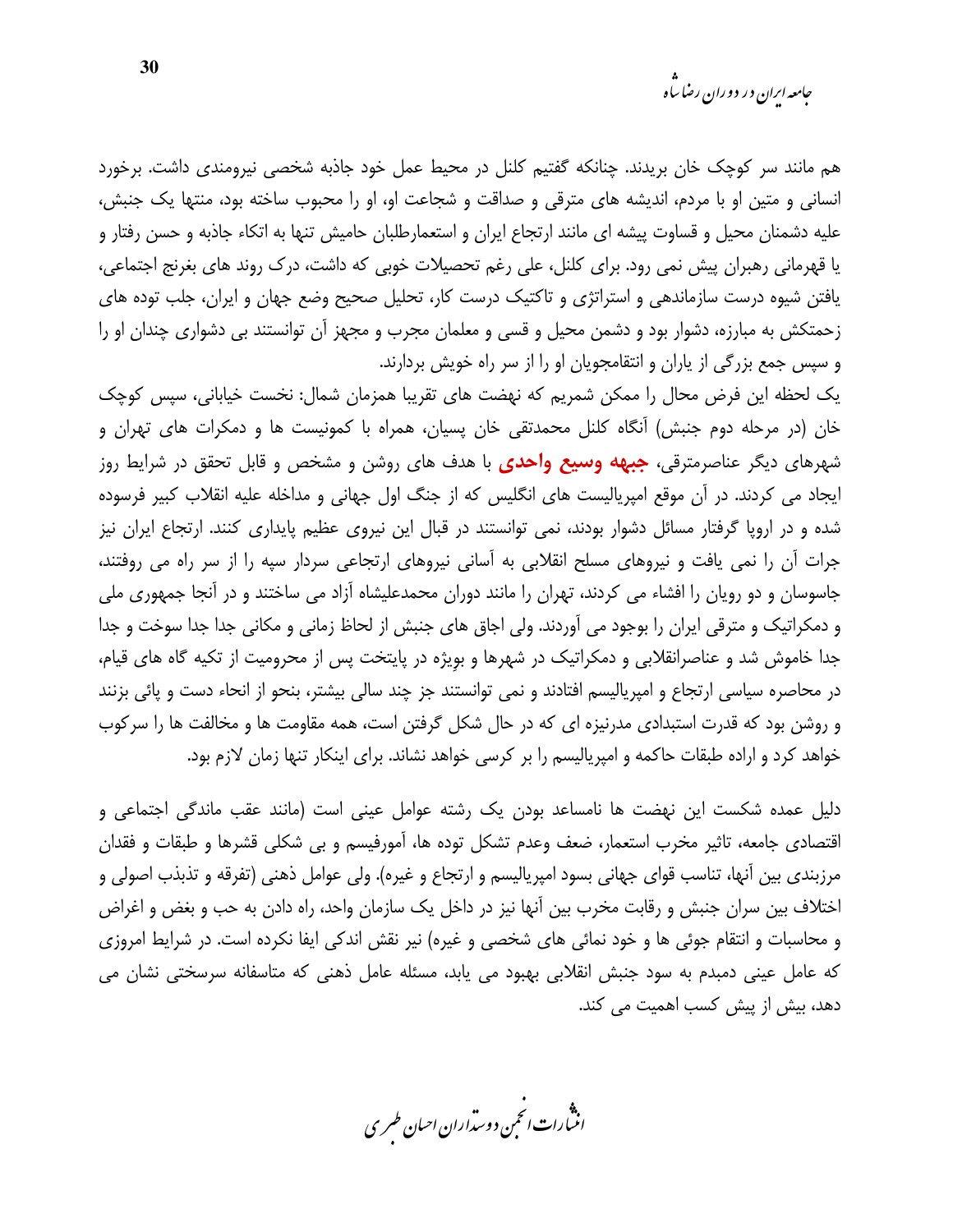هم مانند سر کوچک خان بریدند. چنانکه گفتیم کلنل در محیط عمل خود جاذبه شخصی نیرومندی داشت. برخورد انسانی و متین او با مردم، اندیشه های مترقی و صداقت و شجاعت او، او را محبوب ساخته بود، منتها یک جنبش، علیه دشمنان محیل و قساوت پیشه ای مانند ارتجاع ایران و استعمارطلبان حامیش تنها به اتکاء جاذبه و حسن رفتار و یا قهرمانی رهبران پیش نمی رود. برای کلنل، علی رغم تحصیلات خوبی که داشت، درک روند های بغرنج اجتماعی، یافتن شیوه درست سازماندهی و استراتژی و تاکتیک درست کار، تحلیل صحیح وضع جهان و ایران، جلب توده های زحمتکش به مبارزه، دشوار بود و دشمن محیل و قسی و معلمان مجرب و مجهز آن توانستند بی دشواری چندان او را و سپس جمع بزرگی از پاران و انتقامجویان او را از سر راه خویش بردارند.

یک لحظه این فرض محال را ممکن شمریم که نهضت های تقریبا همزمان شمال: نخست خیابانی، سپس کوچک خان (در مرحله دوم جنبش) آنگاه کلنل محمدتقی خان پسیان، همراه با کمونیست ها و دمکرات های تهران و شهرهای دیگر عناصرمترقی، **جبهه وسیع واحدی** با هدف های روشن و مشخص و قابل تحقق در شرایط روز ایجاد می کردند. در آن موقع امپریالیست های انگلیس که از جنگ اول جهانی و مداخله علیه انقلاب کبیر فرسوده شده و در اروپا گرفتار مسائل دشوار بودند، نمی توانستند در قبال این نیروی عظیم پایداری کنند. ارتجاع ایران نیز جرات آن را نمی یافت و نیروهای مسلح انقلابی به آسانی نیروهای ارتجاعی سردار سپه را از سر راه می روفتند، جاسوسان و دو رویان را افشاء می کردند، تهران را مانند دوران محمدعلیشاه آزاد می ساختند و در آنجا جمهوری ملی و دمکراتیک و مترقی ایران را بوجود می آوردند. ولی اجاق های جنبش از لحاظ زمانی و مکانی جدا جدا سوخت و جدا جدا خاموش شد و عناصرانقلابی و دمکراتیک در شهرها و بویژه در پایتخت پس از محرومیت از تکیه گاه های قیام، در محاصره سیاسی ارتجاع و امپریالیسم افتادند و نمی توانستند جز چند سالی بیشتر، بنحو از انحاء دست و پائی بزنند و روشن بود که قدرت استبدادی مدرنیزه ای که در حال شکل گرفتن است، همه مقاومت ها و مخالفت ها را سرکوب خواهد کرد و اراده طبقات حاکمه و امپریالیسم را بر کرسی خواهد نشاند. برای اینکار تنها زمان لازم بود.

دلیل عمده شکست این نهضت ها نامساعد بودن یک رشته عوامل عینی است (مانند عقب ماندگی اجتماعی و اقتصادی جامعه، تاثیر مخرب استعمار، ضعف وعدم تشکل توده ها، آمورفیسم و بی شکلی قشرها و طبقات و فقدان مرزبندي بين آنها، تناسب قواي جهاني بسود امپرياليسم و ارتجاع و غيره). ولي عوامل ذهني (تفرقه و تذبذب اصولي و اختلاف بین سران جنبش و رقابت مخرب بین آنها نیز در داخل یک سازمان واحد، راه دادن به حب و بغض و اغراض و محاسبات و انتقام جوئی ها و خود نمائی های شخصی و غیره) نیر نقش اندکی ایفا نکرده است. در شرایط امروزی که عامل عینی دمبدم به سود جنبش انقلابی بهبود می یابد، مسئله عامل ذهنی که متاسفانه سرسختی نشان می دهد، بیش از پیش کسب اهمیت می کند.

.<br>انن رات انځمن د وسداران احبان طسر ی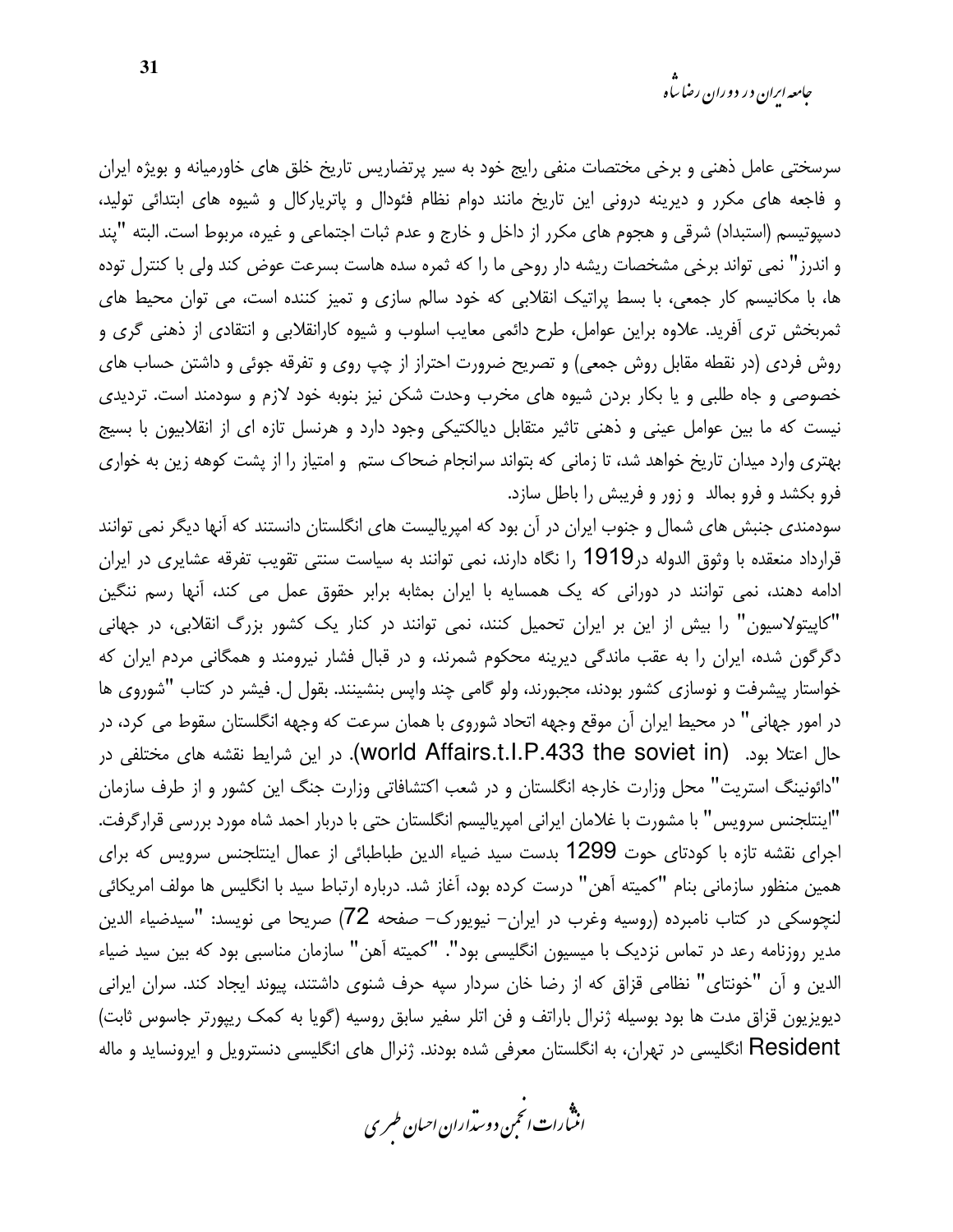سرسختی عامل ذهنی و برخی مختصات منفی رایج خود به سیر پرتضاریس تاریخ خلق های خاورمیانه و بویژه ایران و فاجعه های مکرر و دیرینه درونی این تاریخ مانند دوام نظام فئودال و پاتریارکال و شیوه های ابتدائی تولید، دسپوتیسم (استبداد) شرقی و هجوم های مکرر از داخل و خارج و عدم ثبات اجتماعی و غیره، مربوط است. البته "یند و اندرز" نمی تواند برخی مشخصات ریشه دار روحی ما را که ثمره سده هاست بسرعت عوض کند ولی با کنترل توده ها، با مکانیسم کار جمعی، با بسط پراتیک انقلابی که خود سالم سازی و تمیز کننده است، می توان محیط های ثمربخش تری آفرید. علاوه براین عوامل، طرح دائمی معایب اسلوب و شیوه کارانقلابی و انتقادی از ذهنی گری و روش فردی (در نقطه مقابل روش جمعی) و تصریح ضرورت احتراز از چپ روی و تفرقه جوئی و داشتن حساب های خصوصی و جاه طلبی و یا بکار بردن شیوه های مخرب وحدت شکن نیز بنوبه خود لازم و سودمند است. تردیدی نیست که ما بین عوامل عینی و ذهنی تاثیر متقابل دیالکتیکی وجود دارد و هرنسل تازه ای از انقلابیون با بسیج بهتری وارد میدان تاریخ خواهد شد، تا زمانی که بتواند سرانجام ضحاک ستم و امتیاز را از پشت کوهه زین به خواری فرو بکشد و فرو بمالد و زور و فریبش را باطل سازد.

سودمندی جنبش های شمال و جنوب ایران در آن بود که امپریالیست های انگلستان دانستند که آنها دیگر نمی توانند قرارداد منعقده با وثوق الدوله در1919 را نگاه دارند، نمی توانند به سیاست سنتی تقویب تفرقه عشایری در ایران ادامه دهند، نمی توانند در دورانی که یک همسایه با ایران بمثابه برابر حقوق عمل می کند، آنها رسم ننگین "کاپیتولاسیون" را بیش از این بر ایران تحمیل کنند، نمی توانند در کنار یک کشور بزرگ انقلابی، در جهانی دگرگون شده، ایران را به عقب ماندگی دیرینه محکوم شمرند، و در قبال فشار نیرومند و همگانی مردم ایران که خواستار پیشرفت و نوسازی کشور بودند، مجبورند، ولو گامی چند واپس بنشینند. بقول ل. فیشر در کتاب "شوروی ها در امور جهانی" در محیط ایران آن موقع وجهه اتحاد شوروی با همان سرعت که وجهه انگلستان سقوط می کرد، در حال اعتلا بود. (world Affairs.t.I.P.433 the soviet in). در این شرایط نقشه های مختلفی در "دائونینگ استریت" محل وزارت خارجه انگلستان و در شعب اکتشافاتی وزارت جنگ این کشور و از طرف سازمان "اينتلجنس سرويس" با مشورت با غلامان ايراني امپرياليسم انگلستان حتى با دربار احمد شاه مورد بررسي قرارگرفت. اجرای نقشه تازه با کودتای حوت 1299 بدست سید ضیاء الدین طباطبائی از عمال اینتلجنس سرویس که برای همین منظور سازمانی بنام "کمیته آهن" درست کرده بود، آغاز شد. درباره ارتباط سید با انگلیس ها مولف امریکائی لنچوسکی در کتاب نامبرده (روسیه وغرب در ایران– نیویورک– صفحه 72) صریحا می نویسد: "سیدضیاء الدین مدیر روزنامه رعد در تماس نزدیک با میسیون انگلیسی بود". "کمیته آهن" سازمان مناسبی بود که بین سید ضیاء الدین و آن "خونتای" نظامی قزاق که از رضا خان سردار سیه حرف شنوی داشتند، پیوند ایجاد کند. سران ایرانی دیویزیون قزاق مدت ها بود بوسیله ژنرال باراتف و فن اتلر سفیر سابق روسیه (گویا به کمک ریپورتر جاسوس ثابت) Resident انگلیسی در تهران، به انگلستان معرفی شده بودند. ژنرال های انگلیسی دنسترویل و ایرونساید و ماله

.<br>انن رات انجمن دوسداران احبان طسری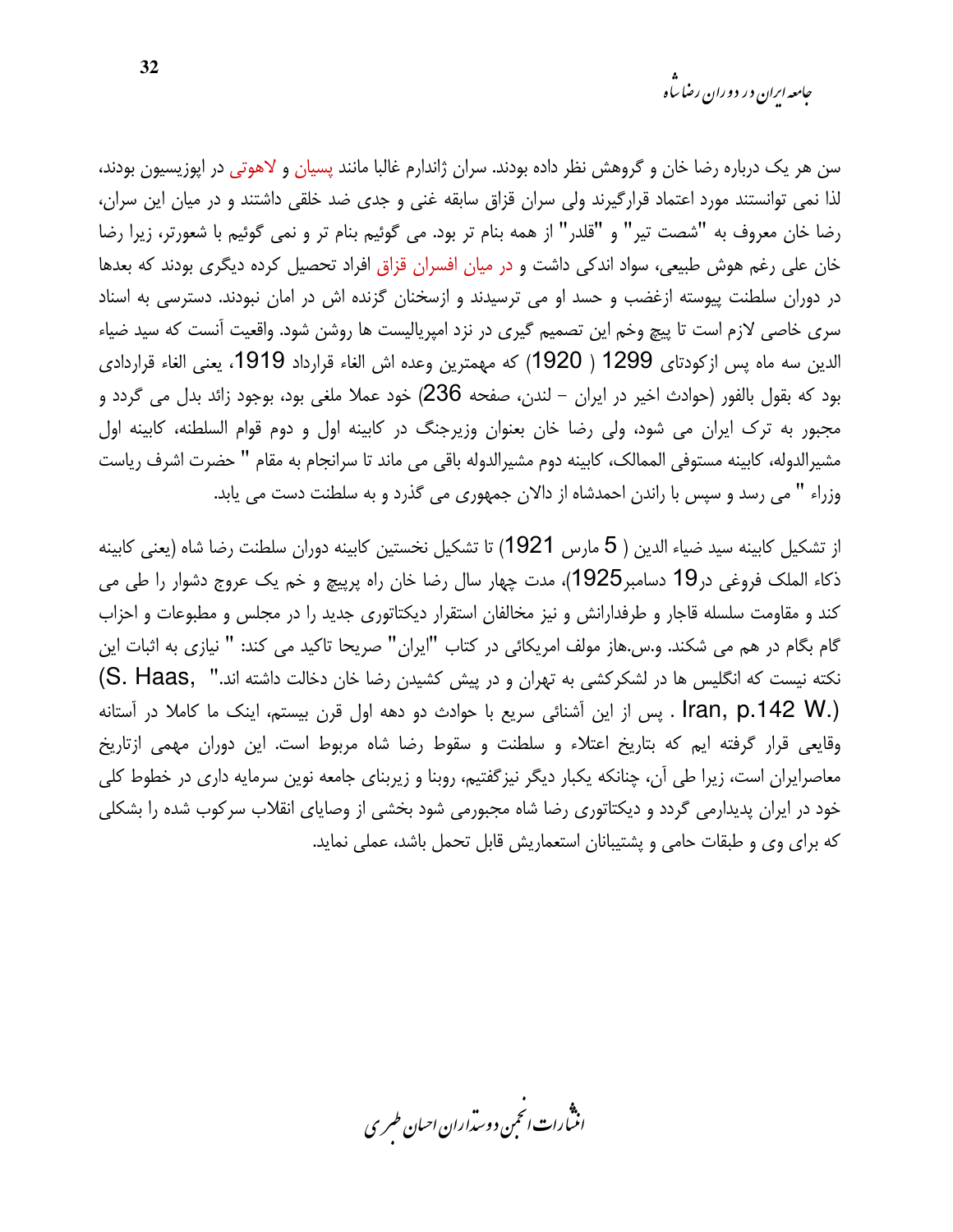سن هر یک درباره رضا خان و گروهش نظر داده بودند. سران ژاندارم غالبا مانند پسیان و لاهوتی در اپوزیسیون بودند، لذا نمی توانستند مورد اعتماد قرارگیرند ولی سران قزاق سابقه غنی و جدی ضد خلقی داشتند و در میان این سران، رضا خان معروف به "شصت تير" و "قلدر" از همه بنام تر بود. مي گوئيم بنام تر و نمي گوئيم با شعورتر، زيرا رضا خان علی رغم هوش طبیعی، سواد اندکی داشت و در میان افسران قزاق افراد تحصیل کرده دیگری بودند که بعدها در دوران سلطنت پیوسته ازغضب و حسد او می ترسیدند و ازسخنان گزنده اش در امان نبودند. دسترسی به اسناد سری خاصی لازم است تا پیچ وخم این تصمیم گیری در نزد امپریالیست ها روشن شود. واقعیت آنست که سید ضیاء الدين سه ماه پس ازكودتاي 1299 ( 1920) كه مهمترين وعده اش الغاء قرارداد 1919، يعني الغاء قراردادي بود که بقول بالفور (حوادث اخیر در ایران – لندن، صفحه 236) خود عملا ملغی بود، بوجود زائد بدل می گردد و مجبور به ترک ایران می شود، ولی رضا خان بعنوان وزیرجنگ در کابینه اول و دوم قوام السلطنه، کابینه اول مشيرالدوله، كابينه مستوفى الممالك، كابينه دوم مشيرالدوله باقى مى ماند تا سرانجام به مقام " حضرت اشرف رياست وزراء " می رسد و سپس با راندن احمدشاه از دالان جمهوری می گذرد و به سلطنت دست می پابد.

از تشكيل كابينه سيد ضياء الدين ( 5 مارس 1921) تا تشكيل نخستين كابينه دوران سلطنت رضا شاه (يعني كابينه ذكاء الملك فروغي در19 دسامبر1925)، مدت چهار سال رضا خان راه پرييچ و خم يک عروج دشوار را طي مي کند و مقاومت سلسله قاجار و طرفدارانش و نیز مخالفان استقرار دیکتاتوری جدید را در مجلس و مطبوعات و احزاب گام بگام در هم می شکند. و.س.هاز مولف امریکائی در کتاب "ایران" صریحا تاکید می کند: " نیازی به اثبات این نكته نيست كه انگليس ها در لشكركشي به تهران و در پيش كشيدن رضا خان دخالت داشته اند.'' ,S. Haas) lran, p.142 W.) . پس از این آشنائی سریع با حوادث دو دهه اول قرن بیستم، اینک ما کاملا در آستانه وقايعي قرار گرفته ايم كه بتاريخ اعتلاء و سلطنت و سقوط رضا شاه مربوط است. اين دوران مهمي ازتاريخ معاصرایران است، زیرا طی آن، چنانکه یکبار دیگر نیزگفتیم، روبنا و زیربنای جامعه نوین سرمایه داری در خطوط کلی خود در ایران پدیدارمی گردد و دیکتاتوری رضا شاه مجبورمی شود بخشی از وصایای انقلاب سرکوب شده را بشکلی كه براي وي و طبقات حامي و يشتيبانان استعماريش قابل تحمل باشد، عملي نمايد.

.<br>انن رات انجمن دوسداران احبان طسری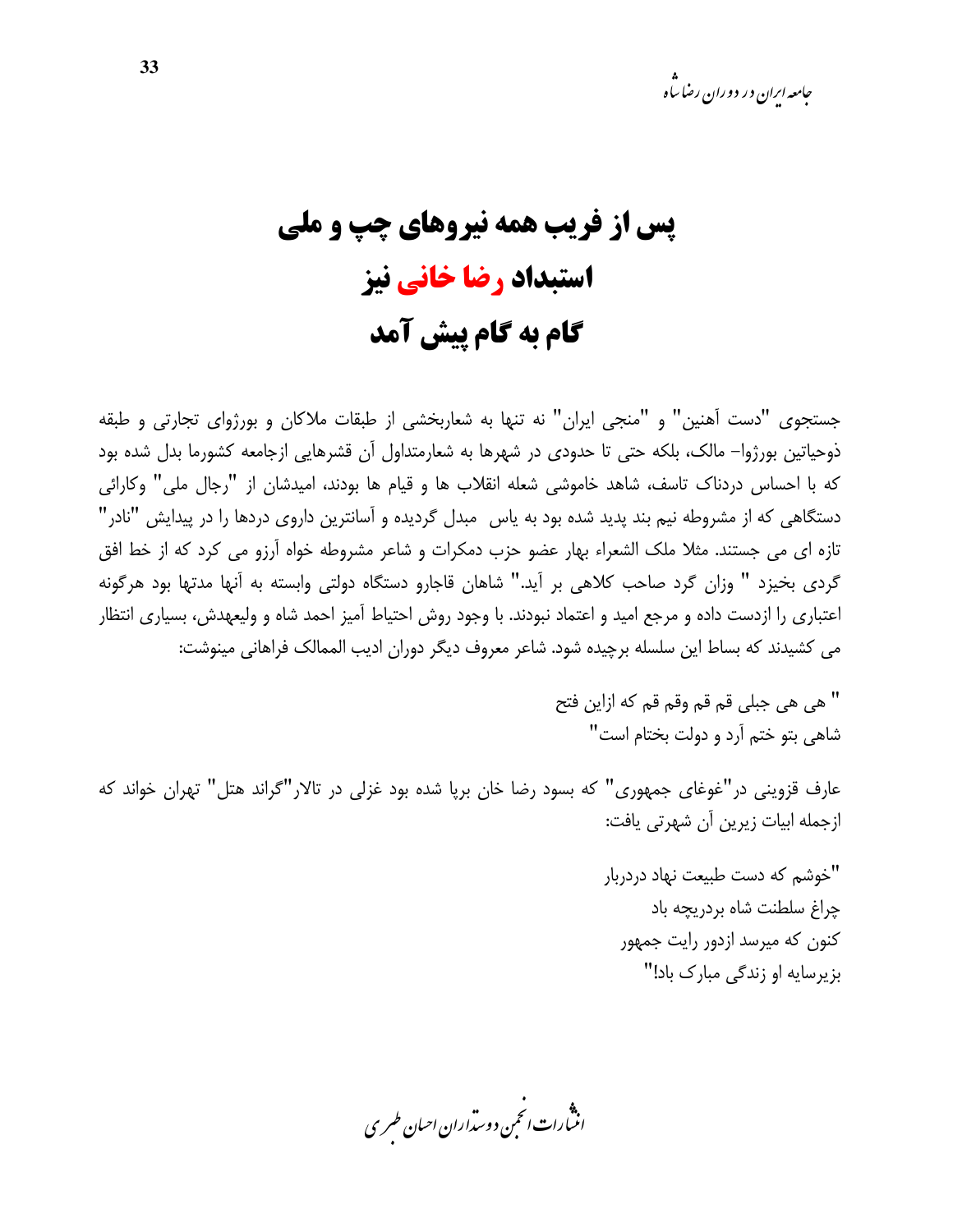# **یس از فریب همه نیروهای چپ و ملی** استبداد رضا خانی نیز گام به گام پیش آمد

جستجوی "دست آهنین" و "منجی ایران" نه تنها به شعاربخشی از طبقات ملاکان و بورژوای تجارتی و طبقه ذوحیاتین بورژوا– مالک، بلکه حتی تا حدودی در شهرها به شعارمتداول اّن قشرهایی ازجامعه کشورما بدل شده بود که با احساس دردناک تاسف، شاهد خاموشی شعله انقلاب ها و قیام ها بودند، امیدشان از "رجال ملی" وکارائی دستگاهی که از مشروطه نیم بند پدید شده بود به پاس ٍ مبدل گردیده و آسانترین داروی دردها را در پیدایش "نادر" تازه ای می جستند. مثلا ملک الشعراء بهار عضو حزب دمکرات و شاعر مشروطه خواه آرزو می کرد که از خط افق گردی بخیزد " وزان گرد صاحب کلاهی بر آید." شاهان قاجارو دستگاه دولتی وابسته به آنها مدتها بود هرگونه اعتباری را ازدست داده و مرجع امید و اعتماد نبودند. با وجود روش احتیاط آمیز احمد شاه و ولیعهدش، بسیاری انتظار می کشیدند که بساط این سلسله برچیده شود. شاعر معروف دیگر دوران ادیب الممالک فراهانی مینوشت:

> " هي هي حيلي قم قم وقم قم كه إزاين فتح شاهي بتو ختم آرد و دولت بختام است"

عارف قزوینی در "غوغای جمهوری" که بسود رضا خان برپا شده بود غزلی در تالار"گراند هتل" تهران خواند که ازجمله ابیات زیرین آن شهرتی یافت:

> "خوشم كه دست طبيعت نهاد دردربار چراغ سلطنت شاه بردريچه باد کنون که میرسد ازدور رایت جمهور بزیرسایه او زندگی مبارک باد!"

.<br>انن رات انجمن دوسداران احبان طسری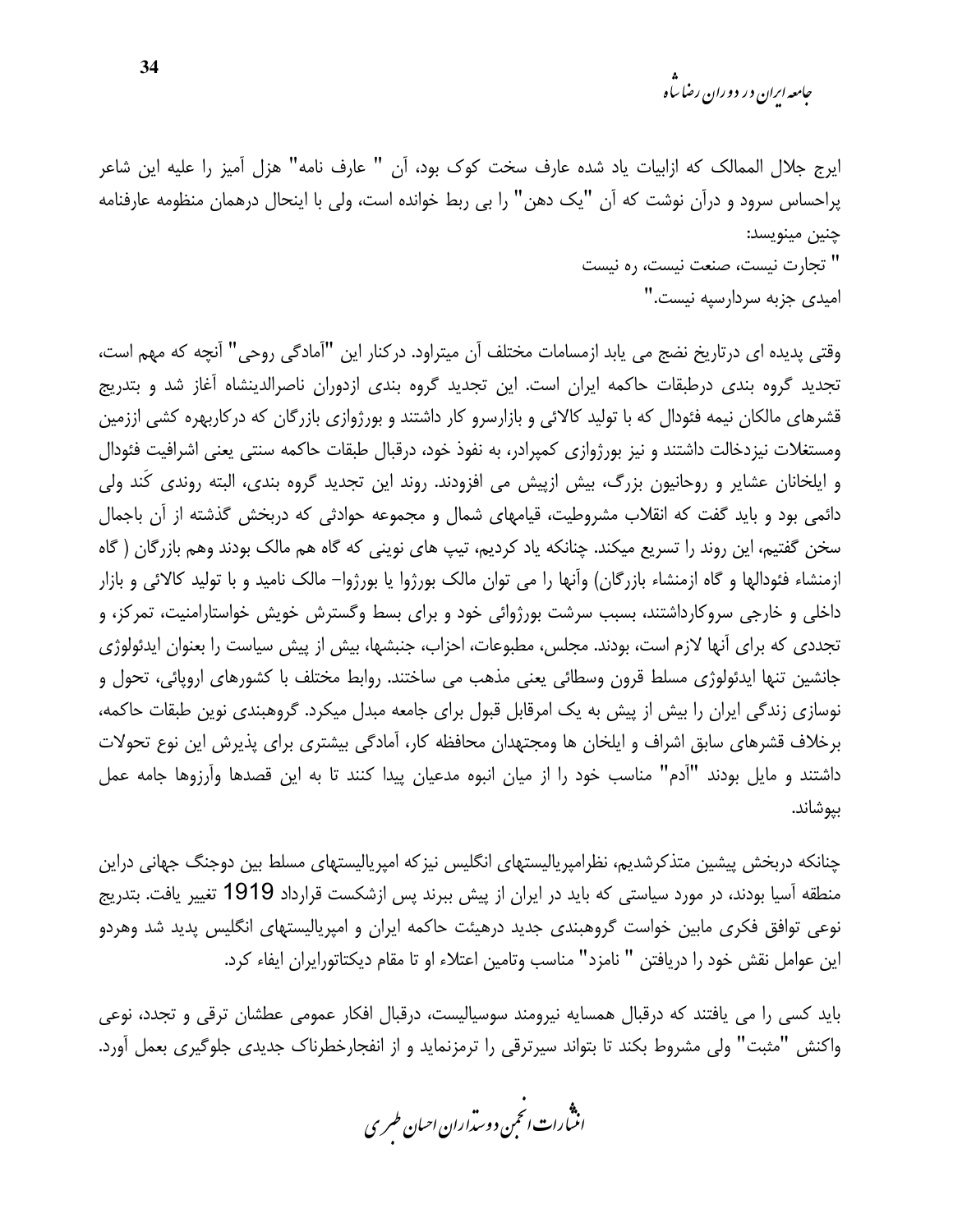*جامعه اران در دو د*ان رضا ساه

ايرج جلال الممالک که ازابيات ياد شده عارف سخت کوک بود، اَن " عارف نامه" هزل اَميز را عليه اين شاعر پراحساس سرود و درآن نوشت که آن "یک دهن" را بی ربط خوانده است، ولی با اینحال درهمان منظومه عارفنامه چنين مينويسد: " تجارت نيست، صنعت نيست، ره نيست

امیدی جزبه سردارسپه نیست."

وقتی پدیده ای درتاریخ نضج می یابد ازمسامات مختلف آن میتراود. درکنار این "آمادگی روحی" آنچه که مهم است، تجدید گروه بندی درطبقات حاکمه ایران است. این تجدید گروه بندی ازدوران ناصرالدینشاه آغاز شد و بتدریج قشرهای مالکان نیمه فئودال که با تولید کالائی و بازارسرو کار داشتند و بورژوازی بازرگان که درکاربهره کشی اززمین ومستغلات نیزدخالت داشتند و نیز بورژوازی کمپرادر، به نفوذ خود، درقبال طبقات حاکمه سنتی یعنی اشرافیت فئودال و ایلخانان عشایر و روحانیون بزرگ، بیش ازپیش می افزودند. روند این تجدید گروه بندی، البته روندی کُند ولی دائمی بود و باید گفت که انقلاب مشروطیت، قیامهای شمال و مجموعه حوادثی که دربخش گذشته از آن باجمال سخن گفتیم، این روند را تسریع میکند. چنانکه یاد کردیم، تیپ های نوینی که گاه هم مالک بودند وهم بازرگان ( گاه ازمنشاء فئودالها و گاه ازمنشاء بازرگان) وأنها را می توان مالک بورژوا یا بورژوا– مالک نامید و با تولید کالائی و بازار داخلی و خارجی سروکارداشتند، بسبب سرشت بورژوائی خود و برای بسط وگسترش خویش خواستارامنیت، تمرکز، و تجددی که برای آنها لازم است، بودند. مجلس، مطبوعات، احزاب، جنبشها، بیش از پیش سیاست را بعنوان ایدئولوژی جانشین تنها ایدئولوژی مسلط قرون وسطائی یعنی مذهب می ساختند. روابط مختلف با کشورهای اروپائی، تحول و نوسازی زندگی ایران را بیش از پیش به یک امرقابل قبول برای جامعه مبدل میکرد. گروهبندی نوین طبقات حاکمه، برخلاف قشرهای سابق اشراف و ایلخان ها ومجتهدان محافظه کار، آمادگی بیشتری برای پذیرش این نوع تحولات داشتند و مایل بودند "آدم" مناسب خود را از میان انبوه مدعیان پیدا کنند تا به این قصدها وآرزوها جامه عمل بيوشاند.

چنانکه دربخش پیشین متذکرشدیم، نظرامپریالیستهای انگلیس نیزکه امپریالیستهای مسلط بین دوجنگ جهانی دراین منطقه آسیا بودند، در مورد سیاستی که باید در ایران از پیش ببرند پس ازشکست قرارداد 1919 تغییر یافت. بتدریج نوعی توافق فکری مابین خواست گروهبندی جدید درهیئت حاکمه ایران و امپریالیستهای انگلیس پدید شد وهردو این عوامل نقش خود را دریافتن " نامزد" مناسب وتامین اعتلاء او تا مقام دیکتاتورایران ایفاء کرد.

باید کسی را می یافتند که درقبال همسایه نیرومند سوسیالیست، درقبال افکار عمومی عطشان ترقی و تجدد، نوعی واکنش "مثبت" ولی مشروط بکند تا بتواند سیرترقی را ترمزنماید و از انفجارخطرناک جدیدی جلوگیری بعمل آورد.

.<br>انتبارات *انحم*ن دوست<sub>ر</sub>اران احبان *طسر*ی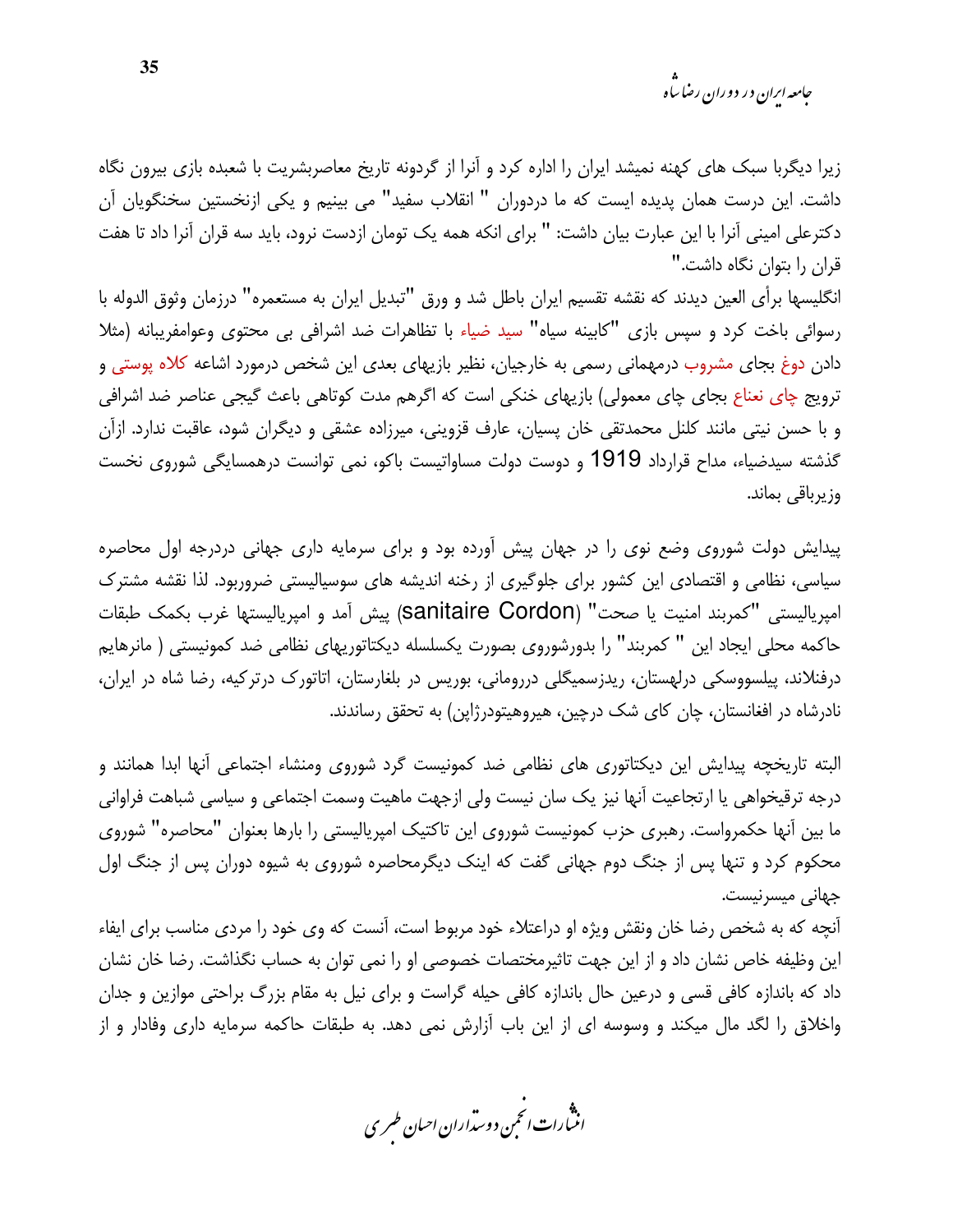*جامعه اران در دو د*ان رضا ساه

زیرا دیگربا سبک های کهنه نمیشد ایران را اداره کرد و آنرا از گردونه تاریخ معاصربشریت با شعبده بازی بیرون نگاه داشت. این درست همان پدیده ایست که ما دردوران " انقلاب سفید" می بینیم و یکی ازنخستین سخنگویان آن دكترعلي اميني آنرا با اين عبارت بيان داشت: " براي انكه همه يک تومان ازدست نرود، بايد سه قران آنرا داد تا هفت قران را بتوان نگاه داشت."

انگلیسها برأی العین دیدند که نقشه تقسیم ایران باطل شد و ورق "تبدیل ایران به مستعمره" درزمان وثوق الدوله با رسوائی باخت کرد و سپس بازی "کابینه سیاه" سید ضیاء با تظاهرات ضد اشرافی بی محتوی وعوامفریبانه (مثلا دادن دوغ بجای مشروب درمهمانی رسمی به خارجیان، نظیر بازیهای بعدی این شخص درمورد اشاعه کلاه پوستی و ترويج چاي نعناع بجاي چاي معمولي) بازيهاي خنكي است كه اگرهم مدت كوتاهي باعث گيجي عناصر ضد اشرافي و با حسن نیتی مانند کلنل محمدتقی خان پسیان، عارف قزوینی، میرزاده عشقی و دیگران شود، عاقبت ندارد. ازآن گذشته سیدضیاء، مداح قرارداد 1919 و دوست دولت مساواتیست باکو، نمی توانست درهمسایگی شوروی نخست وزيرباقي بماند.

پیدایش دولت شوروی وضع نوی را در جهان پیش آورده بود و برای سرمایه داری جهانی دردرجه اول محاصره سیاسی، نظامی و اقتصادی این کشور برای جلوگیری از رخنه اندیشه های سوسیالیستی ضروربود. لذا نقشه مشترک امپرياليستي "كمربند امنيت يا صحت" (Sanitaire Cordon) پيش آمد و امپرياليستها غرب بكمك طبقات حاكمه محلي ايجاد اين " كمربند" را بدورشوروي بصورت يكسلسله ديكتاتوريهاي نظامي ضد كمونيستي ( مانرهايم درفنلاند، پیلسووسکی درلهستان، ریدزسمیگلی دررومانی، بوریس در بلغارستان، اتاتورک درترکیه، رضا شاه در ایران، نادرشاه در افغانستان، چان کای شک درچین، هیروهیتودرژاپن) به تحقق رساندند.

البته تاریخچه پیدایش این دیکتاتوری های نظامی ضد کمونیست گرد شوروی ومنشاء اجتماعی آنها ابدا همانند و درجه ترقیخواهی یا ارتجاعیت آنها نیز یک سان نیست ولی ازجهت ماهیت وسمت اجتماعی و سیاسی شباهت فراوانی ما بین آنها حکمرواست. رهبری حزب کمونیست شوروی این تاکتیک امیریالیستی را بارها بعنوان "محاصره" شوروی محکوم کرد و تنها پس از جنگ دوم جهانی گفت که اینک دیگرمحاصره شوروی به شیوه دوران پس از جنگ اول جهانی میسرنیست.

آنچه که به شخص رضا خان ونقش ویژه او دراعتلاء خود مربوط است، آنست که وی خود را مردی مناسب برای ایفاء این وظیفه خاص نشان داد و از این جهت تاثیرمختصات خصوصی او را نمی توان به حساب نگذاشت. رضا خان نشان داد که باندازه کافی قسی و درعین حال باندازه کافی حیله گراست و برای نیل به مقام بزرگ براحتی موازین و جدان واخلاق را لگد مال میکند و وسوسه ای از این باب آزارش نمی دهد. به طبقات حاکمه سرمایه داری وفادار و از

.<br>انن رات انجمن دوسداران احبان طسری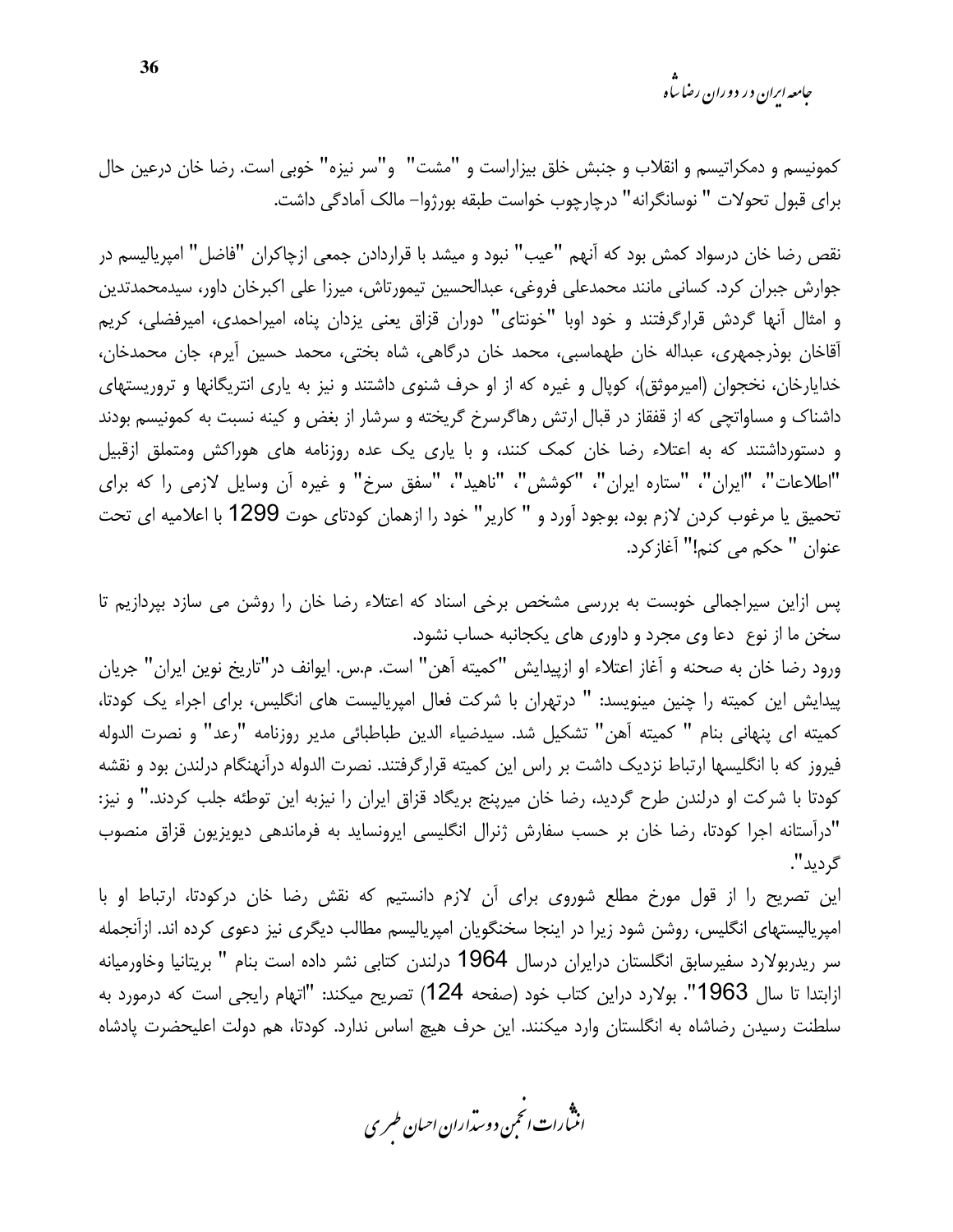*جامعه ایران د*ر دوران رضا س<sup>ا</sup>ه

كمونيسم و دمكراتيسم و انقلاب و جنبش خلق بيزاراست و "مشت" و"سر نيزه" خوبي است. رضا خان درعين حال براي قبول تحولات " نوسانگرانه" درچارچوب خواست طبقه بورژوا– مالک آمادگی داشت.

نقص رضا خان درسواد کمش بود که آنهم "عیب" نبود و میشد با قراردادن جمعی ازچاکران "فاضل" امپریالیسم در جوارش جبران كرد. كساني مانند محمدعلي فروغي، عبدالحسين تيمورتاش، ميرزا على اكبرخان داور، سيدمحمدتدين و امثال أنها گردش قرارگرفتند و خود اوبا "خونتاي" دوران قزاق يعني يزدان پناه، اميراحمدي، اميرفضلي، كريم آقاخان بوذرجمهري، عبداله خان طهماسبي، محمد خان درگاهي، شاه بختي، محمد حسين آيرم، جان محمدخان، خدایارخان، نخجوان (امیرموثق)، کوپال و غیره که از او حرف شنوی داشتند و نیز به یاری انتریگانها و تروریستهای داشناک و مساواتچی که از قفقاز در قبال ارتش رهاگرسرخ گریخته و سرشار از بغض و کینه نسبت به کمونیسم بودند و دستورداشتند که به اعتلاء رضا خان کمک کنند، و با یاری یک عده روزنامه های هوراکش ومتملق ازقبیل "اطلاعات"، "ايران"، "ستاره ايران"، "كوشش"، "ناهيد"، "سفق سرخ" و غيره أن وسايل لازمى را كه براي تحميق يا مرغوب كردن لازم بود، بوجود آورد و " كارير" خود را ازهمان كودتاي حوت 1299 با اعلاميه اي تحت عنوان " حكم مي كنم!" آغاز كرد.

پس ازاین سیراجمالی خوبست به بررسی مشخص برخی اسناد که اعتلاء رضا خان را روشن می سازد بپردازیم تا سخن ما از نوع دعا وی مجرد و داوری های یکجانبه حساب نشود.

ورود رضا خان به صحنه و آغاز اعتلاء او ازیپدایش "کمیته آهن" است. م.س. ایوانف در"تاریخ نوین ایران" جریان پیدایش این کمیته را چنین مینویسد: " درتهران با شرکت فعال امیریالیست های انگلیس، برای اجراء یک کودتا، كميته اي پنهاني بنام " كميته آهن" تشكيل شد. سيدضياء الدين طباطبائي مدير روزنامه "رعد" و نصرت الدوله فیروز که با انگلیسها ارتباط نزدیک داشت بر راس این کمیته قرارگرفتند. نصرت الدوله درآنهنگام درلندن بود و نقشه كودتا با شركت او درلندن طرح گرديد، رضا خان ميرپنج بريگاد قزاق ايران را نيزبه اين توطئه جلب كردند." و نيز: "درآستانه اجرا کودتا، رضا خان بر حسب سفارش ژنرال انگلیسی ایرونساید به فرماندهی دیویزیون قزاق منصوب گرديد".

این تصریح را از قول مورخ مطلع شوروی برای آن لازم دانستیم که نقش رضا خان درکودتا، ارتباط او با امپریالیستهای انگلیس، روشن شود زیرا در اینجا سخنگویان امپریالیسم مطالب دیگری نیز دعوی کرده اند. ازآنجمله سر ریدربولارد سفیرسابق انگلستان درایران درسال 1964 درلندن کتابی نشر داده است بنام " بریتانیا وخاورمیانه ازابتدا تا سال 1963". بولارد دراین کتاب خود (صفحه 124) تصریح میکند: "اتهام رایجی است که درمورد به سلطنت رسیدن رضاشاه به انگلستان وارد میکنند. این حرف هیچ اساس ندارد. کودتا، هم دولت اعلیحضرت یادشاه

.<br>انن رات انجمن دوسداران احبان طسری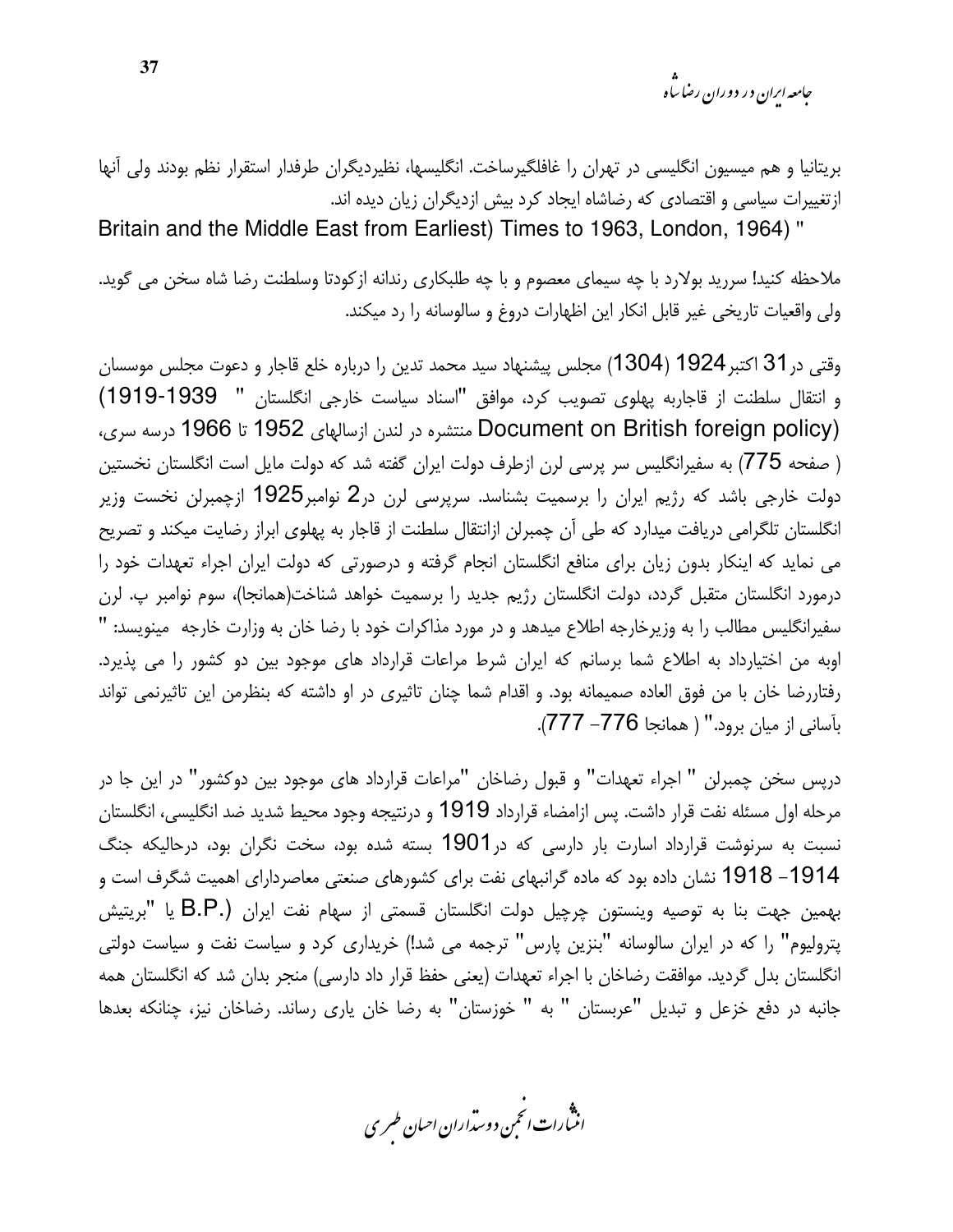جامعه ایران در دوران رضا ساه

بریتانیا و هم میسیون انگلیسی در تهران را غافلگیرساخت. انگلیسها، نظیردیگران طرفدار استقرار نظم بودند ولی آنها ازتغییرات سیاسی و اقتصادی که رضاشاه ایجاد کرد بیش ازدیگران زیان دیده اند.

Britain and the Middle East from Earliest) Times to 1963, London, 1964)"

ملاحظه کنید! سررید بولارد با چه سیمای معصوم و با چه طلبکاری رندانه ازکودتا وسلطنت رضا شاه سخن می گوید. ولي واقعيات تاريخي غير قابل انكار اين اظهارات دروغ و سالوسانه را رد ميكند.

وقتی در31 اکتبر1924 (1304) مجلس پیشنهاد سید محمد تدین را درباره خلع قاجار و دعوت مجلس موسسان و انتقال سلطنت از قاجاربه پهلوی تصویب کرد، موافق "اسناد سیاست خارجی انگلستان " 1939-1919) Document on British foreign policy) منتشره در لندن ازسالهای 1952 تا 1966 درسه سری، ( صفحه 775) به سفیرانگلیس سر پرسی لرن ازطرف دولت ایران گفته شد که دولت مایل است انگلستان نخستین دولت خارجی باشد که رژیم ایران را برسمیت بشناسد. سرپرسی لرن در2 نوامبر1925 ازچمبرلن نخست وزیر انگلستان تلگرامی دریافت میدارد که طی آن چمبرلن ازانتقال سلطنت از قاجار به پهلوی ابراز رضایت میکند و تصریح می نماید که اینکار بدون زیان برای منافع انگلستان انجام گرفته و درصورتی که دولت ایران اجراء تعهدات خود را درمورد انگلستان متقبل گردد، دولت انگلستان رژیم جدید را برسمیت خواهد شناخت(همانجا)، سوم نوامبر پ. لرن سفیرانگلیس مطالب را به وزیرخارجه اطلاع میدهد و در مورد مذاکرات خود با رضا خان به وزارت خارجه مینویسد: " اوبه من اختیارداد به اطلاع شما برسانم که ایران شرط مراعات قرارداد های موجود بین دو کشور را می پذیرد. رفتاررضا خان با من فوق العاده صميمانه بود. و اقدام شما چنان تاثيري در او داشته كه بنظرمن اين تاثيرنمي تواند بأساني از ميان برود." ( همانجا 776– 777).

دريس سخن چمبرلن " اجراء تعهدات" و قبول رضاخان "مراعات قرارداد هاي موجود بين دوكشور" در اين جا در مرحله اول مسئله نفت قرار داشت. پس ازامضاء قرارداد 1919 و درنتیجه وجود محیط شدید ضد انگلیسی، انگلستان نسبت به سرنوشت قرارداد اسارت بار دارسی که در1901 بسته شده بود، سخت نگران بود، درحالیکه جنگ 1914– 1918 نشان داده بود که ماده گرانبهای نفت برای کشورهای صنعتی معاصردارای اهمیت شگرف است و بهمین جهت بنا به توصیه وینستون چرچیل دولت انگلستان قسمتی از سهام نفت ایران (.B.P یا "بریتیش پترولیوم" را که در ایران سالوسانه "بنزین پارس" ترجمه می شد!) خریداری کرد و سیاست نفت و سیاست دولتی انگلستان بدل گردید. موافقت رضاخان با اجراء تعهدات (یعنی حفظ قرار داد دارسی) منجر بدان شد که انگلستان همه جانبه در دفع خزعل و تبدیل "عربستان " به " خوزستان" به رضا خان یاری رساند. رضاخان نیز، چنانکه بعدها

.<br>انن رات انجمن دوسداران احبان طسری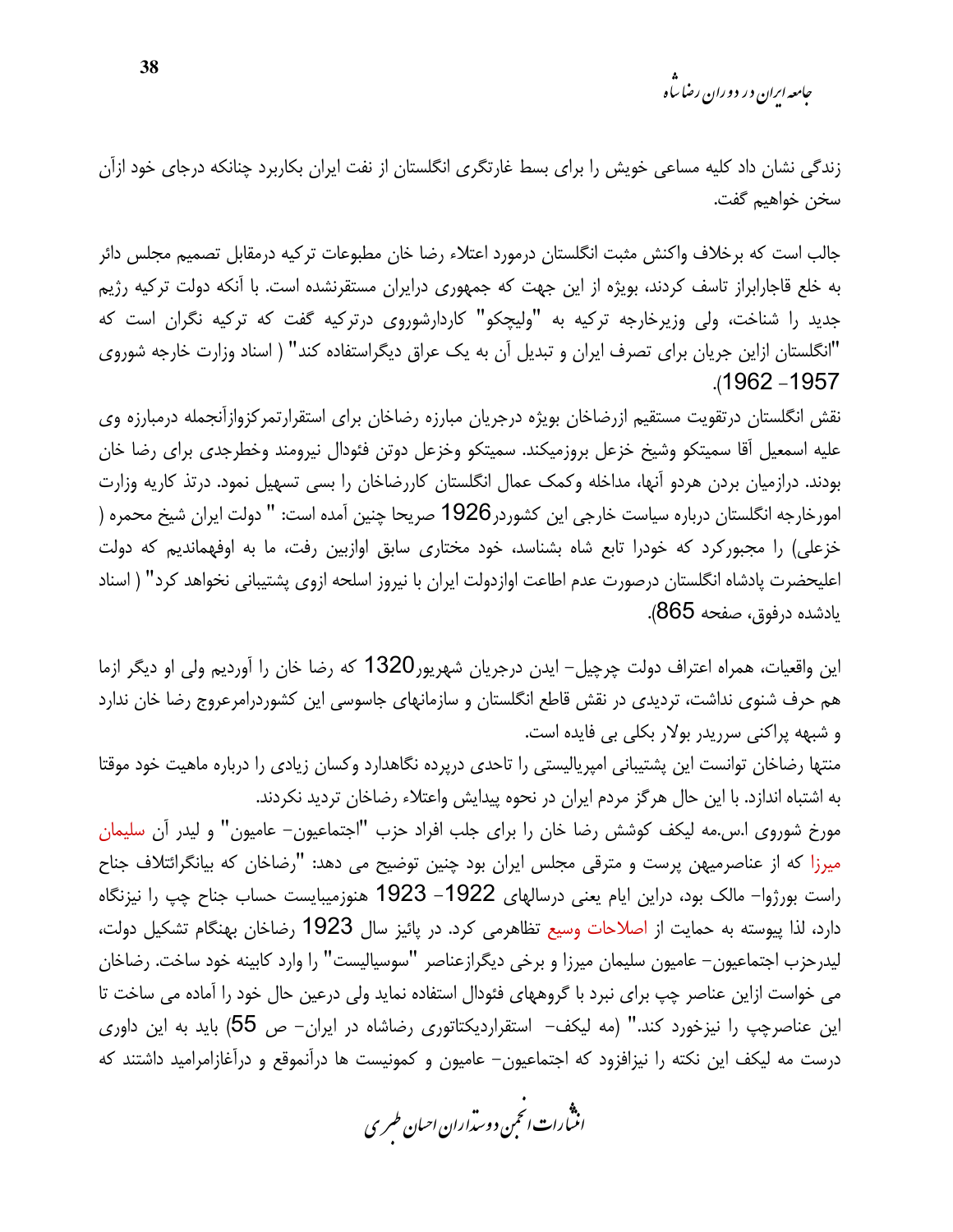<sub>حامعه ابران در دوران رضا ساه</sub>

زندگی نشان داد کلیه مساعی خویش را برای بسط غارتگری انگلستان از نفت ایران بکاربرد چنانکه درجای خود ازآن سخن خواهيم گفت.

جالب است که برخلاف واکنش مثبت انگلستان درمورد اعتلاء رضا خان مطبوعات ترکیه درمقابل تصمیم مجلس دائر به خلع قاجارابراز تاسف کردند، بویژه از این جهت که جمهوری درایران مستقرنشده است. با آنکه دولت ترکیه رژیم جدید را شناخت، ولی وزیرخارجه ترکیه به "ولیچکو" کاردارشوروی درترکیه گفت که ترکیه نگران است که "انگلستان ازاین جریان برای تصرف ایران و تبدیل آن به یک عراق دیگراستفاده کند" ( اسناد وزارت خارجه شوروی .(1962 - 1957

نقش انگلستان درتقویت مستقیم ازرضاخان بویژه درجریان مبارزه رضاخان برای استقرارتمرکزوازآنجمله درمبارزه وی عليه اسمعيل أقا سميتكو وشيخ خزعل بروزميكند. سميتكو وخزعل دوتن فئودال نيرومند وخطرجدى براى رضا خان بودند. درازمیان بردن هردو أنها، مداخله وکمک عمال انگلستان کاررضاخان را بسی تسهیل نمود. درتذ کاریه وزارت امورخارجه انگلستان درباره سياست خارجي اين كشوردر1926 صريحا چنين آمده است: " دولت ايران شيخ محمره ( خزعلی) را مجبورکرد که خودرا تابع شاه بشناسد، خود مختاری سابق اوازبین رفت، ما به اوفهماندیم که دولت اعليحضرت پادشاه انگلستان درصورت عدم اطاعت اوازدولت ايران با نيروز اسلحه ازوى پشتيباني نخواهد كرد" ( اسناد يادشده درفوق، صفحه 865).

این واقعیات، همراه اعتراف دولت چرچیل– ایدن درجریان شهریور1320 که رضا خان را آوردیم ولی او دیگر ازما هم حرف شنوی نداشت، تردیدی در نقش قاطع انگلستان و سازمانهای جاسوسی این کشوردرامرعروج رضا خان ندارد و شبهه پراکنی سرریدر بولار بکلی بی فایده است.

منتها رضاخان توانست این پشتیبانی امیرپالیستی را تاحدی درپرده نگاهدارد وکسان زیادی را درباره ماهیت خود موقتا به اشتباه اندازد. با این حال هرگز مردم ایران در نحوه پیدایش واعتلاء رضاخان تردید نکردند.

مورخ شوروی ا.س.مه لیکف کوشش رضا خان را برای جلب افراد حزب "اجتماعیون– عامیون" و لیدر آن سلیمان میرزا که از عناصرمیهن پرست و مترقی مجلس ایران بود چنین توضیح می دهد: "رضاخان که بیانگرائتلاف جناح راست بورژوا– مالک بود، دراین ایام یعنی درسالهای 1922– 1923 هنوزمیبایست حساب جناح چپ را نیزنگاه دارد، لذا پیوسته به حمایت از اصلاحات وسیع تظاهرمی کرد. در پائیز سال 1923 رضاخان بهنگام تشکیل دولت، ليدرحزب اجتماعيون– عاميون سليمان ميرزا و برخي ديگرازعناصر "سوسياليست" را وارد كابينه خود ساخت. رضاخان می خواست ازاین عناصر چپ برای نبرد با گروههای فئودال استفاده نماید ولی درعین حال خود را آماده می ساخت تا این عناصرچپ را نیزخورد کند." (مه لیکف– استقراردیکتاتوری رضاشاه در ایران– ص 55) باید به این داوری درست مه لیکف این نکته را نیزافزود که اجتماعیون– عامیون و کمونیست ها درآنموقع و درآغازامرامید داشتند که

.<br>انث رات انجمن دوسداران احبان طسری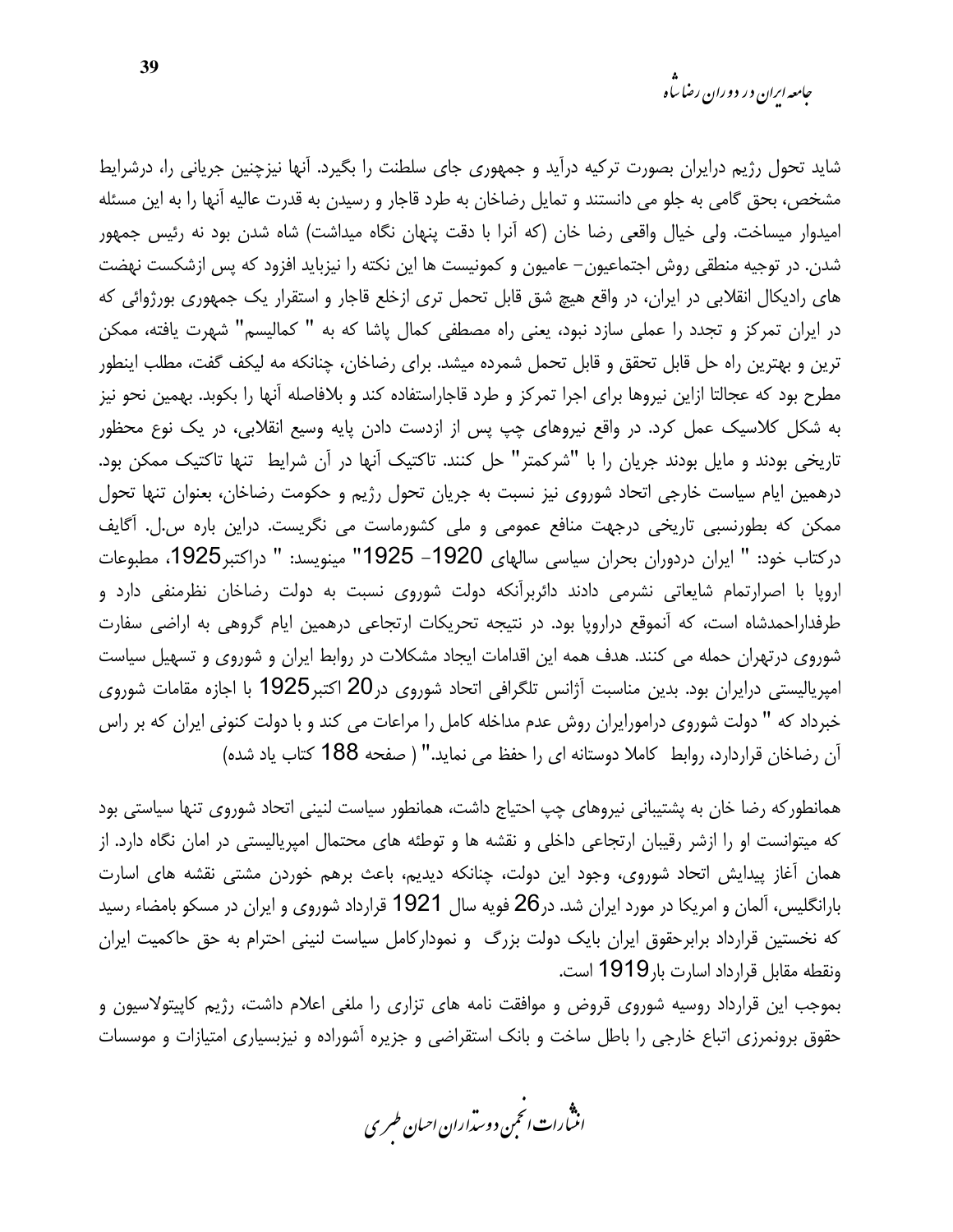شاید تحول رژیم درایران بصورت ترکیه درآید و جمهوری جای سلطنت را بگیرد. آنها نیزچنین جریانی را، درشرایط مشخص، بحق گامی به جلو می دانستند و تمایل رضاخان به طرد قاجار و رسیدن به قدرت عالیه آنها را به این مسئله امیدوار میساخت. ولی خیال واقعی رضا خان (که آنرا با دقت پنهان نگاه میداشت) شاه شدن بود نه رئیس جمهور شدن. در توجیه منطقی روش اجتماعیون– عامیون و کمونیست ها این نکته را نیزباید افزود که پس ازشکست نهضت های رادیکال انقلابی در ایران، در واقع هیچ شق قابل تحمل تری ازخلع قاجار و استقرار یک جمهوری بورژوائی که در ایران تمرکز و تجدد را عملی سازد نبود، یعنی راه مصطفی کمال پاشا که به " کمالیسم" شهرت یافته، ممکن ترین و بهترین راه حل قابل تحقق و قابل تحمل شمرده میشد. برای رضاخان، چنانکه مه لیکف گفت، مطلب اینطور مطرح بود که عجالتا ازاین نیروها برای اجرا تمرکز و طرد قاجاراستفاده کند و بلافاصله آنها را بکوبد. بهمین نحو نیز به شکل کلاسیک عمل کرد. در واقع نیروهای چپ پس از ازدست دادن پایه وسیع انقلابی، در یک نوع محظور تاریخی بودند و مایل بودند جریان را با "شرکمتر" حل کنند. تاکتیک آنها در آن شرایط تنها تاکتیک ممکن بود. درهمین ایام سیاست خارجی اتحاد شوروی نیز نسبت به جریان تحول رژیم و حکومت رضاخان، بعنوان تنها تحول ممکن که بطورنسبی تاریخی درجهت منافع عمومی و ملی کشورماست می نگریست. دراین باره س.ل. آگایف دركتاب خود: " ايران دردوران بحران سياسي سالهاي 1920– 1925" مينويسد: " دراكتبر1925، مطبوعات اروپا با اصرارتمام شایعاتی نشرمی دادند دائربرآنکه دولت شوروی نسبت به دولت رضاخان نظرمنفی دارد و طرفداراحمدشاه است، که آنموقع درارویا بود. در نتیجه تحریکات ارتجاعی درهمین ایام گروهی به اراضی سفارت شوروی درتهران حمله می کنند. هدف همه این اقدامات ایجاد مشکلات در روابط ایران و شوروی و تسهیل سیاست امپریالیستی درایران بود. بدین مناسبت آژانس تلگرافی اتحاد شوروی در20 اکتبر1925 با اجازه مقامات شوروی خبرداد که " دولت شوروی درامورایران روش عدم مداخله کامل را مراعات می کند و با دولت کنونی ایران که بر راس أن رضاخان قراردارد، روابط كاملا دوستانه اي را حفظ مي نمايد." (صفحه 188 كتاب ياد شده)

همانطوركه رضا خان به پشتيباني نيروهاي چپ احتياج داشت، همانطور سياست لنيني اتحاد شوروي تنها سياستي بود که میتوانست او را ازشر رقیبان ارتجاعی داخلی و نقشه ها و توطئه های محتمال امپریالیستی در امان نگاه دارد. از همان آغاز پیدایش اتحاد شوروی، وجود این دولت، چنانکه دیدیم، باعث برهم خوردن مشتی نقشه های اسارت بارانگلیس، آلمان و امریکا در مورد ایران شد. در26 فویه سال 1921 قرارداد شوروی و ایران در مسکو بامضاء رسید که نخستین قرارداد برابرحقوق ایران بایک دولت بزرگ و نمودارکامل سیاست لنینی احترام به حق حاکمیت ایران ونقطه مقابل قرارداد اسارت بار1919 است.

بموجب این قرارداد روسیه شوروی قروض و موافقت نامه های تزاری را ملغی اعلام داشت، رژیم کاپیتولاسیون و حقوق برونمرزی اتباع خارجی را باطل ساخت و بانک استقراضی و جزیره آشوراده و نیزبسیاری امتیازات و موسسات

.<br>انن رات انجمن دوسداران احبان طسری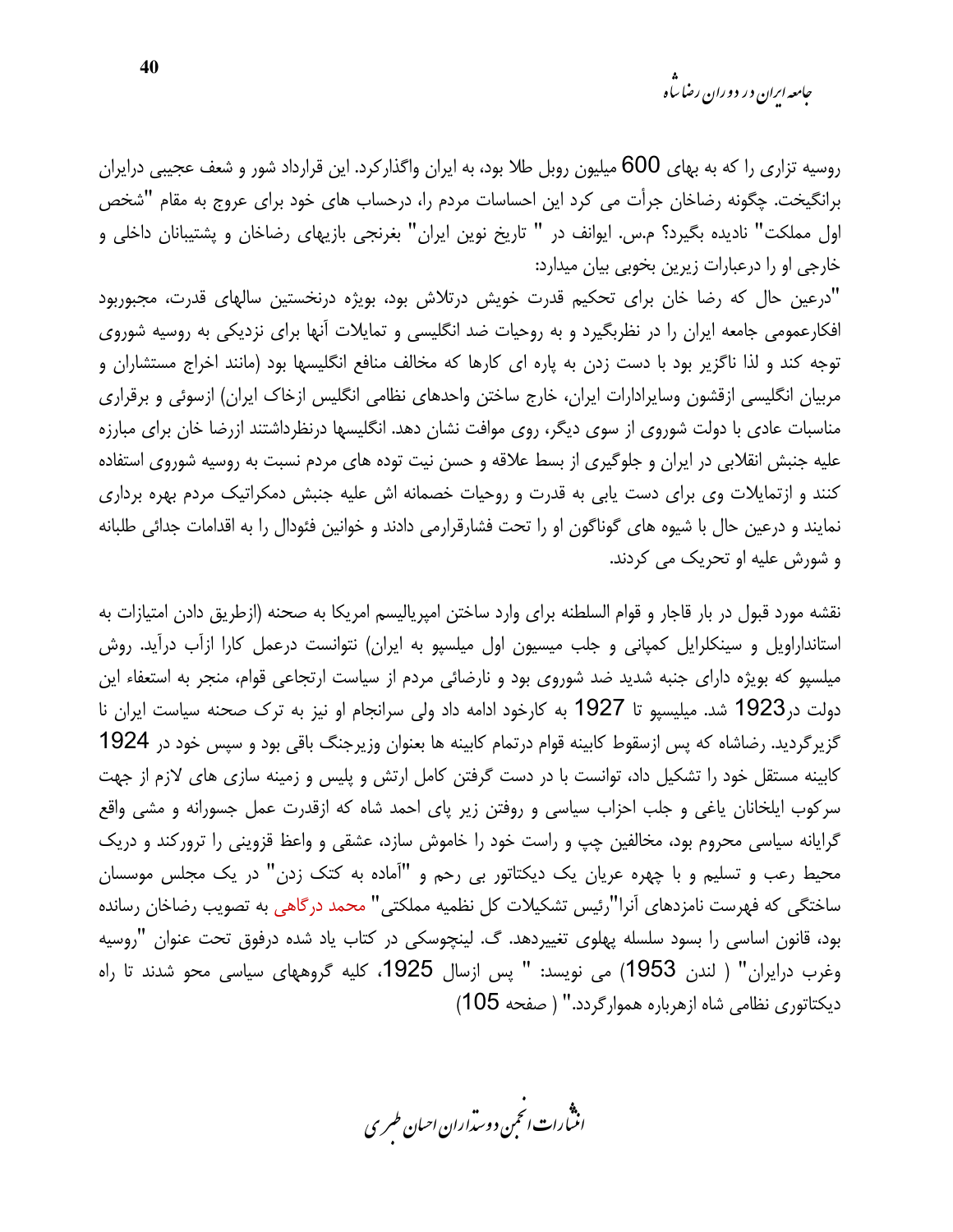روسیه تزاری را که به بهای 600 میلیون روبل طلا بود، به ایران واگذارکرد. این قرارداد شور و شعف عجیبی درایران برانگیخت. چگونه رضاخان جرأت می کرد این احساسات مردم را، درحساب های خود برای عروج به مقام "شخص اول مملکت" نادیده بگیرد؟ م.س. ایوانف در " تاریخ نوین ایران" بغرنجی بازیهای رضاخان و پشتیبانان داخلی و خارجی او را درعبارات زیرین بخوبی بیان میدارد:

"درعین حال که رضا خان برای تحکیم قدرت خویش درتلاش بود، بویژه درنخستین سالهای قدرت، مجبوربود افکارعمومی جامعه ایران را در نظربگیرد و به روحیات ضد انگلیسی و تمایلات آنها برای نزدیکی به روسیه شوروی توجه کند و لذا ناگزیر بود با دست زدن به پاره ای کارها که مخالف منافع انگلیسها بود (مانند اخراج مستشاران و مربیان انگلیسی ازقشون وسایرادارات ایران، خارج ساختن واحدهای نظامی انگلیس ازخاک ایران) ازسوئی و برقراری مناسبات عادی با دولت شوروی از سوی دیگر، روی موافت نشان دهد. انگلیسها درنظرداشتند ازرضا خان برای مبارزه علیه جنبش انقلابی در ایران و جلوگیری از بسط علاقه و حسن نیت توده های مردم نسبت به روسیه شوروی استفاده کنند و ازتمایلات وی برای دست یابی به قدرت و روحیات خصمانه اش علیه جنبش دمکراتیک مردم بهره برداری نمایند و درعین حال با شیوه های گوناگون او را تحت فشارقرارمی دادند و خوانین فئودال را به اقدامات جدائی طلبانه و شورش عليه او تحريک مي کردند.

نقشه مورد قبول در بار قاجار و قوام السلطنه براي وارد ساختن امپرياليسم امريكا به صحنه (ازطريق دادن امتيازات به استانداراویل و سینکلرایل کمپانی و جلب میسیون اول میلسپو به ایران) نتوانست درعمل کارا ازآب درآید. روش میلسپو که بویژه دارای جنبه شدید ضد شوروی بود و نارضائی مردم از سیاست ارتجاعی قوام، منجر به استعفاء این دولت در1923 شد. میلیسپو تا 1927 به کارخود ادامه داد ولی سرانجام او نیز به ترک صحنه سیاست ایران نا گزیرگردید. رضاشاه که پس ازسقوط کابینه قوام درتمام کابینه ها بعنوان وزیرجنگ باقی بود و سپس خود در 1924 کابینه مستقل خود را تشکیل داد، توانست با در دست گرفتن کامل ارتش و پلیس و زمینه سازی های لازم از جهت سرکوب ایلخانان یاغی و جلب احزاب سیاسی و روفتن زیر پای احمد شاه که ازقدرت عمل جسورانه و مشی واقع گرایانه سیاسی محروم بود، مخالفین چپ و راست خود را خاموش سازد، عشقی و واعظ قزوینی را ترورکند و دریک محیط رعب و تسلیم و با چهره عریان یک دیکتاتور بی رحم و "آماده به کتک زدن" در یک مجلس موسسان ساختگی که فهرست نامزدهای آنرا"رئیس تشکیلات کل نظمیه مملکتی" محمد درگاهی به تصویب رضاخان رسانده بود، قانون اساسی را بسود سلسله پهلوی تغییردهد. گ. لینچوسکی در کتاب یاد شده درفوق تحت عنوان "روسیه وغرب درایران" ( لندن 1953) می نویسد: " پس ازسال 1925، کلیه گروههای سیاسی محو شدند تا راه دیکتاتوری نظامی شاه ازهرباره هموارگردد." ( صفحه 105)

.<br>انن رات انجمن دوسداران احبان طسری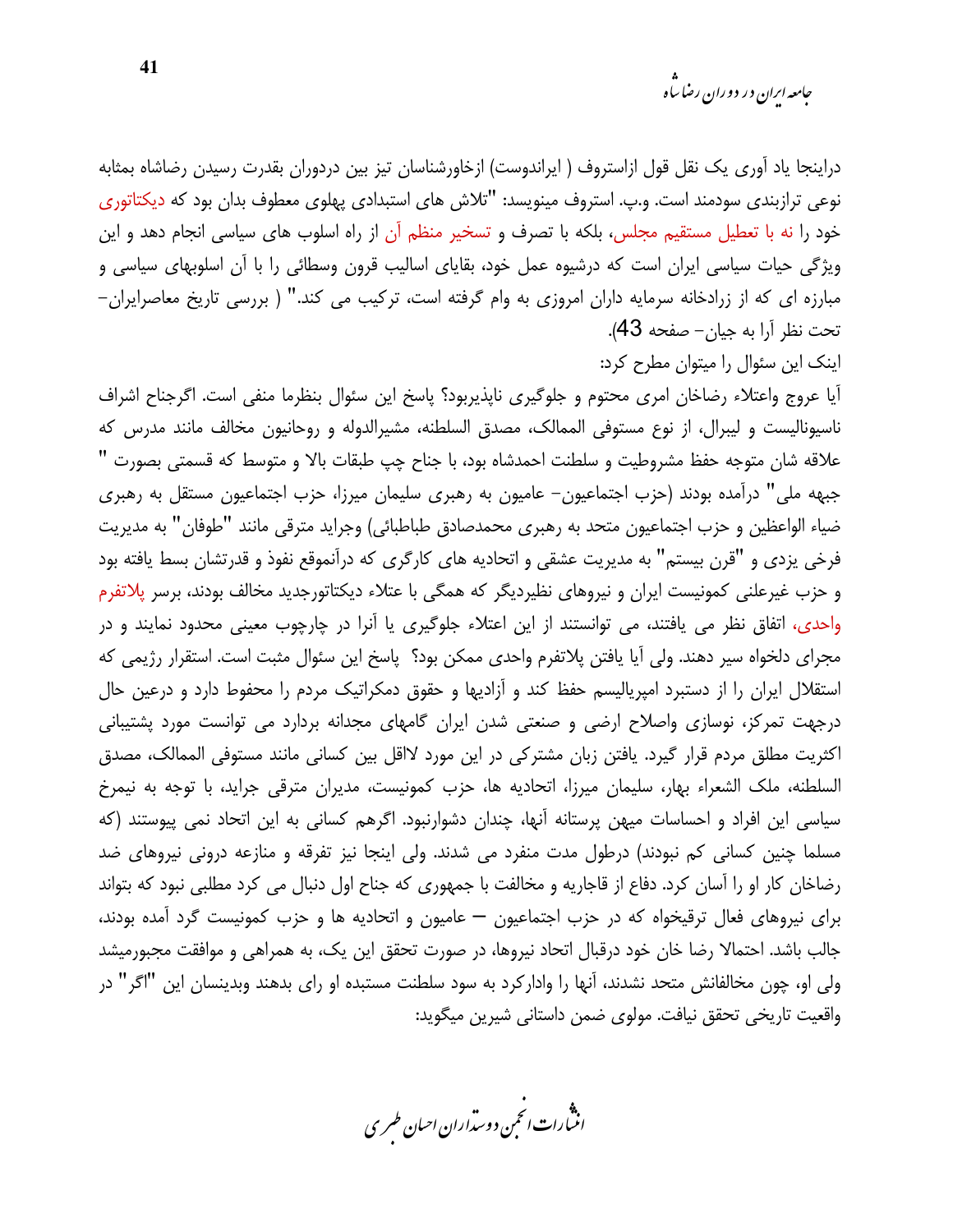دراینجا یاد آوری یک نقل قول ازاستروف ( ایراندوست) ازخاورشناسان تیز بین دردوران بقدرت رسیدن رضاشاه بمثابه نوعی ترازبندی سودمند است. و.پ. استروف مینویسد: "تلاش های استبدادی پهلوی معطوف بدان بود که دیکتاتوری خود را نه با تعطیل مستقیم مجلس، بلکه با تصرف و تسخیر منظم آن از راه اسلوب های سیاسی انجام دهد و این ویژگی حیات سیاسی ایران است که درشیوه عمل خود، بقایای اسالیب قرون وسطائی را با آن اسلوبهای سیاسی و مبارزه ای که از زرادخانه سرمایه داران امروزی به وام گرفته است، ترکیب می کند." ( بررسی تاریخ معاصرایران-تحت نظر آرا به جیان- صفحه 43).

اینک این سئوال را میتوان مطرح کرد:

آیا عروج واعتلاء رضاخان امری محتوم و جلوگیری ناپذیربود؟ پاسخ این سئوال بنظرما منفی است. اگرجناح اشراف ناسیونالیست و لیبرال، از نوع مستوفی الممالک، مصدق السلطنه، مشیرالدوله و روحانیون مخالف مانند مدرس که علاقه شان متوجه حفظ مشروطيت و سلطنت احمدشاه بود، با جناح چپ طبقات بالا و متوسط كه قسمتى بصورت " جبهه ملي" درآمده بودند (حزب اجتماعيون– عاميون به رهبري سليمان ميرزا، حزب اجتماعيون مستقل به رهبري ضياء الواعظين و حزب اجتماعيون متحد به رهبري محمدصادق طباطبائي) وجرايد مترقى مانند "طوفان" به مديريت فرخی یزدی و "قرن بیستم" به مدیریت عشقی و اتحادیه های کارگری که درآنموقع نفوذ و قدرتشان بسط یافته بود و حزب غیرعلنی کمونیست ایران و نیروهای نظیردیگر که همگی با عتلاء دیکتاتورجدید مخالف بودند، برسر پلاتفرم واحدی، اتفاق نظر می یافتند، می توانستند از این اعتلاء جلوگیری یا آنرا در چارچوب معینی محدود نمایند و در مجرای دلخواه سیر دهند. ولی آیا یافتن پلاتفرم واحدی ممکن بود؟ پاسخ این سئوال مثبت است. استقرار رژیمی که استقلال ایران را از دستبرد امپریالیسم حفظ کند و آزادیها و حقوق دمکراتیک مردم را محفوط دارد و درعین حال درجهت تمرکز، نوسازی واصلاح ارضی و صنعتی شدن ایران گامهای مجدانه بردارد می توانست مورد پشتیبانی اکثریت مطلق مردم قرار گیرد. یافتن زبان مشترکی در این مورد لااقل بین کسانی مانند مستوفی الممالک، مصدق السلطنه، ملک الشعراء بهار، سليمان ميرزا، اتحاديه ها، حزب كمونيست، مديران مترقى جرايد، با توجه به نيمرخ سیاسی این افراد و احساسات میهن پرستانه آنها، چندان دشوارنبود. اگرهم کسانی به این اتحاد نمی پیوستند (که مسلما چنین کسانی کم نبودند) درطول مدت منفرد می شدند. ولی اینجا نیز تفرقه و منازعه درونی نیروهای ضد رضاخان کار او را آسان کرد. دفاع از قاجاریه و مخالفت با جمهوری که جناح اول دنبال می کرد مطلبی نبود که بتواند برای نیروهای فعال ترقیخواه که در حزب اجتماعیون — عامیون و اتحادیه ها و حزب کمونیست گرد آمده بودند، جالب باشد. احتمالا رضا خان خود درقبال اتحاد نیروها، در صورت تحقق این یک، به همراهی و موافقت مجبورمیشد ولی او، چون مخالفانش متحد نشدند، آنها را وادار کرد به سود سلطنت مستبده او رای بدهند وبدینسان این "اگر" در واقعيت تاريخي تحقق نيافت. مولوي ضمن داستاني شيرين ميگويد:

.<br>انن رات انجمن دوسداران احبان طسری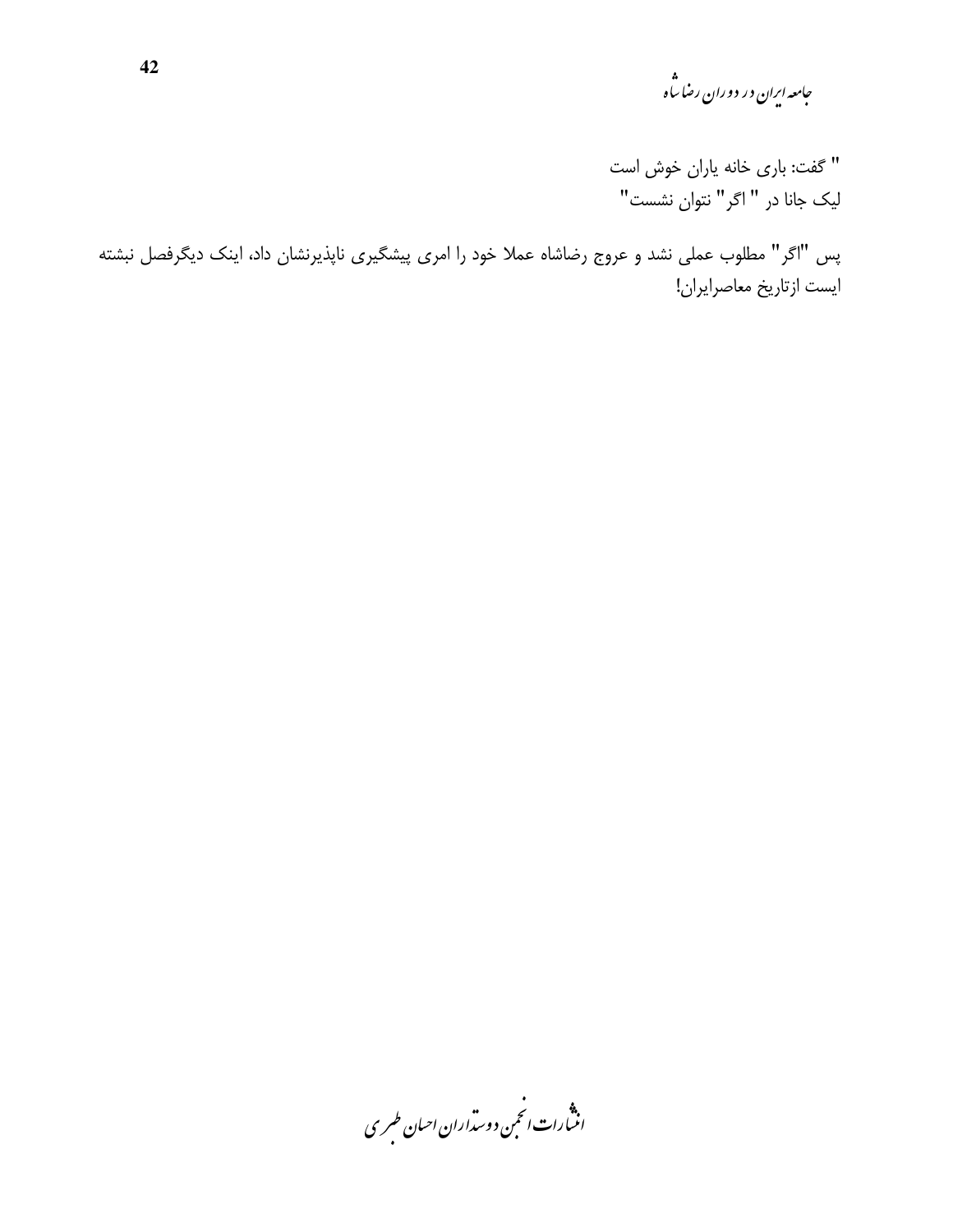جامعه ایران در دوران رضا ساه<br>مجامعه ایران در دوران رضا ساه

" گفت: باری خانه یاران خوش است لیک جانا در " اگر" نتوان نشست"

پس "اگر" مطلوب عملی نشد و عروج رضاشاه عملا خود را امری پیشگیری ناپذیرنشان داد، اینک دیگرفصل نبشته ايست ازتاريخ معاصرايران!

.<br>انثیارات انجمن دوسداران احیان طسری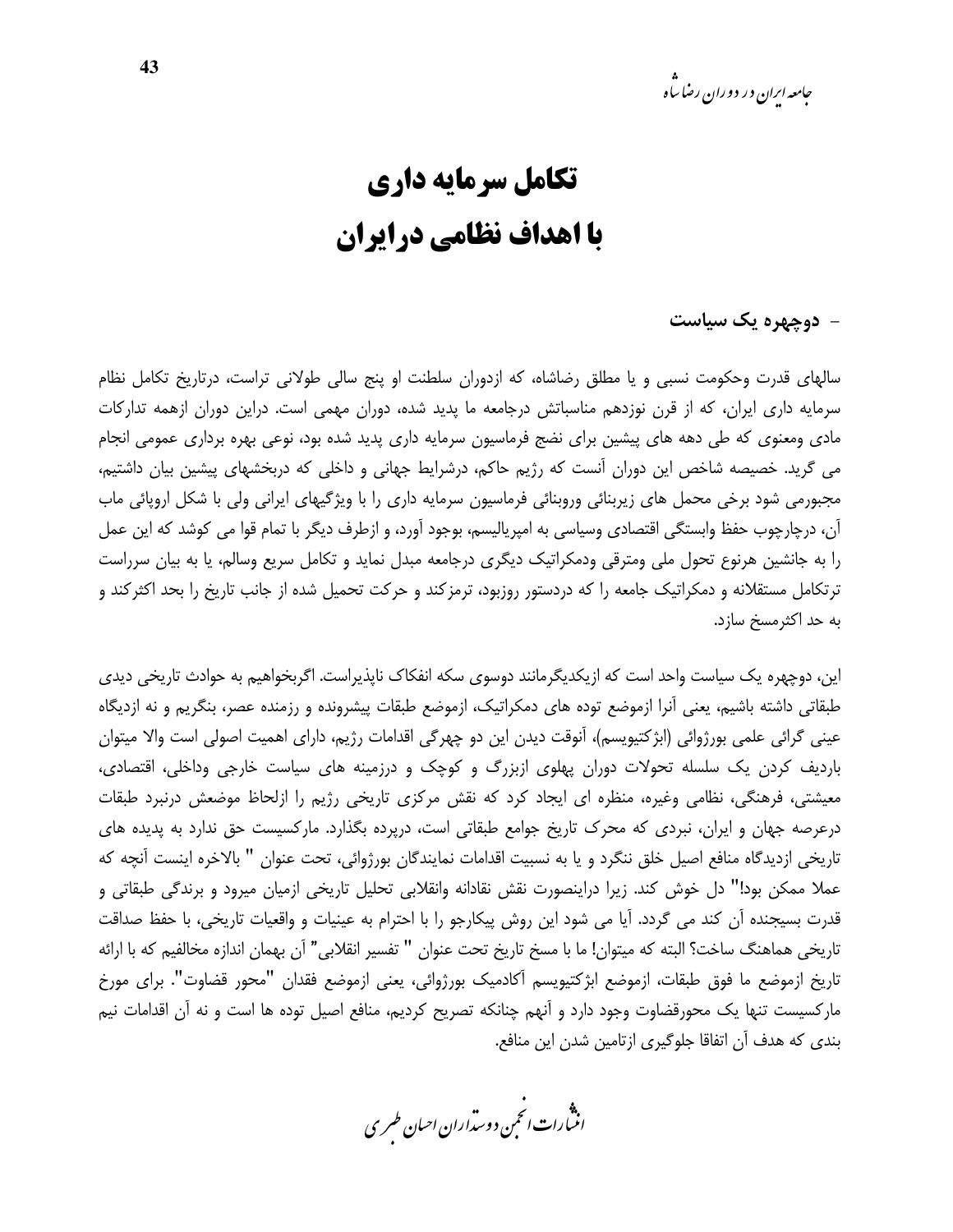*جامعه ایران در دوران رضا ساه* 

### تكامل سرمايه داري با اهداف نظامی درایران

- دوچهره یک سیاست

سالهای قدرت وحکومت نسبی و یا مطلق رضاشاه، که ازدوران سلطنت او پنج سالی طولانی تراست، درتاریخ تکامل نظام سرمایه داری ایران، که از قرن نوزدهم مناسباتش درجامعه ما پدید شده، دوران مهمی است. دراین دوران ازهمه تدارکات مادی ومعنوی که طی دهه های پیشین برای نضج فرماسیون سرمایه داری پدید شده بود، نوعی بهره برداری عمومی انجام می گرید. خصیصه شاخص این دوران آنست که رژیم حاکم، درشرایط جهانی و داخلی که دربخشهای پیشین بیان داشتیم، مجبورمی شود برخی محمل های زیربنائی وروبنائی فرماسیون سرمایه داری را با ویژگیهای ایرانی ولی با شکل اروپائی ماب آن، درچارچوب حفظ وابستگی اقتصادی وسیاسی به امپریالیسم، بوجود آورد، و ازطرف دیگر با تمام قوا می کوشد که این عمل را به جانشین هرنوع تحول ملی ومترقی ودمکراتیک دیگری درجامعه مبدل نماید و تکامل سریع وسالم، یا به بیان سرراست ترتکامل مستقلانه و دمکراتیک جامعه را که دردستور روزبود، ترمزکند و حرکت تحمیل شده از جانب تاریخ را بحد اکثرکند و به حد اکثرمسخ سازد.

این، دوچهره یک سیاست واحد است که ازیکدیگرمانند دوسوی سکه انفکاک ناپذیراست. اگربخواهیم به حوادث تاریخی دیدی طبقاتی داشته باشیم، یعنی آنرا ازموضع توده های دمکراتیک، ازموضع طبقات پیشرونده و رزمنده عصر، بنگریم و نه ازدیگاه عینی گرائی علمی بورژوائی (ابژکتیویسم)، آنوقت دیدن این دو چهرگی اقدامات رژیم، دارای اهمیت اصولی است والا میتوان باردیف کردن یک سلسله تحولات دوران پهلوی ازبزرگ و کوچک و درزمینه های سیاست خارجی وداخلی، اقتصادی، معیشتی، فرهنگی، نظامی وغیره، منظره ای ایجاد کرد که نقش مرکزی تاریخی رژیم را ازلحاظ موضعش درنبرد طبقات درعرصه جهان و ایران، نبردی که محرک تاریخ جوامع طبقاتی است، درپرده بگذارد. مارکسیست حق ندارد به پدیده های تاریخی ازدیدگاه منافع اصیل خلق ننگرد و یا به نسبیت اقدامات نمایندگان بورژوائی، تحت عنوان " بالاخره اینست آنچه که عملا ممکن بود!" دل خوش کند. زیرا دراینصورت نقش نقادانه وانقلابی تحلیل تاریخی ازمیان میرود و برندگی طبقاتی و قدرت بسيجنده أن كند مي گردد. آيا مي شود اين روش پيكارجو را با احترام به عينيات و واقعيات تاريخي، با حفظ صداقت تاريخي هماهنگ ساخت؟ البته كه ميتوان! ما با مسخ تاريخ تحت عنوان " تفسير انقلابي" آن بهمان اندازه مخالفيم كه با ارائه تاريخ ازموضع ما فوق طبقات، ازموضع ابژكتيويسم آكادميك بورژوائي، يعني ازموضع فقدان "محور قضاوت". براي مورخ مارکسیست تنها یک محورقضاوت وجود دارد و آنهم چنانکه تصریح کردیم، منافع اصیل توده ها است و نه آن اقدامات نیم بندی که هدف آن اتفاقا جلوگیری ازتامین شدن این منافع.

.<br>انن رات انجمن دوسداران احبان طسری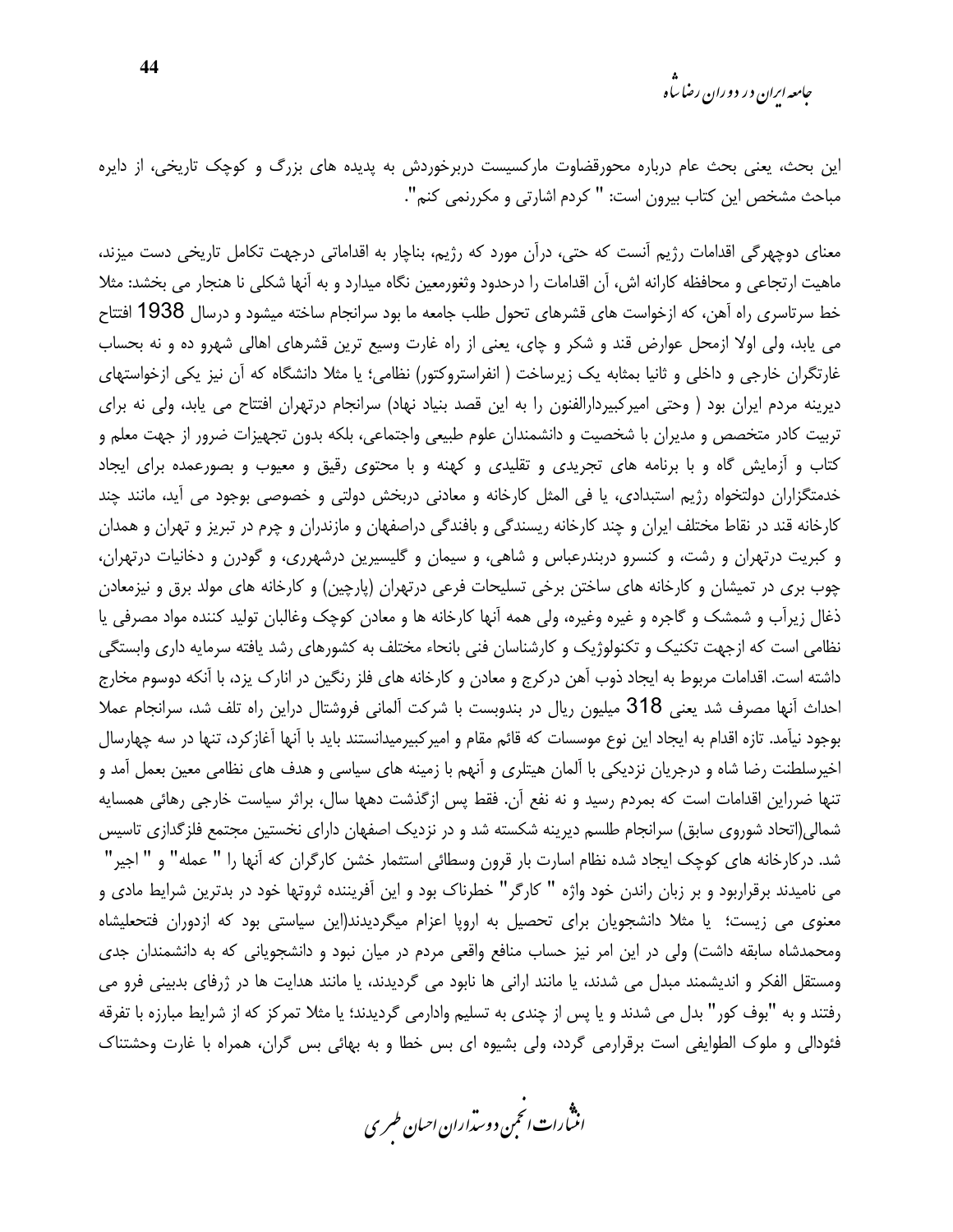*جامعه ارا*ن در دوران رضا ساه

این بحث، یعنی بحث عام درباره محورقضاوت مارکسیست دربرخوردش به پدیده های بزرگ و کوچک تاریخی، از دایره مباحث مشخص این کتاب بیرون است: " کردم اشارتی و مکررنمی کنم".

معنای دوچهرگی اقدامات رژیم آنست که حتی، درآن مورد که رژیم، بناچار به اقداماتی درجهت تکامل تاریخی دست میزند، ماهیت ارتجاعی و محافظه کارانه اش، آن اقدامات را درحدود وثغورمعین نگاه میدارد و به آنها شکلی نا هنجار می بخشد: مثلا خط سرتاسری راه آهن، که ازخواست های قشرهای تحول طلب جامعه ما بود سرانجام ساخته میشود و درسال 1938 افتتاح می پابد، ولی اولا ازمحل عوارض قند و شکر و چای، یعنی از راه غارت وسیع ترین قشرهای اهالی شهرو ده و نه بحساب غارتگران خارجی و داخلی و ثانیا بمثابه یک زیرساخت ( انفراستروکتور) نظامی؛ یا مثلا دانشگاه که آن نیز یکی ازخواستهای دیرینه مردم ایران بود ( وحتی امیرکبیردارالفنون را به این قصد بنیاد نهاد) سرانجام درتهران افتتاح می یابد، ولی نه برای تربیت کادر متخصص و مدیران با شخصیت و دانشمندان علوم طبیعی واجتماعی، بلکه بدون تجهیزات ضرور از جهت معلم و کتاب و آزمایش گاه و با برنامه های تجریدی و تقلیدی و کهنه و با محتوی رقیق و معیوب و بصورعمده برای ایجاد خدمتگزاران دولتخواه رژیم استبدادی، یا فی المثل کارخانه و معادنی دربخش دولتی و خصوصی بوجود می آید، مانند چند کارخانه قند در نقاط مختلف ایران و چند کارخانه ریسندگی و بافندگی دراصفهان و مازندران و چرم در تبریز و تهران و همدان و کبریت درتهران و رشت، و کنسرو دربندرعباس و شاهی، و سیمان و گلیسیرین درشهرری، و گودرن و دخانیات درتهران، چوب بری در تمیشان و کارخانه های ساختن برخی تسلیحات فرعی درتهران (پارچین) و کارخانه های مولد برق و نیزمعادن ذغال زیرآب و شمشک و گاجره و غیره وغیره، ولی همه آنها کارخانه ها و معادن کوچک وغالبان تولید کننده مواد مصرفی یا نظامی است که ازجهت تکنیک و تکنولوژیک و کارشناسان فنی بانحاء مختلف به کشورهای رشد یافته سرمایه داری وابستگی داشته است. اقدامات مربوط به ایجاد ذوب آهن در کرج و معادن و کارخانه های فلز رنگین در انارک پزد، با آنکه دوسوم مخارج احداث آنها مصرف شد يعني 318 ميليون ريال در بندوبست با شركت آلماني فروشتال دراين راه تلف شد، سرانجام عملا بوجود نيآمد. تازه اقدام به ايجاد اين نوع موسسات كه قائم مقام و امير كبيرميدانستند بايد با آنها آغاز كرد، تنها در سه چهارسال اخیرسلطنت رضا شاه و درجریان نزدیکی با آلمان هیتلری و آنهم با زمینه های سیاسی و هدف های نظامی معین بعمل آمد و تنها ضرراین اقدامات است که بمردم رسید و نه نفع آن. فقط پس ازگذشت دهها سال، براثر سیاست خارجی رهائی همسایه شمالی(اتحاد شوروی سابق) سرانجام طلسم دیرینه شکسته شد و در نزدیک اصفهان دارای نخستین مجتمع فلزگدازی تاسیس شد. درکارخانه های کوچک ایجاد شده نظام اسارت بار قرون وسطائی استثمار خشن کارگران که آنها را " عمله" و " اجیر" می نامیدند برقراربود و بر زبان راندن خود واژه " کارگر" خطرناک بود و این آفریننده ثروتها خود در بدترین شرایط مادی و معنوی می زیست؛ یا مثلا دانشجویان برای تحصیل به اروپا اعزام میگردیدند(این سیاستی بود که ازدوران فتحعلیشاه ومحمدشاه سابقه داشت) ولی در این امر نیز حساب منافع واقعی مردم در میان نبود و دانشجویانی که به دانشمندان جدی ومستقل الفكر و انديشمند مبدل مي شدند، يا مانند اراني ها نابود مي گرديدند، يا مانند هدايت ها در ژرفاي بدبيني فرو مي رفتند و به "بوف كور" بدل می شدند و یا پس از چندی به تسلیم وادارمی گردیدند؛ یا مثلا تمركز كه از شرایط مبارزه با تفرقه فئودالی و ملوک الطوایفی است برقرارمی گردد، ولی بشیوه ای بس خطا و به بهائی بس گران، همراه با غارت وحشتناک

.<br>اننمارات *انحمن د*وستراران ا*حسان طسر* ی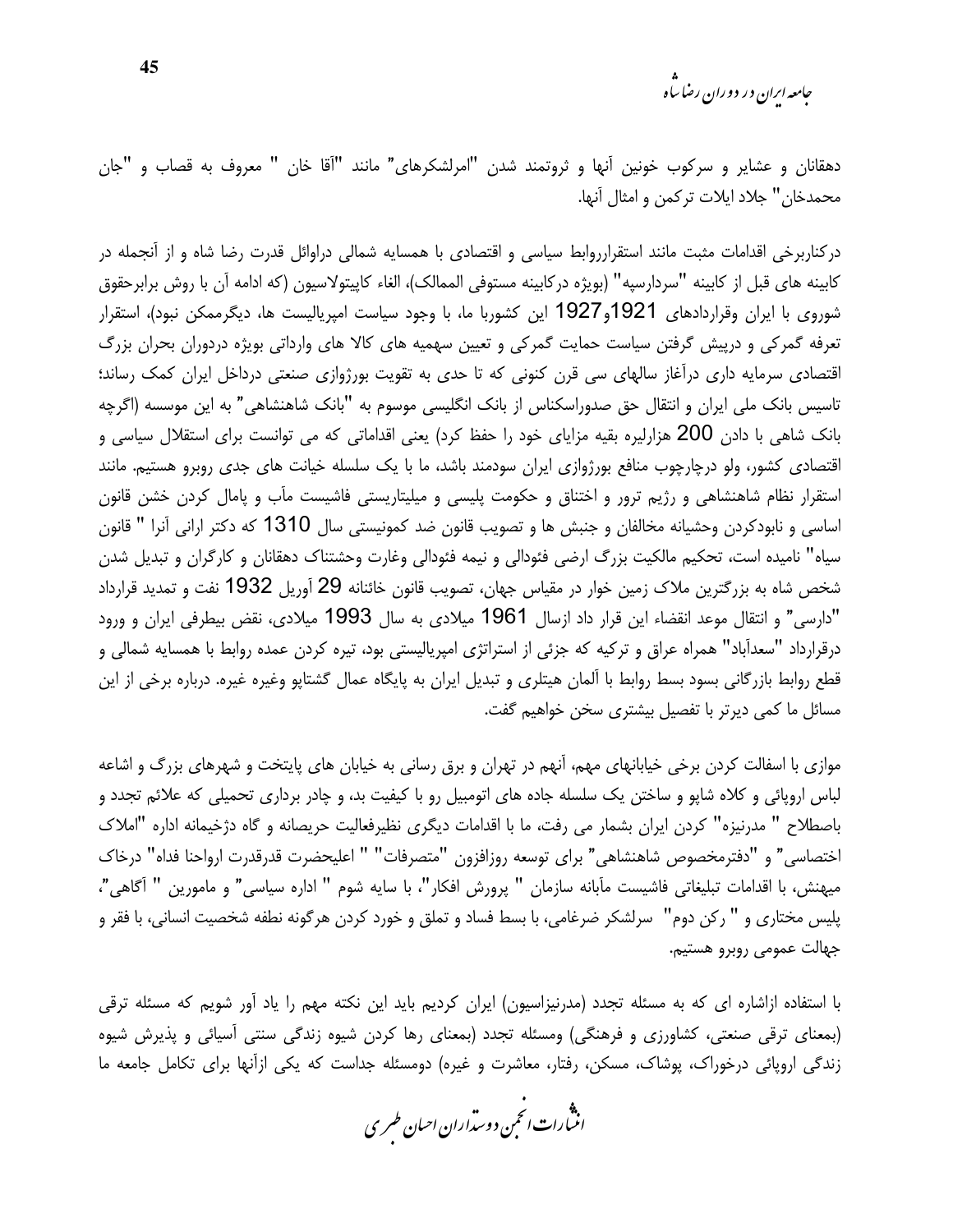جامعه ایران در دوران رضا ساه

دهقانان و عشایر و سرکوب خونین آنها و ثروتمند شدن "امرلشکرهای" مانند "آقا خان " معروف به قصاب و "جان محمدخان" جلاد ايلات تركمن و امثال آنها.

درکناربرخی اقدامات مثبت مانند استقرارروابط سیاسی و اقتصادی با همسایه شمالی دراوائل قدرت رضا شاه و از آنجمله در كابينه هاي قبل از كابينه "سردارسيه" (بويژه دركابينه مستوفى الممالك)، الغاء كاپيتولاسيون (كه ادامه آن با روش برابرحقوق شوروی با ایران وقراردادهای 1921و1927 این کشوربا ما، با وجود سیاست امپریالیست ها، دیگرممکن نبود)، استقرار تعرفه گمرکی و درپیش گرفتن سیاست حمایت گمرکی و تعیین سهمیه های کالا های وارداتی بویژه دردوران بحران بزرگ اقتصادی سرمایه داری درآغاز سالهای سی قرن کنونی که تا حدی به تقویت بورژوازی صنعتی درداخل ایران کمک رساند؛ تاسیس بانک ملی ایران و انتقال حق صدوراسکناس از بانک انگلیسی موسوم به "بانک شاهنشاهی" به این موسسه (اگرچه بانک شاهی با دادن 200 هزارلیره بقیه مزایای خود را حفظ کرد) یعنی اقداماتی که می توانست برای استقلال سیاسی و اقتصادی کشور، ولو درچارچوب منافع بورژوازی ایران سودمند باشد، ما با یک سلسله خیانت های جدی روبرو هستیم. مانند استقرار نظام شاهنشاهی و رژیم ترور و اختناق و حکومت پلیسی و میلیتاریستی فاشیست مآب و پامال کردن خشن قانون اساسی و نابودکردن وحشیانه مخالفان و جنبش ها و تصویب قانون ضد کمونیستی سال 1310 که دکتر ارانی آنرا " قانون سیاه" نامیده است، تحکیم مالکیت بزرگ ارضی فئودالی و نیمه فئودالی وغارت وحشتناک دهقانان و کارگران و تبدیل شدن شخص شاه به بزرگترین ملاک زمین خوار در مقیاس جهان، تصویب قانون خائنانه 29 آوریل 1932 نفت و تمدید قرارداد "دارسی" و انتقال موعد انقضاء این قرار داد ازسال 1961 میلادی به سال 1993 میلادی، نقض بیطرفی ایران و ورود درقرارداد "سعدآباد" همراه عراق و تركيه كه جزئي از استراتژي امپرياليستي بود، تيره كردن عمده روابط با همسايه شمالي و قطع روابط بازرگانی بسود بسط روابط با آلمان هیتلری و تبدیل ایران به پایگاه عمال گشتاپو وغیره غیره. درباره برخی از این مسائل ما کمی دیرتر با تفصیل بیشتری سخن خواهیم گفت.

موازی با اسفالت کردن برخی خیابانهای مهم، آنهم در تهران و برق رسانی به خیابان های پایتخت و شهرهای بزرگ و اشاعه لباس اروپائی و کلاه شایو و ساختن یک سلسله جاده های اتومبیل رو با کیفیت بد، و چادر برداری تحمیلی که علائم تجدد و باصطلاح " مدرنیزه" کردن ایران بشمار می رفت، ما با اقدامات دیگری نظیرفعالیت حریصانه و گاه دژخیمانه اداره "املاک اختصاسي" و "دفترمخصوص شاهنشاهي" براي توسعه روزافزون "متصرفات" " اعليحضرت قدرقدرت ارواحنا فداه" درخاك ميهنش، با اقدامات تبليغاتي فاشيست مآبانه سازمان " پرورش افكار"، با سايه شوم " اداره سياسي" و مامورين " آگاهي"، پلیس مختاری و " رکن دوم" سرلشکر ضرغامی، با بسط فساد و تملق و خورد کردن هرگونه نطفه شخصیت انسانی، با فقر و جهالت عمومي روبرو هستيم.

با استفاده ازاشاره ای که به مسئله تجدد (مدرنیزاسیون) ایران کردیم باید این نکته مهم را یاد آور شویم که مسئله ترقی (بمعنای ترقی صنعتی، کشاورزی و فرهنگی) ومسئله تجدد (بمعنای رها کردن شیوه زندگی سنتی آسیائی و پذیرش شیوه زندگی اروپائی درخوراک، پوشاک، مسکن، رفتار، معاشرت و غیره) دومسئله جداست که یکی ازآنها برای تکامل جامعه ما

.<br>انتبارات *انحم*ن دوست<sub>ر</sub>اران احبان *طسر*ی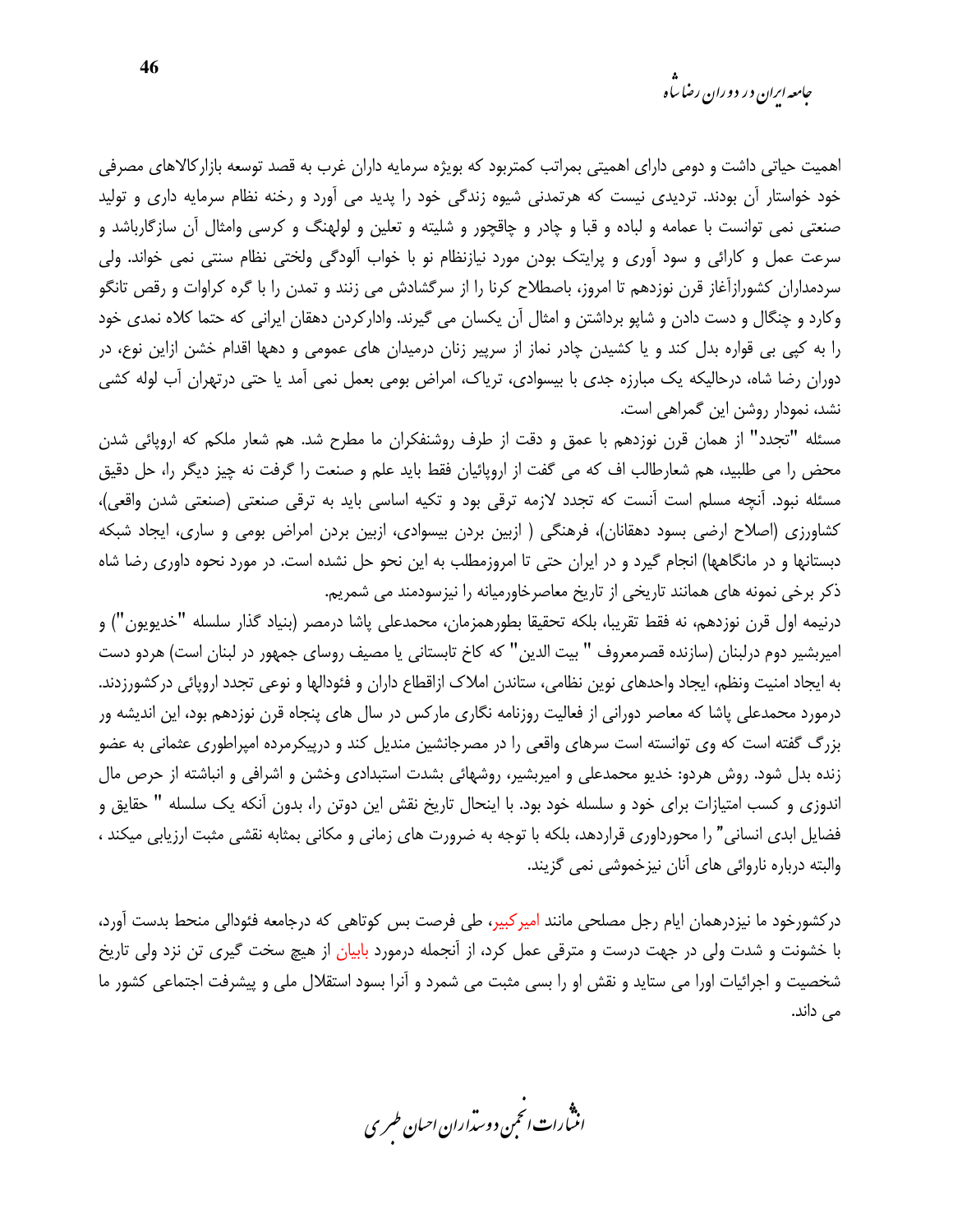اهمیت حیاتی داشت و دومی دارای اهمیتی بمراتب کمتربود که بویژه سرمایه داران غرب به قصد توسعه بازارکالاهای مصرفی خود خواستار آن بودند. تردیدی نیست که هرتمدنی شیوه زندگی خود را پدید می آورد و رخنه نظام سرمایه داری و تولید صنعتی نمی توانست با عمامه و لباده و قبا و چادر و چاقچور و شلیته و تعلین و لولهنگ و کرسی وامثال آن سازگارباشد و سرعت عمل و کارائی و سود آوری و پرایتک بودن مورد نیازنظام نو با خواب آلودگی ولختی نظام سنتی نمی خواند. ولی سردمداران کشورازآغاز قرن نوزدهم تا امروز، باصطلاح کرنا را از سرگشادش می زنند و تمدن را با گره کراوات و رقص تانگو وكارد و چنگال و دست دادن و شاپو برداشتن و امثال آن يكسان مى گيرند. واداركردن دهقان ايرانى كه حتما كلاه نمدى خود را به کپی بی قواره بدل کند و یا کشیدن چادر نماز از سرپیر زنان درمیدان های عمومی و دهها اقدام خشن ازاین نوع، در دوران رضا شاه، درحالیکه یک مبارزه جدی با بیسوادی، تریاک، امراض بومی بعمل نمی آمد یا حتی درتهران آب لوله کشی نشد، نمودار روشن این گمراهی است.

مسئله "تجدد" از همان قرن نوزدهم با عمق و دقت از طرف روشنفكران ما مطرح شد. هم شعار ملكم كه اروپائي شدن محض را می طلبید، هم شعارطالب اف که می گفت از اروپائیان فقط باید علم و صنعت را گرفت نه چیز دیگر را، حل دقیق مسئله نبود. آنچه مسلم است آنست که تجدد لازمه ترقی بود و تکیه اساسی باید به ترقی صنعتی (صنعتی شدن واقعی)، كشاورزي (اصلاح ارضى بسود دهقانان)، فرهنگى ( ازبين بردن بيسوادي، ازبين بردن امراض بومى و سارى، ايجاد شبكه دبستانها و در مانگاهها) انجام گیرد و در ایران حتی تا امروزمطلب به این نحو حل نشده است. در مورد نحوه داوری رضا شاه ذکر برخی نمونه های همانند تاریخی از تاریخ معاصرخاورمیانه را نیزسودمند می شمریم.

درنيمه اول قرن نوزدهم، نه فقط تقريبا، بلكه تحقيقا بطورهمزمان، محمدعلى پاشا درمصر (بنياد گذار سلسله "خديويون") و امپربشیر دوم درلبنان (سازنده قصرمعروف " بیت الدین" که کاخ تابستانی یا مصیف روسای جمهور در لبنان است) هردو دست به ایجاد امنیت ونظم، ایجاد واحدهای نوین نظامی، ستاندن املاک ازاقطاع داران و فئودالها و نوعی تجدد اروپائی درکشورزدند. درمورد محمدعلی پاشا که معاصر دورانی از فعالیت روزنامه نگاری مارکس در سال های پنجاه قرن نوزدهم بود، این اندیشه ور بزرگ گفته است که وی توانسته است سرهای واقعی را در مصرجانشین مندیل کند و درپیکرمرده امپراطوری عثمانی به عضو زنده بدل شود. روش هردو: خدیو محمدعلی و امیربشیر، روشهائی بشدت استبدادی وخشن و اشرافی و انباشته از حرص مال اندوزی و کسب امتیازات برای خود و سلسله خود بود. با اینحال تاریخ نقش این دوتن را، بدون آنکه یک سلسله " حقایق و فضایل ابدی انسانی" را محورداوری قراردهد، بلکه با توجه به ضرورت های زمانی و مکانی بمثابه نقشی مثبت ارزیابی میکند ، والبته درباره ناروائی های آنان نیزخموشی نمی گزیند.

درکشورخود ما نیزدرهمان ایام رجل مصلحی مانند امیرکبیر، طی فرصت بس کوتاهی که درجامعه فئودالی منحط بدست آورد، با خشونت و شدت ولی در جهت درست و مترقی عمل کرد، از آنجمله درمورد بابیان از هیچ سخت گیری تن نزد ولی تاریخ شخصیت و اجرائیات اورا می ستاید و نقش او را بسی مثبت می شمرد و آنرا بسود استقلال ملی و پیشرفت اجتماعی کشور ما مے ٖ داند.

.<br>انن رات انجمن دوسداران احبان طسری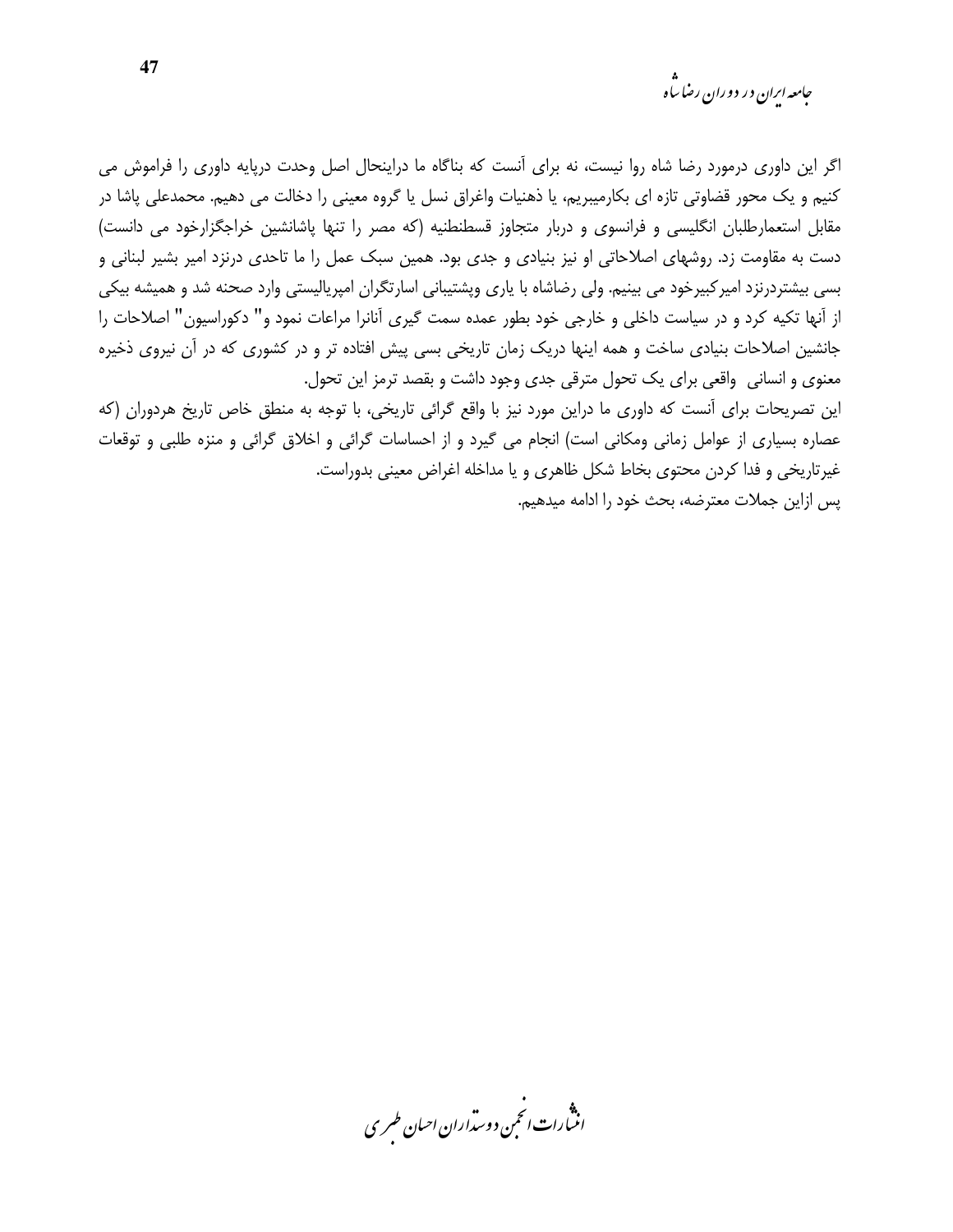*جامعه ایران در دوران رضا ساه* 

اگر این داوری درمورد رضا شاه روا نیست، نه برای آنست که بناگاه ما دراینحال اصل وحدت دریایه داوری را فراموش می کنیم و یک محور قضاوتی تازه ای بکارمیبریم، یا ذهنیات واغراق نسل یا گروه معینی را دخالت می دهیم. محمدعلی یاشا در مقابل استعمارطلبان انگلیسی و فرانسوی و دربار متجاوز قسطنطنیه (که مصر را تنها پاشانشین خراجگزارخود می دانست) دست به مقاومت زد. روشهای اصلاحاتی او نیز بنیادی و جدی بود. همین سبک عمل را ما تاحدی درنزد امیر بشیر لبنانی و بسی بیشتردرنزد امیرکبیرخود می بینیم. ولی رضاشاه با پاری وپشتیبانی اسارتگران امپریالیستی وارد صحنه شد و همیشه بیکی از آنها تکیه کرد و در سیاست داخلی و خارجی خود بطور عمده سمت گیری آنانرا مراعات نمود و" دکوراسیون" اصلاحات را جانشین اصلاحات بنیادی ساخت و همه اینها دریک زمان تاریخی بسی پیش افتاده تر و در کشوری که در آن نیروی ذخیره معنوی و انسانی واقعی برای یک تحول مترقی جدی وجود داشت و بقصد ترمز این تحول.

این تصریحات برای آنست که داوری ما دراین مورد نیز با واقع گرائی تاریخی، با توجه به منطق خاص تاریخ هردوران (که عصاره بسیاری از عوامل زمانی ومکانی است) انجام می گیرد و از احساسات گرائی و اخلاق گرائی و منزه طلبی و توقعات غیرتاریخی و فدا کردن محتوی بخاط شکل ظاهری و یا مداخله اغراض معینی بدوراست.

پس ازاین جملات معترضه، بحث خود را ادامه میدهیم.

.<br>انسارات انخمن دوسداران احبان طسری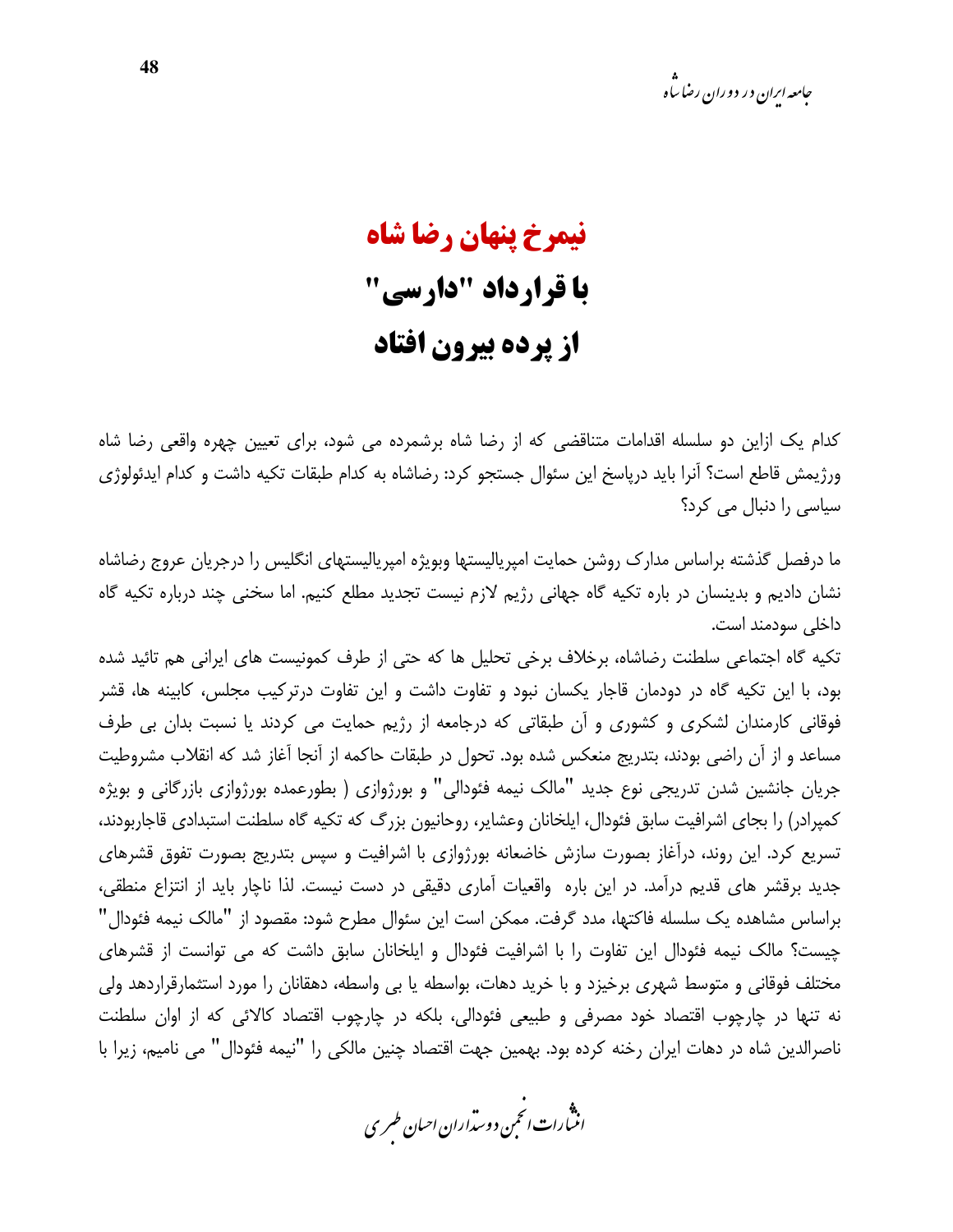## نیمرخ پنهان رضا شاه با قرارداد "دارسی" از پرده بیرون افتاد

کدام یک ازاین دو سلسله اقدامات متناقضی که از رضا شاه برشمرده می شود، برای تعیین چهره واقعی رضا شاه ورژيمش قاطع است؟ آنرا بايد درپاسخ اين سئوال جستجو كرد: رضاشاه به كدام طبقات تكيه داشت و كدام ايدئولوژي سیاسی را دنبال می کرد؟

ما درفصل گذشته براساس مدارک روشن حمایت امیرپالیستها وبویژه امیرپالیستهای انگلیس را درجریان عروج رضاشاه نشان دادیم و بدینسان در باره تکیه گاه جهانی رژیم لازم نیست تجدید مطلع کنیم. اما سخنی چند درباره تکیه گاه داخلی سودمند است.

تکیه گاه اجتماعی سلطنت رضاشاه، برخلاف برخی تحلیل ها که حتی از طرف کمونیست های ایرانی هم تائید شده بود، با این تکیه گاه در دودمان قاجار یکسان نبود و تفاوت داشت و این تفاوت درترکیب مجلس، کابینه ها، قشر فوقانی کارمندان لشکری و کشوری و آن طبقاتی که درجامعه از رژیم حمایت می کردند یا نسبت بدان بی طرف مساعد و از آن راضی بودند، بتدریج منعکس شده بود. تحول در طبقات حاکمه از آنجا آغاز شد که انقلاب مشروطیت جریان جانشین شدن تدریجی نوع جدید "مالک نیمه فئودالی" و بورژوازی ( بطورعمده بورژوازی بازرگانی و بویژه کمپرادر) را بجای اشرافیت سابق فئودال، ایلخانان وعشایر، روحانیون بزرگ که تکیه گاه سلطنت استبدادی قاجاربودند، تسریع کرد. این روند، درآغاز بصورت سازش خاضعانه بورژوازی با اشرافیت و سپس بتدریج بصورت تفوق قشرهای جدید برقشر های قدیم درآمد. در این باره واقعیات آماری دقیقی در دست نیست. لذا ناچار باید از انتزاع منطقی، براساس مشاهده یک سلسله فاکتها، مدد گرفت. ممکن است این سئوال مطرح شود: مقصود از "مالک نیمه فئودال" چیست؟ مالک نیمه فئودال این تفاوت را با اشرافیت فئودال و ایلخانان سابق داشت که می توانست از قشرهای مختلف فوقانی و متوسط شهری برخیزد و با خرید دهات، بواسطه یا بی واسطه، دهقانان را مورد استثمارقراردهد ولی نه تنها در چارچوب اقتصاد خود مصرفی و طبیعی فئودالی، بلکه در چارچوب اقتصاد کالائی که از اوان سلطنت ناصرالدین شاه در دهات ایران رخنه کرده بود. بهمین جهت اقتصاد چنین مالکی را "نیمه فئودال" می نامیم، زیرا با

.<br>انتبارات *انحم*ن دوست<sub>ر</sub>اران احبان *طسر*ی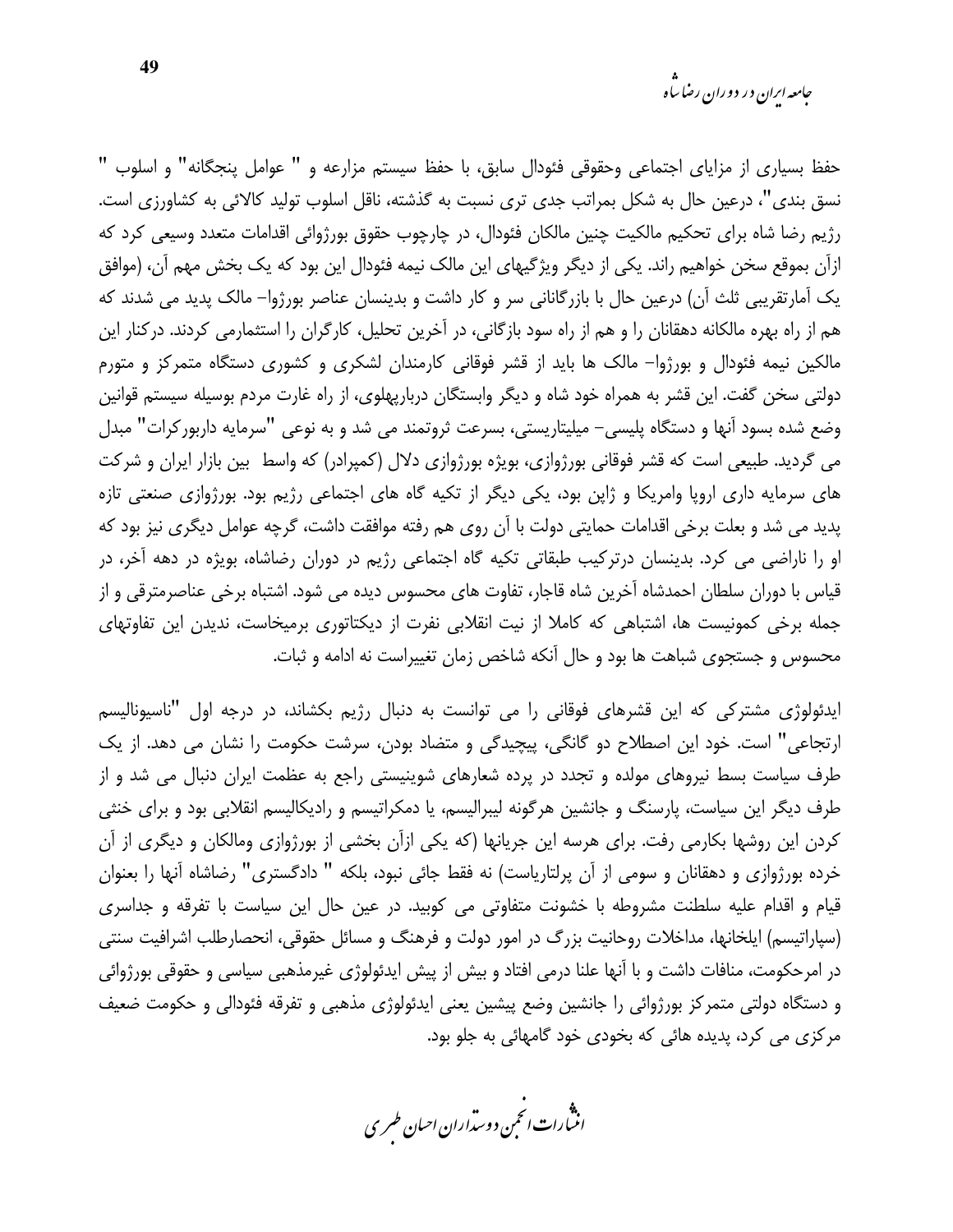حفظ بسیاری از مزایای اجتماعی وحقوقی فئودال سابق، با حفظ سیستم مزارعه و " عوامل پنجگانه" و اسلوب " نسق بندی"، درعین حال به شکل بمراتب جدی تری نسبت به گذشته، ناقل اسلوب تولید کالائی به کشاورزی است. رژیم رضا شاه برای تحکیم مالکیت چنین مالکان فئودال، در چارچوب حقوق بورژوائی اقدامات متعدد وسیعی کرد که ازآن بموقع سخن خواهیم راند. یکی از دیگر ویژگیهای این مالک نیمه فئودال این بود که یک بخش مهم آن، (موافق یک آمارتقریبی ثلث آن) درعین حال با بازرگانانی سر و کار داشت و بدینسان عناصر بورژوا– مالک پدید می شدند که هم از راه بهره مالکانه دهقانان را و هم از راه سود بازگانی، در آخرین تحلیل، کارگران را استثمارمی کردند. درکنار این مالکین نیمه فئودال و بورژوا– مالک ها باید از قشر فوقانی کارمندان لشکری و کشوری دستگاه متمرکز و متورم دولتی سخن گفت. این قشر به همراه خود شاه و دیگر وابستگان دربارپهلوی، از راه غارت مردم بوسیله سیستم قوانین وضع شده بسود آنها و دستگاه پلیسی– میلیتاریستی، بسرعت ثروتمند می شد و به نوعی "سرمایه داربورکرات" مبدل می گردید. طبیعی است که قشر فوقانی بورژوازی، بویژه بورژوازی دلال (کمپرادر) که واسط بین بازار ایران و شرکت های سرمایه داری اروپا وامریکا و ژاپن بود، یکی دیگر از تکیه گاه های اجتماعی رژیم بود. بورژوازی صنعتی تازه پدید می شد و بعلت برخی اقدامات حمایتی دولت با آن روی هم رفته موافقت داشت، گرچه عوامل دیگری نیز بود که او را ناراضی می کرد. بدینسان درترکیب طبقاتی تکیه گاه اجتماعی رژیم در دوران رضاشاه، بویژه در دهه آخر، در قیاس با دوران سلطان احمدشاه آخرین شاه قاجار، تفاوت های محسوس دیده می شود. اشتباه برخی عناصرمترقی و از جمله برخی کمونیست ها، اشتباهی که کاملا از نیت انقلابی نفرت از دیکتاتوری برمیخاست، ندیدن این تفاوتهای محسوس و جستجوی شباهت ها بود و حال آنکه شاخص زمان تغییراست نه ادامه و ثبات.

ایدئولوژی مشترکی که این قشرهای فوقانی را می توانست به دنبال رژیم بکشاند، در درجه اول "ناسیونالیسم ارتجاعي" است. خود اين اصطلاح دو گانگي، پيچيدگي و متضاد بودن، سرشت حکومت را نشان مي دهد. از يک طرف سیاست بسط نیروهای مولده و تجدد در پرده شعارهای شوینیستی راجع به عظمت ایران دنبال می شد و از طرف دیگر این سیاست، پارسنگ و جانشین هرگونه لیبرالیسم، یا دمکراتیسم و رادیکالیسم انقلابی بود و برای خنثی کردن این روشها بکارمی رفت. برای هرسه این جریانها (که یکی ازآن بخشی از بورژوازی ومالکان و دیگری از آن خرده بورژوازی و دهقانان و سومی از آن پرلتاریاست) نه فقط جائی نبود، بلکه " دادگستری" رضاشاه آنها را بعنوان قیام و اقدام علیه سلطنت مشروطه با خشونت متفاوتی می کوبید. در عین حال این سیاست با تفرقه و جداسری (سپاراتیسم) ایلخانها، مداخلات روحانیت بزرگ در امور دولت و فرهنگ و مسائل حقوقی، انحصارطلب اشرافیت سنتی در امرحکومت، منافات داشت و با آنها علنا درمی افتاد و بیش از پیش ایدئولوژی غیرمذهبی سیاسی و حقوقی بورژوائی و دستگاه دولتی متمرکز بورژوائی را جانشین وضع پیشین یعنی ایدئولوژی مذهبی و تفرقه فئودالی و حکومت ضعیف مرکزی می کرد، پدیده هائی که بخودی خود گامهائی به جلو بود.

.<br>اننمارات انځمن د وسداران احبان طسری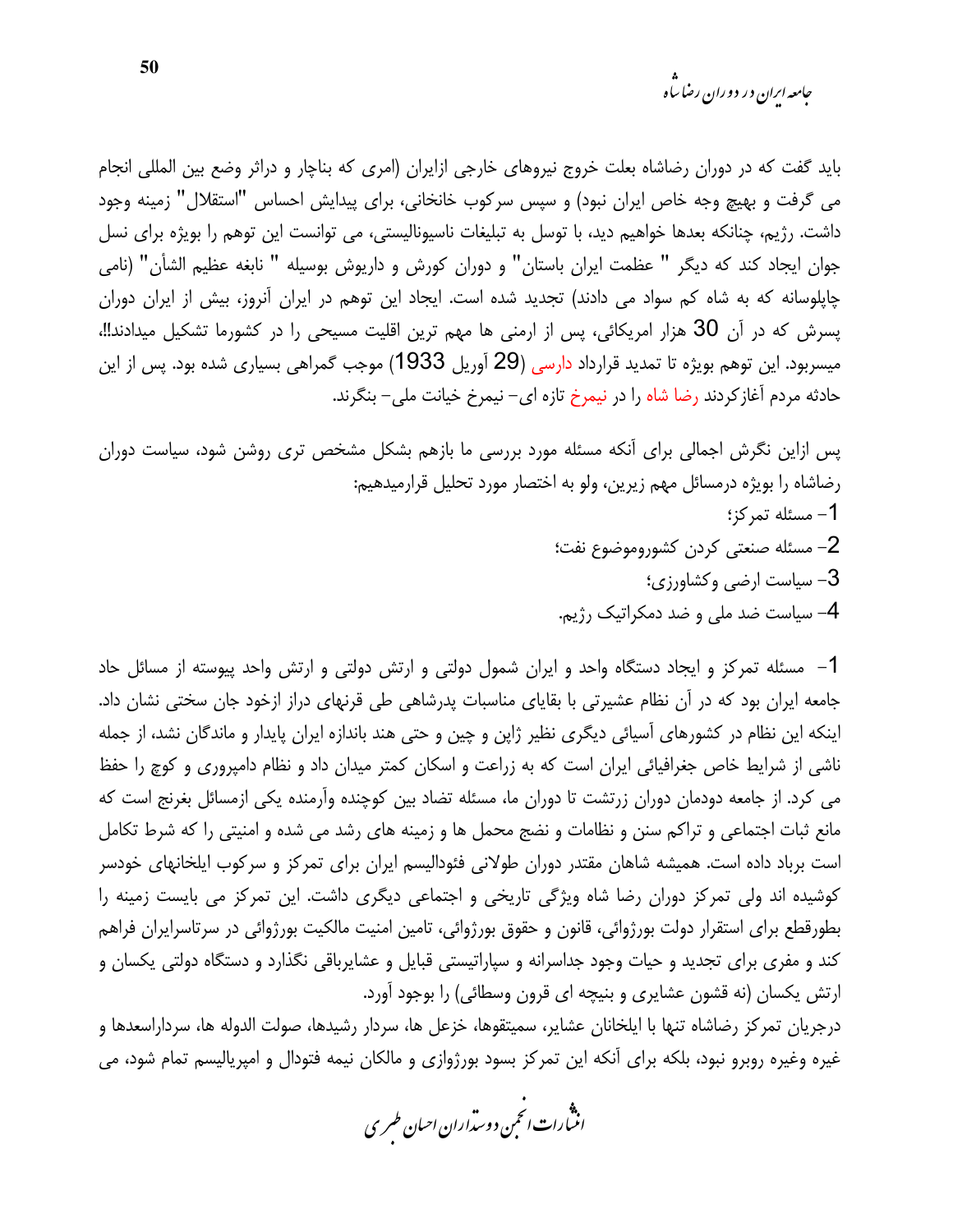*جامعه ایران در دوران رضا ساه* 

باید گفت که در دوران رضاشاه بعلت خروج نیروهای خارجی ازایران (امری که بناچار و دراثر وضع بین المللی انجام می گرفت و بهیچ وجه خاص ایران نبود) و سپس سرکوب خانخانی، برای پیدایش احساس "استقلال" زمینه وجود داشت. رژیم، چنانکه بعدها خواهیم دید، با توسل به تبلیغات ناسیونالیستی، می توانست این توهم را بویژه برای نسل جوان ايجاد كند كه ديگر " عظمت ايران باستان" و دوران كورش و داريوش بوسيله " نابغه عظيم الشأن" (نامي چاپلوسانه که به شاه کم سواد می دادند) تجدید شده است. ایجاد این توهم در ایران آنروز، بیش از ایران دوران پسرش که در آن 30 هزار امریکائی، پس از ارمنی ها مهم ترین اقلیت مسیحی را در کشورما تشکیل میدادند!!، میسربود. این توهم بویژه تا تمدید قرارداد دارسی (29 آوریل 1933) موجب گمراهی بسیاری شده بود. پس از این حادثه مردم آغاز کردند رضا شاه را در نیمرخ تازه ای– نیمرخ خیانت ملی– بنگرند.

یس ازاین نگرش اجمالی برای آنکه مسئله مورد بررسی ما بازهم بشکل مشخص تری روشن شود، سیاست دوران رضاشاه را بویژه درمسائل مهم زیرین، ولو به اختصار مورد تحلیل قرارمیدهیم: 1- مسئله تمركز؛ 2- مسئله صنعتى كردن كشوروموضوع نفت؛ 3- سیاست ارضی وکشاورزی؛ 4- سیاست ضد ملی و ضد دمکراتیک رژیم.

1– مسئله تمرکز و ایجاد دستگاه واحد و ایران شمول دولتی و ارتش دولتی و ارتش واحد پیوسته از مسائل حاد جامعه ایران بود که در آن نظام عشیرتی با بقایای مناسبات پدرشاهی طی قرنهای دراز ازخود جان سختی نشان داد. اینکه این نظام در کشورهای آسیائی دیگری نظیر ژاپن و چین و حتی هند باندازه ایران پایدار و ماندگان نشد، از جمله ناشی از شرایط خاص جغرافیائی ایران است که به زراعت و اسکان کمتر میدان داد و نظام دامیروری و کوچ را حفظ می کرد. از جامعه دودمان دوران زرتشت تا دوران ما، مسئله تضاد بین کوچنده وآرمنده یکی ازمسائل بغرنج است که مانع ثبات اجتماعی و تراکم سنن و نظامات و نضج محمل ها و زمینه های رشد می شده و امنیتی را که شرط تکامل است برباد داده است. همیشه شاهان مقتدر دوران طولانی فئودالیسم ایران برای تمرکز و سرکوب ایلخانهای خودسر کوشیده اند ولی تمرکز دوران رضا شاه ویژگی تاریخی و اجتماعی دیگری داشت. این تمرکز می بایست زمینه را بطورقطع برای استقرار دولت بورژوائی، قانون و حقوق بورژوائی، تامین امنیت مالکیت بورژوائی در سرتاسرایران فراهم کند و مفری برای تجدید و حیات وجود جداسرانه و سپاراتیستی قبایل و عشایرباقی نگذارد و دستگاه دولتی یکسان و ارتش یکسان (نه قشون عشایری و بنیچه ای قرون وسطائی) را بوجود آورد.

درجريان تمركز رضاشاه تنها با ايلخانان عشاير، سميتقوها، خزعل ها، سردار رشيدها، صولت الدوله ها، سرداراسعدها و غیره وغیره روبرو نبود، بلکه برای آنکه این تمرکز بسود بورژوازی و مالکان نیمه فتودال و امپریالیسم تمام شود، می

.<br>انثمارات *انحم*ن دوس*ترار ان احبان طسر*ی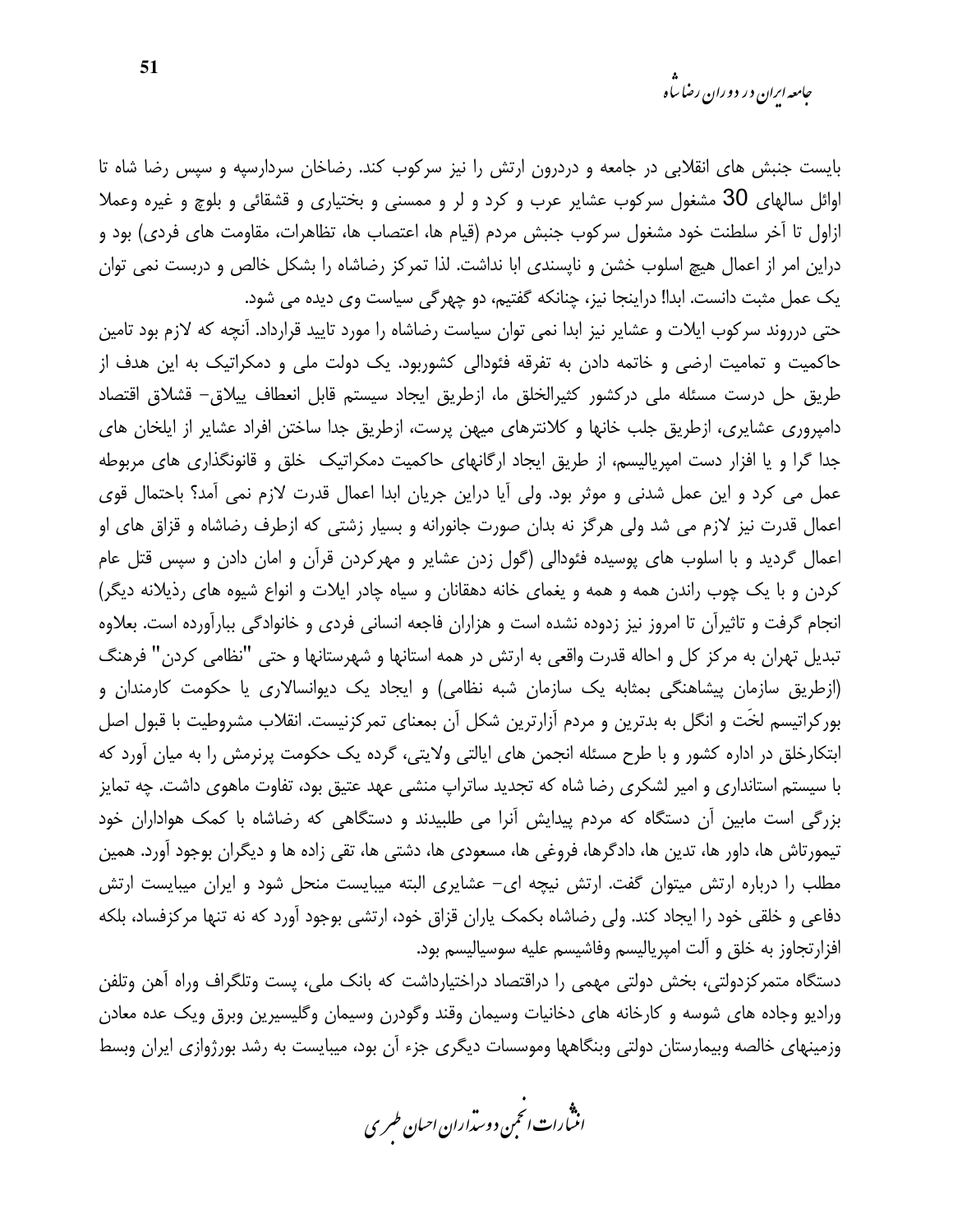بایست جنبش های انقلابی در جامعه و دردرون ارتش را نیز سرکوب کند. رضاخان سردارسیه و سپس رضا شاه تا اوائل سالهای 30 مشغول سرکوب عشایر عرب و کرد و لر و ممسنی و بختیاری و قشقائی و بلوچ و غیره وعملا ازاول تا آخر سلطنت خود مشغول سركوب جنبش مردم (قيام ها، اعتصاب ها، تظاهرات، مقاومت هاى فردى) بود و دراین امر از اعمال هیچ اسلوب خشن و نایسندی ابا نداشت. لذا تمرکز رضاشاه را بشکل خالص و دربست نمی توان یک عمل مثبت دانست. ابدا! دراینجا نیز، چنانکه گفتیم، دو چهرگی سیاست وی دیده می شود.

حتی درروند سرکوب ایلات و عشایر نیز ابدا نمی توان سیاست رضاشاه را مورد تایید قرارداد. آنچه که لازم بود تامین حاکمیت و تمامیت ارضی و خاتمه دادن به تفرقه فئودالی کشوربود. یک دولت ملی و دمکراتیک به این هدف از طريق حل درست مسئله ملي دركشور كثيرالخلق ما، ازطريق ايجاد سيستم قابل انعطاف ييلاق– قشلاق اقتصاد دامپروری عشایری، ازطریق جلب خانها و کلانترهای میهن پرست، ازطریق جدا ساختن افراد عشایر از ایلخان های جدا گرا و یا افزار دست امپریالیسم، از طریق ایجاد ارگانهای حاکمیت دمکراتیک خلق و قانونگذاری های مربوطه عمل می کرد و این عمل شدنی و موثر بود. ولی آیا دراین جریان ابدا اعمال قدرت لازم نمی آمد؟ باحتمال قوی اعمال قدرت نیز لازم می شد ولی هرگز نه بدان صورت جانورانه و بسیار زشتی که ازطرف رضاشاه و قزاق های او اعمال گردید و با اسلوب های یوسیده فئودالی (گول زدن عشایر و مهرکردن قرآن و امان دادن و سپس قتل عام کردن و با یک چوب راندن همه و همه و یغمای خانه دهقانان و سیاه چادر ایلات و انواع شیوه های رذیلانه دیگر) انجام گرفت و تاثیرآن تا امروز نیز زدوده نشده است و هزاران فاجعه انسانی فردی و خانوادگی ببارآورده است. بعلاوه تبدیل تهران به مرکز کل و احاله قدرت واقعی به ارتش در همه استانها و شهرستانها و حتی "نظامی کردن" فرهنگ (ازطریق سازمان پیشاهنگی بمثابه یک سازمان شبه نظامی) و ایجاد یک دیوانسالاری یا حکومت کارمندان و بورکراتیسم لخّت و انگل به بدترین و مردم آزارترین شکل آن بمعنای تمرکزنیست. انقلاب مشروطیت با قبول اصل ابتکارخلق در اداره کشور و با طرح مسئله انجمن های ایالتی ولایتی، گرده یک حکومت پرنرمش را به میان آورد که با سیستم استانداری و امیر لشکری رضا شاه که تجدید ساتراپ منشی عهد عتیق بود، تفاوت ماهوی داشت. چه تمایز بزرگی است مابین آن دستگاه که مردم پیدایش آنرا می طلبیدند و دستگاهی که رضاشاه با کمک هواداران خود تیمورتاش ها، داور ها، تدین ها، دادگرها، فروغی ها، مسعودی ها، دشتی ها، تقی زاده ها و دیگران بوجود آورد. همین مطلب را درباره ارتش میتوان گفت. ارتش نیچه ای- عشایری البته میبایست منحل شود و ایران میبایست ارتش دفاعی و خلقی خود را ایجاد کند. ولی رضاشاه بکمک پاران قزاق خود، ارتشی بوجود آورد که نه تنها مرکزفساد، بلکه افزارتجاوز به خلق و آلت امیریالیسم وفاشیسم علیه سوسیالیسم بود.

دستگاه متمرکزدولتی، بخش دولتی مهمی را دراقتصاد دراختیارداشت که بانک ملی، پست وتلگراف وراه آهن وتلفن ورادیو وجاده های شوسه و کارخانه های دخانیات وسیمان وقند وگودرن وسیمان وگلیسیرین وبرق ویک عده معادن وزمینهای خالصه وبیمارستان دولتی وبنگاهها وموسسات دیگری جزء آن بود، میبایست به رشد بورژوازی ایران وبسط

.<br>انث رات انجمن دوسداران احبان طسری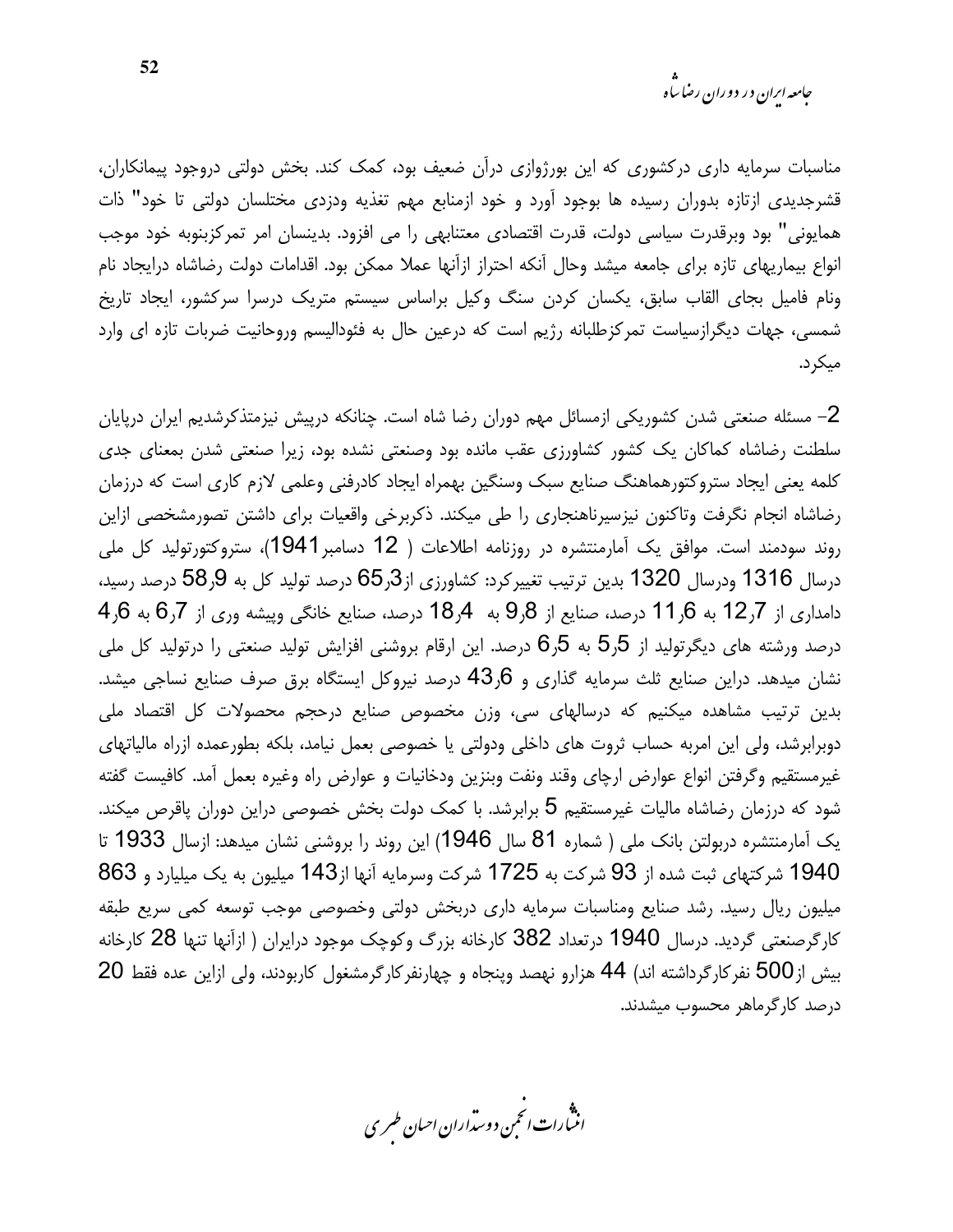*جامعه ایران در دوران رضا ساه* 

مناسبات سرمایه داری درکشوری که این بورژوازی درآن ضعیف بود، کمک کند. بخش دولتی دروجود پیمانکاران، قشرجدیدی ازتازه بدوران رسیده ها بوجود آورد و خود ازمنابع مهم تغذیه ودزدی مختلسان دولتی تا خود" ذات همایونی" بود وبرقدرت سیاسی دولت، قدرت اقتصادی معتنابهی را می افزود. بدینسان امر تمرکزبنوبه خود موجب انواع بیماریهای تازه برای جامعه میشد وحال آنکه احتراز ازآنها عملا ممکن بود. اقدامات دولت رضاشاه درایجاد نام ونام فامیل بجای القاب سابق، یکسان کردن سنگ وکیل براساس سیستم متریک درسرا سرکشور، ایجاد تاریخ شمسی، جهات دیگرازسیاست تمرکزطلبانه رژیم است که درعین حال به فئودالیسم وروحانیت ضربات تازه ای وارد میکر د.

2– مسئله صنعتی شدن کشوریکی ازمسائل مهم دوران رضا شاه است. چنانکه درپیش نیزمتذکرشدیم ایران درپایان سلطنت رضاشاه كماكان يك كشور كشاورزى عقب مانده بود وصنعتى نشده بود، زيرا صنعتى شدن بمعناى جدى كلمه يعني ايجاد ستروكتورهماهنگ صنايع سبك وسنگين بهمراه ايجاد كادرفني وعلمي لازم كارى است كه درزمان رضاشاه انجام نگرفت وتاكنون نيزسيرناهنجاري را طي ميكند. ذكربرخي واقعيات براي داشتن تصورمشخصي ازاين روند سودمند است. موافق یک آمارمنتشره در روزنامه اطلاعات ( 12 دسامبر1941)، ستروکتورتولید کل ملی درسال 1316 ودرسال 1320 بدين ترتيب تغييركرد: كشاورزي از3ر65 درصد توليد كل به 9ر58 درصد رسيد،  $4,6$  دامداری از 7ر12 به 16ر1 درصد، صنایع از 9ر9 به  $4,4$ 18 درصد، صنایع خانگی وپیشه وری از 7ر6 به 6ر درصد ورشته های دیگرتولید از 5٫5 به 5٫5 درصد. این ارقام بروشنی افزایش تولید صنعتی را درتولید کل ملی نشان میدهد. دراین صنایع ثلث سرمایه گذاری و 43٫6 درصد نیروکل ایستگاه برق صرف صنایع نساجی میشد. بدین ترتیب مشاهده میکنیم که درسالهای سی، وزن مخصوص صنایع درحجم محصولات کل اقتصاد ملی دوبرابرشد، ولی این امربه حساب ثروت های داخلی ودولتی یا خصوصی بعمل نیامد، بلکه بطورعمده ازراه مالیاتهای غیرمستقیم وگرفتن انواع عوارض ارچای وقند ونفت وبنزین ودخانیات و عوارض راه وغیره بعمل آمد. كافیست گفته شود که درزمان رضاشاه مالیات غیرمستقیم 5 برابرشد. با کمک دولت بخش خصوصی دراین دوران پاقرص میکند. یک آمارمنتشره دربولتن بانک ملی ( شماره 81 سال 1946) این روند را بروشنی نشان میدهد: ازسال 1933 تا 1940 شركتهاى ثبت شده از 93 شركت به 1725 شركت وسرمايه آنها از143 ميليون به يک ميليارد و 863 میلیون ریال رسید. رشد صنایع ومناسبات سرمایه داری دربخش دولتی وخصوصی موجب توسعه کمی سریع طبقه کارگرصنعتی گردید. درسال 1940 درتعداد 382 کارخانه بزرگ وکوچک موجود درایران ( ازآنها تنها 28 کارخانه بیش از500 نفرکارگرداشته اند) 44 هزارو نهصد وپنجاه و چهارنفرکارگرمشغول کاربودند، ولی ازاین عده فقط 20 درصد کارگرماهر محسوب مشدند.

.<br>اننمارات انځمن د وسداران احبان طسری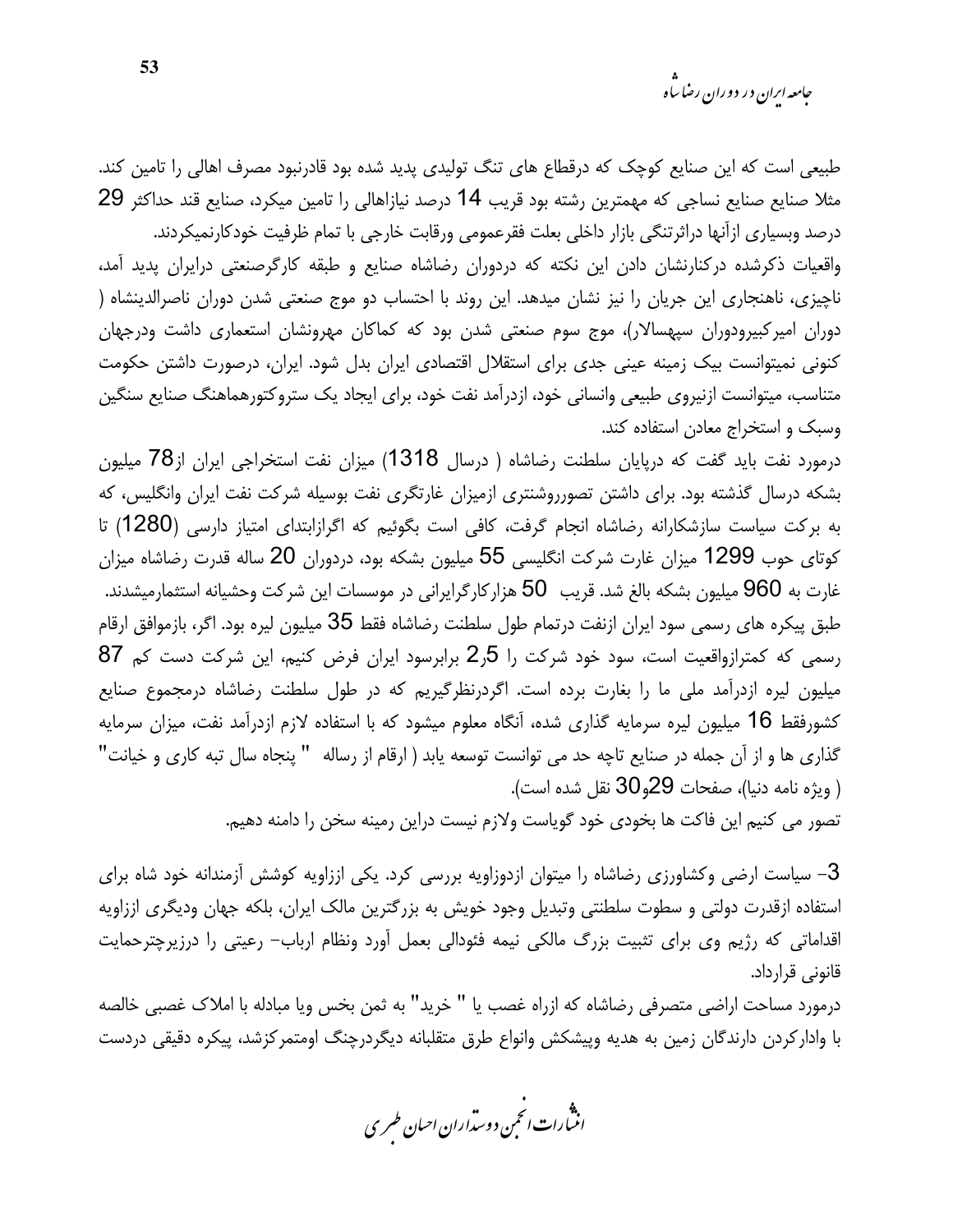طبیعی است که این صنایع کوچک که درقطاع های تنگ تولیدی پدید شده بود قادرنبود مصرف اهالی را تامین کند. مثلا صنايع صنايع نساجي كه مهمترين رشته بود قريب 14 درصد نيازاهالي را تامين ميكرد، صنايع قند حداكثر 29 درصد وبسياري ازآنها دراثرتنگي بازار داخلي بعلت فقرعمومي ورقابت خارجي با تمام ظرفيت خودكارنميكردند. واقعیات ذکرشده درکنارنشان دادن این نکته که دردوران رضاشاه صنایع و طبقه کارگرصنعتی درایران پدید آمد، ناچیزی، ناهنجاری این جریان را نیز نشان میدهد. این روند با احتساب دو موج صنعتی شدن دوران ناصرالدینشاه ( دوران امیرکبیرودوران سپهسالار)، موج سوم صنعتی شدن بود که کماکان مهرونشان استعماری داشت ودرجهان كنوني نميتوانست بيك زمينه عيني جدى براى استقلال اقتصادى ايران بدل شود. ايران، درصورت داشتن حكومت متناسب، میتوانست ازنیروی طبیعی وانسانی خود، ازدرآمد نفت خود، برای ایجاد یک ستروکتورهماهنگ صنایع سنگین وسبک و استخراج معادن استفاده کند.

درمورد نفت باید گفت که درپایان سلطنت رضاشاه ( درسال 1318) میزان نفت استخراجی ایران از78 میلیون بشکه درسال گذشته بود. برای داشتن تصورروشنتری ازمیزان غارتگری نفت بوسیله شرکت نفت ایران وانگلیس، که به بركت سياست سازشكارانه رضاشاه انجام گرفت، كافي است بگوئيم كه اگرازابتداي امتياز دارسي (1280) تا کوتای حوب 1299 میزان غارت شرکت انگلیسی 55 میلیون بشکه بود، دردوران 20 ساله قدرت رضاشاه میزان غارت به 960 میلیون بشکه بالغ شد. قریب 50 هزارکارگرایرانی در موسسات این شرکت وحشیانه استثمارمیشدند. طبق پیکره های رسمی سود ایران ازنفت درتمام طول سلطنت رضاشاه فقط 35 میلیون لیره بود. اگر، بازموافق ارقام رسمی که کمترازواقعیت است، سود خود شرکت را 5ر2 برابرسود ایران فرض کنیم، این شرکت دست کم 87 میلیون لیره ازدرآمد ملی ما را بغارت برده است. اگردرنظرگیریم که در طول سلطنت رضاشاه درمجموع صنایع کشورفقط 16 میلیون لیره سرمایه گذاری شده، آنگاه معلوم میشود که با استفاده لازم ازدرآمد نفت، میزان سرمایه گذاری ها و از آن جمله در صنایع تاچه حد می توانست توسعه پابد ( ارقام از رساله " پنجاه سال تبه کاری و خیانت" ( ويژه نامه دنيا)، صفحات 29و30 نقل شده است).

تصور می کنیم این فاکت ها بخودی خود گویاست ولازم نیست دراین رمینه سخن را دامنه دهیم.

3– سیاست ارضی وکشاورزی رضاشاه را میتوان ازدوزاویه بررسی کرد. یکی اززاویه کوشش آزمندانه خود شاه برای استفاده ازقدرت دولتی و سطوت سلطنتی وتبدیل وجود خویش به بزرگترین مالک ایران، بلکه جهان ودیگری اززاویه اقداماتی که رژیم وی برای تثبیت بزرگ مالکی نیمه فئودالی بعمل آورد ونظام ارباب- رعیتی را درزیرچترحمایت قانونے ، قرارداد۔

درمورد مساحت اراضی متصرفی رضاشاه که ازراه غصب یا " خرید" به ثمن بخس ویا مبادله با املاک غصبی خالصه با واداركردن دارندگان زمين به هديه وپيشكش وانواع طرق متقلبانه ديگردرچنگ اومتمركزشد، پيكره دقيقى دردست

.<br>انن رات انجمن دوسداران احبان طسری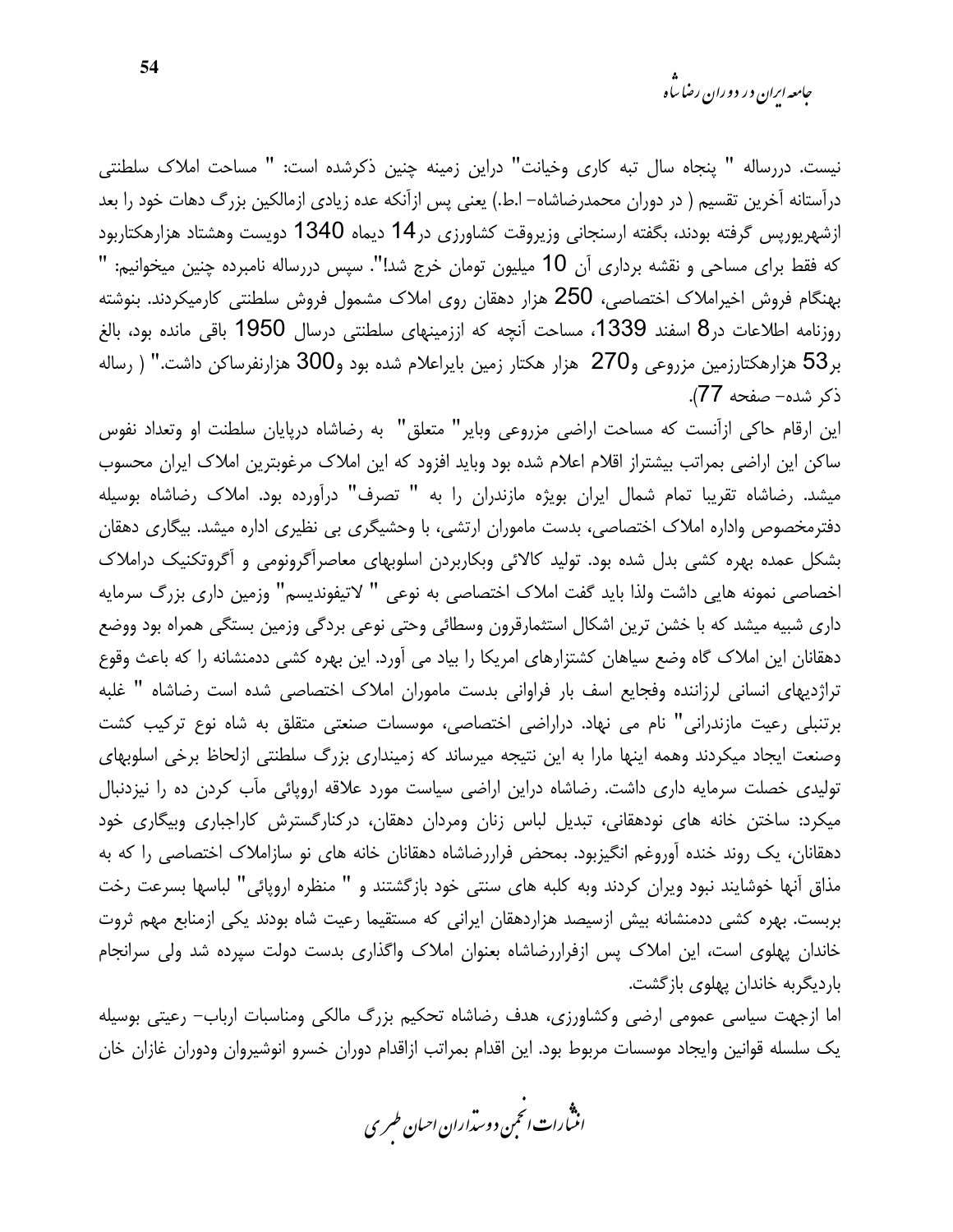*جامعه ایران در دوران رضا ساه* 

نيست. دررساله " پنجاه سال تبه كارى وخيانت" دراين زمينه چنين ذكرشده است: " مساحت املاك سلطنتي درآستانه آخرین تقسیم ( در دوران محمدرضاشاه– ا.ط.) یعنی پس ازآنکه عده زیادی ازمالکین بزرگ دهات خود را بعد ازشهريورپس گرفته بودند، بگفته ارسنجاني وزيروقت كشاورزي در14 ديماه 1340 دويست وهشتاد هزارهكتاربود که فقط برای مساحی و نقشه برداری آن 10 میلیون تومان خرج شد!". سپس دررساله نامبرده چنین میخوانیم: " بهنگام فروش اخیراملاک اختصاصی، 250 هزار دهقان روی املاک مشمول فروش سلطنتی کارمیکردند. بنوشته روزنامه اطلاعات در8 اسفند 1339، مساحت أنچه که اززمینهای سلطنتی درسال 1950 باقی مانده بود، بالغ بر53 هزارهكتارزمين مزروعي و270 هزار هكتار زمين بايراعلام شده بود و300 هزارنفرساكن داشت." ( رساله ذكر شده- صفحه 77).

این ارقام حاکی ازآنست که مساحت اراضی مزروعی وبایر" متعلق" به رضاشاه درپایان سلطنت او وتعداد نفوس ساکن این اراضی بمراتب بیشتراز اقلام اعلام شده بود وباید افزود که این املاک مرغوبترین املاک ایران محسوب میشد. رضاشاه تقریبا تمام شمال ایران بویژه مازندران را به " تصرف" درآورده بود. املاک رضاشاه بوسیله دفترمخصوص واداره املاک اختصاصی، بدست ماموران ارتشی، با وحشیگری بی نظیری اداره میشد. بیگاری دهقان بشکل عمده بهره کشی بدل شده بود. تولید کالائی وبکاربردن اسلوبهای معاصرآگرونومی و آگروتکنیک دراملاک اخصاصی نمونه هایی داشت ولذا باید گفت املاک اختصاصی به نوعی " لاتیفوندیسم" وزمین داری بزرگ سرمایه داری شبیه میشد که با خشن ترین اشکال استثمارقرون وسطائی وحتی نوعی بردگی وزمین بستگی همراه بود ووضع دهقانان این املاک گاه وضع سیاهان کشتزارهای امریکا را بیاد می آورد. این بهره کشی ددمنشانه را که باعث وقوع تراژدیهای انسانی لرزاننده وفجایع اسف بار فراوانی بدست ماموران املاک اختصاصی شده است رضاشاه " غلبه برتنبلی رعیت مازندرانی" نام می نهاد. دراراضی اختصاصی، موسسات صنعتی متقلق به شاه نوع ترکیب کشت وصنعت ایجاد میکردند وهمه اینها مارا به این نتیجه میرساند که زمینداری بزرگ سلطنتی ازلحاظ برخی اسلوبهای تولیدی خصلت سرمایه داری داشت. رضاشاه دراین اراضی سیاست مورد علاقه اروپائی مآب کردن ده را نیزدنبال میکرد: ساختن خانه های نودهقانی، تبدیل لباس زنان ومردان دهقان، درکنارگسترش کاراجباری وبیگاری خود دهقانان، یک روند خنده آوروغم انگیزبود. بمحض فراررضاشاه دهقانان خانه های نو سازاملاک اختصاصی را که به مذاق آنها خوشایند نبود ویران کردند وبه کلبه های سنتی خود بازگشتند و " منظره اروپائی" لباسها بسرعت رخت بربست. بهره کشی ددمنشانه بیش ازسیصد هزاردهقان ایرانی که مستقیما رعیت شاه بودند یکی ازمنابع مهم ثروت خاندان پهلوی است، این املاک پس ازفراررضاشاه بعنوان املاک واگذاری بدست دولت سپرده شد ولی سرانجام باردیگربه خاندان یهلوی بازگشت.

اما ازجهت سیاسی عمومی ارضی وکشاورزی، هدف رضاشاه تحکیم بزرگ مالکی ومناسبات ارباب– رعیتی بوسیله يك سلسله قوانين وايجاد موسسات مربوط بود. اين اقدام بمراتب ازاقدام دوران خسرو انوشيروان ودوران غازان خان

.<br>انن رات انځمن د وسداران احبان طسری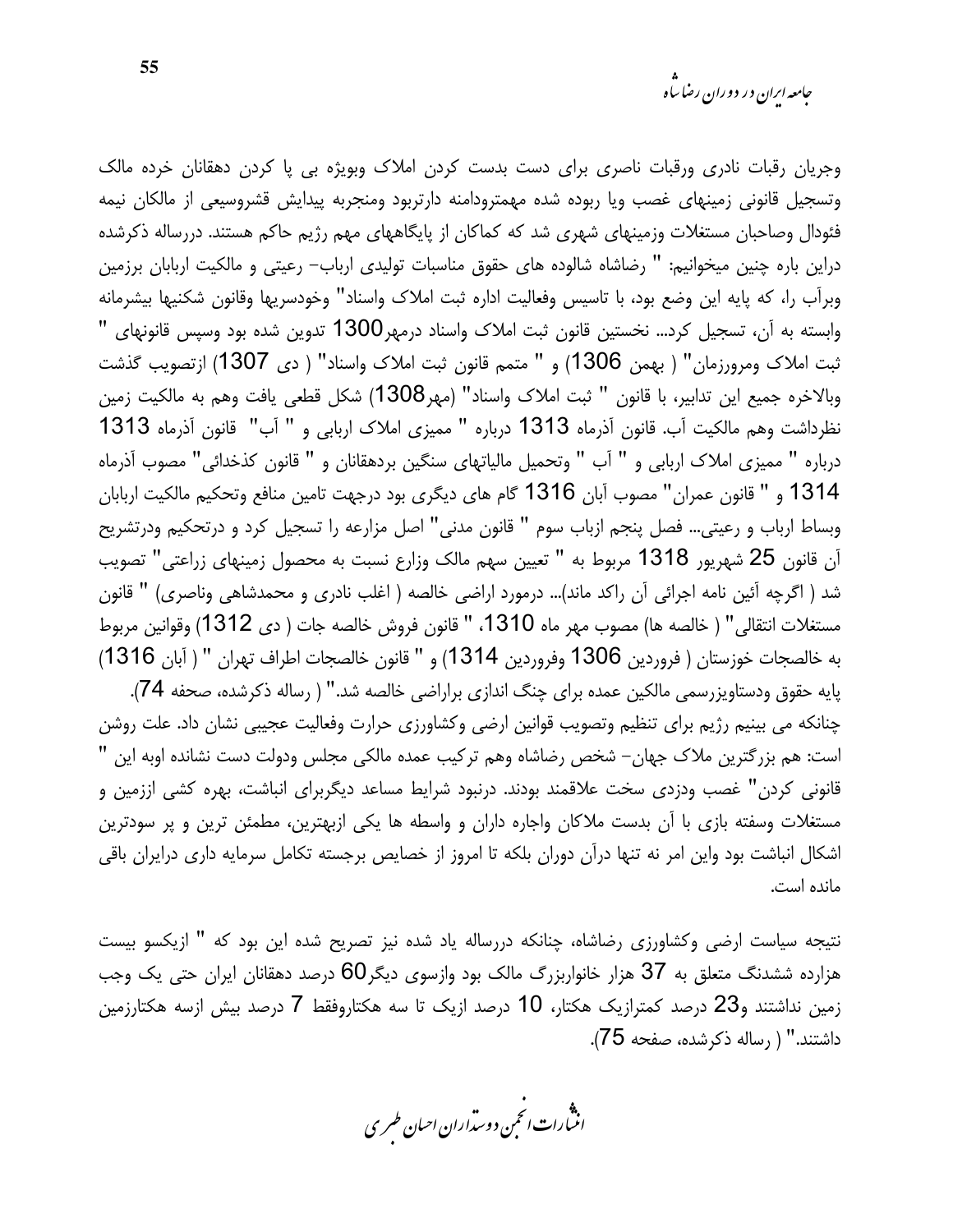وجریان رقبات نادری ورقبات ناصری برای دست بدست کردن املاک وبویژه بی پا کردن دهقانان خرده مالک وتسجيل قانوني زمينهاى غصب ويا ربوده شده مهمترودامنه دارتربود ومنجربه پيدايش قشروسيعي از مالكان نيمه فئودال وصاحبان مستغلات وزمینهای شهری شد که کماکان از پایگاههای مهم رژیم حاکم هستند. دررساله ذکرشده دراین باره چنین میخوانیم: " رضاشاه شالوده های حقوق مناسبات تولیدی ارباب– رعیتی و مالکیت اربابان برزمین وبرأب را، كه پايه اين وضع بود، با تاسيس وفعاليت اداره ثبت املاك واسناد" وخودسريها وقانون شكنيها بيشرمانه وابسته به آن، تسجیل کرد... نخستین قانون ثبت املاک واسناد درمهر1300 تدوین شده بود وسپس قانونهای " ثبت املاک ومرورزمان" ( بهمن 1306) و " متمم قانون ثبت املاک واسناد" ( دی 1307) ازتصویب گذشت وبالاخره جميع اين تدابير، با قانون " ثبت املاك واسناد" (مهر1308) شكل قطعي يافت وهم به مالكيت زمين نظرداشت وهم مالكيت آب. قانون آذرماه 1313 درباره " مميزي املاك اربابي و " آب" قانون آذرماه 1313 درباره " مميزي املاك اربابي و " آب " وتحميل مالياتهاي سنگين بردهقانان و " قانون كذخدائي" مصوب آذرماه 1314 و " قانون عمران" مصوب آبان 1316 گام های دیگری بود درجهت تامین منافع وتحکیم مالکیت اربابان وبساط ارباب و رعيتي… فصل پنجم ازباب سوم " قانون مدنى" اصل مزارعه را تسجيل كرد و درتحكيم ودرتشريح آن قانون 25 شهريور 1318 مربوط به " تعيين سهم مالك وزارع نسبت به محصول زمينهاى زراعتي" تصويب شد ( اگرچه آئین نامه اجرائی آن راکد ماند)... درمورد اراضی خالصه ( اغلب نادری و محمدشاهی وناصری) " قانون مستغلات انتقالي" ( خالصه ها) مصوب مهر ماه 1310، " قانون فروش خالصه جات ( دى 1312) وقوانين مربوط به خالصجات خوزستان ( فروردين 1306 وفروردين 1314) و " قانون خالصجات اطراف تهران " ( آبان 1316) پایه حقوق ودستاویزرسمی مالکین عمده برای چنگ اندازی براراضی خالصه شد." ( رساله ذکرشده، صحفه 74). چنانکه می بینیم رژیم برای تنظیم وتصویب قوانین ارضی وکشاورزی حرارت وفعالیت عجیبی نشان داد. علت روشن است: هم بزرگترین ملاک جهان– شخص رضاشاه وهم ترکیب عمده مالکی مجلس ودولت دست نشانده اوبه این " قانونی کردن" غصب ودزدی سخت علاقمند بودند. درنبود شرایط مساعد دیگربرای انباشت، بهره کشی اززمین و مستغلات وسفته بازی با آن بدست ملاکان واجاره داران و واسطه ها یکی ازبهترین، مطمئن ترین و پر سودترین اشکال انباشت بود واین امر نه تنها درآن دوران بلکه تا امروز از خصایص برجسته تکامل سرمایه داری درایران باقی مانده است.

نتیجه سیاست ارضی وکشاورزی رضاشاه، چنانکه دررساله یاد شده نیز تصریح شده این بود که " ازیکسو بیست هزارده ششدنگ متعلق به 37 هزار خانواربزرگ مالک بود وازسوی دیگر60 درصد دهقانان ایران حتی یک وجب زمین نداشتند و23 درصد کمترازیک هکتار، 10 درصد ازیک تا سه هکتاروفقط 7 درصد بیش ازسه هکتارزمین داشتند." ( رساله ذکرشده، صفحه 75).

.<br>انن رات انجمن دوسداران احبان طسری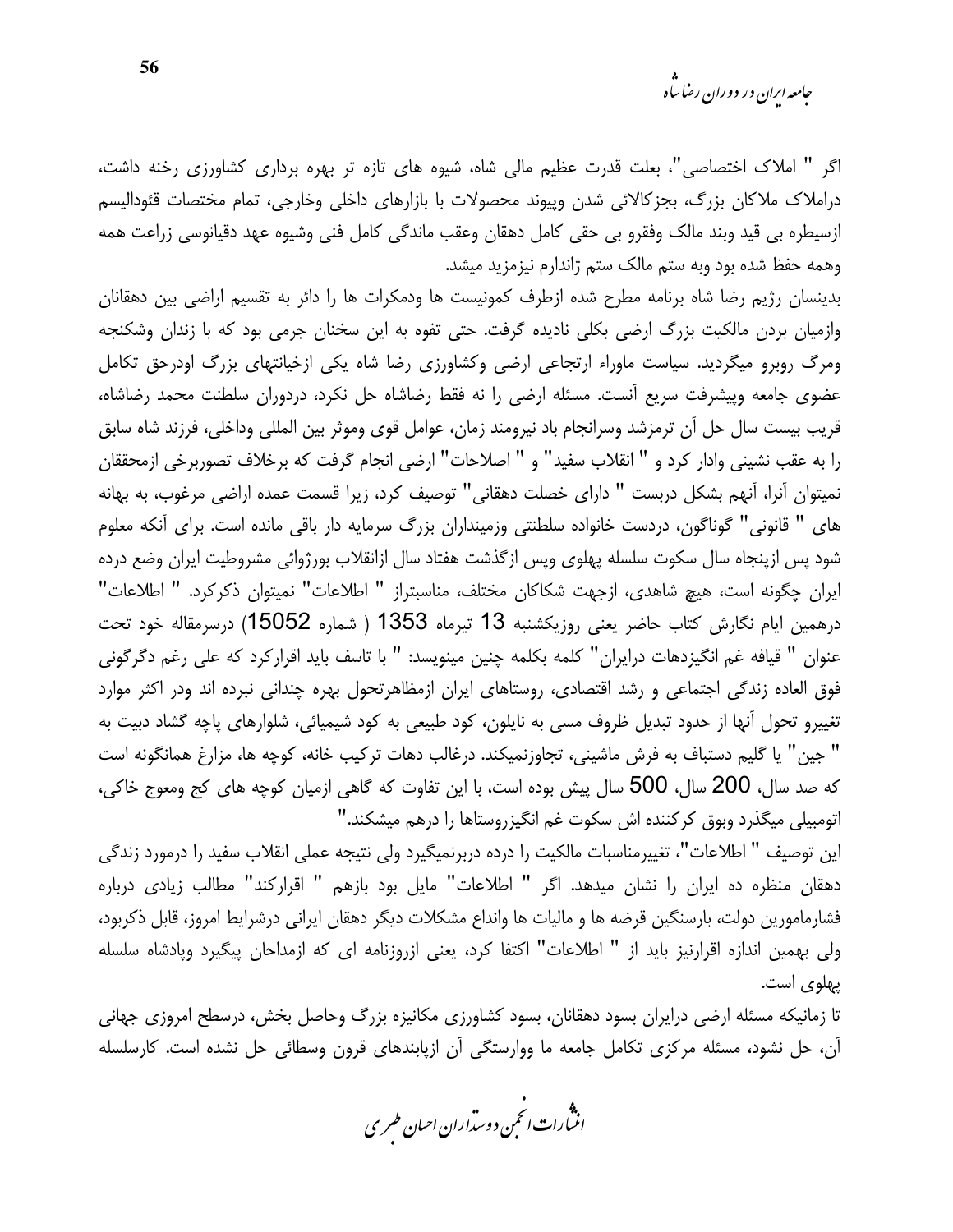*جامعه ایران در دوران رضا ساه* 

اگر " املاک اختصاصی"، بعلت قدرت عظیم مالی شاه، شیوه های تازه تر بهره برداری کشاورزی رخنه داشت، دراملاک ملاکان بزرگ، بجزکالائی شدن وپیوند محصولات با بازارهای داخلی وخارجی، تمام مختصات قئودالیسم ازسيطره بي قيد وبند مالک وفقرو بي حقي کامل دهقان وعقب ماندگي کامل فني وشيوه عهد دقيانوسي زراعت همه وهمه حفظ شده بود وبه ستم مالک ستم ژاندارم نیزمزید میشد.

بدینسان رژیم رضا شاه برنامه مطرح شده ازطرف کمونیست ها ودمکرات ها را دائر به تقسیم اراضی بین دهقانان وازمیان بردن مالکیت بزرگ ارضی بکلی نادیده گرفت. حتی تفوه به این سخنان جرمی بود که با زندان وشکنجه ومرگ روبرو میگردید. سیاست ماوراء ارتجاعی ارضی وکشاورزی رضا شاه یکی ازخیانتهای بزرگ اودرحق تکامل عضوی جامعه وپیشرفت سریع آنست. مسئله ارضی را نه فقط رضاشاه حل نکرد، دردوران سلطنت محمد رضاشاه، قريب بيست سال حل آن ترمزشد وسرانجام باد نيرومند زمان، عوامل قوى وموثر بين المللي وداخلي، فرزند شاه سابق را به عقب نشيني وادار كرد و " انقلاب سفيد" و " اصلاحات" ارضى انجام گرفت كه برخلاف تصوربرخي ازمحققان نمیتوان آنرا، آنهم بشکل دربست " دارای خصلت دهقانی" توصیف کرد، زیرا قسمت عمده اراضی مرغوب، به بهانه های " قانونی" گوناگون، دردست خانواده سلطنتی وزمینداران بزرگ سرمایه دار باقی مانده است. برای آنکه معلوم شود پس ازینجاه سال سکوت سلسله پهلوی ویس از گذشت هفتاد سال ازانقلاب بورژوائی مشروطیت ایران وضع درده ایران چگونه است، هیچ شاهدی، ازجهت شکاکان مختلف، مناسبتراز " اطلاعات" نمیتوان ذکرکرد. " اطلاعات" درهمين ايام نگارش كتاب حاضر يعني روزيكشنبه 13 تيرماه 1353 ( شماره 15052) درسرمقاله خود تحت عنوان " قيافه غم انگيزدهات درايران" كلمه بكلمه چنين مينويسد: " با تاسف بايد اقراركرد كه على رغم دگرگوني فوق العاده زندگی اجتماعی و رشد اقتصادی، روستاهای ایران ازمظاهرتحول بهره چندانی نبرده اند ودر اکثر موارد تغییرو تحول آنها از حدود تبدیل ظروف مسی به ناپلون، کود طبیعی به کود شیمیائی، شلوارهای یاچه گشاد دبیت به " جین" یا گلیم دستباف به فرش ماشینی، تجاوزنمیکند. درغالب دهات ترکیب خانه، کوچه ها، مزارغ همانگونه است که صد سال، 200 سال، 500 سال پیش بوده است، با این تفاوت که گاهی ازمیان کوچه های کج ومعوج خاکی، اتومبيلي ميگذرد وبوق كركننده اش سكوت غم انگيزروستاها را درهم ميشكند."

این توصیف " اطلاعات"، تغییرمناسبات مالکیت را درده دربرنمیگیرد ولی نتیجه عملی انقلاب سفید را درمورد زندگی دهقان منظره ده ایران را نشان میدهد. اگر " اطلاعات" مایل بود بازهم " اقرارکند" مطالب زیادی درباره فشارمامورين دولت، بارسنگين قرضه ها و ماليات ها وانداع مشكلات ديگر دهقان ايراني درشرايط امروز، قابل ذكربود، ولی بهمین اندازه اقرارنیز باید از " اطلاعات" اکتفا کرد، یعنی ازروزنامه ای که ازمداحان پیگیرد ویادشاه سلسله یهلوی است.

تا زمانیکه مسئله ارضی درایران بسود دهقانان، بسود کشاورزی مکانیزه بزرگ وحاصل بخش، درسطح امروزی جهانی آن، حل نشود، مسئله مرکزی تکامل جامعه ما ووارستگی آن ازپابندهای قرون وسطائی حل نشده است. کارسلسله

.<br>انث رات انجمن دوسداران احبان طسری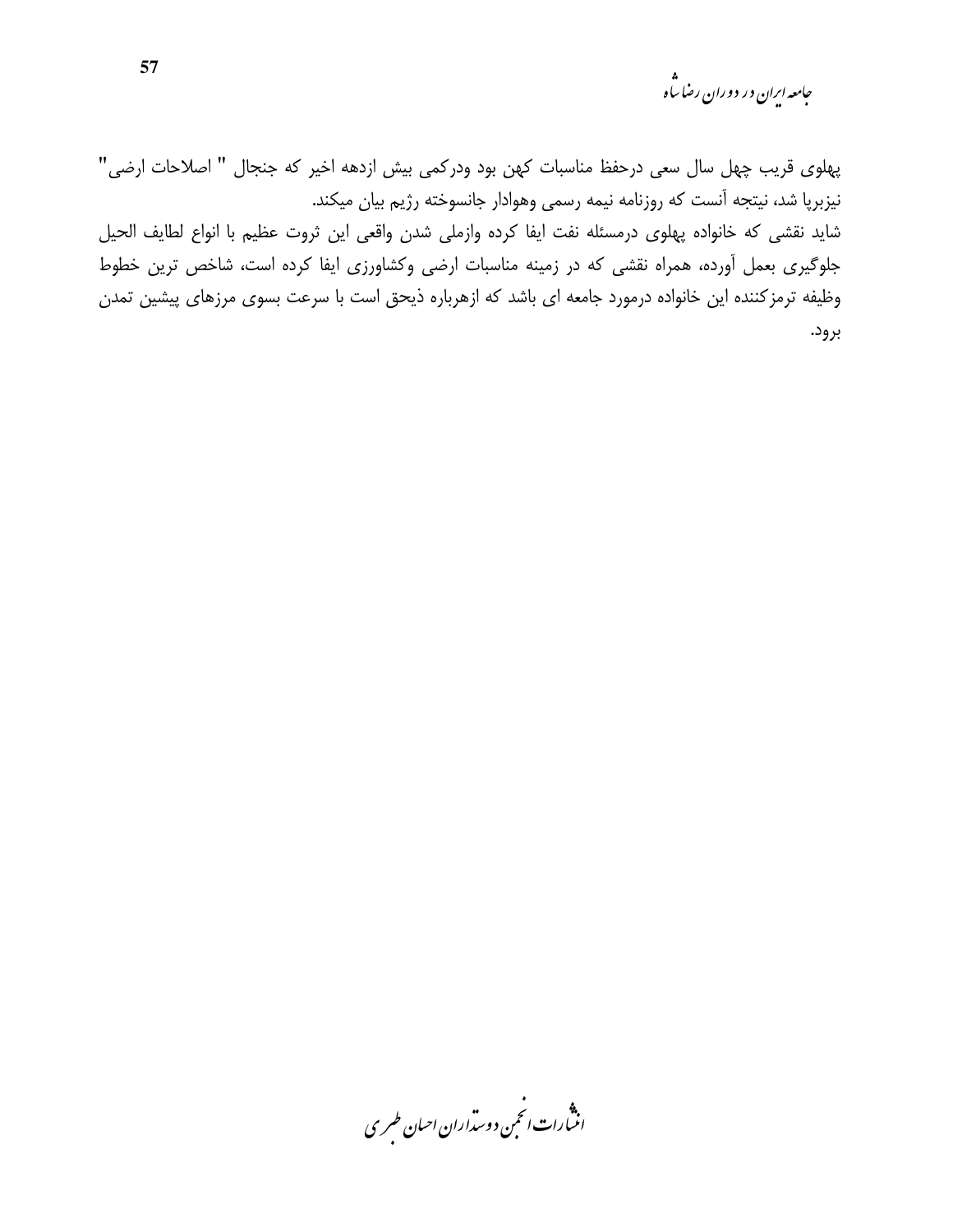جامعه ایران در دوران رضا س<sup>ا</sup>ه

پهلوی قریب چهل سال سعی درحفظ مناسبات کهن بود ودرکمی بیش ازدهه اخیر که جنجال " اصلاحات ارضی" نیزبرپا شد، نیتجه آنست که روزنامه نیمه رسمی وهوادار جانسوخته رژیم بیان میکند. شايد نقشى كه خانواده پهلوى درمسئله نفت ايفا كرده وازملى شدن واقعى اين ثروت عظيم با انواع لطايف الحيل جلوگیری بعمل آورده، همراه نقشی که در زمینه مناسبات ارضی وکشاورزی ایفا کرده است، شاخص ترین خطوط وظیفه ترمزکننده این خانواده درمورد جامعه ای باشد که ازهرباره ذیحق است با سرعت بسوی مرزهای پیشین تمدن برود.

.<br>انسارات انځمن د وسداران احبان طسری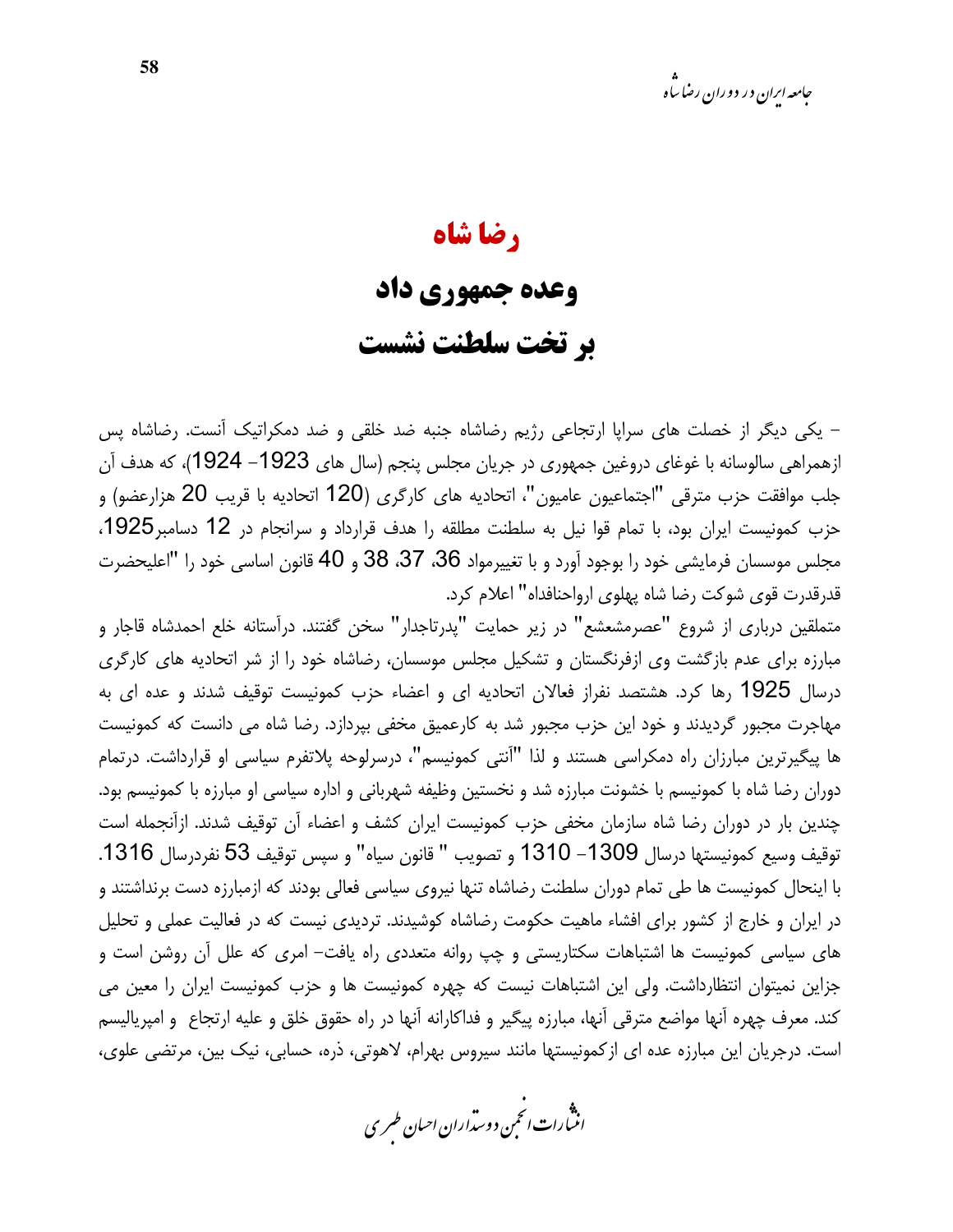#### رضا شاه

### وعده جمهوري داد

### بر تخت سلطنت نشست

– یکی دیگر از خصلت های سراپا ارتجاعی رژیم رضاشاه جنبه ضد خلقی و ضد دمکراتیک آنست. رضاشاه پس ازهمراهی سالوسانه با غوغای دروغین جمهوری در جریان مجلس پنجم (سال های 1923– 1924)، که هدف آن جلب موافقت حزب مترقى "اجتماعيون عاميون"، اتحاديه هاي كارگرى (120 اتحاديه با قريب 20 هزارعضو) و حزب كمونيست ايران بود، با تمام قوا نيل به سلطنت مطلقه را هدف قرارداد و سرانجام در 12 دسامبر1925، مجلس موسسان فرمایشی خود را بوجود آورد و با تغییرمواد 36، 37، 38 و 40 قانون اساسی خود را "اعلیحضرت قدرقدرت قوى شوكت رضا شاه يهلوى ارواحنافداه" اعلام كرد.

متملقین درباری از شروع "عصرمشعشع" در زیر حمایت "پدرتاجدار" سخن گفتند. درآستانه خلع احمدشاه قاجار و مبارزه برای عدم بازگشت وی ازفرنگستان و تشکیل مجلس موسسان، رضاشاه خود را از شر اتحادیه های کارگری درسال 1925 رها کرد. هشتصد نفراز فعالان اتحادیه ای و اعضاء حزب کمونیست توقیف شدند و عده ای به مهاجرت مجبور گردیدند و خود این حزب مجبور شد به کارعمیق مخفی بپردازد. رضا شاه می دانست که کمونیست ها پیگیرترین مبارزان راه دمکراسی هستند و لذا "آنتی کمونیسم"، درسرلوحه پلاتفرم سیاسی او قرارداشت. درتمام دوران رضا شاه با کمونیسم با خشونت مبارزه شد و نخستین وظیفه شهربانی و اداره سیاسی او مبارزه با کمونیسم بود. چندین بار در دوران رضا شاه سازمان مخفی حزب کمونیست ایران کشف و اعضاء آن توقیف شدند. ازآنجمله است توقيف وسيع كمونيستها درسال 1309– 1310 و تصويب " قانون سياه" و سيس توقيف 53 نفردرسال 1316. با اینحال کمونیست ها طی تمام دوران سلطنت رضاشاه تنها نیروی سیاسی فعالی بودند که ازمبارزه دست برنداشتند و در ایران و خارج از کشور برای افشاء ماهیت حکومت رضاشاه کوشیدند. تردیدی نیست که در فعالیت عملی و تحلیل های سیاسی کمونیست ها اشتباهات سکتاریستی و چپ روانه متعددی راه یافت– امری که علل آن روشن است و جزاین نمیتوان انتظارداشت. ولی این اشتباهات نیست که چهره کمونیست ها و حزب کمونیست ایران را معین می كند. معرف چهره آنها مواضع مترقى آنها، مبارزه پيگير و فداكارانه آنها در راه حقوق خلق و عليه ارتجاع و اميرياليسم است. درجریان این مبارزه عده ای ازکمونیستها مانند سپروس بهرام، لاهوتی، ذره، حسابی، نیک بین، مرتضی علوی،

.<br>انن رات انجمن دوسداران احبان طسری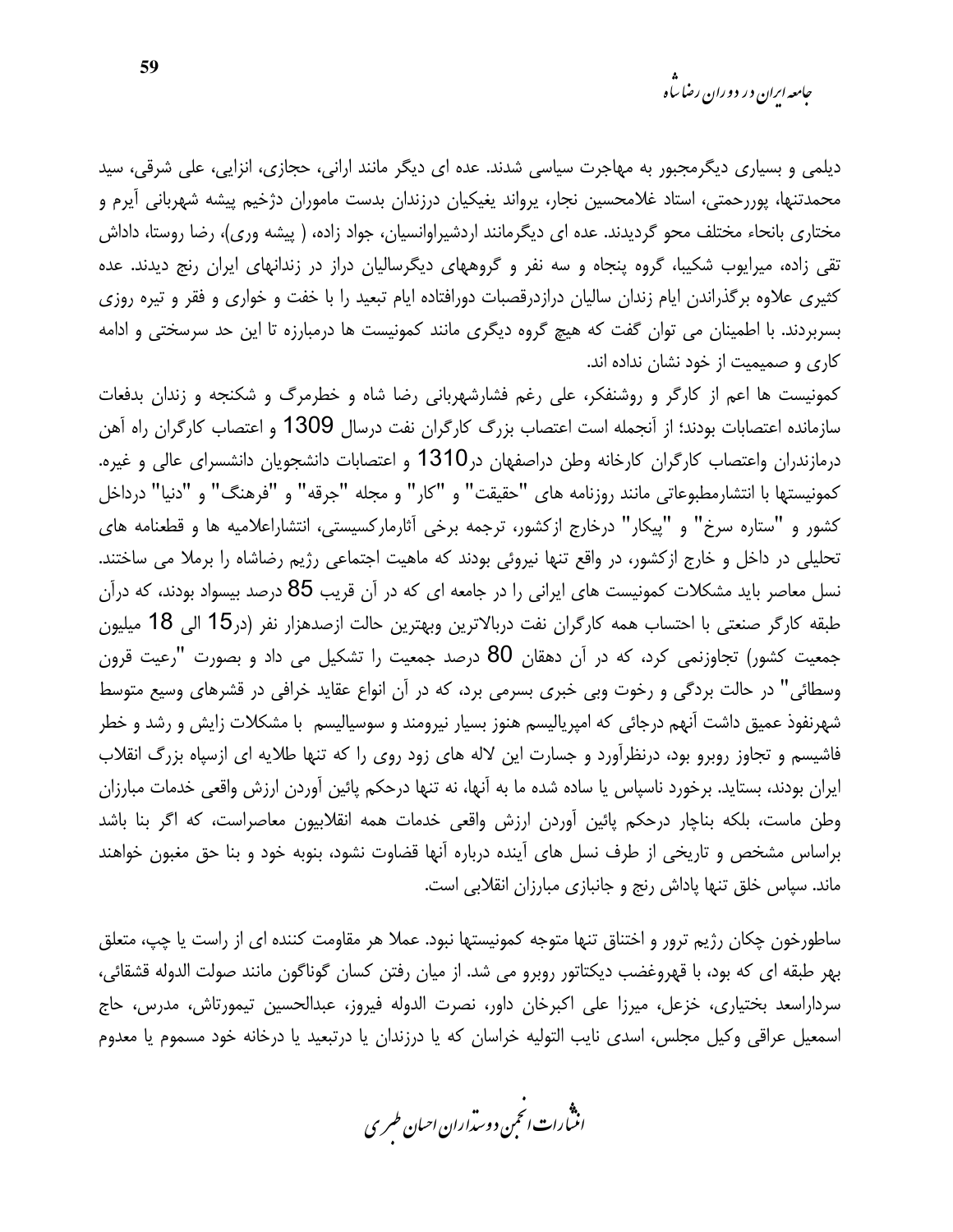دیلمی و بسیاری دیگرمجبور به مهاجرت سیاسی شدند. عده ای دیگر مانند ارانی، حجازی، انزایی، علی شرقی، سید محمدتنها، پوررحمتی، استاد غلامحسین نجار، پرواند یغیکیان درزندان بدست ماموران دژخیم پیشه شهربانی آیرم و مختاری بانحاء مختلف محو گردیدند. عده ای دیگرمانند اردشیراوانسیان، جواد زاده، ( پیشه وری)، رضا روستا، داداش تقی زاده، میرایوب شکیبا، گروه پنجاه و سه نفر و گروههای دیگرسالیان دراز در زندانهای ایران رنج دیدند. عده کثیری علاوه برگذراندن ایام زندان سالیان درازدرقصبات دورافتاده ایام تبعید را با خفت و خواری و فقر و تیره روزی بسربردند. با اطمینان می توان گفت که هیچ گروه دیگری مانند کمونیست ها درمبارزه تا این حد سرسختی و ادامه کاری و صمیمیت از خود نشان نداده اند.

کمونیست ها اعم از کارگر و روشنفکر، علی رغم فشارشهربانی رضا شاه و خطرمرگ و شکنجه و زندان بدفعات سازمانده اعتصابات بودند؛ از آنجمله است اعتصاب بزرگ کارگران نفت درسال 1309 و اعتصاب کارگران راه آهن درمازندران واعتصاب کارگران کارخانه وطن دراصفهان در1310 و اعتصابات دانشجویان دانشسرای عالی و غیره. كمونيستها با انتشارمطبوعاتي مانند روزنامه هاي "حقيقت" و "كار" و مجله "جرقه" و "فرهنگ" و "دنيا" درداخل کشور و "ستاره سرخ" و "پیکار" درخارج ازکشور، ترجمه برخی آثارمارکسیستی، انتشاراعلامیه ها و قطعنامه های تحلیلی در داخل و خارج ازکشور، در واقع تنها نیروئی بودند که ماهیت اجتماعی رژیم رضاشاه را برملا می ساختند. نسل معاصر باید مشکلات کمونیست های ایرانی را در جامعه ای که در آن قریب 85 درصد بیسواد بودند، که درآن طبقه کارگر صنعتی با احتساب همه کارگران نفت دربالاترین وبهترین حالت ازصدهزار نفر (در15 الی 18 میلیون جمعیت کشور) تجاوزنمی کرد، که در آن دهقان 80 درصد جمعیت را تشکیل می داد و بصورت "رعیت قرون وسطائی" در حالت بردگی و رخوت وبی خبری بسرمی برد، که در آن انواع عقاید خرافی در قشرهای وسیع متوسط شهرنفوذ عمیق داشت آنهم درجائی که امپریالیسم هنوز بسیار نیرومند و سوسیالیسم با مشکلات زایش و رشد و خطر فاشیسم و تجاوز روبرو بود، درنظرآورد و جسارت این لاله های زود روی را که تنها طلایه ای ازسیاه بزرگ انقلاب ایران بودند، بستاید. برخورد ناسیاس یا ساده شده ما به آنها، نه تنها درحکم یائین آوردن ارزش واقعی خدمات مبارزان وطن ماست، بلكه بناچار درحكم پائين أوردن ارزش واقعي خدمات همه انقلابيون معاصراست، كه اگر بنا باشد براساس مشخص و تاریخی از طرف نسل های آینده درباره آنها قضاوت نشود، بنوبه خود و بنا حق مغبون خواهند ماند. سیاس خلق تنها پاداش رنج و جانبازی مبارزان انقلابی است.

ساطورخون چکان رژیم ترور و اختناق تنها متوجه کمونیستها نبود. عملا هر مقاومت کننده ای از راست یا چپ، متعلق بهر طبقه اي كه بود، با قهروغضب ديكتاتور روبرو مي شد. از ميان رفتن كسان گوناگون مانند صولت الدوله قشقائي، سرداراسعد بختیاری، خزعل، میرزا علی اکبرخان داور، نصرت الدوله فیروز، عبدالحسین تیمورتاش، مدرس، حاج اسمعیل عراقی وکیل مجلس، اسدی نایب التولیه خراسان که یا درزندان یا درتبعید یا درخانه خود مسموم یا معدوم

.<br>انن رات انجمن دوسداران احبان طسری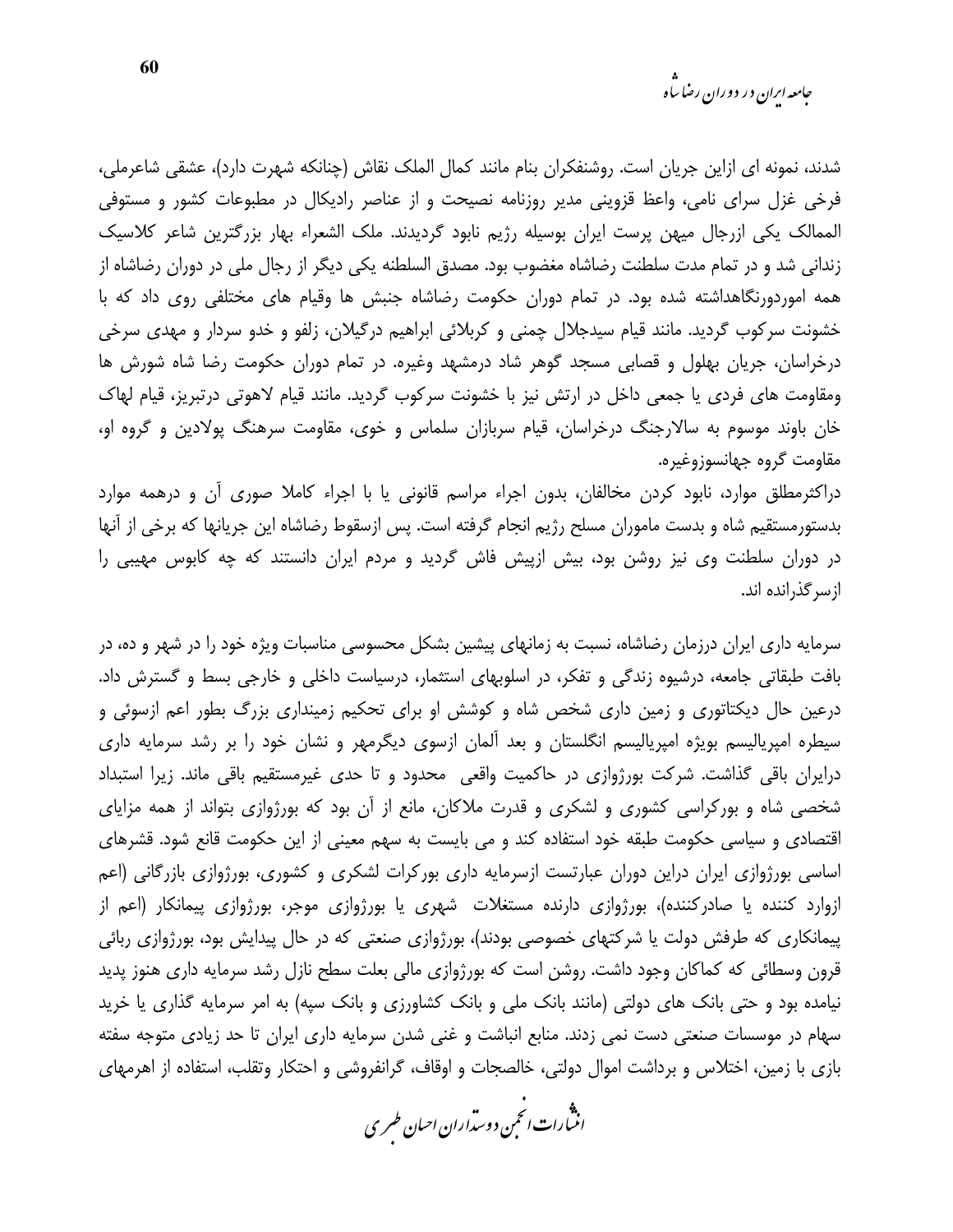شدند، نمونه ای ازاین جریان است. روشنفکران بنام مانند کمال الملک نقاش (چنانکه شهرت دارد)، عشقی شاعرملی، فرخی غزل سرای نامی، واعظ قزوینی مدیر روزنامه نصیحت و از عناصر رادیکال در مطبوعات کشور و مستوفی الممالک یکی ازرجال میهن پرست ایران بوسیله رژیم نابود گردیدند. ملک الشعراء بهار بزرگترین شاعر کلاسیک زندانی شد و در تمام مدت سلطنت رضاشاه مغضوب بود. مصدق السلطنه یکی دیگر از رجال ملی در دوران رضاشاه از همه اموردورنگاهداشته شده بود. در تمام دوران حکومت رضاشاه جنبش ها وقیام های مختلفی روی داد که با خشونت سرکوب گردید. مانند قیام سیدجلال چمنی و کربلائی ابراهیم درگیلان، زلفو و خدو سردار و مهدی سرخی درخراسان، جریان بهلول و قصابی مسجد گوهر شاد درمشهد وغیره. در تمام دوران حکومت رضا شاه شورش ها ومقاومت های فردی یا جمعی داخل در ارتش نیز با خشونت سرکوب گردید. مانند قیام لاهوتی درتبریز، قیام لهاک خان باوند موسوم به سالارجنگ درخراسان، قیام سربازان سلماس و خوی، مقاومت سرهنگ پولادین و گروه او، مقاومت گروه جهانسوزوغیره.

دراکثرمطلق موارد، نابود کردن مخالفان، بدون اجراء مراسم قانونی یا با اجراء کاملا صوری آن و درهمه موارد بدستورمستقيم شاه و بدست ماموران مسلح رژيم انجام گرفته است. پس ازسقوط رضاشاه اين جريانها كه برخي از آنها در دوران سلطنت وی نیز روشن بود، بیش ازپیش فاش گردید و مردم ایران دانستند که چه کابوس مهیبی را از سرگذرانده اند.

سرمایه داری ایران درزمان رضاشاه، نسبت به زمانهای پیشین بشکل محسوسی مناسبات ویژه خود را در شهر و ده، در بافت طبقاتی جامعه، درشیوه زندگی و تفکر، در اسلوبهای استثمار، درسیاست داخلی و خارجی بسط و گسترش داد. درعین حال دیکتاتوری و زمین داری شخص شاه و کوشش او برای تحکیم زمینداری بزرگ بطور اعم ازسوئی و سیطره امپریالیسم بویژه امپریالیسم انگلستان و بعد آلمان ازسوی دیگرمهر و نشان خود را بر رشد سرمایه داری درایران باقی گذاشت. شرکت بورژوازی در حاکمیت واقعی محدود و تا حدی غیرمستقیم باقی ماند. زیرا استبداد شخصی شاه و بورکراسی کشوری و لشکری و قدرت ملاکان، مانع از آن بود که بورژوازی بتواند از همه مزایای اقتصادی و سیاسی حکومت طبقه خود استفاده کند و می بایست به سهم معینی از این حکومت قانع شود. قشرهای اساسی بورژوازی ایران دراین دوران عبارتست ازسرمایه داری بورکرات لشکری و کشوری، بورژوازی بازرگانی (اعم ازوارد کننده یا صادرکننده)، بورژوازی دارنده مستغلات شهری یا بورژوازی موجر، بورژوازی پیمانکار (اعم از پیمانکاری که طرفش دولت یا شرکتهای خصوصی بودند)، بورژوازی صنعتی که در حال پیدایش بود، بورژوازی ربائی قرون وسطائی که کماکان وجود داشت. روشن است که بورژوازی مالی بعلت سطح نازل رشد سرمایه داری هنوز پدید نیامده بود و حتی بانک های دولتی (مانند بانک ملی و بانک کشاورزی و بانک سیه) به امر سرمایه گذاری یا خرید سهام در موسسات صنعتی دست نمی زدند. منابع انباشت و غنی شدن سرمایه داری ایران تا حد زیادی متوجه سفته بازی با زمین، اختلاس و برداشت اموال دولتی، خالصجات و اوقاف، گرانفروشی و احتکار وتقلب، استفاده از اهرمهای

.<br>انثیارات انجمن دوسداران احبان طسری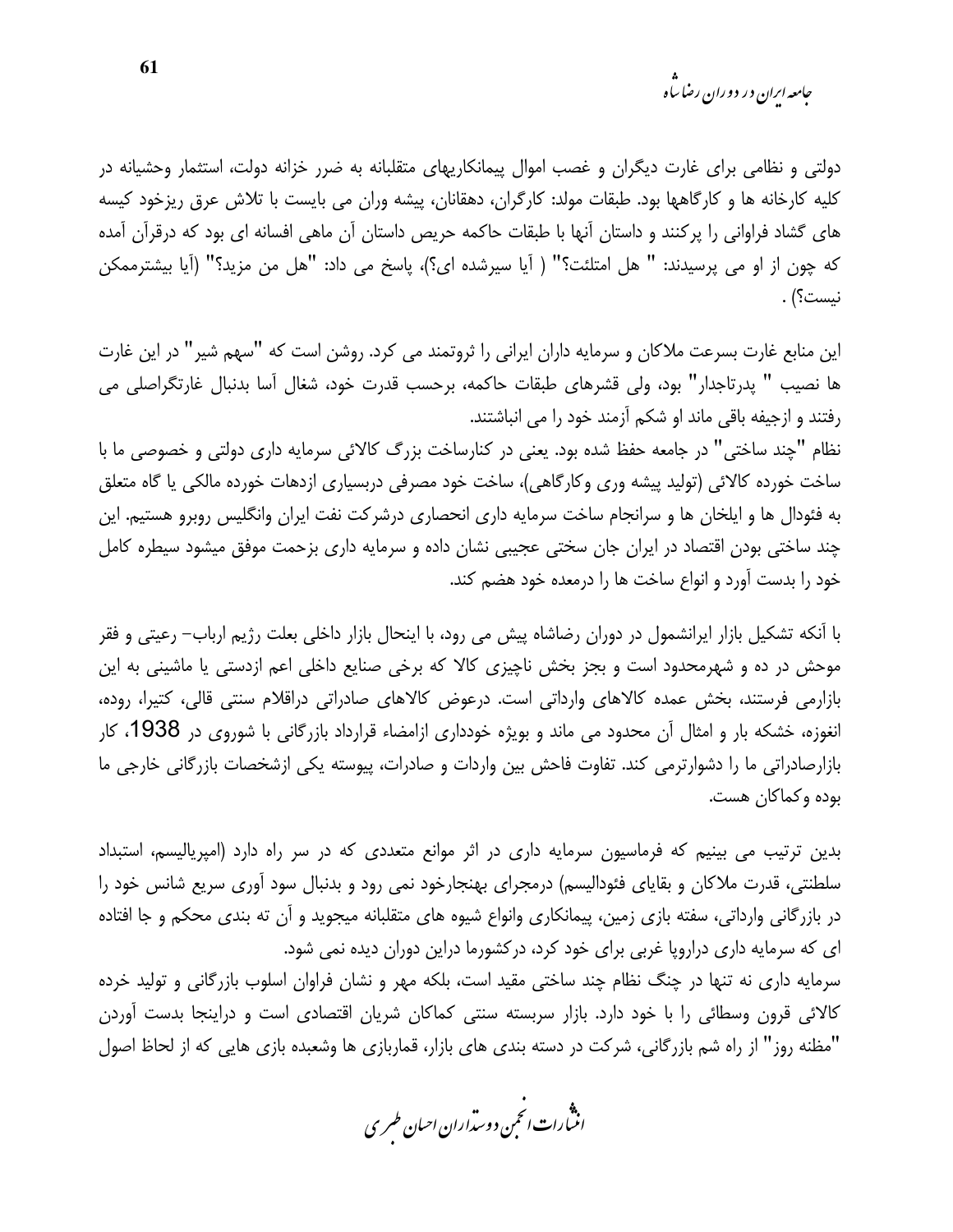*جامعه اران در دو د*ان رضا <sup>ما</sup>ه

دولتی و نظامی برای غارت دیگران و غصب اموال پیمانکاریهای متقلبانه به ضرر خزانه دولت، استثمار وحشیانه در كليه كارخانه ها و كارگاهها بود. طبقات مولد: كارگران، دهقانان، پيشه وران مي بايست با تلاش عرق ريزخود كيسه های گشاد فراوانی را پرکنند و داستان آنها با طبقات حاکمه حریص داستان آن ماهی افسانه ای بود که درقرآن آمده كه چون از او مي پرسيدند: " هل امتلئت؟" ( آيا سيرشده اي؟)، پاسخ مي داد: "هل من مزيد؟" (آيا بيشترممكن نيست؟) .

این منابع غارت بسرعت ملاکان و سرمایه داران ایرانی را ثروتمند می کرد. روشن است که "سهم شیر" در این غارت ها نصيب " پدرتاجدار" بود، ولي قشرهاي طبقات حاكمه، برحسب قدرت خود، شغال آسا بدنبال غارتگراصلي مي رفتند و ازجیفه باقی ماند او شکم آزمند خود را می انباشتند.

نظام "چند ساختی" در جامعه حفظ شده بود. یعنی در کنارساخت بزرگ کالائی سرمایه داری دولتی و خصوصی ما با ساخت خورده کالائی (تولید پیشه وری وکارگاهی)، ساخت خود مصرفی دربسیاری ازدهات خورده مالکی یا گاه متعلق به فئودال ها و ایلخان ها و سرانجام ساخت سرمایه داری انحصاری درشرکت نفت ایران وانگلیس روبرو هستیم. این چند ساختی بودن اقتصاد در ایران جان سختی عجیبی نشان داده و سرمایه داری بزحمت موفق میشود سیطره کامل خود را بدست آورد و انواع ساخت ها را درمعده خود هضم کند.

با آنکه تشکیل بازار ایرانشمول در دوران رضاشاه پیش می رود، با اینحال بازار داخلی بعلت رژیم ارباب– رعیتی و فقر موحش در ده و شهرمحدود است و بجز بخش ناچیزی کالا که برخی صنایع داخلی اعم ازدستی یا ماشینی به این بازارمی فرستند، بخش عمده کالاهای وارداتی است. درعوض کالاهای صادراتی دراقلام سنتی قالی، کتیرا، روده، انغوزه، خشکه بار و امثال آن محدود می ماند و بویژه خودداری ازامضاء قرارداد بازرگانی با شوروی در 1938، کار بازارصادراتی ما را دشوارترمی کند. تفاوت فاحش بین واردات و صادرات، پیوسته یکی ازشخصات بازرگانی خارجی ما بوده وكماكان هست.

بدین ترتیب می بینیم که فرماسیون سرمایه داری در اثر موانع متعددی که در سر راه دارد (امیریالیسم، استبداد سلطنتی، قدرت ملاکان و بقایای فئودالیسم) درمجرای بهنجارخود نمی رود و بدنبال سود آوری سریع شانس خود را در بازرگانی وارداتی، سفته بازی زمین، پیمانکاری وانواع شیوه های متقلبانه میجوید و آن ته بندی محکم و جا افتاده ای که سرمایه داری دراروپا غربی برای خود کرد، درکشورما دراین دوران دیده نمی شود. سرمایه داری نه تنها در چنگ نظام چند ساختی مقید است، بلکه مهر و نشان فراوان اسلوب بازرگانی و تولید خرده كالائي قرون وسطائي را با خود دارد. بازار سربسته سنتي كماكان شريان اقتصادي است و دراينجا بدست آوردن

"مظنه روز" از راه شم بازرگاني، شركت در دسته بندي هاي بازار، قماربازي ها وشعبده بازي هايي كه از لحاظ اصول

.<br>انث رات انجمن دوسداران احبان طسری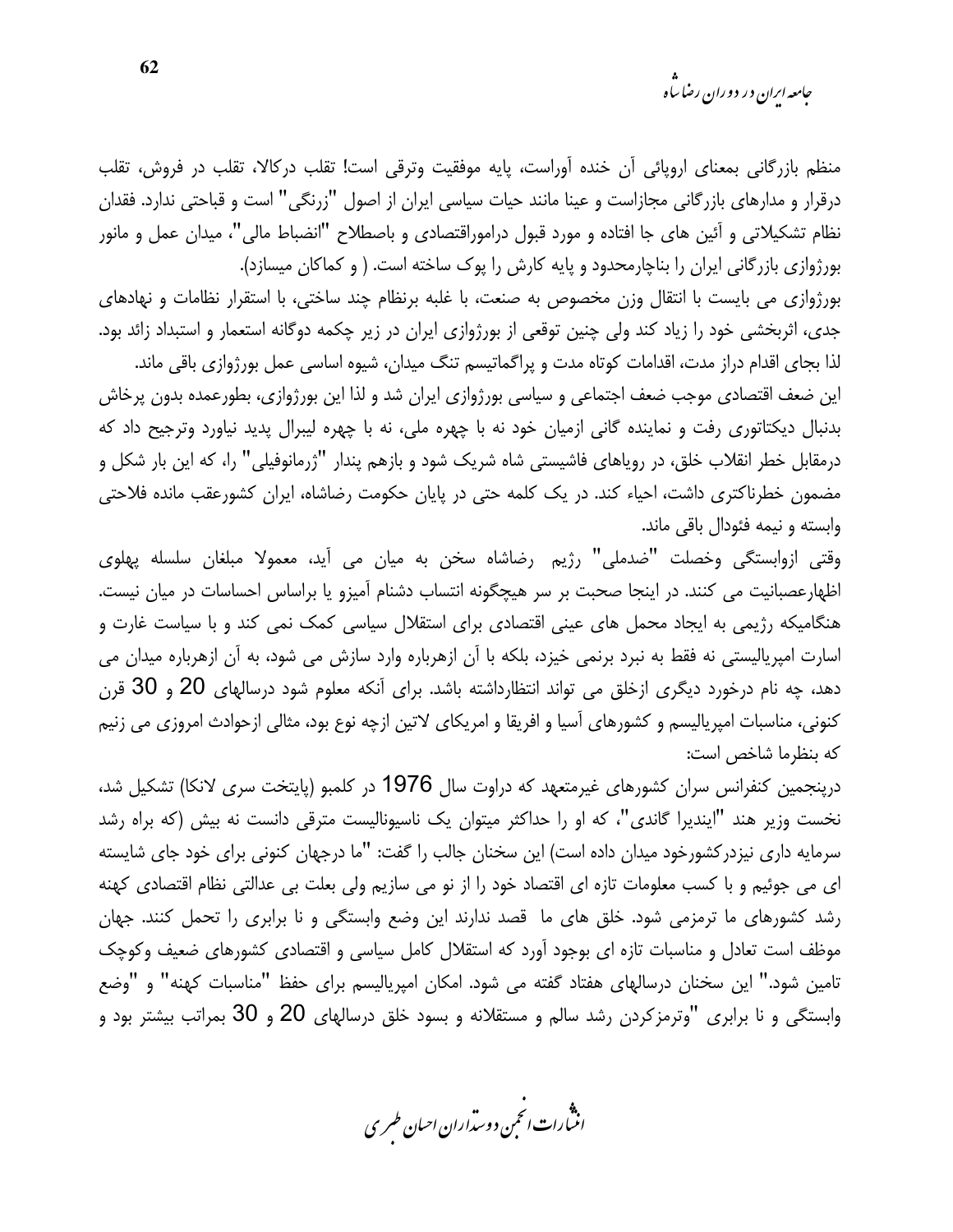<sub>حامعه ابران در دوران رضا ساه</sub>

منظم بازرگانی بمعنای اروپائی آن خنده آوراست، پایه موفقیت وترقی است! تقلب درکالا، تقلب در فروش، تقلب درقرار و مدارهای بازرگانی مجازاست و عینا مانند حیات سیاسی ایران از اصول "زرنگی" است و قباحتی ندارد. فقدان نظام تشکیلاتی و آئین های جا افتاده و مورد قبول دراموراقتصادی و باصطلاح "انضباط مالی"، میدان عمل و مانور بورژوازی بازرگانی ایران را بناچارمحدود و پایه کارش را پوک ساخته است. ( و کماکان میسازد).

بورژوازی می بایست با انتقال وزن مخصوص به صنعت، با غلبه برنظام چند ساختی، با استقرار نظامات و نهادهای جدی، اثربخشی خود را زیاد کند ولی چنین توقعی از بورژوازی ایران در زیر چکمه دوگانه استعمار و استبداد زائد بود. لذا بجای اقدام دراز مدت، اقدامات کوتاه مدت و پراگماتیسم تنگ میدان، شیوه اساسی عمل بورژوازی باقی ماند.

این ضعف اقتصادی موجب ضعف اجتماعی و سیاسی بورژوازی ایران شد و لذا این بورژوازی، بطورعمده بدون پرخاش بدنبال دیکتاتوری رفت و نماینده گانی ازمیان خود نه با چهره ملی، نه با چهره لیبرال پدید نیاورد وترجیح داد که درمقابل خطر انقلاب خلق، در رویاهای فاشیستی شاه شریک شود و بازهم پندار "ژرمانوفیلی" را، که این بار شکل و مضمون خطرناکتری داشت، احیاء کند. در یک کلمه حتی در پایان حکومت رضاشاه، ایران کشورعقب مانده فلاحتی وابسته و نیمه فئودال باقی ماند.

وقتي ازوابستگي وخصلت "ضدملي" رژيم رضاشاه سخن به ميان مي آيد، معمولا مبلغان سلسله پهلوي اظهارعصبانیت می کنند. در اینجا صحبت بر سر هیچگونه انتساب دشنام آمیزو یا براساس احساسات در میان نیست. هنگامیکه رژیمی به ایجاد محمل های عینی اقتصادی برای استقلال سیاسی کمک نمی کند و با سیاست غارت و اسارت امپریالیستی نه فقط به نبرد برنمی خیزد، بلکه با آن ازهرباره وارد سازش می شود، به آن ازهرباره میدان می دهد، چه نام درخورد دیگری ازخلق می تواند انتظارداشته باشد. برای آنکه معلوم شود درسالهای 20 و 30 قرن كنوني، مناسبات امپرياليسم و كشورهاي آسيا و افريقا و امريكاي لاتين ازچه نوع بود، مثالي ازحوادث امروزي مي زنيم كه بنظرما شاخص است:

درپنجمین کنفرانس سران کشورهای غیرمتعهد که دراوت سال 1976 در کلمبو (پایتخت سری لانکا) تشکیل شد، نخست وزیر هند "ایندیرا گاندی"، که او را حداکثر میتوان یک ناسیونالیست مترقی دانست نه بیش (که براه رشد سرمایه داری نیزدر کشورخود میدان داده است) این سخنان جالب را گفت: "ما درجهان کنونی برای خود جای شایسته ای می جوئیم و با کسب معلومات تازه ای اقتصاد خود را از نو می سازیم ولی بعلت بی عدالتی نظام اقتصادی کهنه رشد کشورهای ما ترمزمی شود. خلق های ما قصد ندارند این وضع وابستگی و نا برابری را تحمل کنند. جهان موظف است تعادل و مناسبات تازه ای بوجود آورد که استقلال کامل سیاسی و اقتصادی کشورهای ضعیف وکوچک تامین شود." این سخنان درسالهای هفتاد گفته می شود. امکان امیرپالیسم برای حفظ "مناسبات کهنه" و "وضع وابستگی و نا برابری "وترمزکردن رشد سالم و مستقلانه و بسود خلق درسالهای 20 و 30 بمراتب بیشتر بود و

.<br>انن رات انجمن دوسداران احبان طسری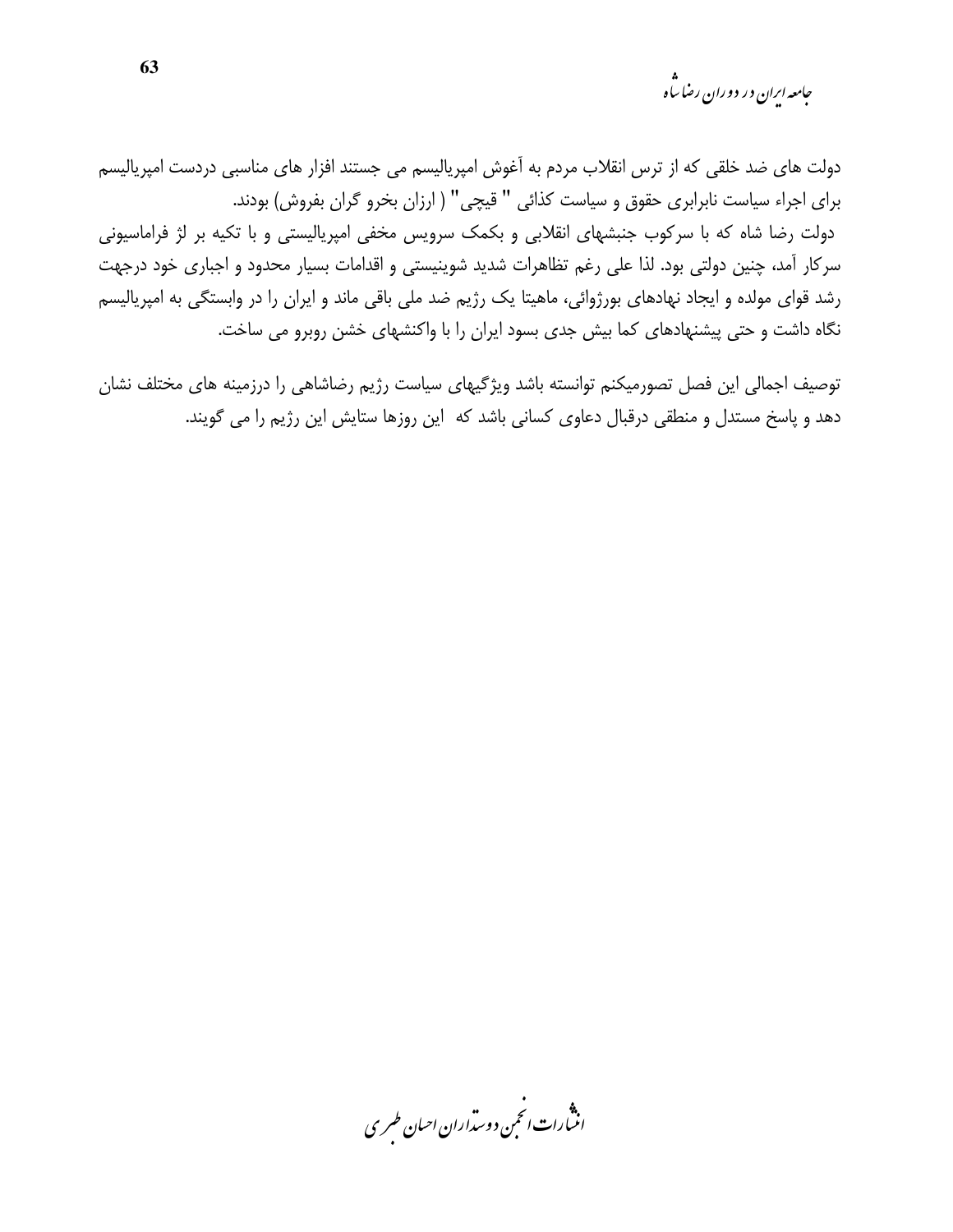جامعه ایران در دوران رضا س<sup>ا</sup>ه

دولت های ضد خلقی که از ترس انقلاب مردم به آغوش امپریالیسم می جستند افزار های مناسبی دردست امپریالیسم برای اجراء سیاست نابرابری حقوق و سیاست کذائی " قیچی" ( ارزان بخرو گران بفروش) بودند. دولت رضا شاه که با سرکوب جنبشهای انقلابی و بکمک سرویس مخفی امپریالیستی و با تکیه بر لژ فراماسیونی سركار آمد، چنین دولتی بود. لذا علی رغم تظاهرات شدید شوینیستی و اقدامات بسیار محدود و اجباری خود درجهت رشد قوای مولده و ایجاد نهادهای بورژوائی، ماهیتا یک رژیم ضد ملی باقی ماند و ایران را در وابستگی به امپریالیسم نگاه داشت و حتی پیشنهادهای کما بیش جدی بسود ایران را با واکنشهای خشن روبرو می ساخت.

توصیف اجمالی این فصل تصورمیکنم توانسته باشد ویژگیهای سیاست رژیم رضاشاهی را درزمینه های مختلف نشان دهد و پاسخ مستدل و منطقی درقبال دعاوی کسانی باشد که این روزها ستایش این رژیم را می گویند.

.<br>اننسارات انځمن د وست<sub>را</sub>ران احسان طسر ی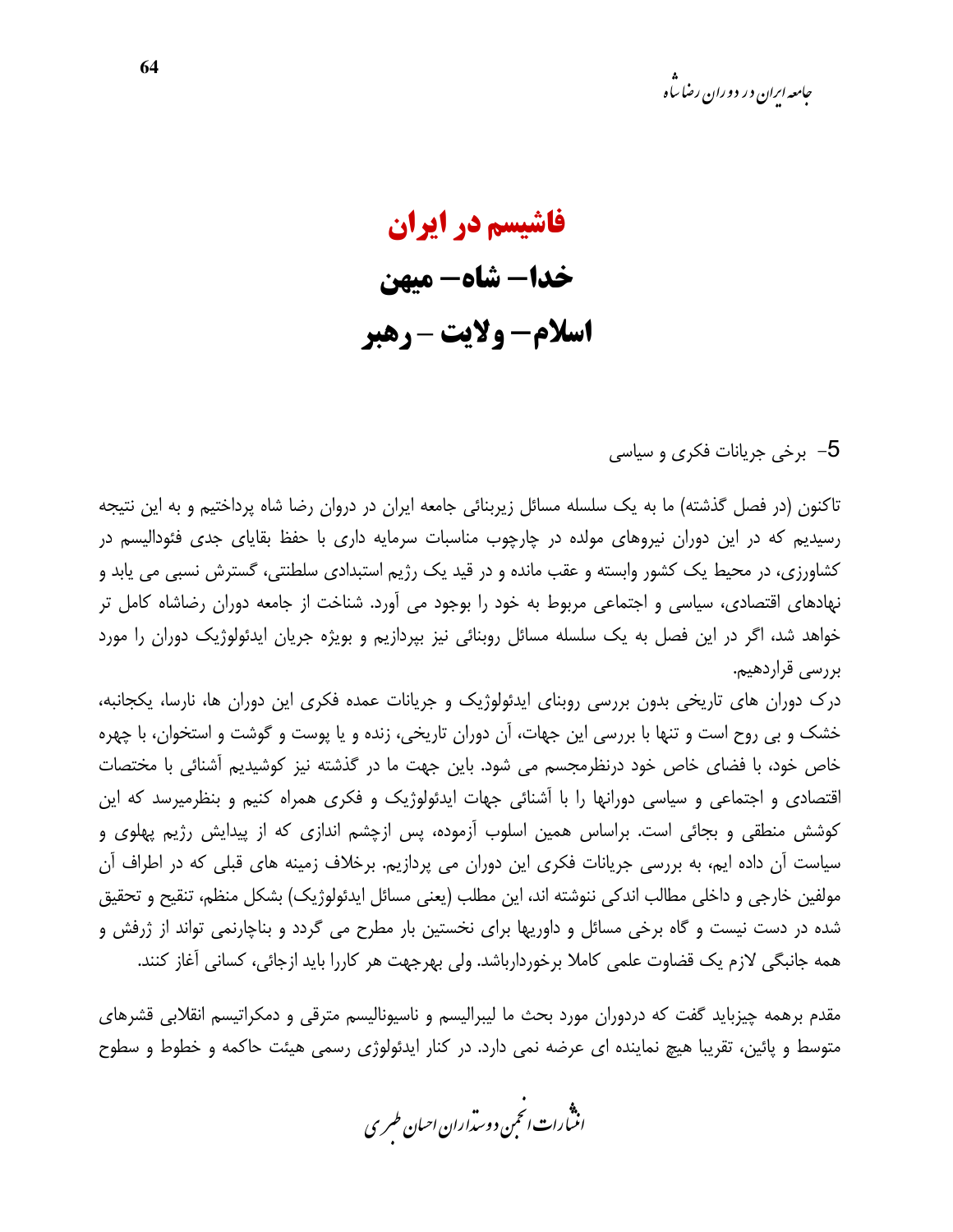فاشیسم در ایران خدا- شاه- میهن **اسلام- ولايت-رهبر** 

5– برخی جریانات فکری و سیاسی

تاکنون (در فصل گذشته) ما به یک سلسله مسائل زیربنائی جامعه ایران در دروان رضا شاه پرداختیم و به این نتیجه رسیدیم که در این دوران نیروهای مولده در چارچوب مناسبات سرمایه داری با حفظ بقایای جدی فئودالیسم در کشاورزی، در محیط یک کشور وابسته و عقب مانده و در قید یک رژیم استبدادی سلطنتی، گسترش نسبی می یابد و نهادهای اقتصادی، سیاسی و اجتماعی مربوط به خود را بوجود می آورد. شناخت از جامعه دوران رضاشاه کامل تر خواهد شد، اگر در این فصل به یک سلسله مسائل روبنائی نیز بپردازیم و بویژه جریان ایدئولوژیک دوران را مورد بررسی قراردهیم.

درک دوران های تاریخی بدون بررسی روبنای ایدئولوژیک و جریانات عمده فکری این دوران ها، نارسا، یکجانبه، خشک و بی روح است و تنها با بررسی این جهات، آن دوران تاریخی، زنده و یا پوست و گوشت و استخوان، با چهره خاص خود، با فضای خاص خود درنظرمجسم می شود. باین جهت ما در گذشته نیز کوشیدیم آشنائی با مختصات اقتصادی و اجتماعی و سیاسی دورانها را با آشنائی جهات ایدئولوژیک و فکری همراه کنیم و بنظرمیرسد که این کوشش منطقی و بجائی است. براساس همین اسلوب آزموده، پس ازچشم اندازی که از پیدایش رژیم پهلوی و سیاست آن داده ایم، به بررسی جریانات فکری این دوران می پردازیم. برخلاف زمینه های قبلی که در اطراف آن مولفين خارجي و داخلي مطالب اندكي ننوشته اند، اين مطلب (يعني مسائل ايدئولوژيک) بشکل منظم، تنقيح و تحقيق شده در دست نیست و گاه برخی مسائل و داوریها برای نخستین بار مطرح می گردد و بناچارنمی تواند از ژرفش و همه جانبگی لازم یک قضاوت علمی کاملا برخوردارباشد. ولی بهرجهت هر کاررا باید ازجائی، کسانی آغاز کنند.

مقدم برهمه چیزباید گفت که دردوران مورد بحث ما لیبرالیسم و ناسیونالیسم مترقی و دمکراتیسم انقلابی قشرهای متوسط و پائین، تقریبا هیچ نماینده ای عرضه نمی دارد. در کنار ایدئولوژی رسمی هیئت حاکمه و خطوط و سطوح

.<br>انن رات انجمن دوسداران احبان طسری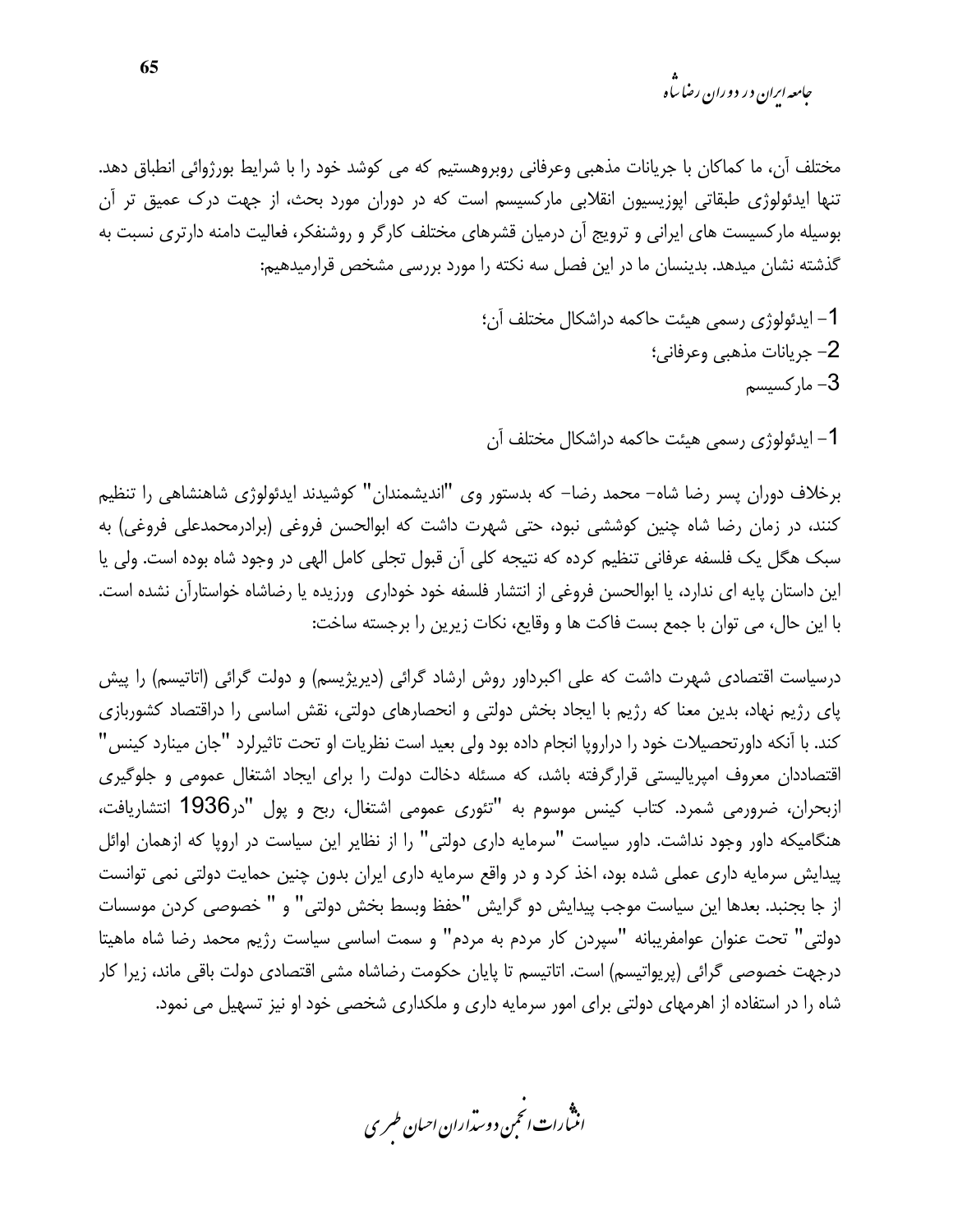<sub>حامعه ابران در دوران رضا ساه</sub>

مختلف آن، ما كماكان با جريانات مذهبي وعرفاني روبروهستيم كه مي كوشد خود را با شرايط بورژوائي انطباق دهد. تنها ایدئولوژی طبقاتی اپوزیسیون انقلابی مارکسیسم است که در دوران مورد بحث، از جهت درک عمیق تر آن بوسیله مارکسیست های ایرانی و ترویج آن درمیان قشرهای مختلف کارگر و روشنفکر، فعالیت دامنه دارتری نسبت به گذشته نشان میدهد. بدینسان ما در این فصل سه نکته را مورد بررسی مشخص قرارمیدهیم:

> 1– ايدئولوژي رسمي هيئت حاكمه دراشكال مختلف آن؛ 2– جريانات مذهبي وعرفاني؛ مار کسیسم $-3$

1– ایدئولوژی رسمی هیئت حاکمه دراشکال مختلف آن

برخلاف دوران پسر رضا شاه– محمد رضا– که بدستور وی "اندیشمندان" کوشیدند ایدئولوژی شاهنشاهی را تنظیم کنند، در زمان رضا شاه چنین کوششی نبود، حتی شهرت داشت که ابوالحسن فروغی (برادرمحمدعلی فروغی) به سبک هگل یک فلسفه عرفانی تنظیم کرده که نتیجه کلی آن قبول تجلی کامل الهی در وجود شاه بوده است. ولی یا این داستان پایه ای ندارد، یا ابوالحسن فروغی از انتشار فلسفه خود خوداری ورزیده یا رضاشاه خواستارآن نشده است. با این حال، می توان با جمع بست فاکت ها و وقایع، نکات زیرین را برجسته ساخت:

درسیاست اقتصادی شهرت داشت که علی اکبرداور روش ارشاد گرائی (دیریژیسم) و دولت گرائی (اتاتیسم) را پیش پای رژیم نهاد، بدین معنا که رژیم با ایجاد بخش دولتی و انحصارهای دولتی، نقش اساسی را دراقتصاد کشوربازی كند. با آنكه داورتحصيلات خود را دراروپا انجام داده بود ولي بعيد است نظريات او تحت تاثيرلرد "جان مينارد كينس" اقتصاددان معروف امپریالیستی قرارگرفته باشد، که مسئله دخالت دولت را برای ایجاد اشتغال عمومی و جلوگیری ازبحران، ضرورمی شمرد. کتاب کینس موسوم به "تئوری عمومی اشتغال، ربح و پول "در1936 انتشاریافت، هنگامیکه داور وجود نداشت. داور سیاست "سرمایه داری دولتی" را از نظایر این سیاست در اروپا که ازهمان اوائل پیدایش سرمایه داری عملی شده بود، اخذ کرد و در واقع سرمایه داری ایران بدون چنین حمایت دولتی نمی توانست از جا بجنبد. بعدها این سیاست موجب پیدایش دو گرایش "حفظ وبسط بخش دولتی" و " خصوصی کردن موسسات دولتي" تحت عنوان عوامفريبانه "سپردن كار مردم به مردم" و سمت اساسي سياست رژيم محمد رضا شاه ماهيتا درجهت خصوصی گرائی (پریواتیسم) است. اتاتیسم تا پایان حکومت رضاشاه مشی اقتصادی دولت باقی ماند، زیرا کار شاه را در استفاده از اهرمهای دولتی برای امور سرمایه داری و ملکداری شخصی خود او نیز تسهیل می نمود.

.<br>انثمارات انحمن دوسداران احبان طسری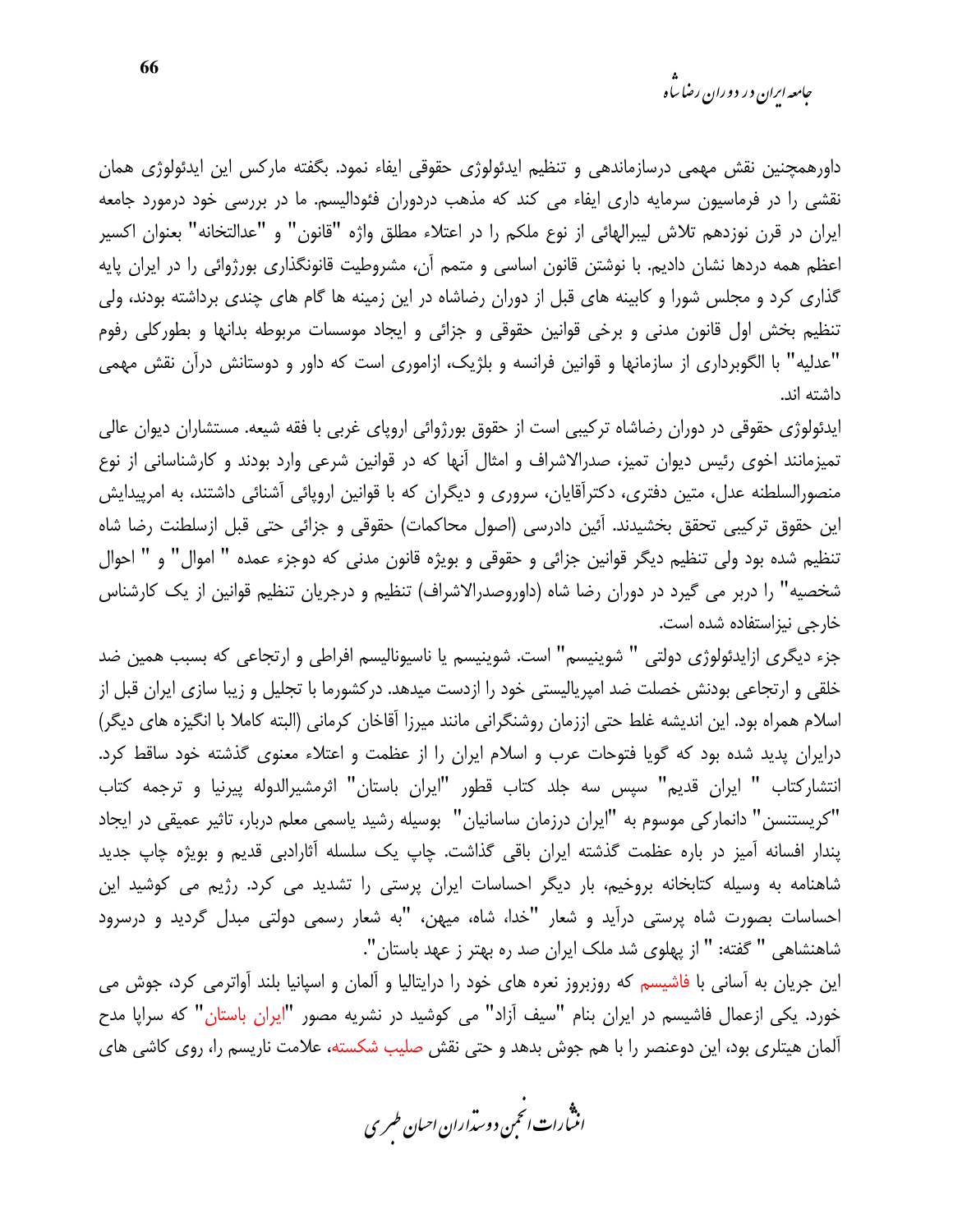داورهمچنین نقش مهمی درسازماندهی و تنظیم ایدئولوژی حقوقی ایفاء نمود. بگفته مارکس این ایدئولوژی همان نقشی را در فرماسیون سرمایه داری ایفاء می کند که مذهب دردوران فئودالیسم. ما در بررسی خود درمورد جامعه ايران در قرن نوزدهم تلاش ليبرالهائي از نوع ملكم را در اعتلاء مطلق واژه "قانون" و "عدالتخانه" بعنوان اكسير اعظم همه دردها نشان دادیم. با نوشتن قانون اساسی و متمم آن، مشروطیت قانونگذاری بورژوائی را در ایران پایه گذاری کرد و مجلس شورا و کابینه های قبل از دوران رضاشاه در این زمینه ها گام های چندی برداشته بودند، ولی تنظیم بخش اول قانون مدنی و برخی قوانین حقوقی و جزائی و ایجاد موسسات مربوطه بدانها و بطورکلی رفوم "عدلیه" با الگوبرداری از سازمانها و قوانین فرانسه و بلژیک، ازاموری است که داور و دوستانش درآن نقش مهمی داشته اند.

ایدئولوژی حقوقی در دوران رضاشاه ترکیبی است از حقوق بورژوائی اروپای غربی با فقه شیعه. مستشاران دیوان عالی تمیزمانند اخوی رئیس دیوان تمیز، صدرالاشراف و امثال آنها که در قوانین شرعی وارد بودند و کارشناسانی از نوع منصورالسلطنه عدل، متین دفتری، دکترآقایان، سروری و دیگران که با قوانین اروپائی آشنائی داشتند، به امرپیدایش این حقوق ترکیبی تحقق بخشیدند. آئین دادرسی (اصول محاکمات) حقوقی و جزائی حتی قبل ازسلطنت رضا شاه تنظيم شده بود ولي تنظيم ديگر قوانين جزائي و حقوقي و بويژه قانون مدني كه دوجزء عمده " اموال" و " احوال شخصیه" را دربر می گیرد در دوران رضا شاه (داوروصدرالاشراف) تنظیم و درجریان تنظیم قوانین از یک کارشناس خارجی نیزاستفاده شده است.

جزء ديگري ازايدئولوژي دولتي " شوينيسم" است. شوينيسم يا ناسيوناليسم افراطي و ارتجاعي كه بسبب همين ضد خلقی و ارتجاعی بودنش خصلت ضد امیریالیستی خود را ازدست میدهد. در کشورما با تجلیل و زیبا سازی ایران قبل از اسلام همراه بود. این اندیشه غلط حتی اززمان روشنگرانی مانند میرزا آقاخان کرمانی (البته کاملا با انگیزه های دیگر) درایران پدید شده بود که گویا فتوحات عرب و اسلام ایران را از عظمت و اعتلاء معنوی گذشته خود ساقط کرد. انتشاركتاب " ايران قديم" سپس سه جلد كتاب قطور "ايران باستان" اثرمشيرالدوله پيرنيا و ترجمه كتاب "كريستنسن" دانماركي موسوم به "ايران درزمان ساسانيان" بوسيله رشيد ياسمي معلم دربار، تاثير عميقي در ايجاد پندار افسانه آمیز در باره عظمت گذشته ایران باقی گذاشت. چاپ یک سلسله آثارادبی قدیم و بویژه چاپ جدید شاهنامه به وسیله کتابخانه بروخیم، بار دیگر احساسات ایران پرستی را تشدید می کرد. رژیم می کوشید این احساسات بصورت شاه پرستی درآید و شعار "خدا، شاه، میهن، "به شعار رسمی دولتی مبدل گردید و درسرود شاهنشاهی " گفته: " از پهلوی شد ملک ایران صد ره بهتر ز عهد باستان".

این جریان به آسانی با فاشیسم که روزبروز نعره های خود را درایتالیا و آلمان و اسپانیا بلند آواترمی کرد، جوش می خورد. یکی ازعمال فاشیسم در ایران بنام "سیف آزاد" می کوشید در نشریه مصور "ایران باستان" که سراپا مدح آلمان هیتلری بود، این دوعنصر را با هم جوش بدهد و حتی نقش صلیب شکسته، علامت ناریسم را، روی کاشی های

.<br>انث رات انجمن دوسداران احبان طسری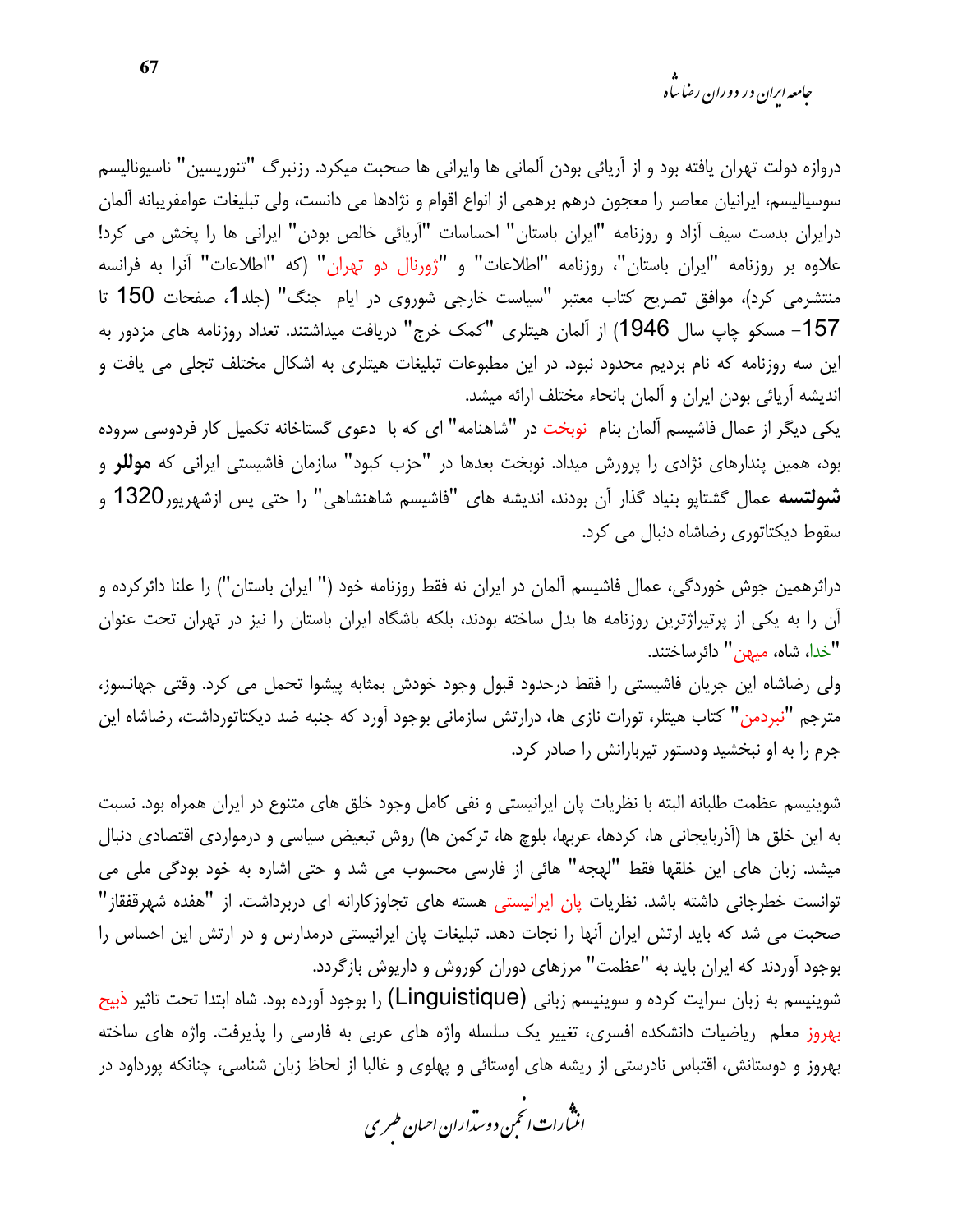جامعه ایران در دوران رضا ساه

دروازه دولت تهران يافته بود و از آريائي بودن آلماني ها وايراني ها صحبت ميكرد. رزنبرگ "تنوريسين" ناسيوناليسم سوسیالیسم، ایرانیان معاصر را معجون درهم برهمی از انواع اقوام و نژادها می دانست، ولی تبلیغات عوامفریبانه آلمان درایران بدست سیف آزاد و روزنامه "ایران باستان" احساسات "آریائی خالص بودن" ایرانی ها را پخش می کرد! علاوه بر روزنامه "ايران باستان"، روزنامه "اطلاعات" و "ژورنال دو تهران" (كه "اطلاعات" آنرا به فرانسه منتشرمی کرد)، موافق تصریح کتاب معتبر "سیاست خارجی شوروی در ایام جنگ" (جلد1، صفحات 150 تا 157- مسکو چاپ سال 1946) از آلمان هیتلری "کمک خرج" دریافت میداشتند. تعداد روزنامه های مزدور به این سه روزنامه که نام بردیم محدود نبود. در این مطبوعات تبلیغات هیتلری به اشکال مختلف تجلی می یافت و انديشه آريائي بودن ايران و آلمان بانحاء مختلف ارائه ميشد.

یکی دیگر از عمال فاشیسم آلمان بنام ِ نوبخت در "شاهنامه" ای که با دعوی گستاخانه تکمیل کار فردوسی سروده بود، همین پندارهای نژادی را پرورش میداد. نوبخت بعدها در "حزب کبود" سازمان فاشیستی ایرانی که **موللر** و **شولتسه** عمال گشتاپو بنیاد گذار آن بودند، اندیشه های "فاشیسم شاهنشاهی" را حتی پس ازشهریور1320 و سقوط دیکتاتوری رضاشاه دنبال می کرد.

دراثرهمین جوش خوردگی، عمال فاشیسم آلمان در ایران نه فقط روزنامه خود (" ایران باستان") را علنا دائر کرده و آن را به یکی از پرتیراژترین روزنامه ها بدل ساخته بودند، بلکه باشگاه ایران باستان را نیز در تهران تحت عنوان "خدا، شاه، میهن" دائرساختند.

ولی رضاشاه این جریان فاشیستی را فقط درحدود قبول وجود خودش بمثابه پیشوا تحمل می کرد. وقتی جهانسوز، مترجم "نبردمن" كتاب هيتلر، تورات نازى ها، درارتش سازمانى بوجود آورد كه جنبه ضد ديكتاتورداشت، رضاشاه اين جرم را به او نبخشید ودستور تیربارانش را صادر کرد.

شوينيسم عظمت طلبانه البته با نظريات يان ايرانيستي و نفي كامل وجود خلق هاي متنوع در ايران همراه بود. نسبت به این خلق ها (آذربایجانی ها، کردها، عربها، بلوچ ها، ترکمن ها) روش تبعیض سیاسی و درمواردی اقتصادی دنبال میشد. زبان های این خلقها فقط "لهجه" هائی از فارسی محسوب می شد و حتی اشاره به خود بودگی ملی می توانست خطرجانی داشته باشد. نظریات پان ایرانیستی هسته های تجاوز کارانه ای دربرداشت. از "هفده شهرقفقاز" صحبت می شد که باید ارتش ایران آنها را نجات دهد. تبلیغات پان ایرانیستی درمدارس و در ارتش این احساس را بوجود آوردند که ایران باید به "عظمت" مرزهای دوران کوروش و داریوش بازگردد.

شوينيسم به زبان سرايت كرده و سوينيسم زباني (Linguistique) را بوجود آورده بود. شاه ابتدا تحت تاثير ذبيح بهروز معلم ریاضیات دانشکده افسری، تغییر یک سلسله واژه های عربی به فارسی را پذیرفت. واژه های ساخته بهروز و دوستانش، اقتباس نادرستی از ریشه های اوستائی و پهلوی و غالبا از لحاظ زبان شناسی، چنانکه پورداود در

.<br>انث<sup>ما</sup>رات *انحم*ن دوست<sub>را</sub>ران احبان طسری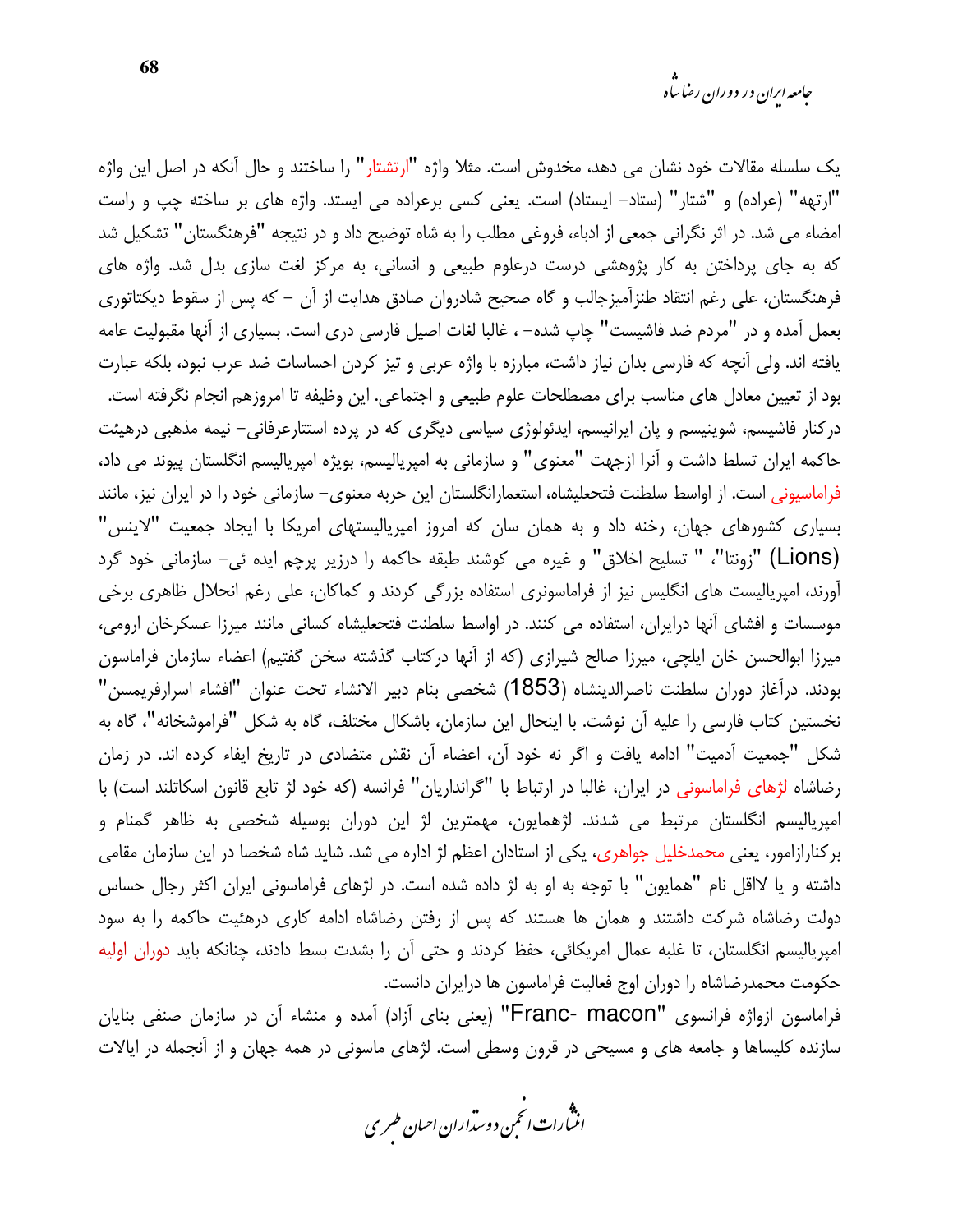یک سلسله مقالات خود نشان می دهد، مخدوش است. مثلا واژه "ارتشتار" را ساختند و حال آنکه در اصل این واژه "ارتهه" (عراده) و "شتار" (ستاد– ایستاد) است. یعنی کسی برعراده می ایستد. واژه های بر ساخته چپ و راست امضاء می شد. در اثر نگرانی جمعی از ادباء، فروغی مطلب را به شاه توضیح داد و در نتیجه "فرهنگستان" تشکیل شد که به جای پرداختن به کار پژوهشی درست درعلوم طبیعی و انسانی، به مرکز لغت سازی بدل شد. واژه های فرهنگستان، علی رغم انتقاد طنزآمیزجالب و گاه صحیح شادروان صادق هدایت از آن – که پس از سقوط دیکتاتوری بعمل آمده و در "مردم ضد فاشیست" چاپ شده- ، غالبا لغات اصیل فارسی دری است. بسیاری از آنها مقبولیت عامه یافته اند. ولی آنچه که فارسی بدان نیاز داشت، مبارزه با واژه عربی و تیز کردن احساسات ضد عرب نبود، بلکه عبارت بود از تعیین معادل های مناسب برای مصطلحات علوم طبیعی و اجتماعی. این وظیفه تا امروزهم انجام نگرفته است. درکنار فاشیسم، شوینیسم و پان ایرانیسم، ایدئولوژی سیاسی دیگری که در پرده استتارعرفانی– نیمه مذهبی درهیئت حاکمه ایران تسلط داشت و آنرا ازجهت "معنوی" و سازمانی به امیریالیسم، بویژه امیریالیسم انگلستان پیوند می داد، فراماسیونی است. از اواسط سلطنت فتحعلیشاه، استعمارانگلستان این حربه معنوی– سازمانی خود را در ایران نیز، مانند بسیاری کشورهای جهان، رخنه داد و به همان سان که امروز امپریالیستهای امریکا با ایجاد جمعیت "لاینس" (Lions) "زونتا"، " تسليح اخلاق" و غيره مي كوشند طبقه حاكمه را درزير يرچم ايده ئي– سازماني خود گرد آورند، امپریالیست های انگلیس نیز از فراماسونری استفاده بزرگی کردند و کماکان، علی رغم انحلال ظاهری برخی موسسات و افشای آنها درایران، استفاده می کنند. در اواسط سلطنت فتحعلیشاه کسانی مانند میرزا عسکرخان ارومی، میرزا ابوالحسن خان ایلچی، میرزا صالح شیرازی (که از آنها درکتاب گذشته سخن گفتیم) اعضاء سازمان فراماسون بودند. درآغاز دوران سلطنت ناصرالدينشاه (1853) شخصي بنام دبير الانشاء تحت عنوان "افشاء اسرارفريمسن" نخستین کتاب فارسی را علیه آن نوشت. با اینحال این سازمان، باشکال مختلف، گاه به شکل "فراموشخانه"، گاه به شکل "جمعیت آدمیت" ادامه یافت و اگر نه خود آن، اعضاء آن نقش متضادی در تاریخ ایفاء کرده اند. در زمان رضاشاه لژهای فراماسونی در ایران، غالبا در ارتباط با "گرانداریان" فرانسه (که خود لژ تابع قانون اسکاتلند است) با امپریالیسم انگلستان مرتبط می شدند. لژهمایون، مهمترین لژ این دوران بوسیله شخصی به ظاهر گمنام و برکنارازامور، یعنی محمدخلیل جواهری، یکی از استادان اعظم لژ اداره می شد. شاید شاه شخصا در این سازمان مقامی داشته و یا لااقل نام "همایون" با توجه به او به لژ داده شده است. در لژهای فراماسونی ایران اکثر رجال حساس دولت رضاشاه شرکت داشتند و همان ها هستند که پس از رفتن رضاشاه ادامه کاری درهئیت حاکمه را به سود امپریالیسم انگلستان، تا غلبه عمال امریکائی، حفظ کردند و حتی آن را بشدت بسط دادند، چنانکه باید دوران اولیه حکومت محمدرضاشاه را دوران اوج فعالیت فراماسون ها درایران دانست.

فراماسون ازواژه فرانسوی "Franc- macon" (یعنی بنای آزاد) آمده و منشاء آن در سازمان صنفی بنایان سازنده کلیساها و جامعه های و مسیحی در قرون وسطی است. لژهای ماسونی در همه جهان و از آنجمله در ایالات

.<br>انن رات انحمن دوسداران احبان طسری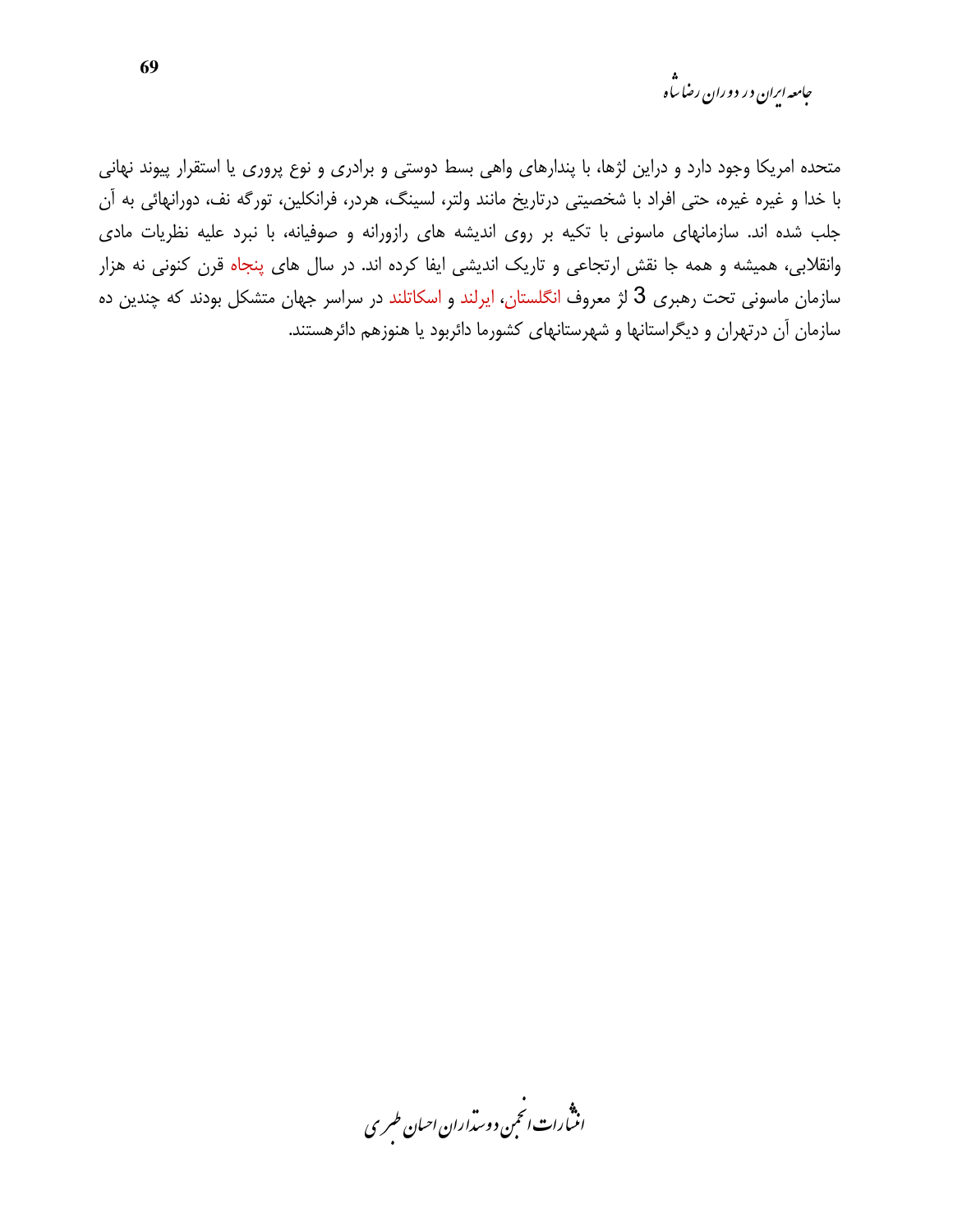متحده امریکا وجود دارد و دراین لژها، با پندارهای واهی بسط دوستی و برادری و نوع پروری یا استقرار پیوند نهانی با خدا و غیره غیره، حتی افراد با شخصیتی درتاریخ مانند ولتر، لسینگ، هردر، فرانکلین، تورگه نف، دورانهائی به آن جلب شده اند. سازمانهای ماسونی با تکیه بر روی اندیشه های رازورانه و صوفیانه، با نبرد علیه نظریات مادی وانقلابی، همیشه و همه جا نقش ارتجاعی و تاریک اندیشی ایفا کرده اند. در سال های پنجاه قرن کنونی نه هزار سازمان ماسونی تحت رهبری 3 لژ معروف انگلستان، ایرلند و اسکاتلند در سراسر جهان متشکل بودند که چندین ده سازمان آن درتهران و دیگراستانها و شهرستانهای کشورما دائربود یا هنوزهم دائرهستند.

.<br>انسارات انځمن د وسداران احسان طسری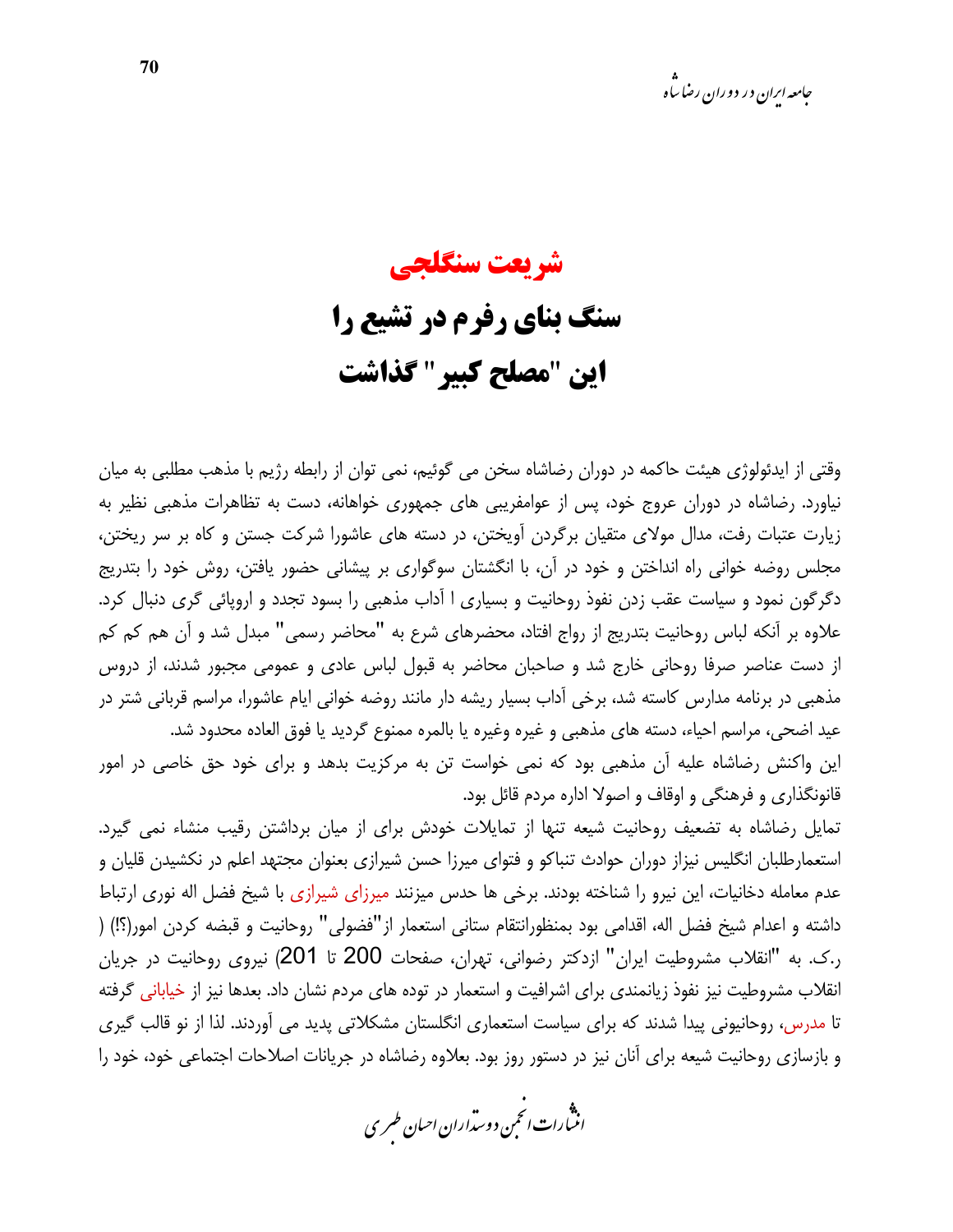# شريعت سنگلجي سنگ بنای رفرم در تشیع را این "مصلح کبیر " گذاشت

وقتی از ایدئولوژی هیئت حاکمه در دوران رضاشاه سخن می گوئیم، نمی توان از رابطه رژیم با مذهب مطلبی به میان نیاورد. رضاشاه در دوران عروج خود، پس از عوامفریبی های جمهوری خواهانه، دست به تظاهرات مذهبی نظیر به زیارت عتبات رفت، مدال مولای متقیان برگردن آویختن، در دسته های عاشورا شرکت جستن و کاه بر سر ریختن، مجلس روضه خوانی راه انداختن و خود در آن، با انگشتان سوگواری بر پیشانی حضور یافتن، روش خود را بتدریج دگرگون نمود و سیاست عقب زدن نفوذ روحانیت و بسیاری ا آداب مذهبی را بسود تجدد و اروپائی گری دنبال کرد. علاوه بر آنکه لباس روحانیت بتدریج از رواج افتاد، محضرهای شرع به "محاضر رسمی" مبدل شد و آن هم کم کم از دست عناصر صرفا روحانی خارج شد و صاحبان محاضر به قبول لباس عادی و عمومی مجبور شدند، از دروس مذهبی در برنامه مدارس کاسته شد، برخی آداب بسیار ریشه دار مانند روضه خوانی ایام عاشورا، مراسم قربانی شتر در عيد اضحى، مراسم احياء، دسته هاى مذهبي و غيره وغيره يا بالمره ممنوع گرديد يا فوق العاده محدود شد. این واکنش رضاشاه علیه آن مذهبی بود که نمی خواست تن به مرکزیت بدهد و برای خود حق خاصی در امور

تمایل رضاشاه به تضعیف روحانیت شیعه تنها از تمایلات خودش برای از میان برداشتن رقیب منشاء نمی گیرد. استعمارطلبان انگلیس نیزاز دوران حوادث تنباکو و فتوای میرزا حسن شیرازی بعنوان مجتهد اعلم در نکشیدن قلیان و عدم معامله دخانیات، این نیرو را شناخته بودند. برخی ها حدس میزنند میرزای شیرازی با شیخ فضل اله نوری ارتباط داشته و اعدام شيخ فضل اله، اقدامي بود بمنظورانتقام ستاني استعمار از"فضولي" روحانيت و قبضه كردن امور(؟!) ( ر.ک. به "انقلاب مشروطیت ایران" ازدکتر رضوانی، تهران، صفحات 200 تا 201) نیروی روحانیت در جریان انقلاب مشروطیت نیز نفوذ زیانمندی برای اشرافیت و استعمار در توده های مردم نشان داد. بعدها نیز از خیابانی گرفته تا مدرس، روحانیونی پیدا شدند که برای سیاست استعماری انگلستان مشکلاتی پدید می آوردند. لذا از نو قالب گیری و بازسازی روحانیت شیعه برای آنان نیز در دستور روز بود. بعلاوه رضاشاه در جریانات اصلاحات اجتماعی خود، خود را

قانونگذاری و فرهنگی و اوقاف و اصولا اداره مردم قائل بود.

.<br>انن رات انحمن دوسداران احبان طسری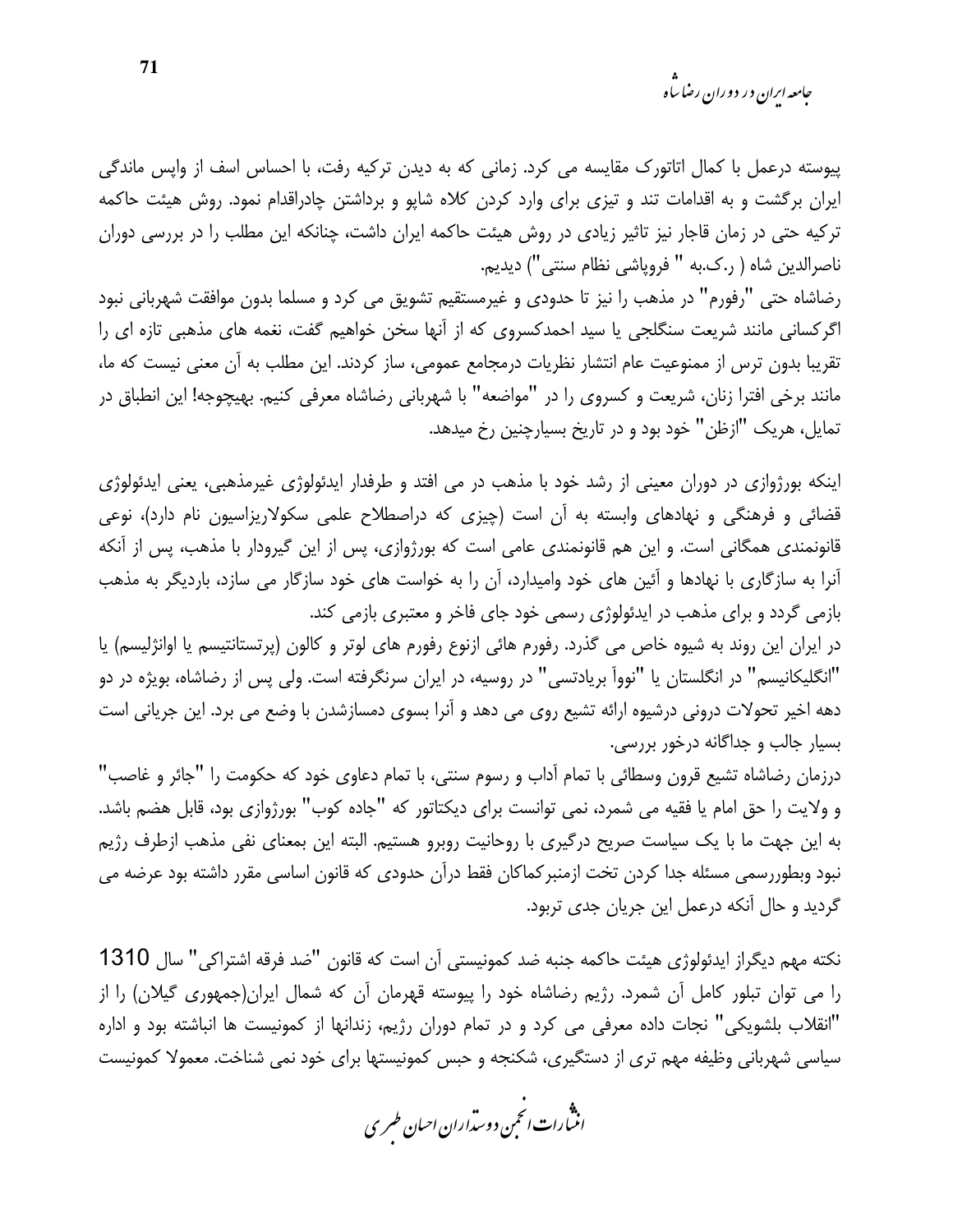*جامعه ایران در دوران رضا ساه* 

پیوسته درعمل با کمال اتاتورک مقایسه می کرد. زمانی که به دیدن ترکیه رفت، با احساس اسف از واپس ماندگی ایران برگشت و به اقدامات تند و تیزی برای وارد کردن کلاه شاپو و برداشتن چادراقدام نمود. روش هیئت حاکمه ترکیه حتی در زمان قاجار نیز تاثیر زیادی در روش هیئت حاکمه ایران داشت، چنانکه این مطلب را در بررسی دوران ناصرالدين شاه ( ر.ک.به " فروپاشي نظام سنتي") ديديم.

رضاشاه حتی "رفورم" در مذهب را نیز تا حدودی و غیرمستقیم تشویق می کرد و مسلما بدون موافقت شهربانی نبود اگرکسانی مانند شریعت سنگلجی یا سید احمدکسروی که از آنها سخن خواهیم گفت، نغمه های مذهبی تازه ای را تقریبا بدون ترس از ممنوعیت عام انتشار نظریات درمجامع عمومی، ساز کردند. این مطلب به آن معنی نیست که ما، مانند برخی افترا زنان، شریعت و کسروی را در "مواضعه" با شهربانی رضاشاه معرفی کنیم. بهیچوجه! این انطباق در تمایل، هریک "ازظن" خود بود و در تاریخ بسیارچنین رخ میدهد.

اینکه بورژوازی در دوران معینی از رشد خود با مذهب در می افتد و طرفدار ایدئولوژی غیرمذهبی، یعنی ایدئولوژی قضائی و فرهنگی و نهادهای وابسته به آن است (چیزی که دراصطلاح علمی سکولاریزاسیون نام دارد)، نوعی قانونمندی همگانی است. و این هم قانونمندی عامی است که بورژوازی، پس از این گیرودار با مذهب، پس از آنکه آنرا به سازگاری با نهادها و آئین های خود وامیدارد، آن را به خواست های خود سازگار می سازد، باردیگر به مذهب بازمی گردد و برای مذهب در ایدئولوژی رسمی خود جای فاخر و معتبری بازمی کند.

در ایران این روند به شیوه خاص می گذرد. رفورم هائی ازنوع رفورم های لوتر و کالون (پرتستانتیسم یا اوانژلیسم) یا "انگلیکانیسم" در انگلستان یا "نوواً بریادتسی" در روسیه، در ایران سرنگرفته است. ولی پس از رضاشاه، بویژه در دو دهه اخیر تحولات درونی درشیوه ارائه تشیع روی می دهد و آنرا بسوی دمسازشدن با وضع می برد. این جریانی است بسیار جالب و جداگانه درخور بررسی.

درزمان رضاشاه تشيع قرون وسطائي با تمام آداب و رسوم سنتي، با تمام دعاوي خود كه حكومت را "جائر و غاصب" و ولايت را حق امام يا فقيه مي شمرد، نمي توانست براي ديكتاتور كه "جاده كوب" بورژوازي بود، قابل هضم باشد. به این جهت ما با یک سیاست صریح درگیری با روحانیت روبرو هستیم. البته این بمعنای نفی مذهب ازطرف رژیم نبود وبطوررسمی مسئله جدا کردن تخت ازمنبر کماکان فقط درآن حدودی که قانون اساسی مقرر داشته بود عرضه می گردید و حال آنکه درعمل این جریان جدی تربود.

نكته مهم ديگراز ايدئولوژي هيئت حاكمه جنبه ضد كمونيستي آن است كه قانون "ضد فرقه اشتراكي" سال 1310 را می توان تبلور کامل آن شمرد. رژیم رضاشاه خود را پیوسته قهرمان آن که شمال ایران(جمهوری گیلان) را از "انقلاب بلشویکی" نجات داده معرفی می کرد و در تمام دوران رژیم، زندانها از کمونیست ها انباشته بود و اداره سیاسی شهربانی وظیفه مهم تری از دستگیری، شکنجه و حبس کمونیستها برای خود نمی شناخت. معمولا کمونیست

.<br>انثیارات انجمن دوسداران احبان طسری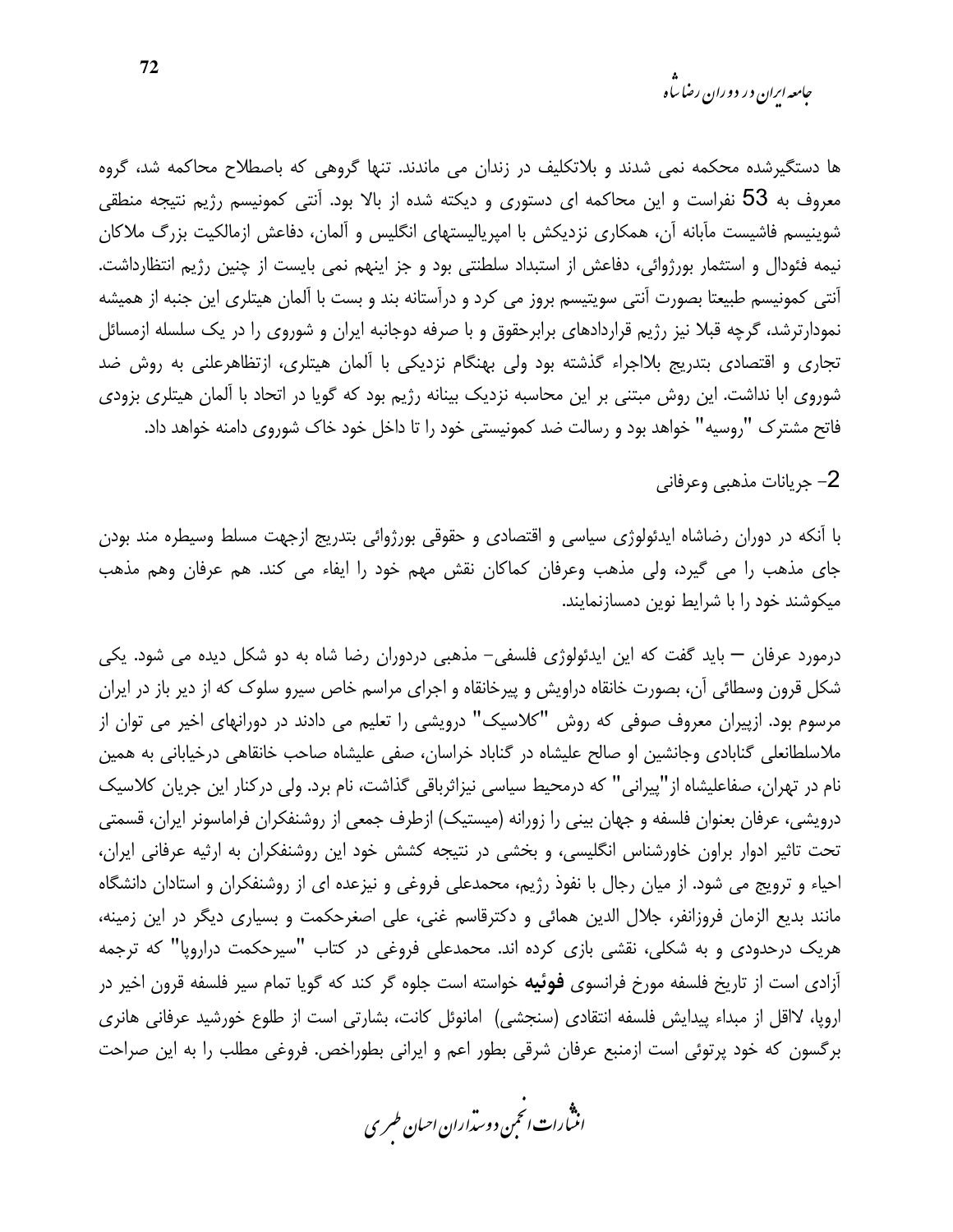*جامعه ایران در دوران رضا ساه* 

ها دستگیرشده محکمه نمی شدند و بلاتکلیف در زندان می ماندند. تنها گروهی که باصطلاح محاکمه شد، گروه معروف به 53 نفراست و این محاکمه ای دستوری و دیکته شده از بالا بود. آنتی کمونیسم رژیم نتیجه منطقی شوینیسم فاشیست مآبانه آن، همکاری نزدیکش با امپریالیستهای انگلیس و آلمان، دفاعش ازمالکیت بزرگ ملاکان نیمه فئودال و استثمار بورژوائی، دفاعش از استبداد سلطنتی بود و جز اینهم نمی بایست از چنین رژیم انتظارداشت. آنتی کمونیسم طبیعتا بصورت آنتی سویتیسم بروز می کرد و درآستانه بند و بست با آلمان هیتلری این جنبه از همیشه نمودارترشد، گرچه قبلا نیز رژیم قراردادهای برابرحقوق و با صرفه دوجانبه ایران و شوروی را در یک سلسله ازمسائل تجاری و اقتصادی بتدریج بلااجراء گذشته بود ولی بهنگام نزدیکی با آلمان هیتلری، ازتظاهرعلنی به روش ضد شوروی ابا نداشت. این روش مبتنی بر این محاسبه نزدیک بینانه رژیم بود که گویا در اتحاد با آلمان هیتلری بزودی فاتح مشترک "روسیه" خواهد بود و رسالت ضد کمونیستی خود را تا داخل خود خاک شوروی دامنه خواهد داد.

2– جريانات مذهبي وعرفاني

با آنکه در دوران رضاشاه ایدئولوژی سیاسی و اقتصادی و حقوقی بورژوائی بتدریج ازجهت مسلط وسیطره مند بودن جای مذهب را می گیرد، ولی مذهب وعرفان کماکان نقش مهم خود را ایفاء می کند. هم عرفان وهم مذهب میکوشند خود را با شرایط نوین دمسازنمایند.

درمورد عرفان — باید گفت که این ایدئولوژی فلسفی– مذهبی دردوران رضا شاه به دو شکل دیده می شود. یکی شکل قرون وسطائی آن، بصورت خانقاه دراویش و پیرخانقاه و اجرای مراسم خاص سیرو سلوک که از دیر باز در ایران مرسوم بود. ازپیران معروف صوفی که روش "کلاسیک" درویشی را تعلیم می دادند در دورانهای اخیر می توان از ملاسلطانعلی گنابادی وجانشین او صالح علیشاه در گناباد خراسان، صفی علیشاه صاحب خانقاهی درخیابانی به همین نام در تهران، صفاعلیشاه از"پیرانی" که درمحیط سیاسی نیزاثرباقی گذاشت، نام برد. ولی درکنار این جریان کلاسیک درویشی، عرفان بعنوان فلسفه و جهان بینی را زورانه (میستیک) ازطرف جمعی از روشنفکران فراماسونر ایران، قسمتی تحت تاثیر ادوار براون خاورشناس انگلیسی، و بخشی در نتیجه کشش خود این روشنفکران به ارثیه عرفانی ایران، احیاء و ترویج می شود. از میان رجال با نفوذ رژیم، محمدعلی فروغی و نیزعده ای از روشنفکران و استادان دانشگاه مانند بدیع الزمان فروزانفر، جلال الدین همائی و دکترقاسم غنی، علی اصغرحکمت و بسیاری دیگر در این زمینه، هریک درحدودی و به شکلی، نقشی بازی کرده اند. محمدعلی فروغی در کتاب "سپرحکمت دراروپا" که ترجمه آزادی است از تاریخ فلسفه مورخ فرانسوی **فوئیه** خواسته است جلوه گر کند که گویا تمام سیر فلسفه قرون اخیر در اروپا، لااقل از مبداء پیدایش فلسفه انتقادی (سنجشی) امانوئل کانت، بشارتی است از طلوع خورشید عرفانی هانری برگسون كه خود پرتوئي است ازمنبع عرفان شرقي بطور اعم و ايراني بطوراخص. فروغي مطلب را به اين صراحت

.<br>انتبارات *انحم*ن دوست<sub>ر</sub>اران احبان *طسر*ی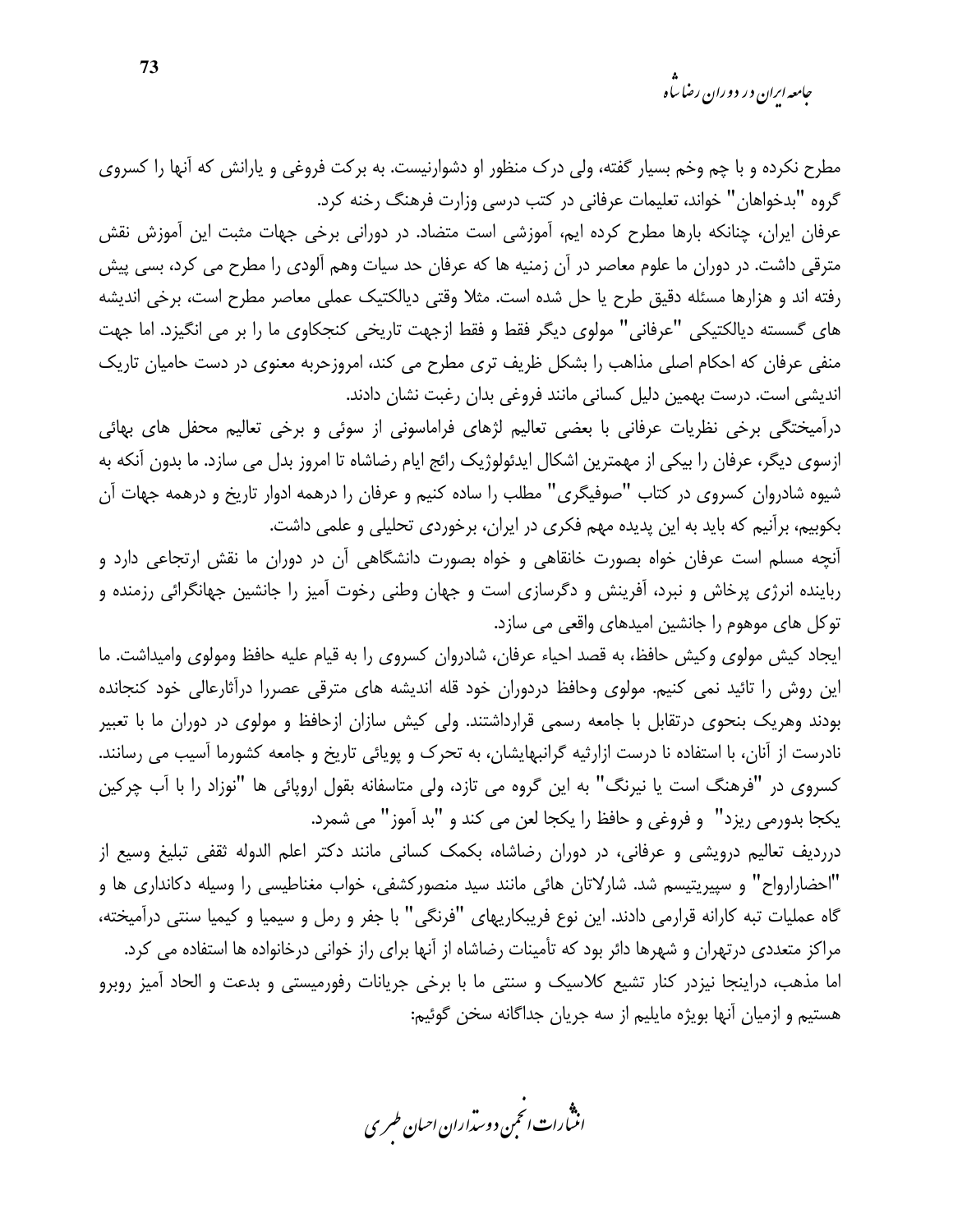*جامعه ایران در دوران رضا ساه* 

مطرح نکرده و با چم وخم بسیار گفته، ولی درک منظور او دشوارنیست. به برکت فروغی و پارانش که آنها را کسروی گروه "بدخواهان" خواند، تعلیمات عرفانی در کتب درسی وزارت فرهنگ رخنه کرد.

عرفان ایران، چنانکه بارها مطرح کرده ایم، آموزشی است متضاد. در دورانی برخی جهات مثبت این آموزش نقش مترقی داشت. در دوران ما علوم معاصر در آن زمنیه ها که عرفان حد سیات وهم آلودی را مطرح می کرد، بسی پیش رفته اند و هزارها مسئله دقیق طرح یا حل شده است. مثلا وقتی دیالکتیک عملی معاصر مطرح است، برخی اندیشه های گسسته دیالکتیکی "عرفانی" مولوی دیگر فقط و فقط ازجهت تاریخی کنجکاوی ما را بر می انگیزد. اما جهت منفی عرفان که احکام اصلی مذاهب را بشکل ظریف تری مطرح می کند، امروزحربه معنوی در دست حامیان تاریک اندیشی است. درست بهمین دلیل کسانی مانند فروغی بدان رغبت نشان دادند.

درآمیختگی برخی نظریات عرفانی با بعضی تعالیم لژهای فراماسونی از سوئی و برخی تعالیم محفل های بهائی ازسوی دیگر، عرفان را بیکی از مهمترین اشکال ایدئولوژیک رائج ایام رضاشاه تا امروز بدل می سازد. ما بدون آنکه به شیوه شادروان کسروی در کتاب "صوفیگری" مطلب را ساده کنیم و عرفان را درهمه ادوار تاریخ و درهمه جهات آن بکوبیم، برآنیم که باید به این پدیده مهم فکری در ایران، برخوردی تحلیلی و علمی داشت.

آنچه مسلم است عرفان خواه بصورت خانقاهی و خواه بصورت دانشگاهی آن در دوران ما نقش ارتجاعی دارد و رباینده انرژی پرخاش و نبرد، آفرینش و دگرسازی است و جهان وطنی رخوت آمیز را جانشین جهانگرائی رزمنده و توکل های موهوم را جانشین امیدهای واقعی می سازد.

ايجاد كيش مولوي وكيش حافظ، به قصد احياء عرفان، شادروان كسروي را به قيام عليه حافظ ومولوي واميداشت. ما این روش را تائید نمی کنیم. مولوی وحافظ دردوران خود قله اندیشه های مترقی عصررا درآثارعالی خود کنجانده بودند وهریک بنحوی درتقابل با جامعه رسمی قرارداشتند. ولی کیش سازان ازحافظ و مولوی در دوران ما با تعبیر نادرست از آنان، با استفاده نا درست ازارثیه گرانبهایشان، به تحرک و پویائی تاریخ و جامعه کشورما آسیب می رسانند. کسروی در "فرهنگ است یا نیرنگ" به این گروه می تازد، ولی متاسفانه بقول اروپائی ها "نوزاد را با آب چرکین يكجا بدورمي ريزد" و فروغي و حافظ را يكجا لعن مي كند و "بد أموز" مي شمرد.

درردیف تعالیم درویشی و عرفانی، در دوران رضاشاه، بکمک کسانی مانند دکتر اعلم الدوله ثقفی تبلیغ وسیع از "احضارارواح" و سپیریتیسم شد. شارلاتان هائی مانند سید منصورکشفی، خواب مغناطیسی را وسیله دکانداری ها و گاه عملیات تبه کارانه قرارمی دادند. این نوع فریبکاریهای "فرنگی" با جفر و رمل و سیمیا و کیمیا سنتی درآمیخته، مراکز متعددی درتهران و شهرها دائر بود که تأمینات رضاشاه از آنها برای راز خوانی درخانواده ها استفاده می کرد. اما مذهب، دراینجا نیزدر کنار تشیع کلاسیک و سنتی ما با برخی جریانات رفورمیستی و بدعت و الحاد آمیز روبرو هستیم و ازمیان آنها بویژه مایلیم از سه جریان جداگانه سخن گوئیم:

.<br>انن رات انجمن دوسداران احبان طسری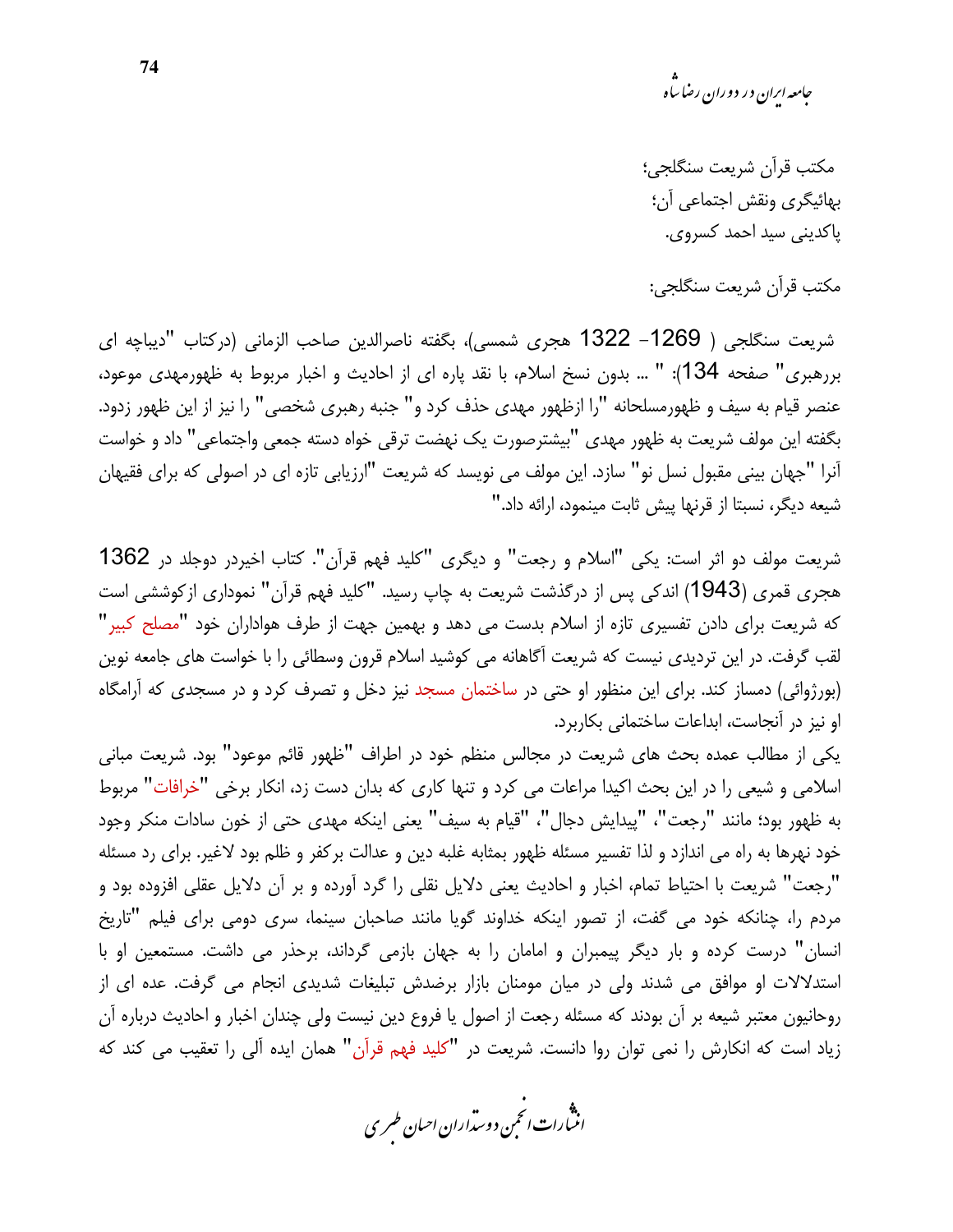مكتب قرآن شريعت سنگلجى؛ بهائيگري ونقش اجتماعي آن؛ ياكديني سيد احمد كسروي.

مكتب قرآن شريعت سنگلجى:

شريعت سنگلجي ( 1269– 1322 هجري شمسي)، بگفته ناصرالدين صاحب الزماني (دركتاب "ديباچه اي بررهبري" صفحه 134): " … بدون نسخ اسلام، با نقد پاره اي از احاديث و اخبار مربوط به ظهورمهدي موعود، عنصر قيام به سيف و ظهورمسلحانه "را ازظهور مهدى حذف كرد و" جنبه رهبرى شخصى" را نيز از اين ظهور زدود. بگفته این مولف شریعت به ظهور مهدی "بیشترصورت یک نهضت ترقی خواه دسته جمعی واجتماعی" داد و خواست آنرا "جهان بینی مقبول نسل نو" سازد. این مولف می نویسد که شریعت "ارزیابی تازه ای در اصولی که برای فقیهان شیعه دیگر، نسبتا از قرنها پیش ثابت مینمود، ارائه داد."

شريعت مولف دو اثر است: يكي "اسلام و رجعت" و ديگرى "كليد فهم قرآن". كتاب اخيردر دوجلد در 1362 هجری قمری (1943) اندکی پس از درگذشت شریعت به چاپ رسید. "کلید فهم قرآن" نموداری ازکوششی است که شریعت برای دادن تفسیری تازه از اسلام بدست می دهد و بهمین جهت از طرف هواداران خود "مصلح کبیر" لقب گرفت. در این تردیدی نیست که شریعت آگاهانه می کوشید اسلام قرون وسطائی را با خواست های جامعه نوین (بورژوائی) دمساز کند. برای این منظور او حتی در ساختمان مسجد نیز دخل و تصرف کرد و در مسجدی که آرامگاه او نیز در آنجاست، ابداعات ساختمانی بکاربرد.

یکی از مطالب عمده بحث های شریعت در مجالس منظم خود در اطراف "ظهور قائم موعود" بود. شریعت مبانی اسلامی و شیعی را در این بحث اکیدا مراعات می کرد و تنها کاری که بدان دست زد، انکار برخی "خرافات" مربوط به ظهور بود؛ مانند "رجعت"، "پيدايش دجال"، "قيام به سيف" يعني اينكه مهدى حتى از خون سادات منكر وجود خود نهرها به راه می اندازد و لذا تفسیر مسئله ظهور بمثابه غلبه دین و عدالت برکفر و ظلم بود لاغیر. برای رد مسئله "رجعت" شريعت با احتياط تمام، اخبار و احاديث يعني دلايل نقلي را گرد آورده و بر آن دلايل عقلي افزوده بود و مردم را، چنانکه خود می گفت، از تصور اینکه خداوند گویا مانند صاحبان سینما، سری دومی برای فیلم "تاریخ انسان" درست کرده و بار دیگر پیمبران و امامان را به جهان بازمی گرداند، برحذر می داشت. مستمعین او با استدلالات او موافق می شدند ولی در میان مومنان بازار برضدش تبلیغات شدیدی انجام می گرفت. عده ای از روحانیون معتبر شیعه بر آن بودند که مسئله رجعت از اصول یا فروع دین نیست ولی چندان اخبار و احادیث درباره آن زیاد است که انکارش را نمی توان روا دانست. شریعت در "کلید فهم قرآن" همان ایده آلی را تعقیب می کند که

.<br>انتبارات *انحم*ن دوست<sub>ر</sub>اران احبان *طسر*ی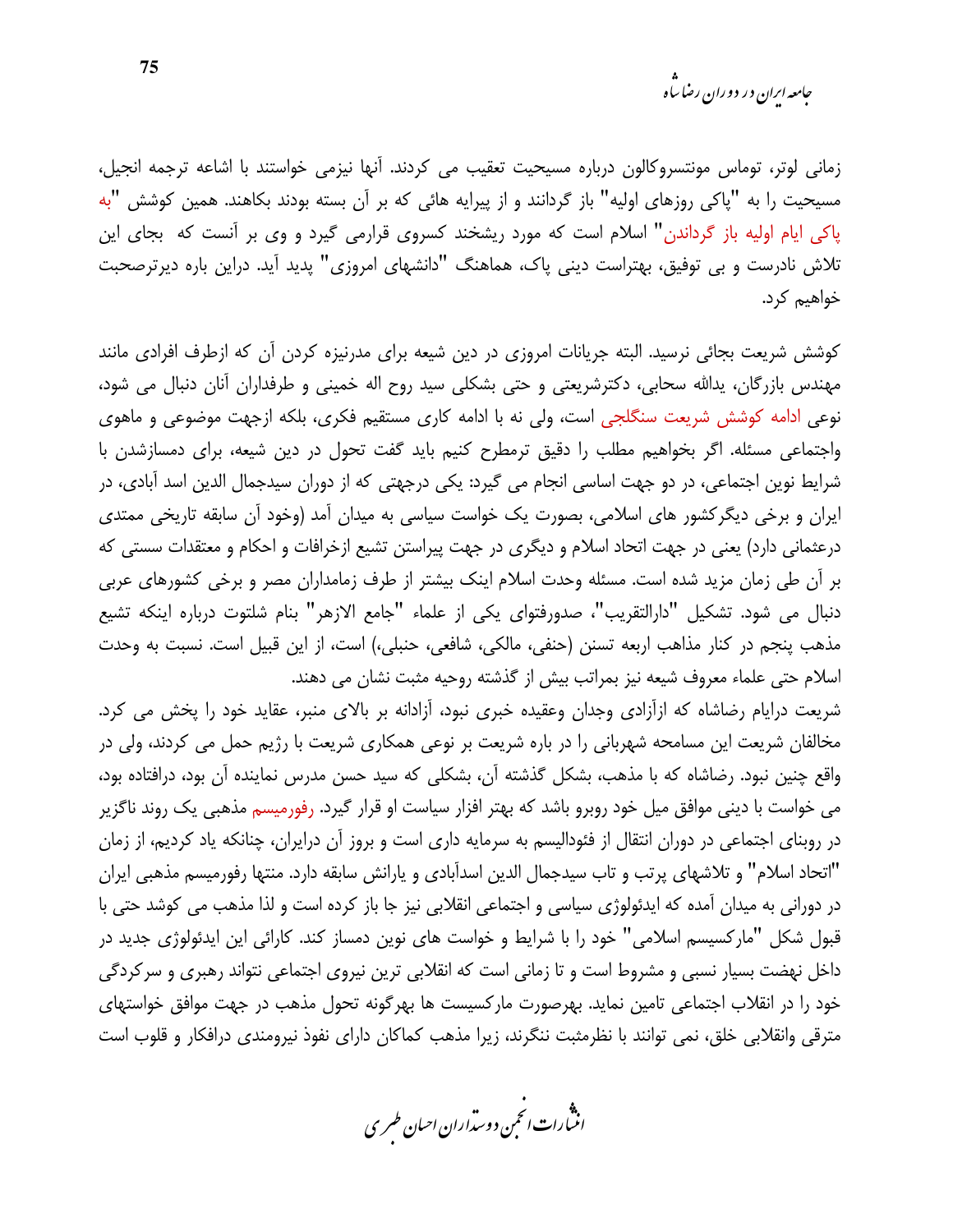زمانی لوتر، توماس مونتسروکالون درباره مسیحیت تعقیب می کردند. آنها نیزمی خواستند با اشاعه ترجمه انجیل، مسیحیت را به "پاکی روزهای اولیه" باز گردانند و از پیرایه هائی که بر آن بسته بودند بکاهند. همین کوشش "به پاکی ایام اولیه باز گرداندن" اسلام است که مورد ریشخند کسروی قرارمی گیرد و وی بر آنست که بجای این تلاش نادرست و بی توفیق، بهتراست دینی پاک، هماهنگ "دانشهای امروزی" پدید آید. دراین باره دیرترصحبت خواهیم کرد.

کوشش شریعت بجائی نرسید. البته جریانات امروزی در دین شیعه برای مدرنیزه کردن آن که ازطرف افرادی مانند مهندس بازرگان، پدالله سحابی، دکترشریعتی و حتی بشکلی سید روح اله خمینی و طرفداران آنان دنبال می شود، نوعی ادامه کوشش شریعت سنگلجی است، ولی نه با ادامه کاری مستقیم فکری، بلکه ازجهت موضوعی و ماهوی واجتماعی مسئله. اگر بخواهیم مطلب را دقیق ترمطرح کنیم باید گفت تحول در دین شیعه، برای دمسازشدن با شرایط نوین اجتماعی، در دو جهت اساسی انجام می گیرد: یکی درجهتی که از دوران سیدجمال الدین اسد آبادی، در ایران و برخی دیگر کشور های اسلامی، بصورت یک خواست سیاسی به میدان آمد (وخود آن سابقه تاریخی ممتدی درعثمانی دارد) یعنی در جهت اتحاد اسلام و دیگری در جهت پیراستن تشیع ازخرافات و احکام و معتقدات سستی که بر آن طی زمان مزید شده است. مسئله وحدت اسلام اینک بیشتر از طرف زمامداران مصر و برخی کشورهای عربی دنبال می شود. تشکیل "دارالتقریب"، صدورفتوای یکی از علماء "جامع الازهر" بنام شلتوت درباره اینکه تشیع مذهب پنجم در كنار مذاهب اربعه تسنن (حنفي، مالكي، شافعي، حنبلي،) است، از اين قبيل است. نسبت به وحدت اسلام حتى علماء معروف شيعه نيز بمراتب بيش از گذشته روحيه مثبت نشان مى دهند.

شریعت درایام رضاشاه که ازآزادی وجدان وعقیده خبری نبود، آزادانه بر بالای منبر، عقاید خود را پخش می کرد. مخالفان شریعت این مسامحه شهربانی را در باره شریعت بر نوعی همکاری شریعت با رژیم حمل می کردند، ولی در واقع چنین نبود. رضاشاه که با مذهب، بشکل گذشته آن، بشکلی که سید حسن مدرس نماینده آن بود، درافتاده بود، می خواست با دینی موافق میل خود روبرو باشد که بهتر افزار سیاست او قرار گیرد. رفورمیسم مذهبی یک روند ناگزیر در روبنای اجتماعی در دوران انتقال از فئودالیسم به سرمایه داری است و بروز آن درایران، چنانکه یاد کردیم، از زمان "اتحاد اسلام" و تلاشهای پرتب و تاب سیدجمال الدین اسدآبادی و پارانش سابقه دارد. منتها رفورمیسم مذهبی ایران در دورانی به میدان آمده که ایدئولوژی سیاسی و اجتماعی انقلابی نیز جا باز کرده است و لذا مذهب می کوشد حتی با قبول شکل "مارکسیسم اسلامی" خود را با شرایط و خواست های نوین دمساز کند. کارائی این ایدئولوژی جدید در داخل نهضت بسیار نسبی و مشروط است و تا زمانی است که انقلابی ترین نیروی اجتماعی نتواند رهبری و سرکردگی خود را در انقلاب اجتماعی تامین نماید. بهرصورت مارکسیست ها بهرگونه تحول مذهب در جهت موافق خواستهای مترقی وانقلابی خلق، نمی توانند با نظرمثبت ننگرند، زیرا مذهب کماکان دارای نفوذ نیرومندی درافکار و قلوب است

.<br>انثمارات انحمن دوسداران احبان طسری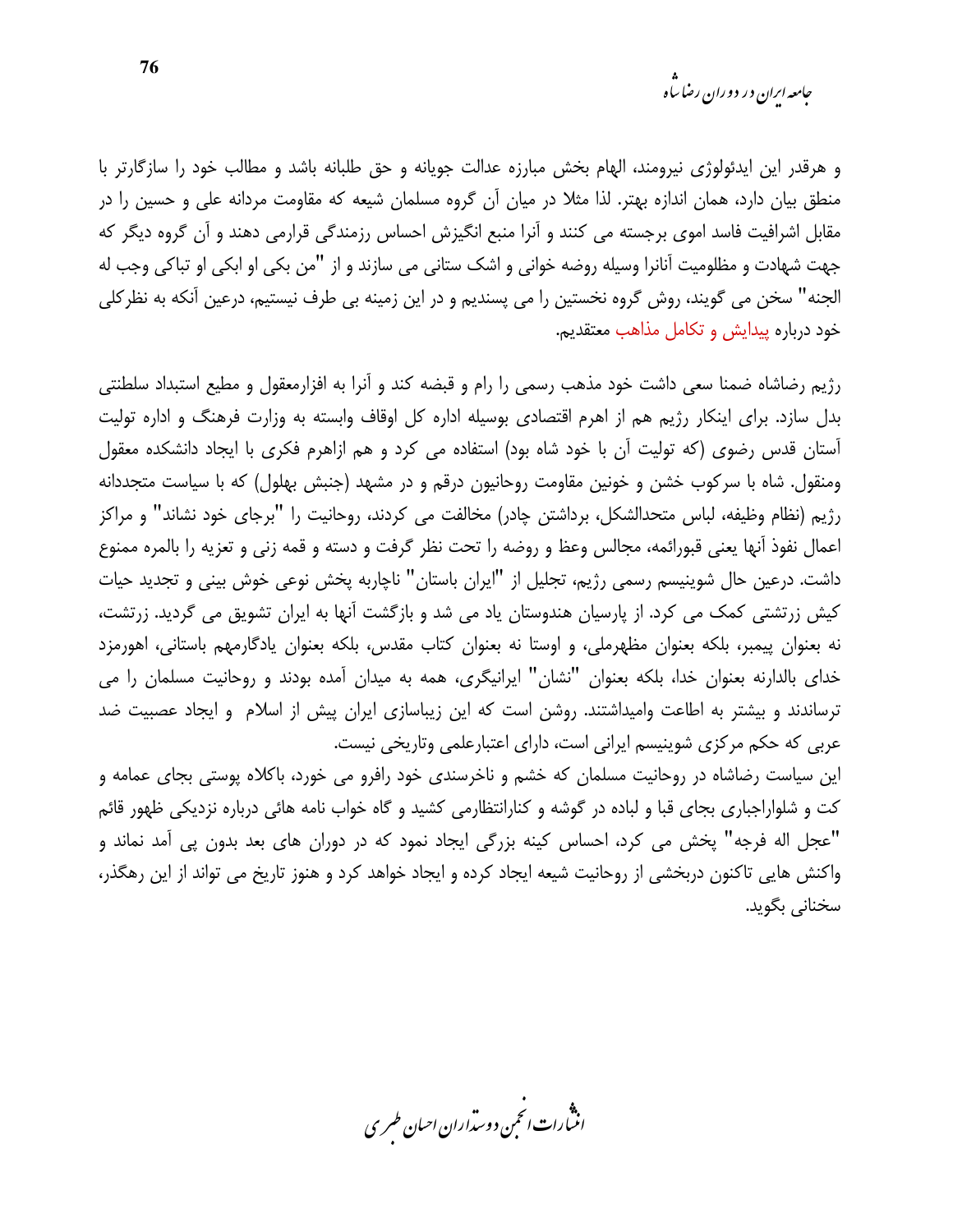و هرقدر این ایدئولوژی نیرومند، الهام بخش مبارزه عدالت جویانه و حق طلبانه باشد و مطالب خود را سازگارتر با منطق بیان دارد، همان اندازه بهتر. لذا مثلا در میان آن گروه مسلمان شیعه که مقاومت مردانه علی و حسین را در مقابل اشرافیت فاسد اموی برجسته می کنند و آنرا منبع انگیزش احساس رزمندگی قرارمی دهند و آن گروه دیگر که جهت شهادت و مظلومیت آنانرا وسیله روضه خوانی و اشک ستانی می سازند و از "من بکی او ابکی او تباکی وجب له الجنه" سخن می گویند، روش گروه نخستین را می پسندیم و در این زمینه بی طرف نیستیم، درعین آنکه به نظرکلی خود درباره پیدایش و تکامل مذاهب معتقدیم.

رژیم رضاشاه ضمنا سعی داشت خود مذهب رسمی را رام و قبضه کند و آنرا به افزارمعقول و مطیع استبداد سلطنتی بدل سازد. برای اینکار رژیم هم از اهرم اقتصادی بوسیله اداره کل اوقاف وابسته به وزارت فرهنگ و اداره تولیت آستان قدس رضوی (که تولیت آن با خود شاه بود) استفاده می کرد و هم ازاهرم فکری با ایجاد دانشکده معقول ومنقول. شاه با سرکوب خشن و خونین مقاومت روحانیون درقم و در مشهد (جنبش بهلول) که با سیاست متجددانه رژيم (نظام وظيفه، لباس متحدالشكل، برداشتن چادر) مخالفت مي كردند، روحانيت را "برجاي خود نشاند" و مراكز اعمال نفوذ أنها يعني قبورائمه، مجالس وعظ و روضه را تحت نظر گرفت و دسته و قمه زني و تعزيه را بالمره ممنوع داشت. درعین حال شوینیسم رسمی رژیم، تجلیل از "ایران باستان" ناچاربه پخش نوعی خوش بینی و تجدید حیات کیش زرتشتی کمک می کرد. از پارسیان هندوستان یاد می شد و بازگشت آنها به ایران تشویق می گردید. زرتشت، نه بعنوان پیمبر، بلکه بعنوان مظهرملی، و اوستا نه بعنوان کتاب مقدس، بلکه بعنوان یادگارمهم باستانی، اهورمزد خدای بالدارنه بعنوان خدا، بلکه بعنوان "نشان" ایرانیگری، همه به میدان آمده بودند و روحانیت مسلمان را می ترساندند و بیشتر به اطاعت وامیداشتند. روشن است که این زیباسازی ایران پیش از اسلام و ایجاد عصبیت ضد عربی که حکم مرکزی شوینیسم ایرانی است، دارای اعتبارعلمی وتاریخی نیست.

این سیاست رضاشاه در روحانیت مسلمان که خشم و ناخرسندی خود رافرو می خورد، باکلاه پوستی بجای عمامه و کت و شلواراجباری بجای قبا و لباده در گوشه و کنارانتظارمی کشید و گاه خواب نامه هائی درباره نزدیکی ظهور قائم "عجل اله فرجه" پخش می کرد، احساس کینه بزرگی ایجاد نمود که در دوران های بعد بدون پی آمد نماند و واکنش هایی تاکنون دربخشی از روحانیت شیعه ایجاد کرده و ایجاد خواهد کرد و هنوز تاریخ می تواند از این رهگذر، سخناني بگويد.

.<br>اننمارات انځمن د وسداران احبان طسری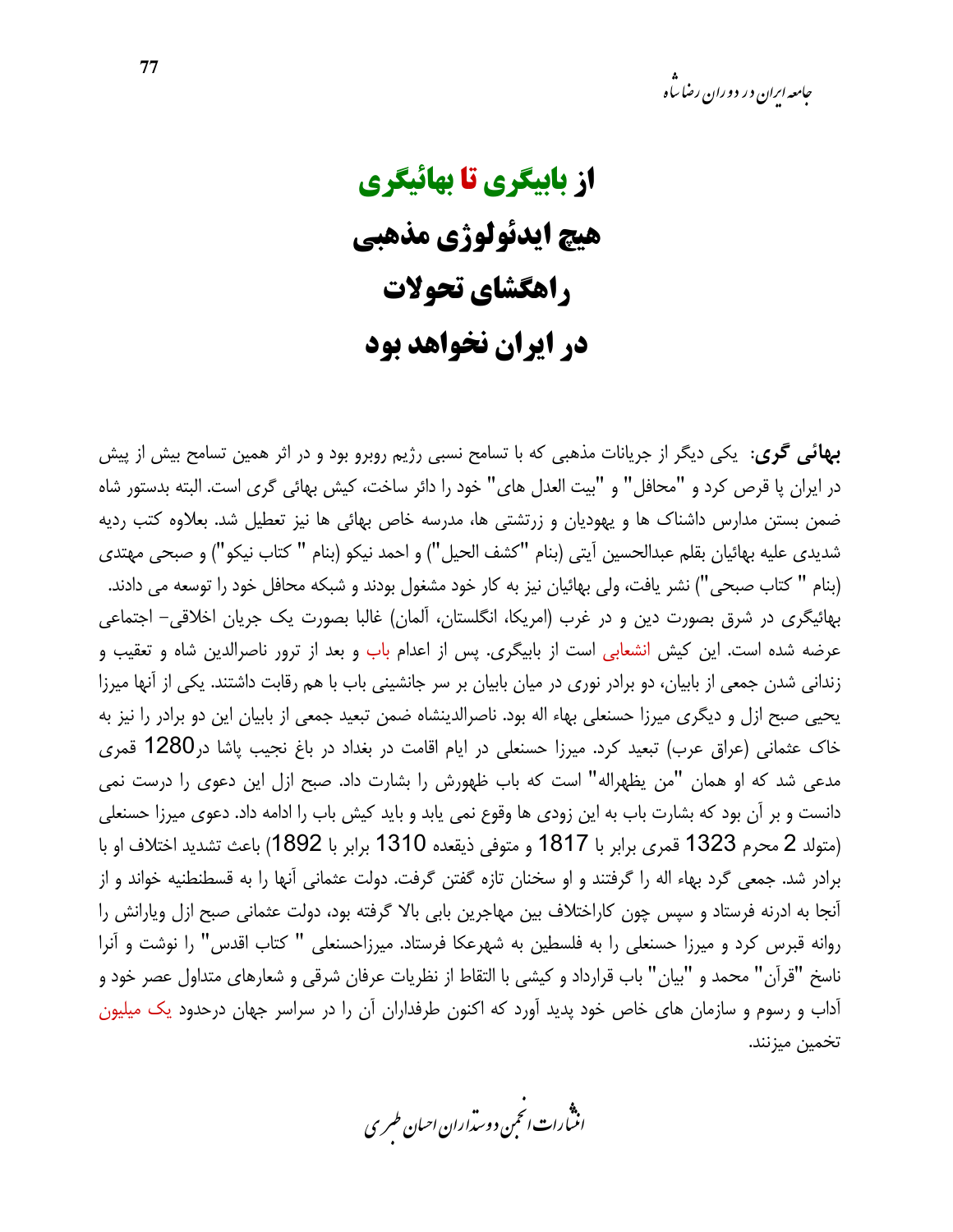**از بابیگری تا بهائیگری** هيچ ايدئولوژي مذهبي راهگشای تحولات در ایران نخواهد بود

**بهائی گری:** یکی دیگر از جریانات مذهبی که با تسامح نسبی رژیم روبرو بود و در اثر همین تسامح بیش از پیش در ایران پا قرص کرد و "محافل" و "بیت العدل های" خود را دائر ساخت، کیش بهائی گری است. البته بدستور شاه ضمن بستن مدارس داشناک ها و یهودیان و زرتشتی ها، مدرسه خاص بهائی ها نیز تعطیل شد. بعلاوه کتب ردیه شديدي عليه بهائيان بقلم عبدالحسين آيتي (بنام "كشف الحيل") و احمد نيكو (بنام " كتاب نيكو") و صبحي مهتدي (بنام " كتاب صبحى") نشر يافت، ولي بهائيان نيز به كار خود مشغول بودند و شبكه محافل خود را توسعه مي دادند. بهائيگري در شرق بصورت دين و در غرب (امريكا، انگلستان، آلمان) غالبا بصورت يک جريان اخلاقي– اجتماعي عرضه شده است. این کیش انشعابی است از بابیگری. پس از اعدام باب و بعد از ترور ناصرالدین شاه و تعقیب و زندانی شدن جمعی از بابیان، دو برادر نوری در میان بابیان بر سر جانشینی باب با هم رقابت داشتند. یکی از آنها میرزا یحیی صبح ازل و دیگری میرزا حسنعلی بهاء اله بود. ناصرالدینشاه ضمن تبعید جمعی از بابیان این دو برادر را نیز به خاک عثمانی (عراق عرب) تبعید کرد. میرزا حسنعلی در ایام اقامت در بغداد در باغ نجیب یاشا در1280 قمری مدعی شد که او همان "من يظهراله" است که باب ظهورش را بشارت داد. صبح ازل اين دعوی را درست نمی دانست و بر آن بود که بشارت باب به این زودی ها وقوع نمی یابد و باید کیش باب را ادامه داد. دعوی میرزا حسنعلی (متولد 2 محرم 1323 قمرى برابر با 1817 و متوفى ذيقعده 1310 برابر با 1892) باعث تشديد اختلاف او با برادر شد. جمعی گرد بهاء اله را گرفتند و او سخنان تازه گفتن گرفت. دولت عثمانی آنها را به قسطنطنیه خواند و از آنجا به ادرنه فرستاد و سپس چون کاراختلاف بین مهاجرین بابی بالا گرفته بود، دولت عثمانی صبح ازل ویارانش را روانه قبرس کرد و میرزا حسنعلی را به فلسطین به شهرعکا فرستاد. میرزاحسنعلی " کتاب اقدس" را نوشت و آنرا ناسخ "قرآن" محمد و "بيان" باب قرارداد و كيشي با التقاط از نظريات عرفان شرقي و شعارهاي متداول عصر خود و آداب و رسوم و سازمان های خاص خود پدید آورد که اکنون طرفداران آن را در سراسر جهان درحدود یک میلیون تخمين ميزنند.

.<br>اننمارات انځمن د وسداران احبان طسری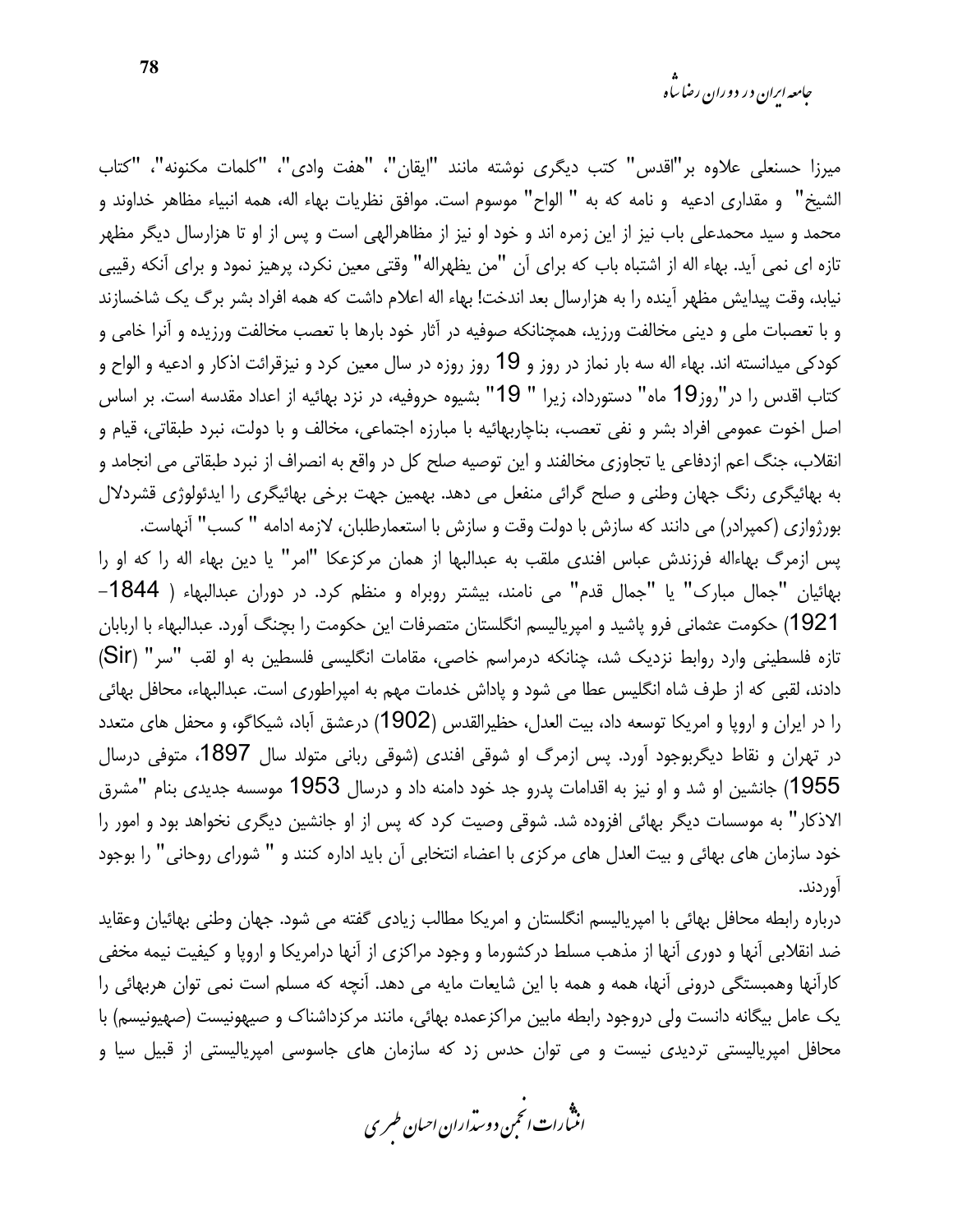ميرزا حسنعلي علاوه بر"اقدس" كتب ديگرى نوشته مانند "ايقان"، "هفت وادي"، "كلمات مكنونه"، "كتاب الشيخ" و مقداري ادعيه و نامه كه به "الواح" موسوم است. موافق نظريات بهاء اله، همه انبياء مظاهر خداوند و محمد و سید محمدعلی باب نیز از این زمره اند و خود او نیز از مظاهرالهی است و پس از او تا هزارسال دیگر مظهر تازه ای نمی آید. بهاء اله از اشتباه باب که برای آن "من یظهراله" وقتی معین نکرد، پرهیز نمود و برای آنکه رقیبی نیابد، وقت پیدایش مظهر آینده را به هزارسال بعد اندخت! بهاء اله اعلام داشت که همه افراد بشر برگ یک شاخسازند و با تعصبات ملی و دینی مخالفت ورزید، همچنانکه صوفیه در آثار خود بارها با تعصب مخالفت ورزیده و آنرا خامی و کودکی میدانسته اند. بهاء اله سه بار نماز در روز و 19 روز روزه در سال معین کرد و نیزقرائت اذکار و ادعیه و الواح و كتاب اقدس را در "روز19 ماه" دستورداد، زيرا " 19" بشيوه حروفيه، در نزد بهائيه از اعداد مقدسه است. بر اساس اصل اخوت عمومي افراد بشر و نفي تعصب، بناچاربهائيه با مبارزه اجتماعي، مخالف و با دولت، نبرد طبقاتي، قيام و انقلاب، جنگ اعم ازدفاعی یا تجاوزی مخالفند و این توصیه صلح کل در واقع به انصراف از نبرد طبقاتی می انجامد و به بهائیگری رنگ جهان وطنی و صلح گرائی منفعل می دهد. بهمین جهت برخی بهائیگری را ایدئولوژی قشردلال بورژوازی (کمپرادر) می دانند که سازش با دولت وقت و سازش با استعمارطلبان، لازمه ادامه " کسب" آنهاست.

يس ازمرگ بهاءاله فرزندش عباس افندي ملقب به عبدالبها از همان مركزعكا "امر" يا دين بهاء اله را كه او را بهائيان "جمال مبارک" يا "جمال قدم" مي نامند، بيشتر روبراه و منظم کرد. در دوران عبدالبهاء ( 1844– 1921) حکومت عثمانی فرو یاشید و امیریالیسم انگلستان متصرفات این حکومت را بچنگ آورد. عبدالبهاء با اربابان تازه فلسطینی وارد روابط نزدیک شد، چنانکه درمراسم خاصی، مقامات انگلیسی فلسطین به او لقب "سر" (Sir) دادند، لقبی که از طرف شاه انگلیس عطا می شود و پاداش خدمات مهم به امپراطوری است. عبدالبهاء، محافل بهائی را در ایران و اروپا و امریکا توسعه داد، بیت العدل، حظیرالقدس (1902) درعشق آباد، شیکاگو، و محفل های متعدد در تھران و نقاط دیگربوجود آورد. پس ازمرگ او شوقی افندی (شوقی ربانی متولد سال 1897، متوفی درسال 1955) جانشین او شد و او نیز به اقدامات پدرو جد خود دامنه داد و درسال 1953 موسسه جدیدی بنام "مشرق الاذکار" به موسسات دیگر بهائی افزوده شد. شوقی وصیت کرد که پس از او جانشین دیگری نخواهد بود و امور را خود سازمان های بهائی و بیت العدل های مرکزی با اعضاء انتخابی آن باید اداره کنند و " شورای روحانی" را بوجود اور دند.

درباره رابطه محافل بهائی با امیریالیسم انگلستان و امریکا مطالب زیادی گفته می شود. جهان وطنی بهائیان وعقاید ضد انقلابی آنها و دوری آنها از مذهب مسلط درکشورما و وجود مراکزی از آنها درامریکا و اروپا و کیفیت نیمه مخفی کارآنها وهمبستگی درونی آنها، همه و همه با این شایعات مایه می دهد. آنچه که مسلم است نمی توان هربهائی را یک عامل بیگانه دانست ولی دروجود رابطه مابین مراکزعمده بهائی، مانند مرکزداشناک و صیهونیست (صهیونیسم) با محافل امپریالیستی تردیدی نیست و می توان حدس زد که سازمان های جاسوسی امپریالیستی از قبیل سیا و

.<br>انن رات انجمن دوسداران احبان طسری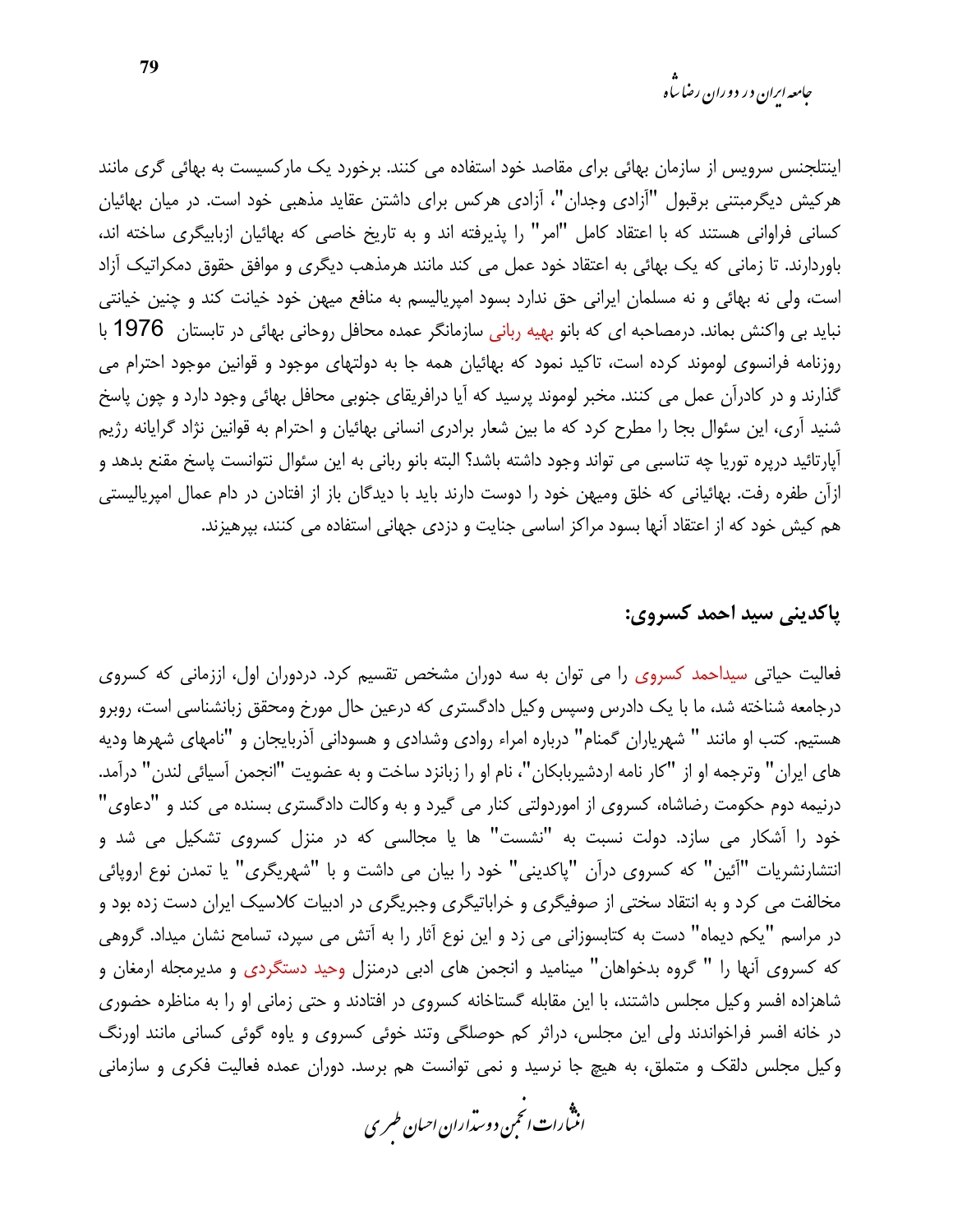اینتلجنس سرویس از سازمان بهائی برای مقاصد خود استفاده می کنند. برخورد یک مارکسیست به بهائی گری مانند هرکیش دیگرمبتنی برقبول "آزادی وجدان"، آزادی هرکس برای داشتن عقاید مذهبی خود است. در میان بهائیان کسانی فراوانی هستند که با اعتقاد کامل "امر" را پذیرفته اند و به تاریخ خاصی که بهائیان ازبابیگری ساخته اند، باوردارند. تا زمانی که یک بهائی به اعتقاد خود عمل می کند مانند هرمذهب دیگری و موافق حقوق دمکراتیک آزاد است، ولی نه بهائی و نه مسلمان ایرانی حق ندارد بسود امپریالیسم به منافع میهن خود خیانت کند و چنین خیانتی نباید بی واکنش بماند. درمصاحبه ای که بانو بهیه ربانی سازمانگر عمده محافل روحانی بهائی در تابستان 1976 با روزنامه فرانسوی لوموند کرده است، تاکید نمود که بهائیان همه جا به دولتهای موجود و قوانین موجود احترام می گذارند و در کادرآن عمل می کنند. مخبر لوموند پرسید که آیا درافریقای جنوبی محافل بهائی وجود دارد و چون پاسخ شنید آری، این سئوال بجا را مطرح کرد که ما بین شعار برادری انسانی بهائیان و احترام به قوانین نژاد گرایانه رژیم آپارتائید درپره توریا چه تناسبی می تواند وجود داشته باشد؟ البته بانو ربانی به این سئوال نتوانست پاسخ مقنع بدهد و ازآن طفره رفت. بهائیانی که خلق ومیهن خود را دوست دارند باید با دیدگان باز از افتادن در دام عمال امپریالیستی هم کیش خود که از اعتقاد آنها بسود مراکز اساسی جنایت و دزدی جهانی استفاده می کنند، بپرهیزند.

#### ياكديني سيد احمد كسروي:

فعالیت حیاتی سیداحمد کسروی را می توان به سه دوران مشخص تقسیم کرد. دردوران اول، اززمانی که کسروی درجامعه شناخته شد، ما با یک دادرس وسپس وکیل دادگستری که درعین حال مورخ ومحقق زبانشناسی است، روبرو هستیم. کتب او مانند " شهریاران گمنام" درباره امراء روادی وشدادی و هسودانی آذربایجان و "نامهای شهرها ودیه های ایران" وترجمه او از "کار نامه اردشیربابکان"، نام او را زبانزد ساخت و به عضویت "انجمن آسیائی لندن" درآمد. درنیمه دوم حکومت رضاشاه، کسروی از اموردولتی کنار می گیرد و به وکالت دادگستری بسنده می کند و "دعاوی" خود را آشکار می سازد. دولت نسبت به "نشست" ها یا مجالسی که در منزل کسروی تشکیل می شد و انتشارنشریات "آئین" که کسروی درآن "پاکدینی" خود را بیان می داشت و با "شهریگری" یا تمدن نوع اروپائی مخالفت می کرد و به انتقاد سختی از صوفیگری و خراباتیگری وجبریگری در ادبیات کلاسیک ایران دست زده بود و در مراسم "یکم دیماه" دست به کتابسوزانی می زد و این نوع آثار را به آتش می سپرد، تسامح نشان میداد. گروهی که کسروی آنها را " گروه بدخواهان" مینامید و انجمن های ادبی درمنزل وحید دستگردی و مدیرمجله ارمغان و شاهزاده افسر وکیل مجلس داشتند، با این مقابله گستاخانه کسروی در افتادند و حتی زمانی او را به مناظره حضوری در خانه افسر فراخواندند ولی این مجلس، دراثر کم حوصلگی وتند خوئی کسروی و یاوه گوئی کسانی مانند اورنگ وکیل مجلس دلقک و متملق، به هیچ جا نرسید و نمی توانست هم برسد. دوران عمده فعالیت فکری و سازمانی

.<br>انثیارات انجمن دوسداران احبان طسری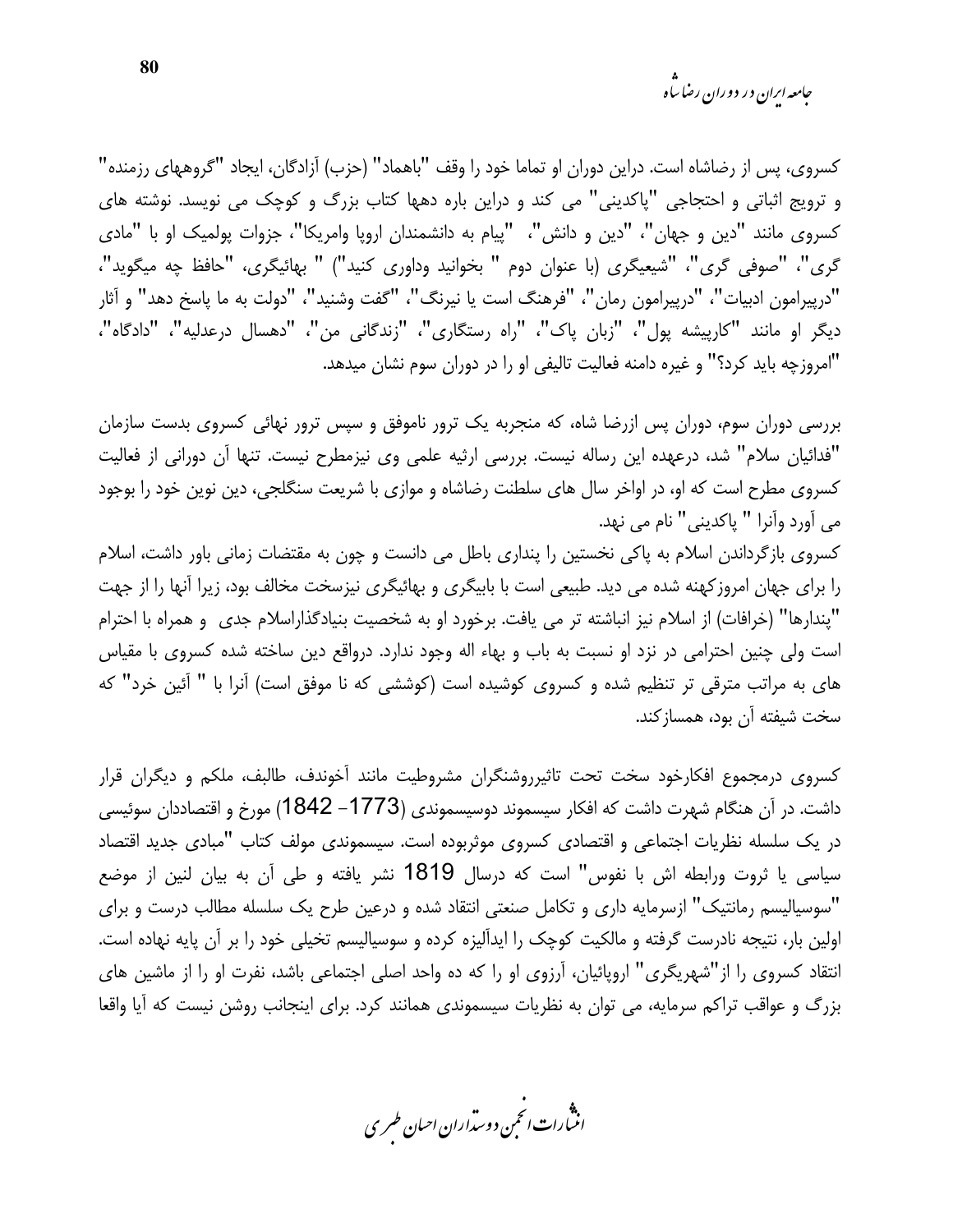<sub>حامعه ابران در دوران رضا ساه</sub>

كسروى، پس از رضاشاه است. دراين دوران او تماما خود را وقف "باهماد" (حزب) آزادگان، ايجاد "گروههاى رزمنده" و ترویج اثباتی و احتجاجی "پاکدینی" می کند و دراین باره دهها کتاب بزرگ و کوچک می نویسد. نوشته های کسروی مانند "دین و جهان"، "دین و دانش"، "پیام به دانشمندان اروپا وامریکا"، جزوات پولمیک او با "مادی گري"، "صوفي گري"، "شيعيگري (با عنوان دوم " بخوانيد وداوري كنيد") " بهائيگري، "حافظ چه ميگويد"، "درپیرامون ادبیات"، "درپیرامون رمان"، "فرهنگ است یا نیرنگ"، "گفت وشنید"، "دولت به ما پاسخ دهد" و آثار دیگر او مانند "کارپیشه پول"، "زبان پاک"، "راه رستگاری"، "زندگانی من"، "دهسال درعدلیه"، "دادگاه"، "امروزچه باید کرد؟" و غیره دامنه فعالیت تالیفی او را در دوران سوم نشان میدهد.

بررسی دوران سوم، دوران پس ازرضا شاه، که منجربه یک ترور ناموفق و سپس ترور نهائی کسروی بدست سازمان "فدائيان سلام" شد، درعهده اين رساله نيست. بررسي ارثيه علمي وي نيزمطرح نيست. تنها آن دوراني از فعاليت کسروی مطرح است که او، در اواخر سال های سلطنت رضاشاه و موازی با شریعت سنگلجی، دین نوین خود را بوجود مي أورد وأنرا " پاكديني" نام مي نهد.

کسروی بازگرداندن اسلام به پاکی نخستین را پنداری باطل می دانست و چون به مقتضات زمانی باور داشت، اسلام را برای جهان امروزکهنه شده می دید. طبیعی است با بابیگری و بهائیگری نیزسخت مخالف بود، زیرا آنها را از جهت "يندارها" (خرافات) از اسلام نيز انباشته تر مي يافت. برخورد او به شخصيت بنيادگذاراسلام جدى و همراه با احترام است ولی چنین احترامی در نزد او نسبت به باب و بهاء اله وجود ندارد. درواقع دین ساخته شده کسروی با مقیاس های به مراتب مترقی تر تنظیم شده و کسروی کوشیده است (کوششی که نا موفق است) آنرا با " آئین خرد" که سخت شيفته آن بود، همساز كند.

کسروی درمجموع افکارخود سخت تحت تاثیرروشنگران مشروطیت مانند آخوندف، طالبف، ملکم و دیگران قرار داشت. در آن هنگام شهرت داشت که افکار سیسموند دوسیسموندی (1773– 1842) مورخ و اقتصاددان سوئیسی در یک سلسله نظریات اجتماعی و اقتصادی کسروی موثربوده است. سیسموندی مولف کتاب "مبادی جدید اقتصاد سیاسی یا ثروت ورابطه اش با نفوس" است که درسال 1819 نشر یافته و طی آن به بیان لنین از موضع "سوسیالیسم رمانتیک" ازسرمایه داری و تکامل صنعتی انتقاد شده و درعین طرح یک سلسله مطالب درست و برای اولین بار، نتیجه نادرست گرفته و مالکیت کوچک را ایدآلیزه کرده و سوسیالیسم تخیلی خود را بر آن پایه نهاده است. انتقاد کسروی را از"شهریگری" اروپائیان، آرزوی او را که ده واحد اصلی اجتماعی باشد، نفرت او را از ماشین های بزرگ و عواقب تراکم سرمایه، می توان به نظریات سیسموندی همانند کرد. برای اینجانب روشن نیست که آیا واقعا

.<br>انن رات انجمن دوسداران احبان طسری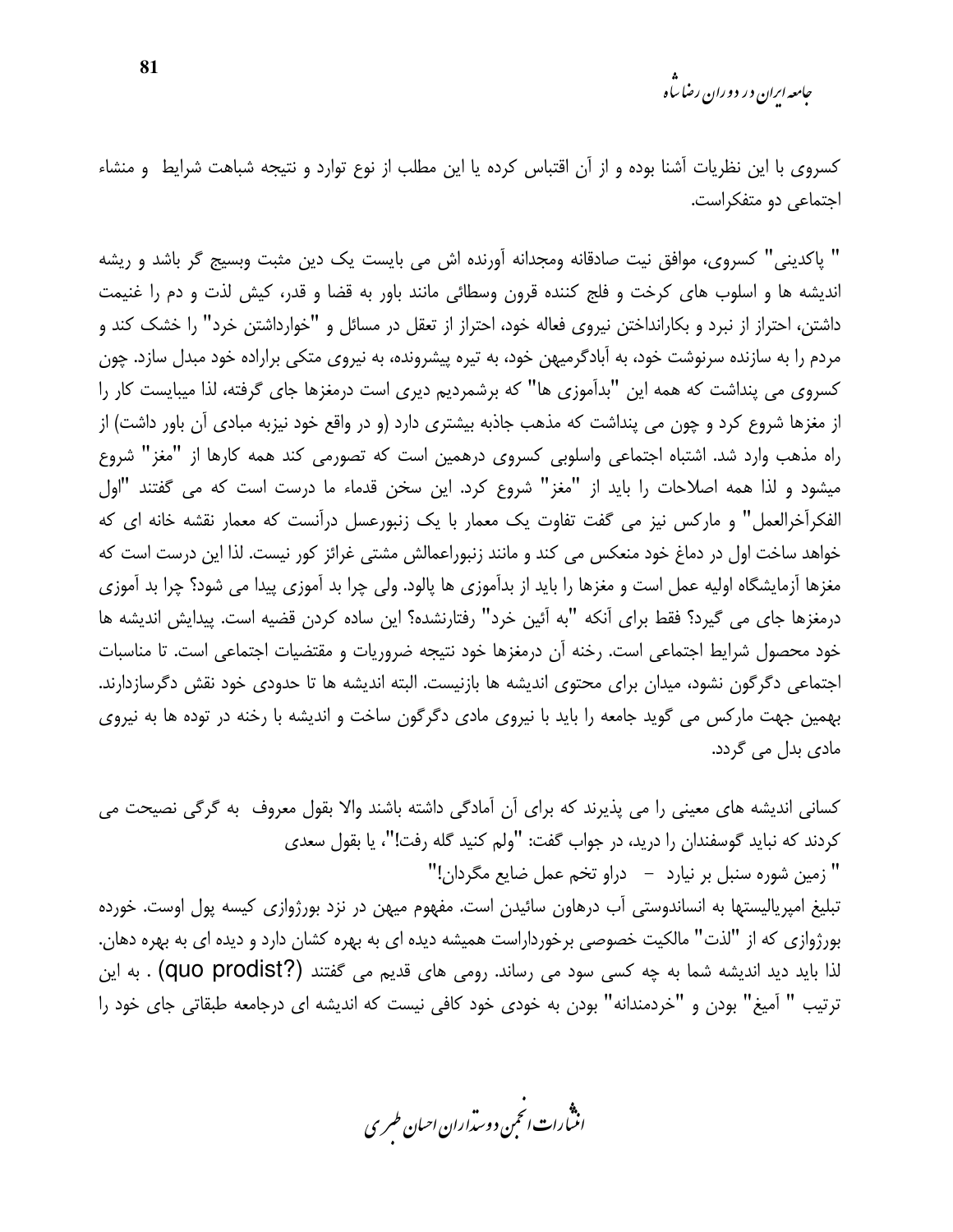جامعه ایران در دوران رضا ساه

کسروی با این نظریات آشنا بوده و از آن اقتباس کرده یا این مطلب از نوع توارد و نتیجه شباهت شرایط و منشاء اجتماعی دو متفکراست.

" پاکدینی" کسروی، موافق نیت صادقانه ومجدانه آورنده اش می بایست یک دین مثبت وبسیج گر باشد و ریشه اندیشه ها و اسلوب های کرخت و فلج کننده قرون وسطائی مانند باور به قضا و قدر، کیش لذت و دم را غنیمت داشتن، احتراز از نبرد و بکارانداختن نیروی فعاله خود، احتراز از تعقل در مسائل و "خوارداشتن خرد" را خشک کند و مردم را به سازنده سرنوشت خود، به آبادگرمیهن خود، به تیره پیشرونده، به نیروی متکی براراده خود مبدل سازد. چون کسروی می پنداشت که همه این "بدآموزی ها" که برشمردیم دیری است درمغزها جای گرفته، لذا میبایست کار را از مغزها شروع کرد و چون می پنداشت که مذهب جاذبه بیشتری دارد (و در واقع خود نیزبه مبادی آن باور داشت) از راه مذهب وارد شد. اشتباه اجتماعی واسلوبی کسروی درهمین است که تصورمی کند همه کارها از "مغز" شروع میشود و لذا همه اصلاحات را باید از "مغز" شروع کرد. این سخن قدماء ما درست است که می گفتند "اول الفكراَخرالعمل" و ماركس نيز مي گفت تفاوت يک معمار با يک زنبورعسل دراَنست كه معمار نقشه خانه اي كه خواهد ساخت اول در دماغ خود منعکس می کند و مانند زنبوراعمالش مشتی غرائز کور نیست. لذا این درست است که مغزها آزمایشگاه اولیه عمل است و مغزها را باید از بدآموزی ها یالود. ولی چرا بد آموزی پیدا می شود؟ چرا بد آموزی درمغزها جای می گیرد؟ فقط برای آنکه "به آئین خرد" رفتارنشده؟ این ساده کردن قضیه است. پیدایش اندیشه ها خود محصول شرایط اجتماعی است. رخنه آن درمغزها خود نتیجه ضروریات و مقتضیات اجتماعی است. تا مناسبات اجتماعی دگرگون نشود، میدان برای محتوی اندیشه ها بازنیست. البته اندیشه ها تا حدودی خود نقش دگرسازدارند. بهمین جهت مارکس می گوید جامعه را باید با نیروی مادی دگرگون ساخت و اندیشه با رخنه در توده ها به نیروی مادی بدل می گردد.

كساني انديشه هاي معيني را مي پذيرند كه براي أن أمادگي داشته باشند والا بقول معروف به گرگي نصيحت مي كردند كه نبايد گوسفندان را دريد، در جواب گفت: "ولم كنيد گله رفت!"، يا بقول سعدى " زمین شوره سنبل بر نیارد  $\qquad$  دراو تخم عمل ضایع مگردان!" تبلیغ امپریالیستها به انساندوستی آب درهاون سائیدن است. مفهوم میهن در نزد بورژوازی کیسه پول اوست. خورده بورژوازی که از "لذت" مالکیت خصوصی برخورداراست همیشه دیده ای به بهره کشان دارد و دیده ای به بهره دهان. لذا بايد ديد انديشه شما به چه كسى سود مى رساند. رومى هاى قديم مى گفتند (Quo prodist?) . به اين ترتیب " آمیغ" بودن و "خردمندانه" بودن به خودی خود کافی نیست که اندیشه ای درجامعه طبقاتی جای خود را

.<br>انن رات انجمن دوسداران احبان طسری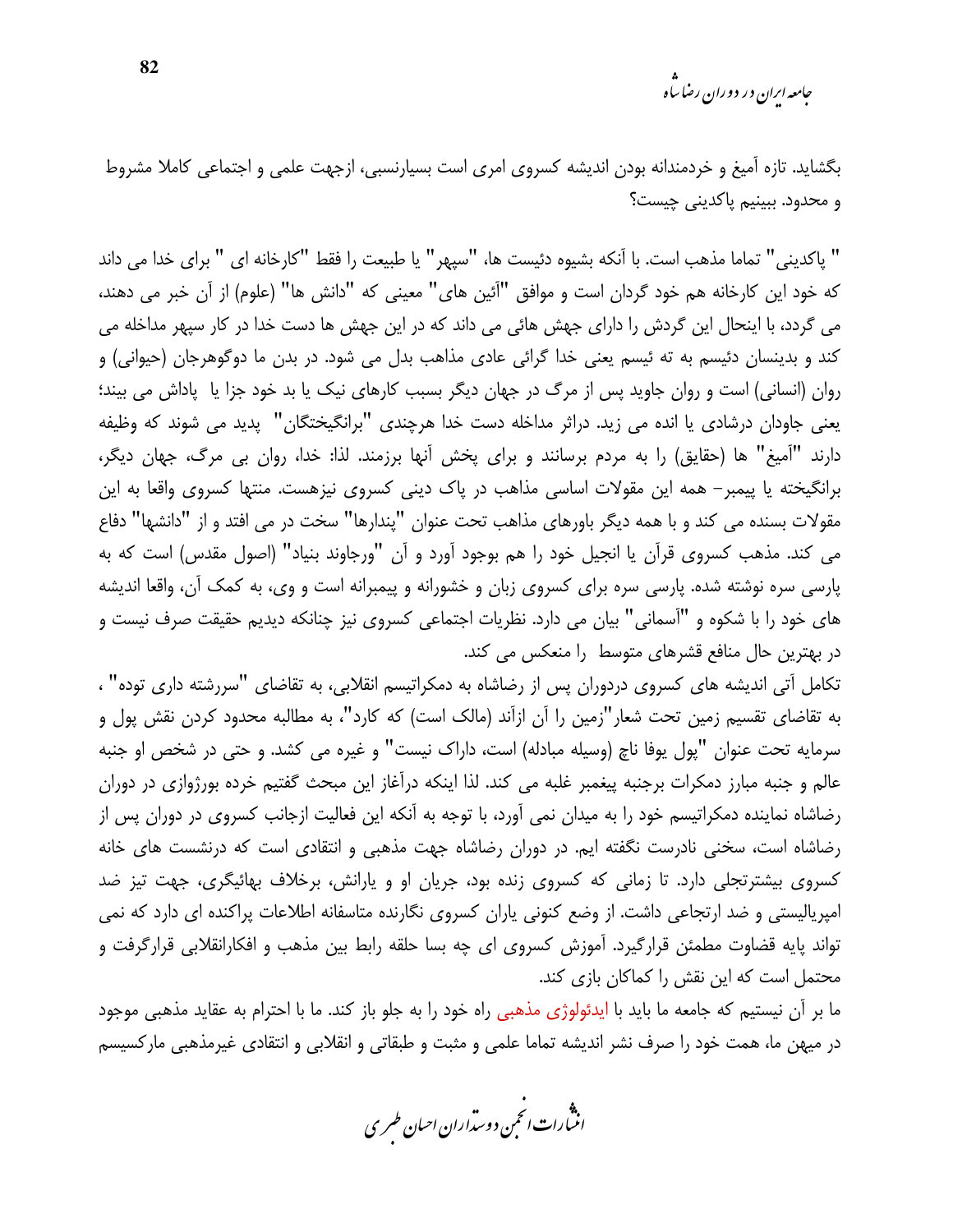*جامعه ایران در دوران رضا ساه* 

بگشاید. تازه آمیغ و خردمندانه بودن اندیشه کسروی امری است بسیارنسبی، ازجهت علمی و اجتماعی کاملا مشروط و محدود. ببينيم پاكديني چيست؟

" ياكديني" تماما مذهب است. با آنكه بشيوه دئيست ها، "سيهر" يا طبيعت را فقط "كارخانه اي " براي خدا مي داند كه خود اين كارخانه هم خود گردان است و موافق "آئين هاي" معيني كه "دانش ها" (علوم) از آن خبر مي دهند، می گردد، با اینحال این گردش را دارای جهش هائی می داند که در این جهش ها دست خدا در کار سیهر مداخله می کند و بدینسان دئیسم به ته ئیسم یعنی خدا گرائی عادی مذاهب بدل می شود. در بدن ما دوگوهرجان (حیوانی) و روان (انسانی) است و روان جاوید پس از مرگ در جهان دیگر بسبب کارهای نیک یا بد خود جزا یا پاداش می بیند؛ يعني جاودان درشادي يا انده مي زيد. دراثر مداخله دست خدا هرچندي "برانگيختگان" پديد مي شوند كه وظيفه دارند "آميغ" ها (حقايق) را به مردم برسانند و براي يخش آنها برزمند. لذا: خدا، روان بي مرگ، جهان ديگر، برانگیخته یا پیمبر– همه این مقولات اساسی مذاهب در پاک دینی کسروی نیزهست. منتها کسروی واقعا به این مقولات بسنده می کند و با همه دیگر باورهای مذاهب تحت عنوان "پندارها" سخت در می افتد و از "دانشها" دفاع می کند. مذهب کسروی قرآن یا انجیل خود را هم بوجود آورد و آن "ورجاوند بنیاد" (اصول مقدس) است که به پارسی سره نوشته شده. پارسی سره برای کسروی زبان و خشورانه و پیمبرانه است و وی، به کمک آن، واقعا اندیشه های خود را با شکوه و "آسمانی" بیان می دارد. نظریات اجتماعی کسروی نیز چنانکه دیدیم حقیقت صرف نیست و در بهترین حال منافع قشرهای متوسط ۱٫ منعکس می کند.

تکامل آتی اندیشه های کسروی دردوران پس از رضاشاه به دمکراتیسم انقلابی، به تقاضای "سررشته داری توده" ، به تقاضای تقسیم زمین تحت شعار"زمین را آن ازآند (مالک است) که کارد"، به مطالبه محدود کردن نقش پول و سرمايه تحت عنوان "يول يوفا ناچ (وسيله مبادله) است، داراک نيست" و غيره مي کشد. و حتى در شخص او جنبه عالم و جنبه مبارز دمکرات برجنبه پیغمبر غلبه می کند. لذا اینکه درآغاز این مبحث گفتیم خرده بورژوازی در دوران رضاشاه نماینده دمکراتیسم خود را به میدان نمی آورد، با توجه به آنکه این فعالیت ازجانب کسروی در دوران پس از رضاشاه است، سخنی نادرست نگفته ایم. در دوران رضاشاه جهت مذهبی و انتقادی است که درنشست های خانه کسروی بیشترتجلی دارد. تا زمانی که کسروی زنده بود، جریان او و پارانش، برخلاف بهائیگری، جهت تیز ضد امپریالیستی و ضد ارتجاعی داشت. از وضع کنونی پاران کسروی نگارنده متاسفانه اطلاعات پراکنده ای دارد که نمی تواند پایه قضاوت مطمئن قرارگیرد. آموزش کسروی ای چه بسا حلقه رابط بین مذهب و افکارانقلابی قرارگرفت و محتمل است که این نقش را کماکان بازی کند.

ما بر آن نیستیم که جامعه ما باید با ایدئولوژی مذهبی راه خود را به جلو باز کند. ما با احترام به عقاید مذهبی موجود در میهن ما، همت خود را صرف نشر اندیشه تماما علمی و مثبت و طبقاتی و انقلابی و انتقادی غیرمذهبی مارکسیسم

.<br>انن رات انحمن دوسداران احبان طسری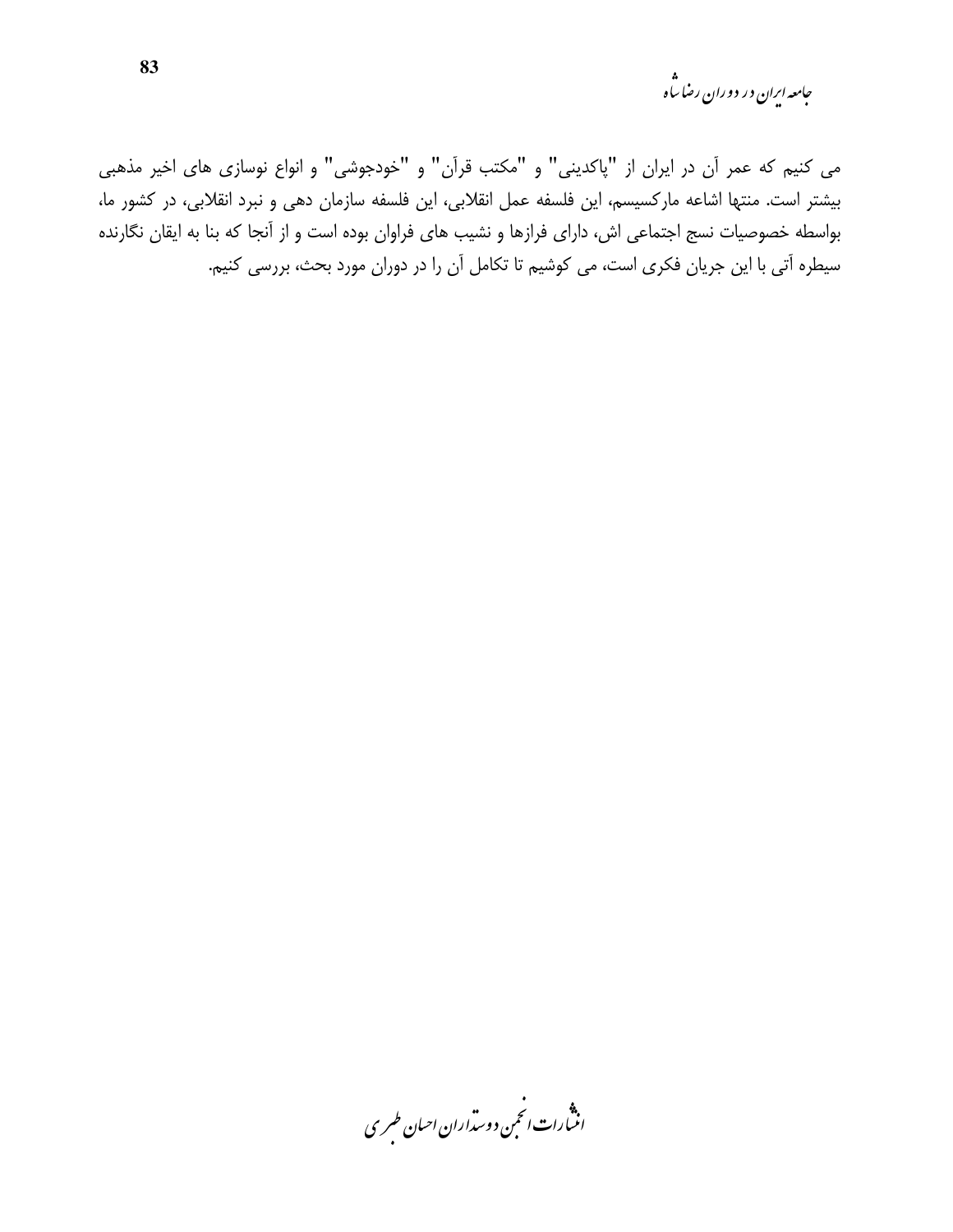جامعه ایران در دوران رضا ساه<br>مجامعه ایران در دوران رضا ساه

می کنیم که عمر آن در ایران از "پاکدینی" و "مکتب قرآن" و "خودجوشی" و انواع نوسازی های اخیر مذهبی بیشتر است. منتها اشاعه مارکسیسم، این فلسفه عمل انقلابی، این فلسفه سازمان دهی و نبرد انقلابی، در کشور ما، بواسطه خصوصیات نسج اجتماعی اش، دارای فرازها و نشیب های فراوان بوده است و از آنجا که بنا به ایقان نگارنده سیطره آتی با این جریان فکری است، می کوشیم تا تکامل آن را در دوران مورد بحث، بررسی کنیم.

.<br>انسارات انځمن د وسداران احبان طسری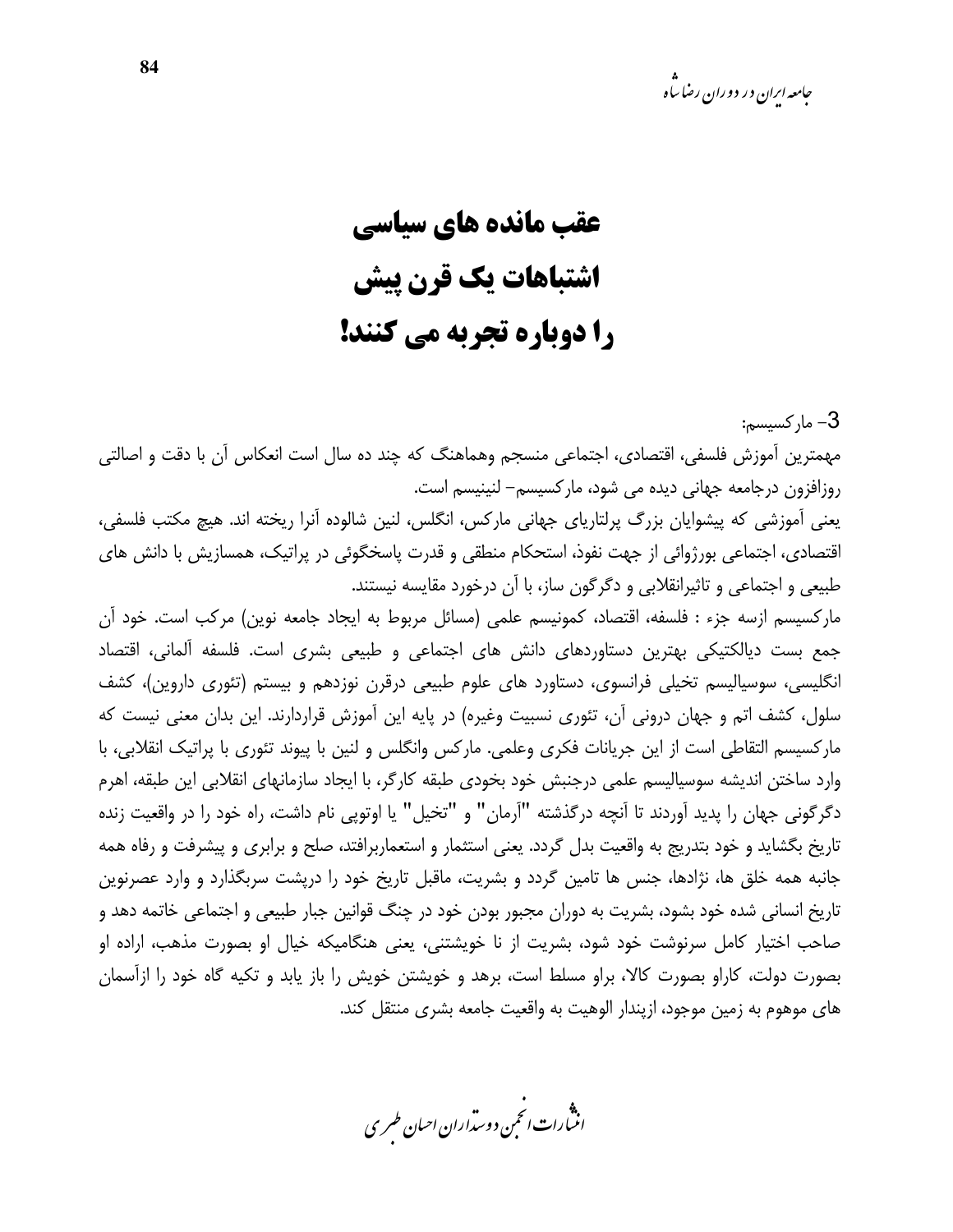*جامعه ارا*ن در دوران رضا ساه

3– مار كسىسم:

## عقب مانده های سیاسی اشتباهات یک قرن پیش را دوباره تجربه مي كنند!

مهمترین آموزش فلسفی، اقتصادی، اجتماعی منسجم وهماهنگ که چند ده سال است انعکاس آن با دقت و اصالتی روزافزون درجامعه جهانی دیده می شود، مارکسیسم– لنینیسم است.

یعنی آموزشی که پیشوایان بزرگ پرلتاریای جهانی مارکس، انگلس، لنین شالوده آنرا ریخته اند. هیچ مکتب فلسفی، اقتصادی، اجتماعی بورژوائی از جهت نفوذ، استحکام منطقی و قدرت پاسخگوئی در پراتیک، همسازیش با دانش های طبیعی و اجتماعی و تاثیرانقلابی و دگرگون ساز، با آن درخورد مقایسه نیستند.

مارکسیسم ازسه جزء : فلسفه، اقتصاد، کمونیسم علمی (مسائل مربوط به ایجاد جامعه نوین) مرکب است. خود آن جمع بست دیالکتیکی بهترین دستاوردهای دانش های اجتماعی و طبیعی بشری است. فلسفه آلمانی، اقتصاد انگلیسی، سوسیالیسم تخیلی فرانسوی، دستاورد های علوم طبیعی درقرن نوزدهم و بیستم (تئوری داروین)، کشف سلول، کشف اتم و جهان درونی آن، تئوری نسبیت وغیره) در پایه این آموزش قراردارند. این بدان معنی نیست که مارکسیسم التقاطی است از این جریانات فکری وعلمی. مارکس وانگلس و لنین با پیوند تئوری با پراتیک انقلابی، با وارد ساختن اندیشه سوسیالیسم علمی درجنبش خود بخودی طبقه کارگر، با ایجاد سازمانهای انقلابی این طبقه، اهرم دگرگونی جهان را پدید آوردند تا آنچه درگذشته "آرمان" و "تخیل" یا اوتوپی نام داشت، راه خود را در واقعیت زنده تاریخ بگشاید و خود بتدریج به واقعیت بدل گردد. یعنی استثمار و استعماربرافتد، صلح و برابری و پیشرفت و رفاه همه جانبه همه خلق ها، نژادها، جنس ها تامین گردد و بشریت، ماقبل تاریخ خود را درپشت سربگذارد و وارد عصرنوین تاریخ انسانی شده خود بشود، بشریت به دوران مجبور بودن خود در چنگ قوانین جبار طبیعی و اجتماعی خاتمه دهد و صاحب اختیار کامل سرنوشت خود شود، بشریت از نا خویشتنی، یعنی هنگامیکه خیال او بصورت مذهب، اراده او بصورت دولت، کاراو بصورت کالا، براو مسلط است، برهد و خویشتن خویش را باز یابد و تکیه گاه خود را ازآسمان های موهوم به زمین موجود، ازیندار الوهیت به واقعیت جامعه بشری منتقل کند.

.<br>انن رات انجمن دوسداران احبان طسری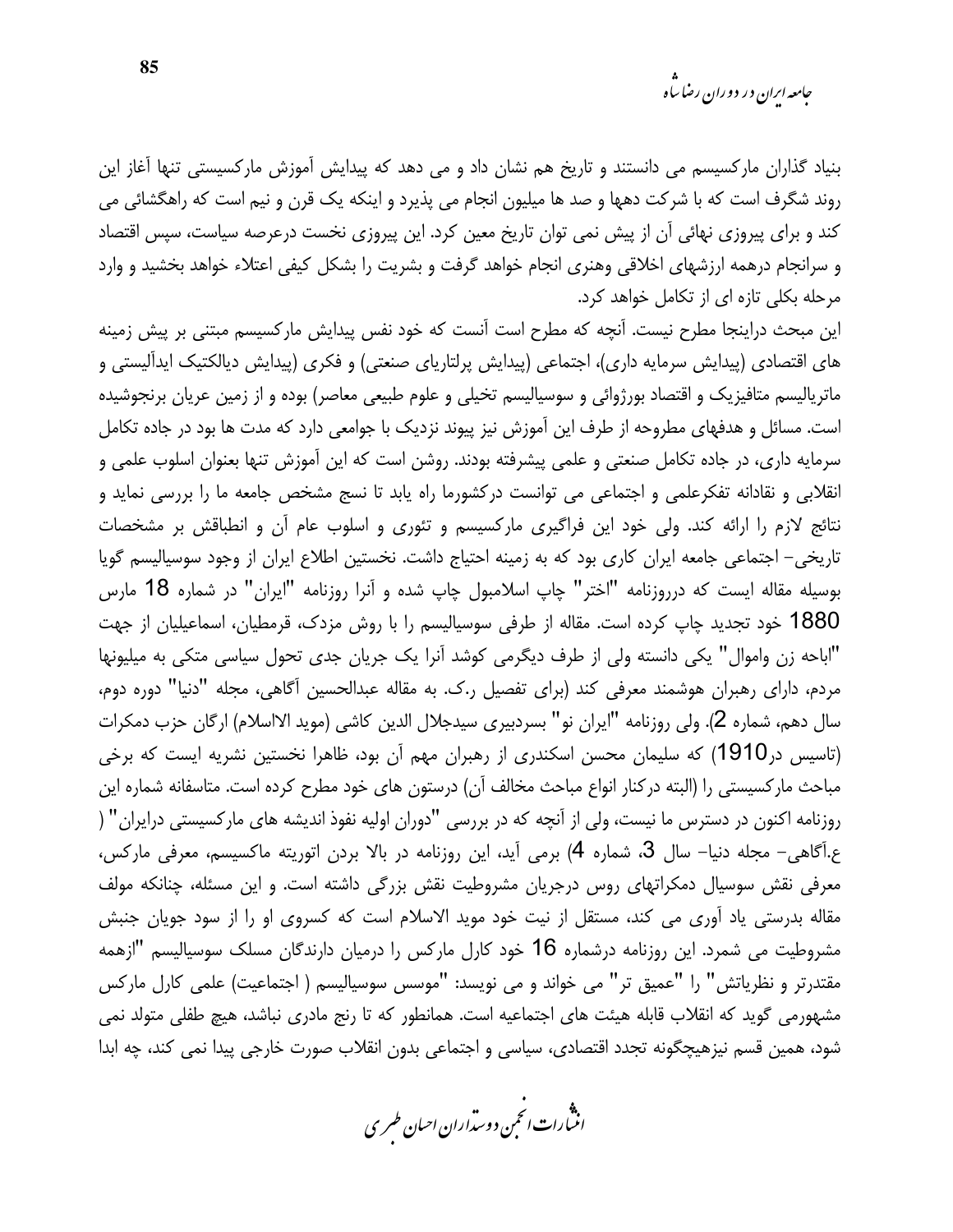بنیاد گذاران مارکسیسم می دانستند و تاریخ هم نشان داد و می دهد که پیدایش آموزش مارکسیستی تنها آغاز این روند شگرف است که با شرکت دهها و صد ها میلیون انجام می پذیرد و اینکه یک قرن و نیم است که راهگشائی می کند و برای پیروزی نهائی آن از پیش نمی توان تاریخ معین کرد. این پیروزی نخست درعرصه سیاست، سپس اقتصاد و سرانجام درهمه ارزشهای اخلاقی وهنری انجام خواهد گرفت و بشریت را بشکل کیفی اعتلاء خواهد بخشید و وارد مرحله بکلی تازه ای از تکامل خواهد کرد.

این مبحث دراینجا مطرح نیست. آنچه که مطرح است آنست که خود نفس پیدایش مارکسیسم مبتنی بر پیش زمینه های اقتصادی (پیدایش سرمایه داری)، اجتماعی (پیدایش پرلتاریای صنعتی) و فکری (پیدایش دیالکتیک ایدآلیستی و ماتریالیسم متافیزیک و اقتصاد بورژوائی و سوسیالیسم تخیلی و علوم طبیعی معاصر) بوده و از زمین عریان برنجوشیده است. مسائل و هدفهای مطروحه از طرف این آموزش نیز پیوند نزدیک با جوامعی دارد که مدت ها بود در جاده تکامل سرمایه داری، در جاده تکامل صنعتی و علمی پیشرفته بودند. روشن است که این آموزش تنها بعنوان اسلوب علمی و انقلابی و نقادانه تفکرعلمی و اجتماعی می توانست درکشورما راه پابد تا نسج مشخص جامعه ما را بررسی نماید و نتائج لازم را ارائه کند. ولی خود این فراگیری مارکسیسم و تئوری و اسلوب عام آن و انطباقش بر مشخصات تاریخی- اجتماعی جامعه ایران کاری بود که به زمینه احتیاج داشت. نخستین اطلاع ایران از وجود سوسیالیسم گویا بوسیله مقاله ایست که درروزنامه "اختر" چاپ اسلامبول چاپ شده و آنرا روزنامه "ایران" در شماره 18 مارس 1880 خود تجدید چاپ کرده است. مقاله از طرفی سوسیالیسم را با روش مزدک، قرمطیان، اسماعیلیان از جهت "اباحه زن واموال" یکی دانسته ولی از طرف دیگرمی کوشد آنرا یک جریان جدی تحول سیاسی متکی به میلیونها مردم، دارای رهبران هوشمند معرفی کند (برای تفصیل ر.ک. به مقاله عبدالحسین آگاهی، مجله "دنیا" دوره دوم، سال دهم، شماره 2). ولي روزنامه "ايران نو" بسردبيري سيدجلال الدين كاشي (مويد الااسلام) ارگان حزب دمكرات (تاسیس در1910) که سلیمان محسن اسکندری از رهبران مهم آن بود، ظاهرا نخستین نشریه ایست که برخی مباحث ماركسيستى را (البته دركنار انواع مباحث مخالف آن) درستون هاى خود مطرح كرده است. متاسفانه شماره اين روزنامه اکنون در دسترس ما نیست، ولی از آنچه که در بررسی "دوران اولیه نفوذ اندیشه های مارکسیستی درایران" ( ع.آگاهی- مجله دنیا– سال 3، شماره 4) برمی آید، این روزنامه در بالا بردن اتوریته ماکسیسم، معرفی مارکس، معرفی نقش سوسیال دمکراتهای روس درجریان مشروطیت نقش بزرگی داشته است. و این مسئله، چنانکه مولف مقاله بدرستی یاد آوری می کند، مستقل از نیت خود موید الاسلام است که کسروی او را از سود جویان جنبش مشروطیت می شمرد. این روزنامه درشماره 16 خود کارل مارکس را درمیان دارندگان مسلک سوسیالیسم "ازهمه مقتدرتر و نظریاتش" را "عمیق تر" می خواند و می نویسد: "موسس سوسیالیسم ( اجتماعیت) علمی کارل مارکس مشهورمی گوید که انقلاب قابله هیئت های اجتماعیه است. همانطور که تا رنج مادری نباشد، هیچ طفلی متولد نمی شود، همین قسم نیزهیچگونه تجدد اقتصادی، سیاسی و اجتماعی بدون انقلاب صورت خارجی پیدا نمی کند، چه ابدا

.<br>انن رات انجمن دوسداران احبان طسری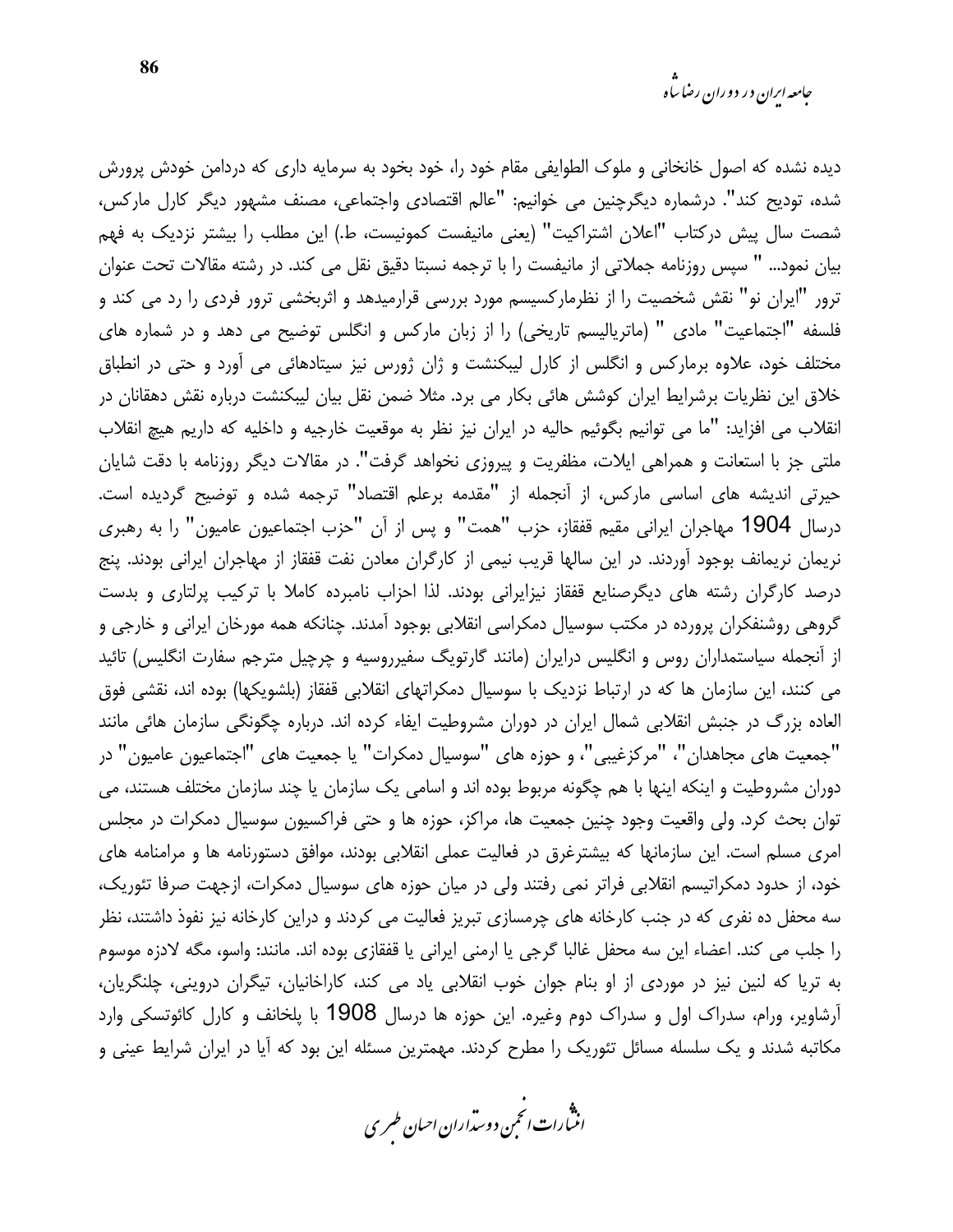دیده نشده که اصول خانخانی و ملوک الطوایفی مقام خود را، خود بخود به سرمایه داری که دردامن خودش پرورش شده، توديح كند". درشماره ديگرچنين مي خوانيم: "عالم اقتصادي واجتماعي، مصنف مشهور ديگر كارل ماركس، شصت سال پیش درکتاب "اعلان اشتراکیت" (یعنی مانیفست کمونیست، ط.) این مطلب را بیشتر نزدیک به فهم بیان نمود… " سپس روزنامه جملاتی از مانیفست را با ترجمه نسبتا دقیق نقل می کند. در رشته مقالات تحت عنوان ترور "ایران نو" نقش شخصیت را از نظرمارکسیسم مورد بررسی قرارمیدهد و اثربخشی ترور فردی را رد می کند و فلسفه "اجتماعیت" مادی " (ماتریالیسم تاریخی) را از زبان مارکس و انگلس توضیح می دهد و در شماره های مختلف خود، علاوه برمارکس و انگلس از کارل لیبکنشت و ژان ژورس نیز سیتادهائی می آورد و حتی در انطباق خلاق این نظریات برشرایط ایران کوشش هائی بکار می برد. مثلا ضمن نقل بیان لیبکنشت درباره نقش دهقانان در انقلاب می افزاید: "ما می توانیم بگوئیم حالیه در ایران نیز نظر به موقعیت خارجیه و داخلیه که داریم هیچ انقلاب ملتي جز با استعانت و همراهي ايلات، مظفريت و پيروزي نخواهد گرفت". در مقالات ديگر روزنامه با دقت شايان حیرتی اندیشه های اساسی مارکس، از آنجمله از "مقدمه برعلم اقتصاد" ترجمه شده و توضیح گردیده است. درسال 1904 مهاجران ایرانی مقیم قفقاز، حزب "همت" و پس از آن "حزب اجتماعیون عامیون" را به رهبری نریمان نریمانف بوجود آوردند. در این سالها قریب نیمی از کارگران معادن نفت قفقاز از مهاجران ایرانی بودند. پنج درصد کارگران رشته های دیگرصنایع قفقاز نیزایرانی بودند. لذا احزاب نامبرده کاملا با ترکیب پرلتاری و بدست گروهی روشنفکران پرورده در مکتب سوسیال دمکراسی انقلابی بوجود آمدند. چنانکه همه مورخان ایرانی و خارجی و از آنجمله سیاستمداران روس و انگلیس درایران (مانند گارتویگ سفیرروسیه و چرچیل مترجم سفارت انگلیس) تائید می کنند، این سازمان ها که در ارتباط نزدیک با سوسیال دمکراتهای انقلابی قفقاز (بلشویکها) بوده اند، نقشی فوق العاده بزرگ در جنبش انقلابی شمال ایران در دوران مشروطیت ایفاء کرده اند. درباره چگونگی سازمان هائی مانند "جمعیت های مجاهدان"، "مرکزغیبی"، و حوزه های "سوسیال دمکرات" یا جمعیت های "اجتماعیون عامیون" در دوران مشروطیت و اینکه اینها با هم چگونه مربوط بوده اند و اسامی یک سازمان یا چند سازمان مختلف هستند، می توان بحث کرد. ولی واقعیت وجود چنین جمعیت ها، مراکز، حوزه ها و حتی فراکسیون سوسیال دمکرات در مجلس امری مسلم است. این سازمانها که بیشترغرق در فعالیت عملی انقلابی بودند، موافق دستورنامه ها و مرامنامه های خود، از حدود دمکراتیسم انقلابی فراتر نمی رفتند ولی در میان حوزه های سوسیال دمکرات، ازجهت صرفا تئوریک، سه محفل ده نفری که در جنب کارخانه های چرمسازی تبریز فعالیت می کردند و دراین کارخانه نیز نفوذ داشتند، نظر را جلب می کند. اعضاء این سه محفل غالبا گرجی یا ارمنی ایرانی یا قفقازی بوده اند. مانند: واسو، مگه لادزه موسوم به تریا که لنین نیز در موردی از او بنام جوان خوب انقلابی یاد می کند، کاراخانیان، تیگران دروینی، چلنگریان، آرشاویر، ورام، سدراک اول و سدراک دوم وغیره. این حوزه ها درسال 1908 با پلخانف و کارل کائوتسکی وارد مکاتبه شدند و یک سلسله مسائل تئوریک را مطرح کردند. مهمترین مسئله این بود که آیا در ایران شرایط عینی و

.<br>انن رات انجمن دوسداران احبان طسری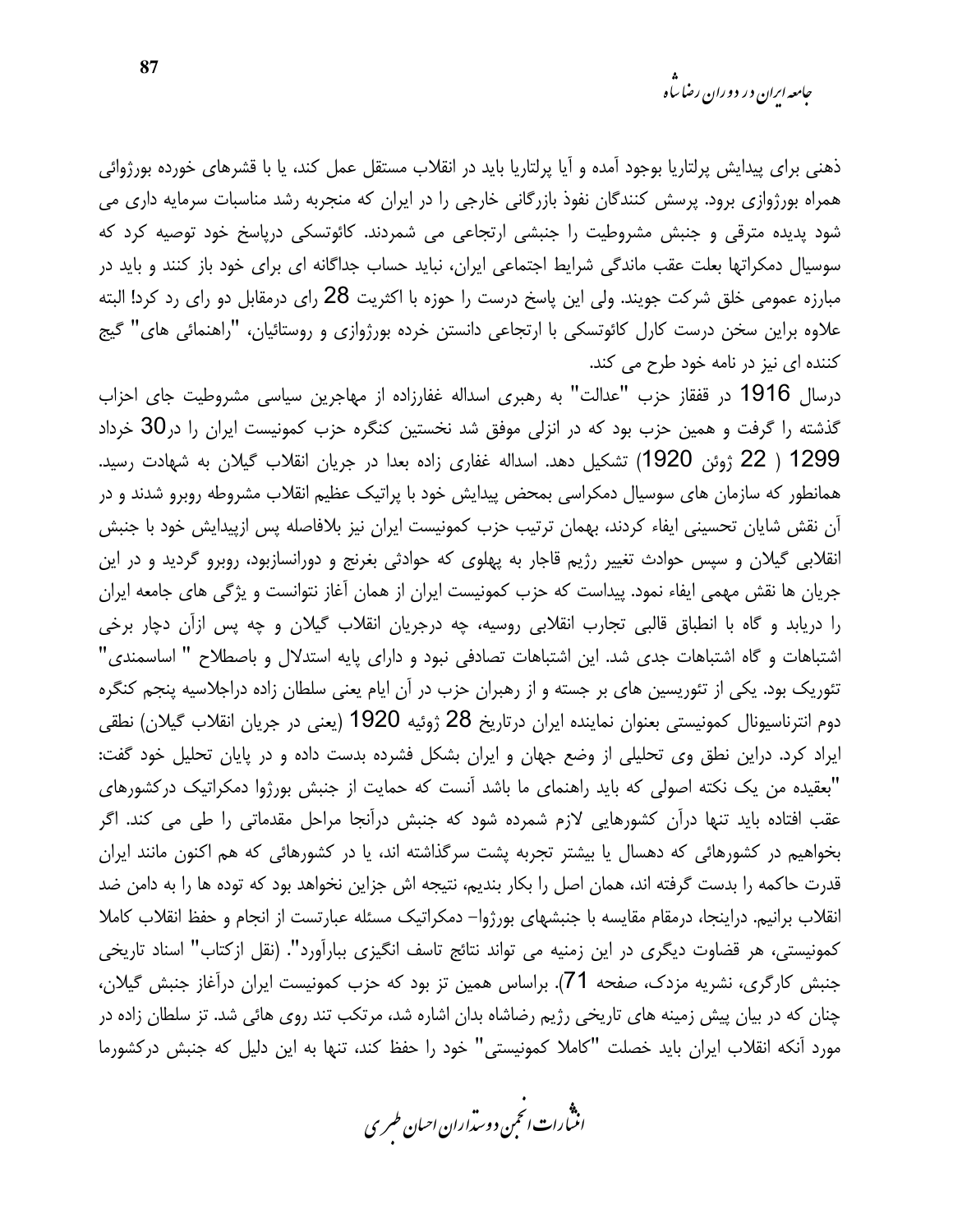ذهنی برای پیدایش پرلتاریا بوجود آمده و آیا پرلتاریا باید در انقلاب مستقل عمل کند، یا با قشرهای خورده بورژوائی همراه بورژوازی برود. پرسش کنندگان نفوذ بازرگانی خارجی را در ایران که منجربه رشد مناسبات سرمایه داری می شود پدیده مترقی و جنبش مشروطیت را جنبشی ارتجاعی می شمردند. کائوتسکی دریاسخ خود توصیه کرد که سوسیال دمکراتها بعلت عقب ماندگی شرایط اجتماعی ایران، نباید حساب جداگانه ای برای خود باز کنند و باید در مبارزه عمومی خلق شرکت جویند. ولی این پاسخ درست را حوزه با اکثریت 28 رای درمقابل دو رای رد کرد! البته علاوه براین سخن درست کارل کائوتسکی با ارتجاعی دانستن خرده بورژوازی و روستائیان، "راهنمائی های" گیج کننده ای نیز در نامه خود طرح می کند.

درسال 1916 در قفقاز حزب "عدالت" به رهبري اسداله غفارزاده از مهاجرين سياسي مشروطيت جاي احزاب گذشته را گرفت و همین حزب بود که در انزلی موفق شد نخستین کنگره حزب کمونیست ایران را در30 خرداد 1299 ( 22 ژوئن 1920) تشکیل دهد. اسداله غفاری زاده بعدا در جریان انقلاب گیلان به شهادت رسید. همانطور که سازمان های سوسیال دمکراسی بمحض پیدایش خود با پراتیک عظیم انقلاب مشروطه روبرو شدند و در آن نقش شایان تحسینی ایفاء کردند، بهمان ترتیب حزب کمونیست ایران نیز بلافاصله پس ازپیدایش خود با جنبش انقلابی گیلان و سپس حوادث تغییر رژیم قاجار به پهلوی که حوادثی بغرنج و دورانسازبود، روبرو گردید و در این جریان ها نقش مهمی ایفاء نمود. پیداست که حزب کمونیست ایران از همان آغاز نتوانست و پژگی های جامعه ایران را دریابد و گاه با انطباق قالبی تجارب انقلابی روسیه، چه درجریان انقلاب گیلان و چه پس ازآن دچار برخی اشتباهات و گاه اشتباهات جدی شد. این اشتباهات تصادفی نبود و دارای پایه استدلال و باصطلاح " اساسمندی" تئوریک بود. یکی از تئوریسین های بر جسته و از رهبران حزب در آن ایام یعنی سلطان زاده دراجلاسیه پنجم کنگره دوم انترناسیونال کمونیستی بعنوان نماینده ایران درتاریخ 28 ژوئیه 1920 (یعنی در جریان انقلاب گیلان) نطقی ایراد کرد. دراین نطق وی تحلیلی از وضع جهان و ایران بشکل فشرده بدست داده و در پایان تحلیل خود گفت: "بعقیده من یک نکته اصولی که باید راهنمای ما باشد آنست که حمایت از جنبش بورژوا دمکراتیک درکشورهای عقب افتاده باید تنها درآن کشورهایی لازم شمرده شود که جنبش درآنجا مراحل مقدماتی را طی می کند. اگر بخواهیم در کشورهائی که دهسال یا بیشتر تجربه پشت سرگذاشته اند، یا در کشورهائی که هم اکنون مانند ایران قدرت حاكمه را بدست گرفته اند، همان اصل را بكار بنديم، نتيجه اش جزاين نخواهد بود كه توده ها را به دامن ضد انقلاب برانيم. دراينجا، درمقام مقايسه با جنبشهاى بورژوا– دمكراتيك مسئله عبارتست از انجام و حفظ انقلاب كاملا كمونيستي، هر قضاوت ديگري در اين زمنيه مي تواند نتائج تاسف انگيزي ببارآورد". (نقل ازكتاب" اسناد تاريخي جنبش کارگری، نشریه مزدک، صفحه 71). براساس همین تز بود که حزب کمونیست ایران درآغاز جنبش گیلان، چنان که در بیان پیش زمینه های تاریخی رژیم رضاشاه بدان اشاره شد، مرتکب تند روی هائی شد. تز سلطان زاده در مورد آنكه انقلاب ايران بايد خصلت "كاملا كمونيستي" خود را حفظ كند، تنها به اين دليل كه جنبش دركشورما

.<br>انن رات انحمن دوسداران احبان طسری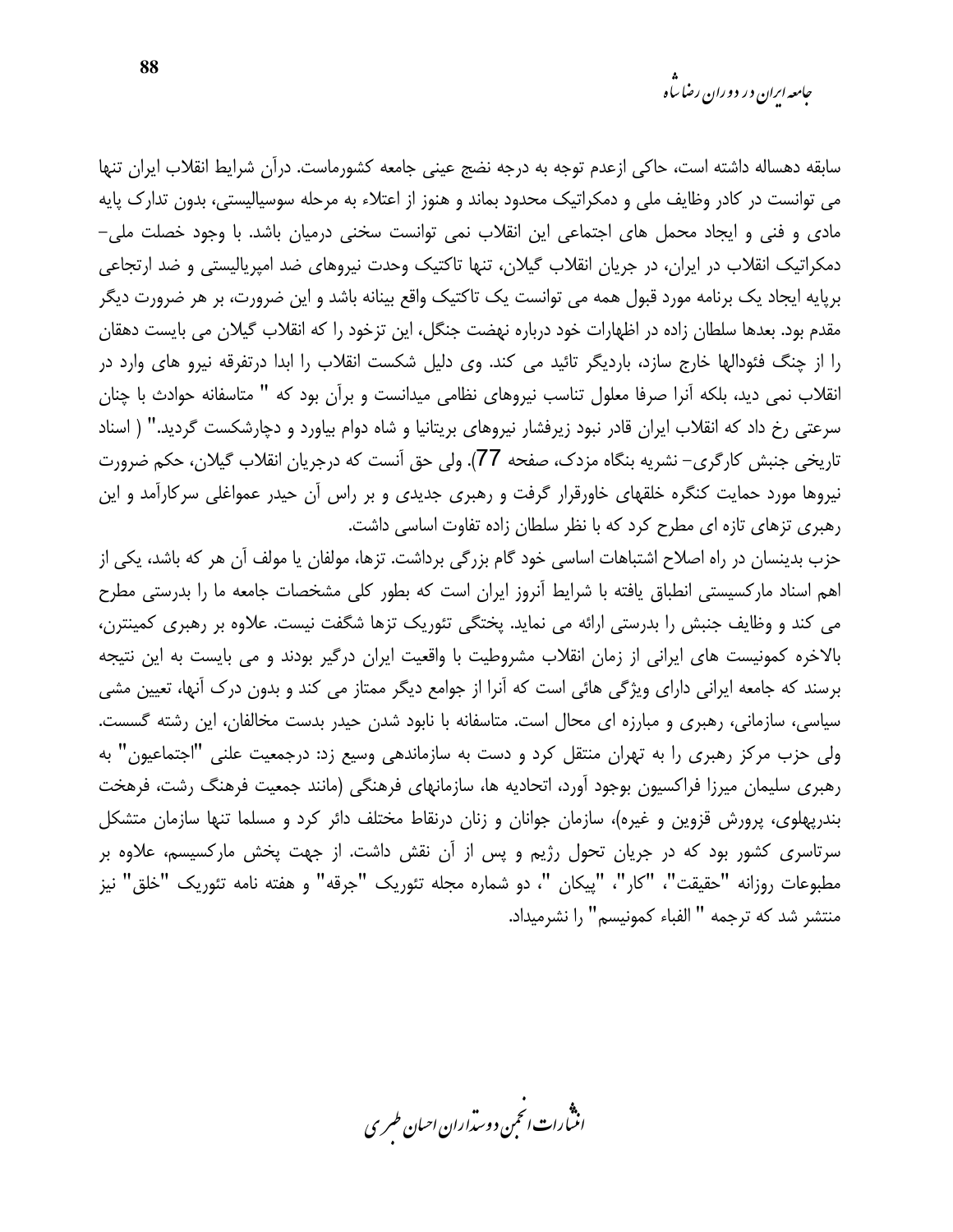سابقه دهساله داشته است، حاکی ازعدم توجه به درجه نضج عینی جامعه کشورماست. درآن شرایط انقلاب ایران تنها می توانست در کادر وظایف ملی و دمکراتیک محدود بماند و هنوز از اعتلاء به مرحله سوسیالیستی، بدون تدارک پایه مادی و فنی و ایجاد محمل های اجتماعی این انقلاب نمی توانست سخنی درمیان باشد. با وجود خصلت ملی– دمکراتیک انقلاب در ایران، در جریان انقلاب گیلان، تنها تاکتیک وحدت نیروهای ضد امیریالیستی و ضد ارتجاعی برپایه ایجاد یک برنامه مورد قبول همه می توانست یک تاکتیک واقع بینانه باشد و این ضرورت، بر هر ضرورت دیگر مقدم بود. بعدها سلطان زاده در اظهارات خود درباره نهضت جنگل، این تزخود را که انقلاب گیلان می بایست دهقان را از چنگ فئودالها خارج سازد، باردیگر تائید می کند. وی دلیل شکست انقلاب را ابدا درتفرقه نیرو های وارد در انقلاب نمی دید، بلکه آنرا صرفا معلول تناسب نیروهای نظامی میدانست و برآن بود که " متاسفانه حوادث با چنان سرعتی رخ داد که انقلاب ایران قادر نبود زیرفشار نیروهای بریتانیا و شاه دوام بیاورد و دچارشکست گردید." ( اسناد تاریخی جنبش کارگری– نشریه بنگاه مزدک، صفحه 77). ولی حق آنست که درجریان انقلاب گیلان، حکم ضرورت نیروها مورد حمایت کنگره خلقهای خاورقرار گرفت و رهبری جدیدی و بر راس آن حیدر عمواغلی سرکارآمد و این رهبری تزهای تازه ای مطرح کرد که با نظر سلطان زاده تفاوت اساسی داشت.

حزب بدینسان در راه اصلاح اشتباهات اساسی خود گام بزرگی برداشت. تزها، مولفان یا مولف آن هر که باشد، یکی از اهم اسناد مارکسیستی انطباق یافته با شرایط آنروز ایران است که بطور کلی مشخصات جامعه ما را بدرستی مطرح می کند و وظایف جنبش را بدرستی ارائه می نماید. یختگی تئوریک تزها شگفت نیست. علاوه بر رهبری کمینترن، بالاخره کمونیست های ایرانی از زمان انقلاب مشروطیت با واقعیت ایران درگیر بودند و می بایست به این نتیجه برسند که جامعه ایرانی دارای ویژگی هائی است که آنرا از جوامع دیگر ممتاز می کند و بدون درک آنها، تعیین مشی سیاسی، سازمانی، رهبری و مبارزه ای محال است. متاسفانه با نابود شدن حیدر بدست مخالفان، این رشته گسست. ولی حزب مرکز رهبری را به تهران منتقل کرد و دست به سازماندهی وسیع زد: درجمعیت علنی "اجتماعیون" به رهبری سلیمان میرزا فراکسیون بوجود آورد، اتحادیه ها، سازمانهای فرهنگی (مانند جمعیت فرهنگ رشت، فرهخت بندریهلوی، پرورش قزوین و غیره)، سازمان جوانان و زنان درنقاط مختلف دائر کرد و مسلما تنها سازمان متشکل سرتاسری کشور بود که در جریان تحول رژیم و پس از آن نقش داشت. از جهت پخش مارکسیسم، علاوه بر مطبوعات روزانه "حقيقت"، "كار"، "پيكان "، دو شماره مجله تئوريک "جرقه" و هفته نامه تئوريک "خلق" نيز منتشر شد كه ترجمه " الفياء كمونيسم" را نشرميداد.

.<br>انن رات انجمن دوسداران احبان طسری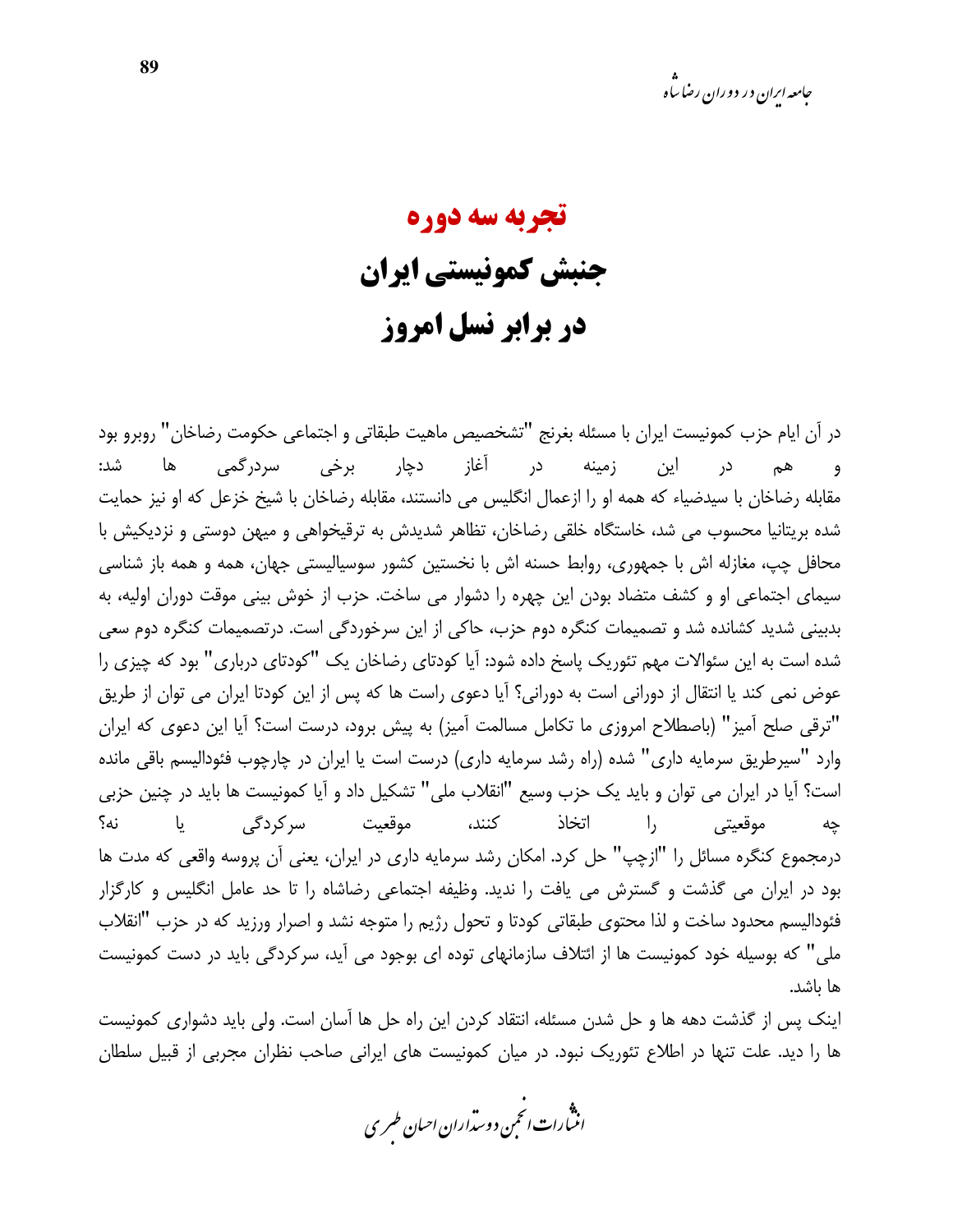### تجربه سه دوره جنبش كمونيستي ايران در برابر نسل امروز

در آن ایام حزب کمونیست ایران با مسئله بغرنج "تشخصیص ماهیت طبقاتی و اجتماعی حکومت رضاخان" روبرو بود زمینه در آغاز دچار برخی سردرگمی ها شد: هم در این و ا مقابله رضاخان با سیدضیاء که همه او را ازعمال انگلیس می دانستند، مقابله رضاخان با شیخ خزعل که او نیز حمایت شده بریتانیا محسوب می شد، خاستگاه خلقی رضاخان، تظاهر شدیدش به ترقیخواهی و میهن دوستی و نزدیکیش با محافل چپ، مغازله اش با جمهوری، روابط حسنه اش با نخستین کشور سوسیالیستی جهان، همه و همه باز شناسی سیمای اجتماعی او و کشف متضاد بودن این چهره را دشوار می ساخت. حزب از خوش بینی موقت دوران اولیه، به بدبینی شدید کشانده شد و تصمیمات کنگره دوم حزب، حاکی از این سرخوردگی است. درتصمیمات کنگره دوم سعی شده است به این سئوالات مهم تئوریک پاسخ داده شود: آیا کودتای رضاخان یک "کودتای درباری" بود که چیزی را عوض نمي كند يا انتقال از دوراني است به دوراني؟ آيا دعوى راست ها كه پس از اين كودتا ايران مي توان از طريق "ترقى صلح آميز" (باصطلاح امروزى ما تكامل مسالمت آميز) به پيش برود، درست است؟ آيا اين دعوى كه ايران وارد "سیرطریق سرمایه داری" شده (راه رشد سرمایه داری) درست است یا ایران در چارچوب فئودالیسم باقی مانده است؟ آيا در ايران مي توان و بايد يک حزب وسيع "انقلاب ملي" تشکيل داد و آيا کمونيست ها بايد در چنين حزبي کنند، موقعیت سرکردگی يا نه؟ اتخاذ  $\vert$ , موقعيتي چە درمجموع کنگره مسائل را "ازچپ" حل کرد. امکان رشد سرمایه داری در ایران، یعنی آن پروسه واقعی که مدت ها بود در ایران می گذشت و گسترش می یافت را ندید. وظیفه اجتماعی رضاشاه را تا حد عامل انگلیس و کارگزار فئودالیسم محدود ساخت و لذا محتوى طبقاتي كودتا و تحول رژيم را متوجه نشد و اصرار ورزيد كه در حزب "انقلاب ملی" که بوسیله خود کمونیست ها از ائتلاف سازمانهای توده ای بوجود می آید، سرکردگی باید در دست کمونیست ها ىاشد.

اینک پس از گذشت دهه ها و حل شدن مسئله، انتقاد کردن این راه حل ها آسان است. ولی باید دشواری کمونیست ها را دید. علت تنها در اطلاع تئوریک نبود. در میان کمونیست های ایرانی صاحب نظران مجربی از قبیل سلطان

.<br>انن رات انحمن دوسداران احبان طسری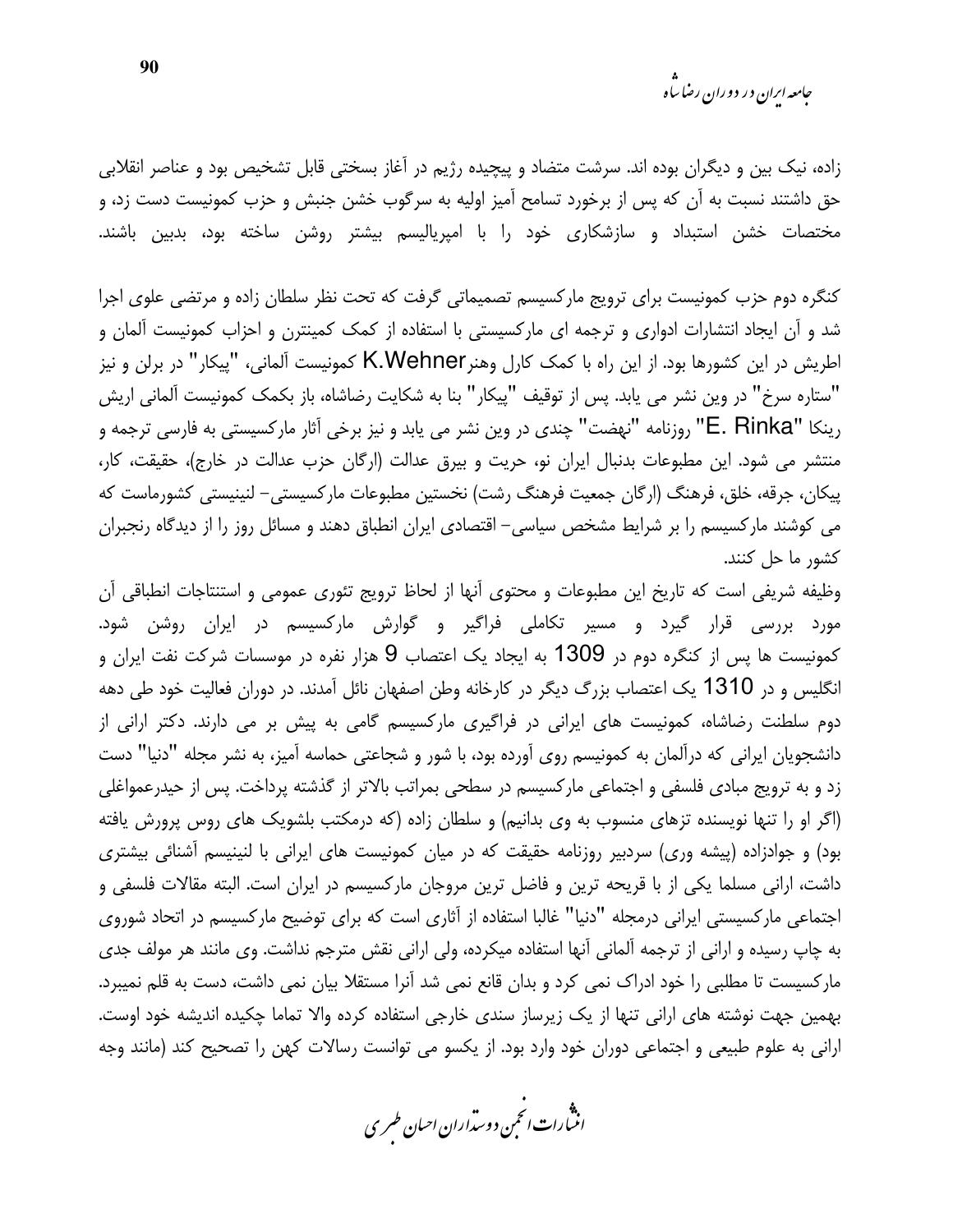زاده، نیک بین و دیگران بوده اند. سرشت متضاد و پیچیده رژیم در آغاز بسختی قابل تشخیص بود و عناصر انقلابی حق داشتند نسبت به آن که پس از برخورد تسامح آمیز اولیه به سرگوب خشن جنبش و حزب کمونیست دست زد، و مختصات خشن استبداد و سازشکاری خود را با امپریالیسم بیشتر روشن ساخته بود، بدبین باشند.

كنگره دوم حزب كمونيست براى ترويج ماركسيسم تصميماتى گرفت كه تحت نظر سلطان زاده و مرتضى علوى اجرا شد و آن ایجاد انتشارات ادواری و ترجمه ای مارکسیستی با استفاده از کمک کمینترن و احزاب کمونیست آلمان و اطریش در این کشورها بود. از این راه با کمک کارل وهنرK.Wehner کمونیست آلمانی، "پیکار" در برلن و نیز "ستاره سرخ" در وین نشر می یابد. پس از توقیف "پیکار" بنا به شکایت رضاشاه، باز بکمک کمونیست آلمانی اریش رينكا "E. Rinka" روزنامه "نهضت" چندي در وين نشر مي يابد و نيز برخي أثار ماركسيستي به فارسي ترجمه و منتشر می شود. این مطبوعات بدنبال ایران نو، حریت و بیرق عدالت (ارگان حزب عدالت در خارج)، حقیقت، کار، پیکان، جرقه، خلق، فرهنگ (ارگان جمعیت فرهنگ رشت) نخستین مطبوعات مارکسیستی– لنینیستی کشورماست که می کوشند مارکسیسم را بر شرایط مشخص سیاسی– اقتصادی ایران انطباق دهند و مسائل روز را از دیدگاه رنجبران كشور ما حل كنند.

وظیفه شریفی است که تاریخ این مطبوعات و محتوی آنها از لحاظ ترویج تئوری عمومی و استنتاجات انطباقی آن مورد بررسی قرار گیرد و مسیر تکاملی فراگیر و گوارش مارکسیسم در ایران روشن شود. کمونیست ها پس از کنگره دوم در 1309 به ایجاد یک اعتصاب 9 هزار نفره در موسسات شرکت نفت ایران و انگلیس و در 1310 یک اعتصاب بزرگ دیگر در کارخانه وطن اصفهان نائل آمدند. در دوران فعالیت خود طی دهه دوم سلطنت رضاشاه، کمونیست های ایرانی در فراگیری مارکسیسم گامی به پیش بر می دارند. دکتر ارانی از دانشجویان ایرانی که درآلمان به کمونیسم روی آورده بود، با شور و شجاعتی حماسه آمیز، به نشر مجله "دنیا" دست زد و به ترویج مبادی فلسفی و اجتماعی مارکسیسم در سطحی بمراتب بالاتر از گذشته پرداخت. پس از حیدرعمواغلی (اگر او را تنها نویسنده تزهای منسوب به وی بدانیم) و سلطان زاده (که درمکتب بلشویک های روس پرورش یافته بود) و جوادزاده (پیشه وری) سردبیر روزنامه حقیقت که در میان کمونیست های ایرانی با لنینیسم آشنائی بیشتری داشت، ارانی مسلما یکی از با قریحه ترین و فاضل ترین مروجان مارکسیسم در ایران است. البته مقالات فلسفی و اجتماعی مارکسیستی ایرانی درمجله "دنیا" غالبا استفاده از آثاری است که برای توضیح مارکسیسم در اتحاد شوروی به چاپ رسیده و ارانی از ترجمه آلمانی آنها استفاده میکرده، ولی ارانی نقش مترجم نداشت. وی مانند هر مولف جدی مارکسیست تا مطلبی را خود ادراک نمی کرد و بدان قانع نمی شد آنرا مستقلا بیان نمی داشت، دست به قلم نمیبرد. بهمین جهت نوشته های ارانی تنها از یک زیرساز سندی خارجی استفاده کرده والا تماما چکیده اندیشه خود اوست. ارانی به علوم طبیعی و اجتماعی دوران خود وارد بود. از یکسو می توانست رسالات کهن را تصحیح کند (مانند وجه

.<br>انن رات انځمن د وسداران احبان طسری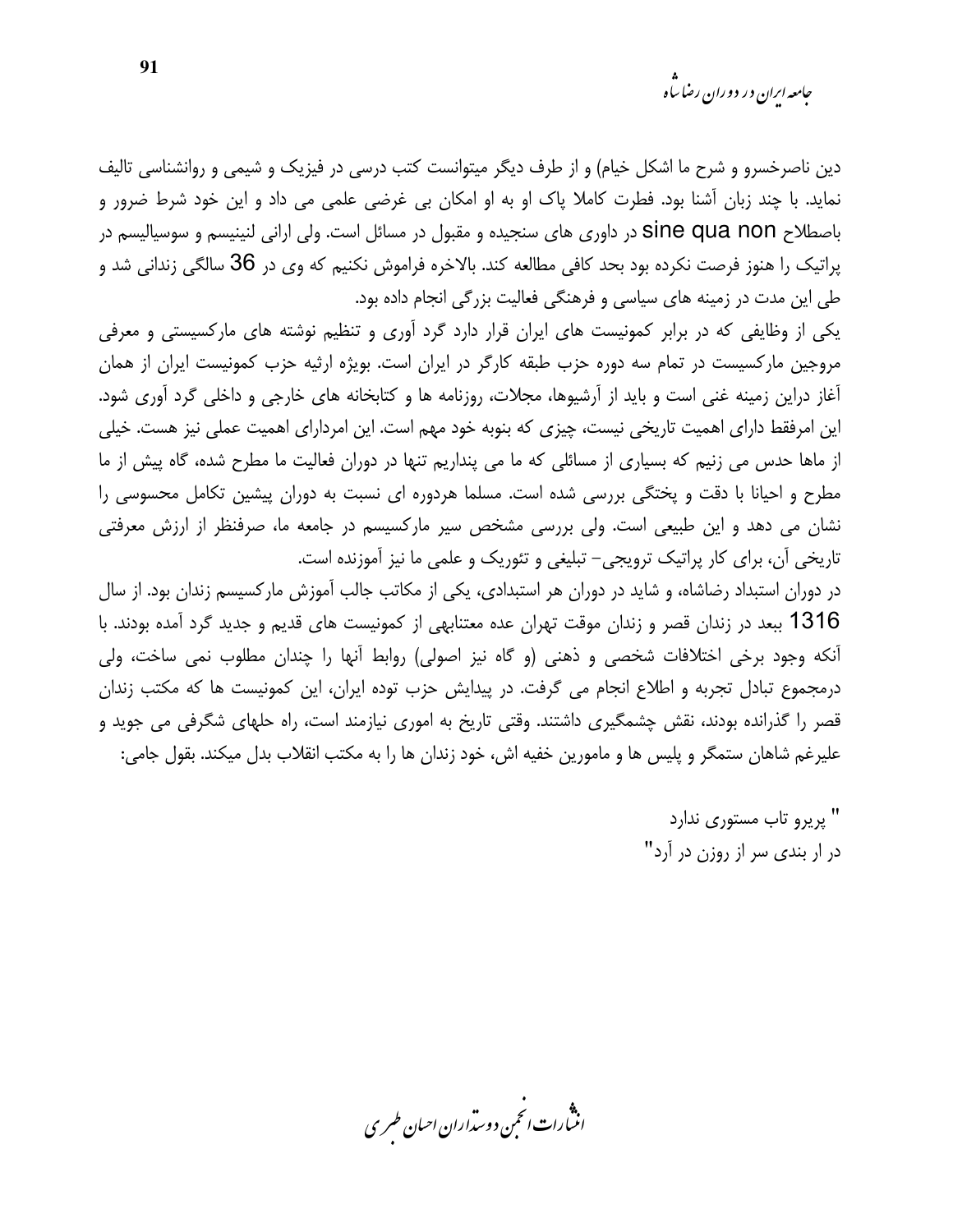جامعه ایران در دوران رضا ساه

دین ناصرخسرو و شرح ما اشکل خیام) و از طرف دیگر میتوانست کتب درسی در فیزیک و شیمی و روانشناسی تالیف نماید. با چند زبان آشنا بود. فطرت کاملا پاک او به او امکان بی غرضی علمی می داد و این خود شرط ضرور و باصطلاح sine qua non در داوری های سنجیده و مقبول در مسائل است. ولی ارانی لنینیسم و سوسیالیسم در پراتیک را هنوز فرصت نکرده بود بحد کافی مطالعه کند. بالاخره فراموش نکنیم که وی در 36 سالگی زندانی شد و طی این مدت در زمینه های سیاسی و فرهنگی فعالیت بزرگی انجام داده بود.

یکی از وظایفی که در برابر کمونیست های ایران قرار دارد گرد آوری و تنظیم نوشته های مارکسیستی و معرفی مروجین مارکسیست در تمام سه دوره حزب طبقه کارگر در ایران است. بویژه ارثیه حزب کمونیست ایران از همان آغاز دراین زمینه غنی است و باید از آرشیوها، مجلات، روزنامه ها و کتابخانه های خارجی و داخلی گرد آوری شود. این امرفقط دارای اهمیت تاریخی نیست، چیزی که بنوبه خود مهم است. این امردارای اهمیت عملی نیز هست. خیلی از ماها حدس می زنیم که بسیاری از مسائلی که ما می پنداریم تنها در دوران فعالیت ما مطرح شده، گاه پیش از ما مطرح و احیانا با دقت و پختگی بررسی شده است. مسلما هردوره ای نسبت به دوران پیشین تکامل محسوسی را نشان می دهد و این طبیعی است. ولی بررسی مشخص سیر مارکسیسم در جامعه ما، صرفنظر از ارزش معرفتی تاریخی آن، برای کار پراتیک ترویجی- تبلیغی و تئوریک و علمی ما نیز آموزنده است.

در دوران استبداد رضاشاه، و شاید در دوران هر استبدادی، یکی از مکاتب جالب آموزش مارکسیسم زندان بود. از سال 1316 ببعد در زندان قصر و زندان موقت تهران عده معتنابهی از کمونیست های قدیم و جدید گرد آمده بودند. با أنكه وجود برخي اختلافات شخصي و ذهني (و گاه نيز اصولي) روابط أنها را چندان مطلوب نمي ساخت، ولي درمجموع تبادل تجربه و اطلاع انجام می گرفت. در پیدایش حزب توده ایران، این کمونیست ها که مکتب زندان قصر را گذرانده بودند، نقش چشمگیری داشتند. وقتی تاریخ به اموری نیازمند است، راه حلهای شگرفی می جوید و عليرغم شاهان ستمگر و پليس ها و مامورين خفيه اش، خود زندان ها را به مكتب انقلاب بدل ميكند. بقول جامي:

> " پريرو تاب مستوري ندارد در ار بندی سر از روزن در آرد"

.<br>اننسارات انځمن د وسداران احبان طسری

91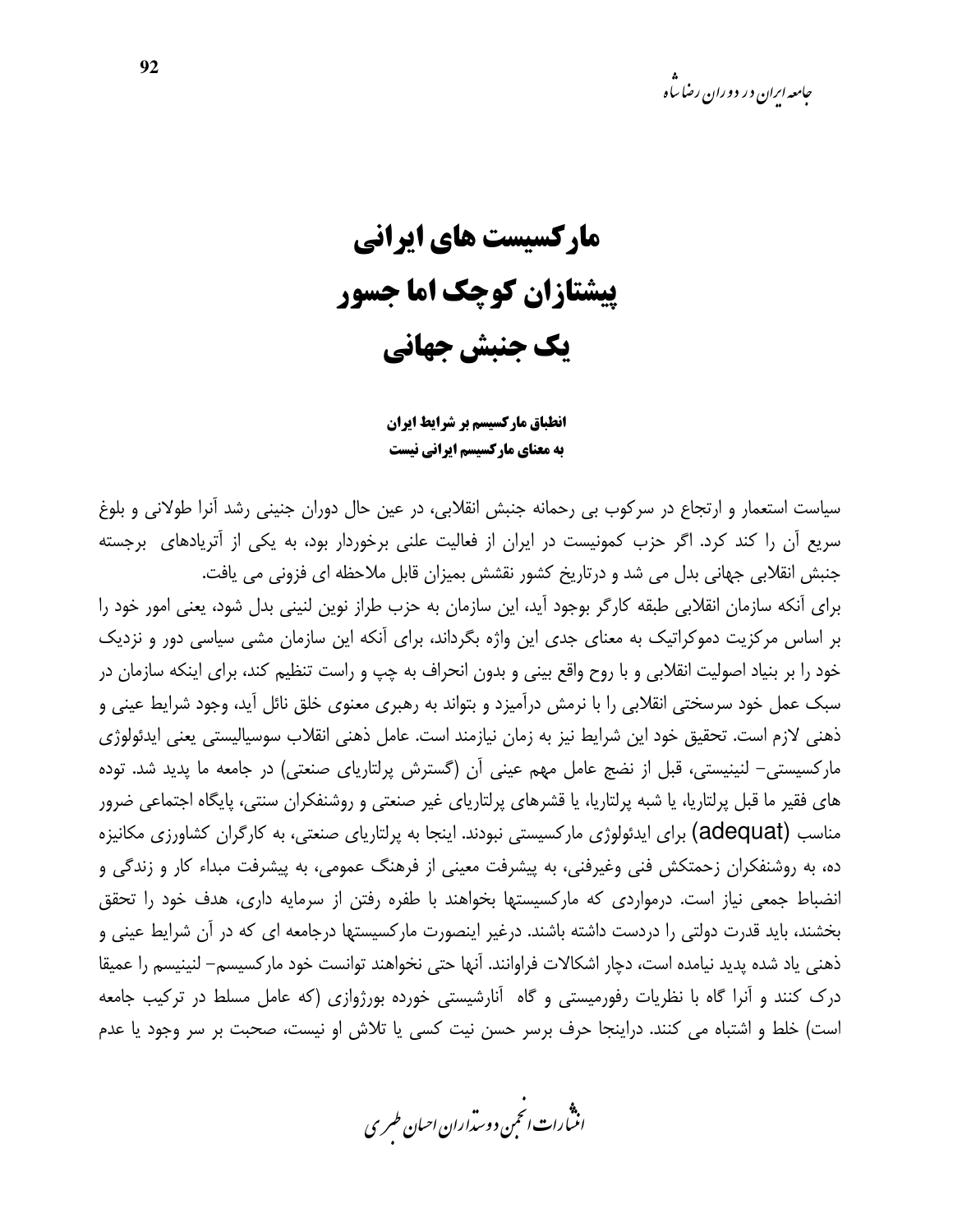مارکسیست های ایرانی **پیشتازان کوچک اما جسور** یک جنبش جهانی

انطباق ماركسيسم بر شرايط ايران به معنای مارکسیسم ایرانی نیست

سیاست استعمار و ارتجاع در سرکوب بی رحمانه جنبش انقلابی، در عین حال دوران جنینی رشد آنرا طولانی و بلوغ سریع آن را کند کرد. اگر حزب کمونیست در ایران از فعالیت علنی برخوردار بود، به یکی از آتریادهای برجسته جنبش انقلابی جهانی بدل می شد و درتاریخ کشور نقشش بمیزان قابل ملاحظه ای فزونی می یافت.

برای آنکه سازمان انقلابی طبقه کارگر بوجود آید، این سازمان به حزب طراز نوین لنینی بدل شود، یعنی امور خود را بر اساس مرکزیت دموکراتیک به معنای جدی این واژه بگرداند، برای آنکه این سازمان مشی سیاسی دور و نزدیک خود را بر بنیاد اصولیت انقلابی و با روح واقع بینی و بدون انحراف به چپ و راست تنظیم کند، برای اینکه سازمان در سبک عمل خود سرسختی انقلابی را با نرمش درآمیزد و بتواند به رهبری معنوی خلق نائل آید، وجود شرایط عینی و ذهني لازم است. تحقيق خود اين شرايط نيز به زمان نيازمند است. عامل ذهني انقلاب سوسياليستي يعني ايدئولوژي مارکسیستی– لنینیستی، قبل از نضج عامل مهم عینی آن (گسترش پرلتاریای صنعتی) در جامعه ما پدید شد. توده های فقیر ما قبل پرلتاریا، یا شبه پرلتاریا، یا قشرهای پرلتاریای غیر صنعتی و روشنفکران سنتی، پایگاه اجتماعی ضرور مناسب (adequat) برای ایدئولوژی مارکسیستی نبودند. اینجا به پرلتاریای صنعتی، به کارگران کشاورزی مکانیزه ده، به روشنفکران زحمتکش فنی وغیرفنی، به پیشرفت معینی از فرهنگ عمومی، به پیشرفت مبداء کار و زندگی و انضباط جمعی نیاز است. درمواردی که مارکسیستها بخواهند با طفره رفتن از سرمایه داری، هدف خود را تحقق بخشند، باید قدرت دولتی را دردست داشته باشند. درغیر اینصورت مارکسیستها درجامعه ای که در آن شرایط عینی و ذهني ياد شده يديد نيامده است، دچار اشكالات فراوانند. آنها حتى نخواهند توانست خود ماركسيسم– لنينيسم را عميقا درک کنند و آنرا گاه با نظریات رفورمیستی و گاه آنارشیستی خورده بورژوازی (که عامل مسلط در ترکیب جامعه است) خلط و اشتباه می کنند. دراینجا حرف برسر حسن نیت کسی یا تلاش او نیست، صحبت بر سر وجود یا عدم

.<br>انن رات انجمن دوسداران احبان طسری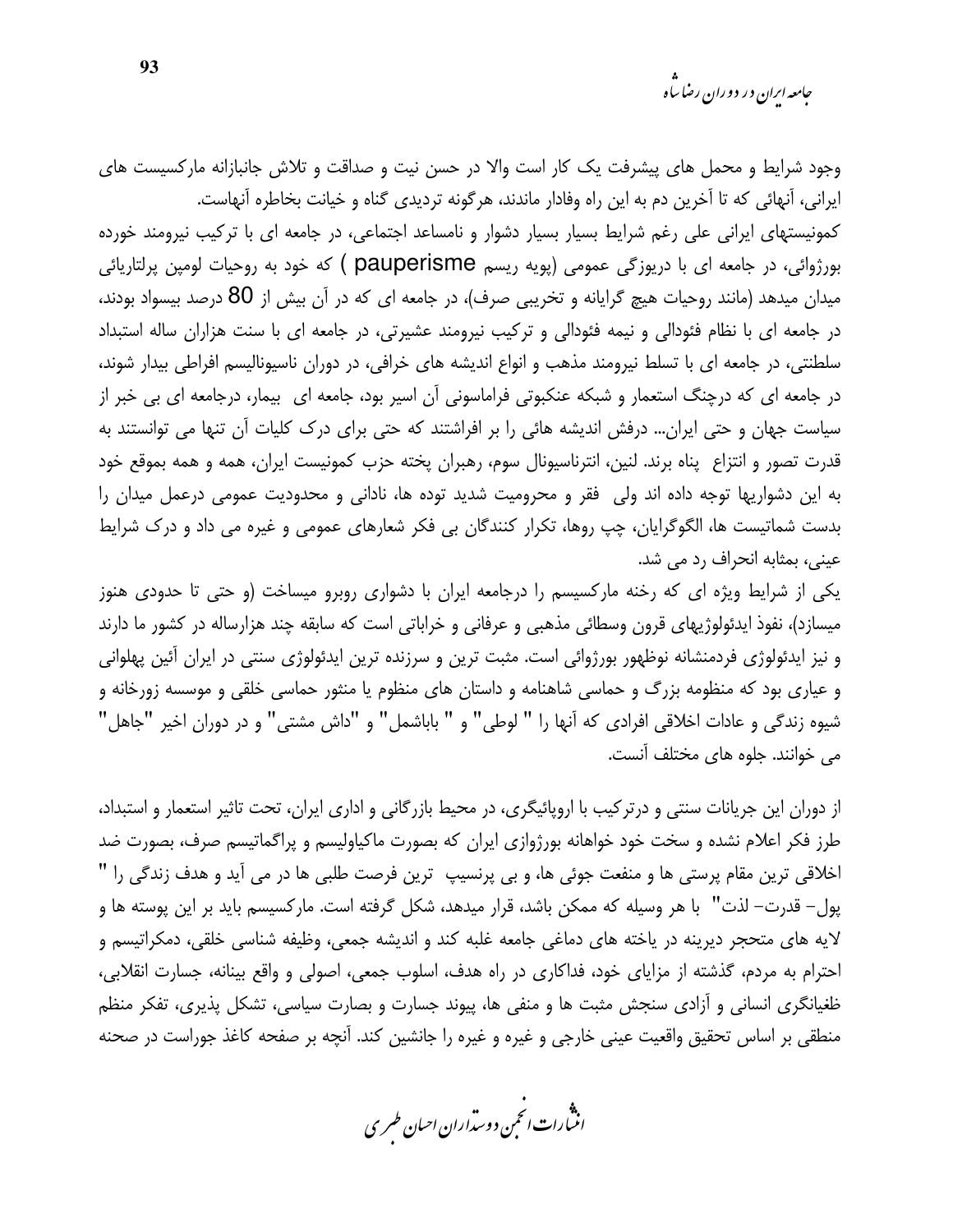*جامعه ایران در دوران رضا ساه* 

وجود شرایط و محمل های پیشرفت یک کار است والا در حسن نیت و صداقت و تلاش جانبازانه مارکسیست های ایرانی، آنهائی که تا آخرین دم به این راه وفادار ماندند، هرگونه تردیدی گناه و خیانت بخاطره آنهاست. کمونیستهای ایرانی علی رغم شرایط بسیار بسیار دشوار و نامساعد اجتماعی، در جامعه ای با ترکیب نیرومند خورده بورژوائی، در جامعه ای با دریوزگی عمومی (پویه ریسم pauperisme ) که خود به روحیات لومپن پرلتاریائی میدان میدهد (مانند روحیات هیچ گرایانه و تخریبی صرف)، در جامعه ای که در آن بیش از 80 درصد بیسواد بودند، در جامعه ای با نظام فئودالی و نیمه فئودالی و ترکیب نیرومند عشیرتی، در جامعه ای با سنت هزاران ساله استبداد سلطنتی، در جامعه ای با تسلط نیرومند مذهب و انواع اندیشه های خرافی، در دوران ناسیونالیسم افراطی بیدار شوند، در جامعه ای که درچنگ استعمار و شبکه عنکبوتی فراماسونی آن اسیر بود، جامعه ای بیمار، درجامعه ای بی خبر از سیاست جهان و حتی ایران… درفش اندیشه هائی را بر افراشتند که حتی برای درک کلیات آن تنها می توانستند به قدرت تصور و انتزاع پناه برند. لنین، انترناسیونال سوم، رهبران پخته حزب کمونیست ایران، همه و همه بموقع خود به این دشواریها توجه داده اند ولی فقر و محرومیت شدید توده ها، نادانی و محدودیت عمومی درعمل میدان را بدست شماتیست ها، الگوگرایان، چپ روها، تکرار کنندگان بی فکر شعارهای عمومی و غیره می داد و درک شرایط عيني، بمثابه انحراف رد مي شد.

یکی از شرایط ویژه ای که رخنه مارکسیسم را درجامعه ایران با دشواری روبرو میساخت (و حتی تا حدودی هنوز میسازد)، نفوذ ایدئولوژیهای قرون وسطائی مذهبی و عرفانی و خراباتی است که سابقه چند هزارساله در کشور ما دارند و نیز ایدئولوژی فردمنشانه نوظهور بورژوائی است. مثبت ترین و سرزنده ترین ایدئولوژی سنتی در ایران آئین پهلوانی و عیاری بود که منظومه بزرگ و حماسی شاهنامه و داستان های منظوم یا منثور حماسی خلقی و موسسه زورخانه و شيوه زندگي و عادات اخلاقي افرادي كه آنها را " لوطي" و " باباشمل" و "داش مشتي" و در دوران اخير "جاهل" می خوانند. جلوه های مختلف آنست.

از دوران این جریانات سنتی و درترکیب با اروپائیگری، در محیط بازرگانی و اداری ایران، تحت تاثیر استعمار و استبداد، طرز فکر اعلام نشده و سخت خود خواهانه بورژوازی ایران که بصورت ماکیاولیسم و پراگماتیسم صرف، بصورت ضد اخلاقی ترین مقام پرستی ها و منفعت جوئی ها، و بی پرنسیپ ترین فرصت طلبی ها در می آید و هدف زندگی را " پول– قدرت– لذت" با هر وسیله که ممکن باشد، قرار میدهد، شکل گرفته است. مارکسیسم باید بر این پوسته ها و لايه هاي متحجر ديرينه در ياخته هاي دماغي جامعه غلبه كند و انديشه جمعي، وظيفه شناسي خلقي، دمكراتيسم و احترام به مردم، گذشته از مزایای خود، فداکاری در راه هدف، اسلوب جمعی، اصولی و واقع بینانه، جسارت انقلابی، ظغیانگری انسانی و آزادی سنجش مثبت ها و منفی ها، پیوند جسارت و بصارت سیاسی، تشکل پذیری، تفکر منظم منطقی بر اساس تحقیق واقعیت عینی خارجی و غیره و غیره را جانشین کند. آنچه بر صفحه کاغذ جوراست در صحنه

.<br>انن رات انحمن دوسداران احبان طسری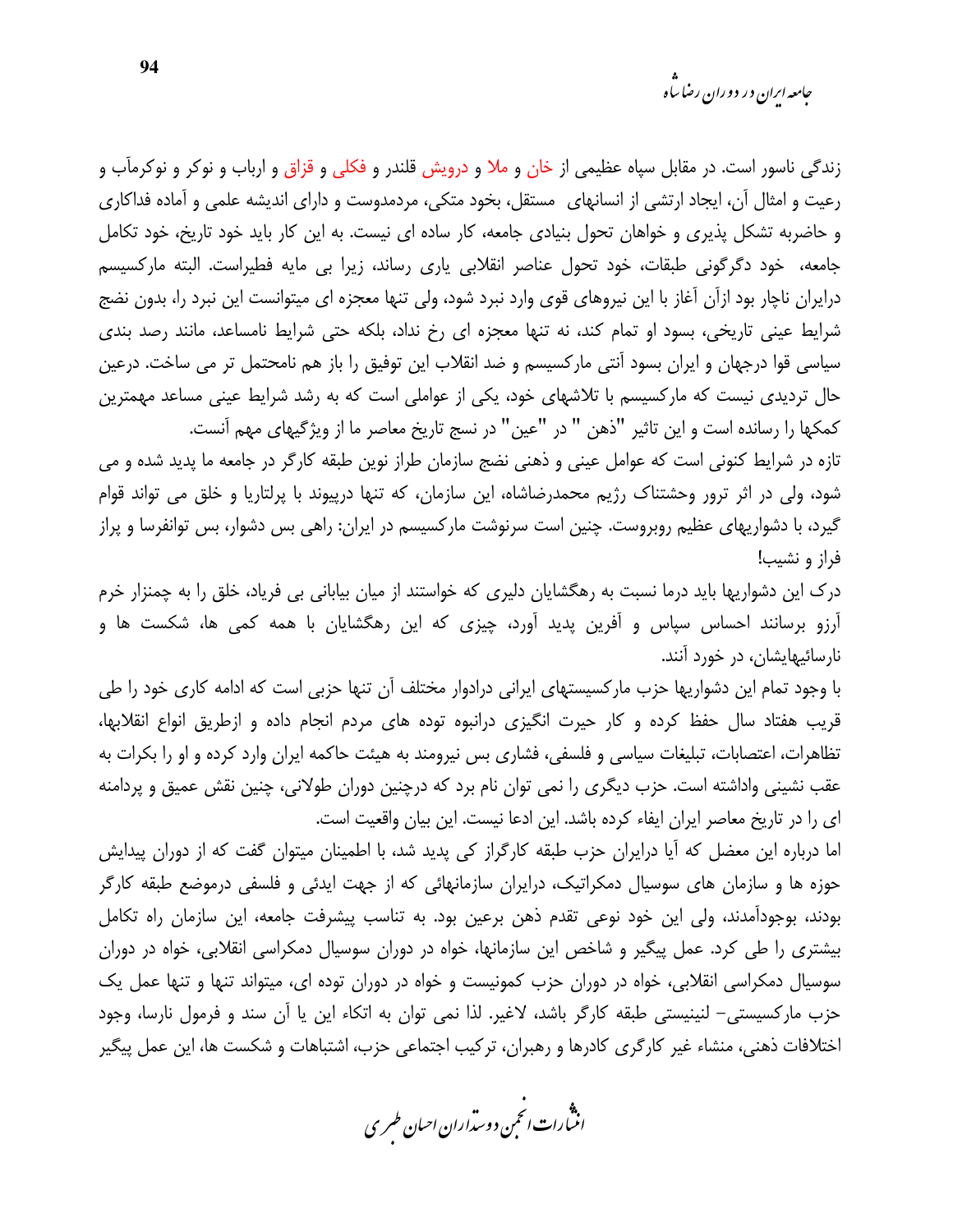زندگی ناسور است. در مقابل سپاه عظیمی از خان و ملا و درویش قلندر و فکلی و قزاق و ارباب و نوکر و نوکرمآب و رعیت و امثال آن، ایجاد ارتشی از انسانهای مستقل، بخود متکی، مردمدوست و دارای اندیشه علمی و آماده فداکاری و حاضربه تشکل پذیری و خواهان تحول بنیادی جامعه، کار ساده ای نیست. به این کار باید خود تاریخ، خود تکامل جامعه، خود دگرگونی طبقات، خود تحول عناصر انقلابی یاری رساند، زیرا بی مایه فطیراست. البته مارکسیسم درایران ناچار بود ازآن آغاز با این نیروهای قوی وارد نبرد شود، ولی تنها معجزه ای میتوانست این نبرد را، بدون نضج شرایط عینی تاریخی، بسود او تمام کند، نه تنها معجزه ای رخ نداد، بلکه حتی شرایط نامساعد، مانند رصد بندی سیاسی قوا درجهان و ایران بسود آنتی مارکسیسم و ضد انقلاب این توفیق را باز هم نامحتمل تر می ساخت. درعین حال تردیدی نیست که مارکسیسم با تلاشهای خود، یکی از عواملی است که به رشد شرایط عینی مساعد مهمترین كمكها را رسانده است و اين تاثير "ذهن " در "عين" در نسج تاريخ معاصر ما از ويژگيهاى مهم آنست.

تازه در شرایط کنونی است که عوامل عینی و ذهنی نضج سازمان طراز نوین طبقه کارگر در جامعه ما پدید شده و می شود، ولی در اثر ترور وحشتناک رژیم محمدرضاشاه، این سازمان، که تنها درپیوند با پرلتاریا و خلق می تواند قوام گیرد، با دشواریهای عظیم روبروست. چنین است سرنوشت مارکسیسم در ایران: راهی بس دشوار، بس توانفرسا و پراز فراز و نشيب!

درک این دشواریها باید درما نسبت به رهگشایان دلیری که خواستند از میان بیابانی بی فریاد، خلق را به چمنزار خرم آرزو برسانند احساس سپاس و آفرین پدید آورد، چیزی که این رهگشایان با همه کمی ها، شکست ها و نارسائیهایشان، در خورد آنند.

با وجود تمام این دشواریها حزب مارکسیستهای ایرانی درادوار مختلف آن تنها حزبی است که ادامه کاری خود را طی قریب هفتاد سال حفظ کرده و کار حیرت انگیزی درانبوه توده های مردم انجام داده و ازطریق انواع انقلابها، تظاهرات، اعتصابات، تبلیغات سیاسی و فلسفی، فشاری بس نیرومند به هیئت حاکمه ایران وارد کرده و او را بکرات به عقب نشینی واداشته است. حزب دیگری را نمی توان نام برد که درچنین دوران طولانی، چنین نقش عمیق و پردامنه ای را در تاریخ معاصر ایران ایفاء کرده باشد. این ادعا نیست. این بیان واقعیت است.

اما درباره این معضل که آیا درایران حزب طبقه کارگراز کی پدید شد، با اطمینان میتوان گفت که از دوران پیدایش حوزه ها و سازمان های سوسیال دمکراتیک، درایران سازمانهائی که از جهت ایدئی و فلسفی درموضع طبقه کارگر بودند، بوجودآمدند، ولي اين خود نوعي تقدم ذهن برعين بود. به تناسب پيشرفت جامعه، اين سازمان راه تكامل بیشتری را طی کرد. عمل پیگیر و شاخص این سازمانها، خواه در دوران سوسیال دمکراسی انقلابی، خواه در دوران سوسیال دمکراسی انقلابی، خواه در دوران حزب کمونیست و خواه در دوران توده ای، میتواند تنها و تنها عمل یک حزب ماركسيستي– لنينيستي طبقه كارگر باشد، لاغير. لذا نمي توان به اتكاء اين يا آن سند و فرمول نارسا، وجود اختلافات ذهنی، منشاء غیر کارگری کادرها و رهبران، ترکیب اجتماعی حزب، اشتباهات و شکست ها، این عمل پیگیر

.<br>انث رات انجمن دوسداران احبان طسری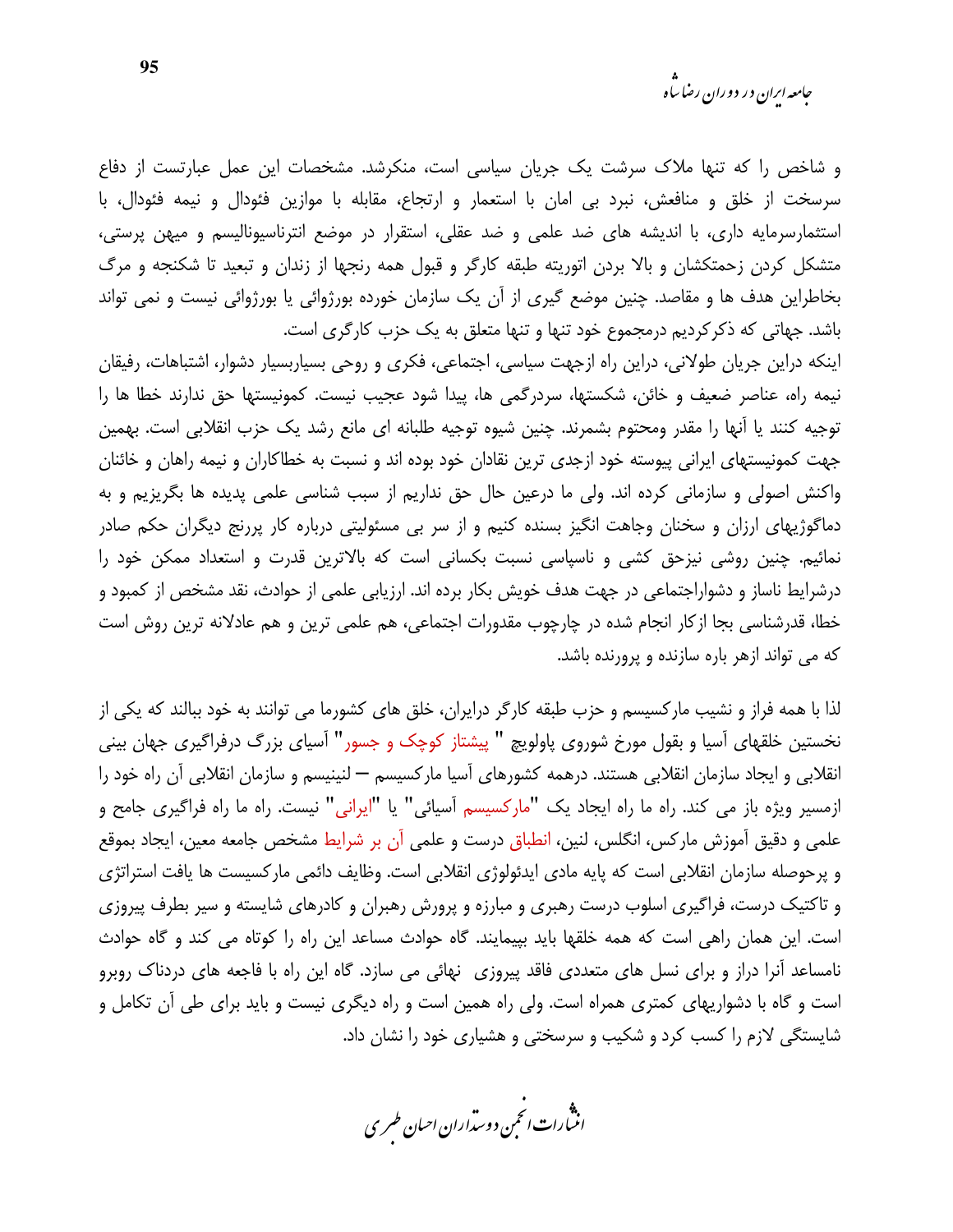*جامعه ایرا*ن در دوران رضا س<sup>ا</sup>ه

و شاخص را که تنها ملاک سرشت یک جریان سیاسی است، منکرشد. مشخصات این عمل عبارتست از دفاع سرسخت از خلق و منافعش، نبرد بی امان با استعمار و ارتجاع، مقابله با موازین فئودال و نیمه فئودال، با استثمارسرمایه داری، با اندیشه های ضد علمی و ضد عقلی، استقرار در موضع انترناسیونالیسم و میهن پرستی، متشکل کردن زحمتکشان و بالا بردن اتوریته طبقه کارگر و قبول همه رنجها از زندان و تبعید تا شکنجه و مرگ بخاطراین هدف ها و مقاصد. چنین موضع گیری از آن یک سازمان خورده بورژوائی یا بورژوائی نیست و نمی تواند باشد. جهاتی که ذکرکردیم درمجموع خود تنها و تنها متعلق به یک حزب کارگری است.

اینکه دراین جریان طولانی، دراین راه ازجهت سیاسی، اجتماعی، فکری و روحی بسیاربسیار دشوار، اشتباهات، رفیقان نيمه راه، عناصر ضعيف و خائن، شكستها، سردرگمي ها، پيدا شود عجيب نيست. كمونيستها حق ندارند خطا ها را توجیه کنند یا آنها را مقدر ومحتوم بشمرند. چنین شیوه توجیه طلبانه ای مانع رشد یک حزب انقلابی است. بهمین جهت کمونیستهای ایرانی پیوسته خود ازجدی ترین نقادان خود بوده اند و نسبت به خطاکاران و نیمه راهان و خائنان واکنش اصولی و سازمانی کرده اند. ولی ما درعین حال حق نداریم از سبب شناسی علمی پدیده ها بگریزیم و به دماگوژیهای ارزان و سخنان وجاهت انگیز بسنده کنیم و از سر بی مسئولیتی درباره کار پررنج دیگران حکم صادر نمائیم. چنین روشی نیزحق کشی و ناسپاسی نسبت بکسانی است که بالاترین قدرت و استعداد ممکن خود را درشرایط ناساز و دشواراجتماعی در جهت هدف خویش بکار برده اند. ارزیابی علمی از حوادث، نقد مشخص از کمبود و خطا، قدرشناسی بجا ازکار انجام شده در چارچوب مقدورات اجتماعی، هم علمی ترین و هم عادلانه ترین روش است که می تواند ازهر باره سازنده و پرورنده باشد.

لذا با همه فراز و نشیب مارکسیسم و حزب طبقه کارگر درایران، خلق های کشورما می توانند به خود ببالند که یکی از نخستین خلقهای آسیا و بقول مورخ شوروی پاولویچ " پیشتاز کوچک و جسور" آسیای بزرگ درفراگیری جهان بینی انقلابی و ایجاد سازمان انقلابی هستند. درهمه کشورهای آسیا مارکسیسم — لنینیسم و سازمان انقلابی آن راه خود را ازمسیر ویژه باز می کند. راه ما راه ایجاد یک "مارکسیسم آسیائی" یا "ایرانی" نیست. راه ما راه فراگیری جامح و علمی و دقیق آموزش مارکس، انگلس، لنین، انطباق درست و علمی آن بر شرایط مشخص جامعه معین، ایجاد بموقع و پرحوصله سازمان انقلابی است که پایه مادی ایدئولوژی انقلابی است. وظایف دائمی مارکسیست ها یافت استراتژی و تاکتیک درست، فراگیری اسلوب درست رهبری و مبارزه و پرورش رهبران و کادرهای شایسته و سیر بطرف پیروزی است. این همان راهی است که همه خلقها باید بپیمایند. گاه حوادث مساعد این راه را کوتاه می کند و گاه حوادث نامساعد آنرا دراز و برای نسل های متعددی فاقد پیروزی ِ نهائی می سازد. گاه این راه با فاجعه های دردناک روبرو است و گاه با دشواریهای کمتری همراه است. ولی راه همین است و راه دیگری نیست و باید برای طی آن تکامل و شایستگی لازم را کسب کرد و شکیب و سرسختی و هشیاری خود را نشان داد.

.<br>انن رات انجمن دوسداران احبان طسری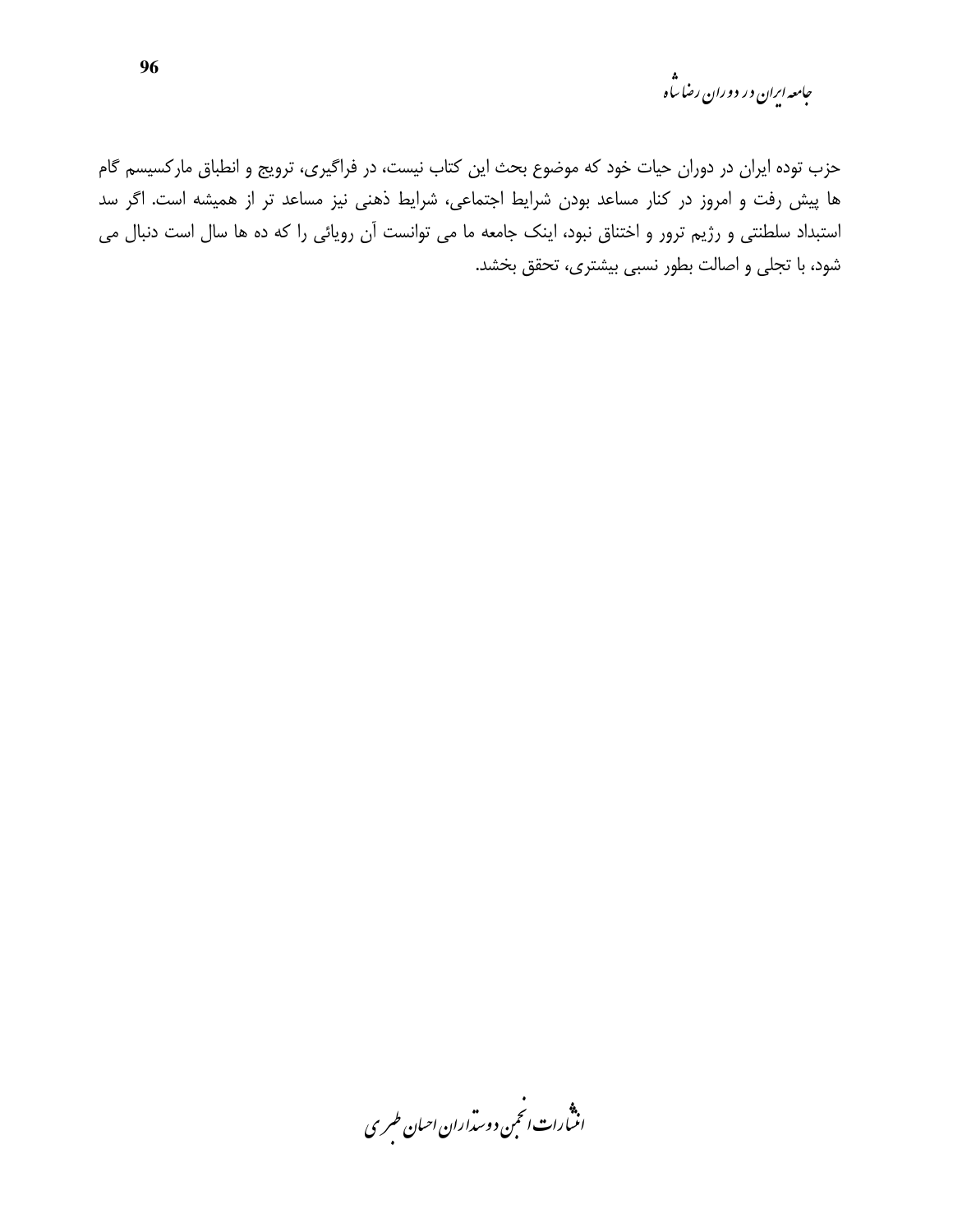حامعه ایران در دوران رضا ساه<br>پ

حزب توده ایران در دوران حیات خود که موضوع بحث این کتاب نیست، در فراگیری، ترویج و انطباق مارکسیسم گام ها پیش رفت و امروز در کنار مساعد بودن شرایط اجتماعی، شرایط ذهنی نیز مساعد تر از همیشه است. اگر سد استبداد سلطنتی و رژیم ترور و اختناق نبود، اینک جامعه ما می توانست آن رویائی را که ده ها سال است دنبال می شود، با تجلی و اصالت بطور نسبی بیشتری، تحقق بخشد.

.<br>انسارات انځمن د وسداران احبان طسری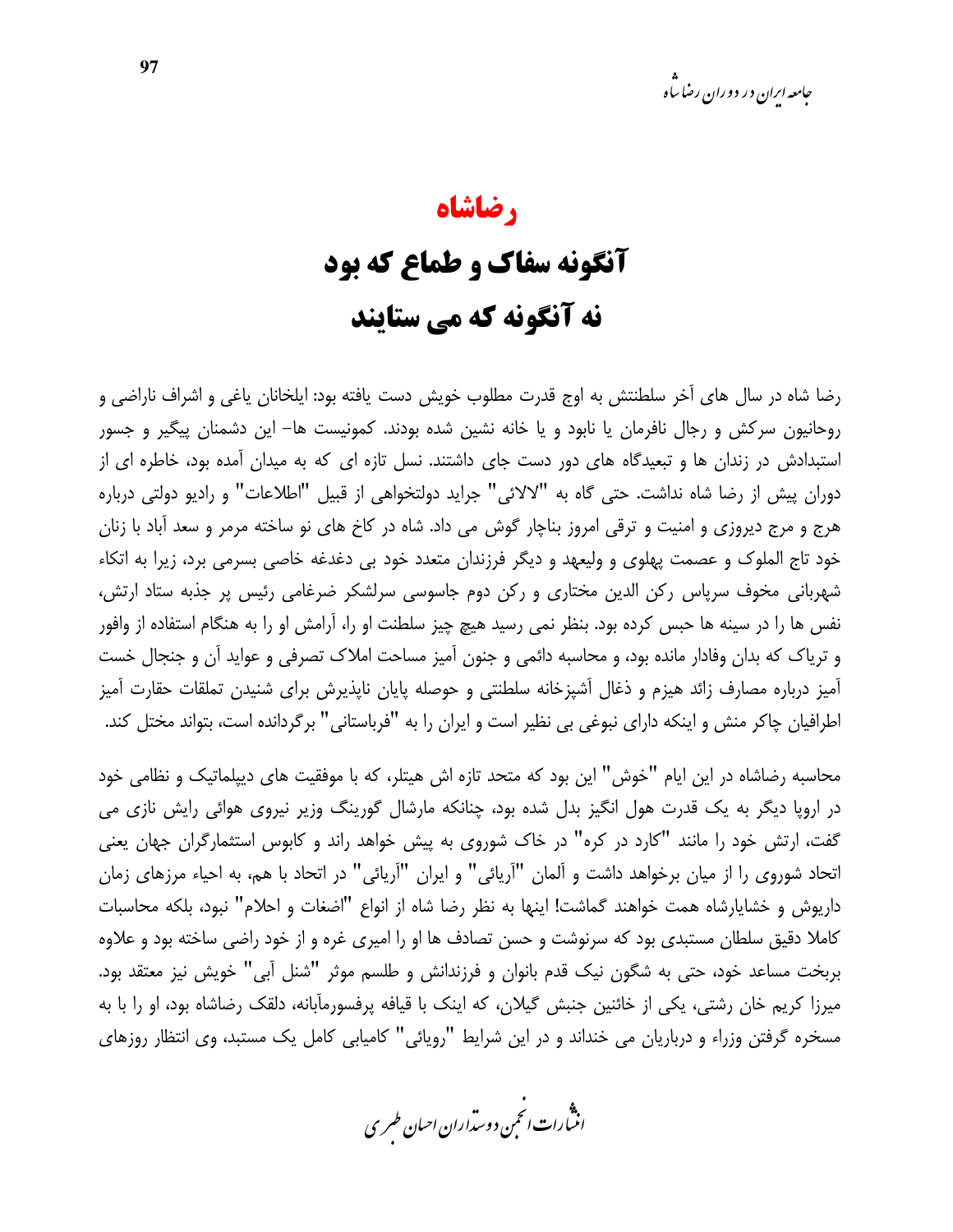### رضاشاه آنگونه سفاک و طماع که بود نه آنگونه که می ستایند

رضا شاه در سال های آخر سلطنتش به اوج قدرت مطلوب خویش دست یافته بود: ایلخانان یاغی و اشراف ناراضی و روحانیون سرکش و رجال نافرمان یا نابود و یا خانه نشین شده بودند. کمونیست ها– این دشمنان پیگیر و جسور استبدادش در زندان ها و تبعیدگاه های دور دست جای داشتند. نسل تازه ای که به میدان آمده بود، خاطره ای از دوران پیش از رضا شاه نداشت. حتی گاه به "لالائی" جراید دولتخواهی از قبیل "اطلاعات" و رادیو دولتی درباره هرج و مرج دیروزی و امنیت و ترقی امروز بناچار گوش می داد. شاه در کاخ های نو ساخته مرمر و سعد آباد با زنان خود تاج الملوک و عصمت پهلوی و ولیعهد و دیگر فرزندان متعدد خود بی دغدغه خاصی بسرمی برد، زیرا به اتکاء شهربانی مخوف سرپاس رکن الدین مختاری و رکن دوم جاسوسی سرلشکر ضرغامی رئیس پر جذبه ستاد ارتش، نفس ها را در سینه ها حبس کرده بود. بنظر نمی رسید هیچ چیز سلطنت او را، آرامش او را به هنگام استفاده از وافور و تریاک که بدان وفادار مانده بود، و محاسبه دائمی و جنون آمیز مساحت املاک تصرفی و عواید آن و جنجال خست آمیز درباره مصارف زائد هیزم و ذغال آشپزخانه سلطنتی و حوصله پایان ناپذیرش برای شنیدن تملقات حقارت آمیز اطرافیان چاکر منش و اینکه دارای نبوغی بی نظیر است و ایران را به "فرباستانی" برگردانده است، بتواند مختل کند.

محاسبه رضاشاه در این ایام "خوش" این بود که متحد تازه اش هیتلر، که با موفقیت های دیپلماتیک و نظامی خود در اروپا دیگر به یک قدرت هول انگیز بدل شده بود، چنانکه مارشال گورینگ وزیر نیروی هوائی رایش نازی می گفت، ارتش خود را مانند "کارد در کره" در خاک شوروی به پیش خواهد راند و کابوس استثمارگران جهان یعنی اتحاد شوروی را از میان برخواهد داشت و آلمان "آریائی" و ایران "آریائی" در اتحاد با هم، به احیاء مرزهای زمان داریوش و خشایارشاه همت خواهند گماشت! اینها به نظر رضا شاه از انواع "اضغات و احلام" نبود، بلکه محاسبات كاملا دقیق سلطان مستبدی بود كه سرنوشت و حسن تصادف ها او را امیری غره و از خود راضی ساخته بود و علاوه بربخت مساعد خود، حتی به شگون نیک قدم بانوان و فرزندانش و طلسم موثر "شنل آبی" خویش نیز معتقد بود. میرزا کریم خان رشتی، یکی از خائنین جنبش گیلان، که اینک با قیافه پرفسورمآبانه، دلقک رضاشاه بود، او را با به مسخره گرفتن وزراء و درباریان می خنداند و در این شرایط "رویائی" کامیابی کامل یک مستبد، وی انتظار روزهای

.<br>انن رات انجمن دوسداران احبان طسری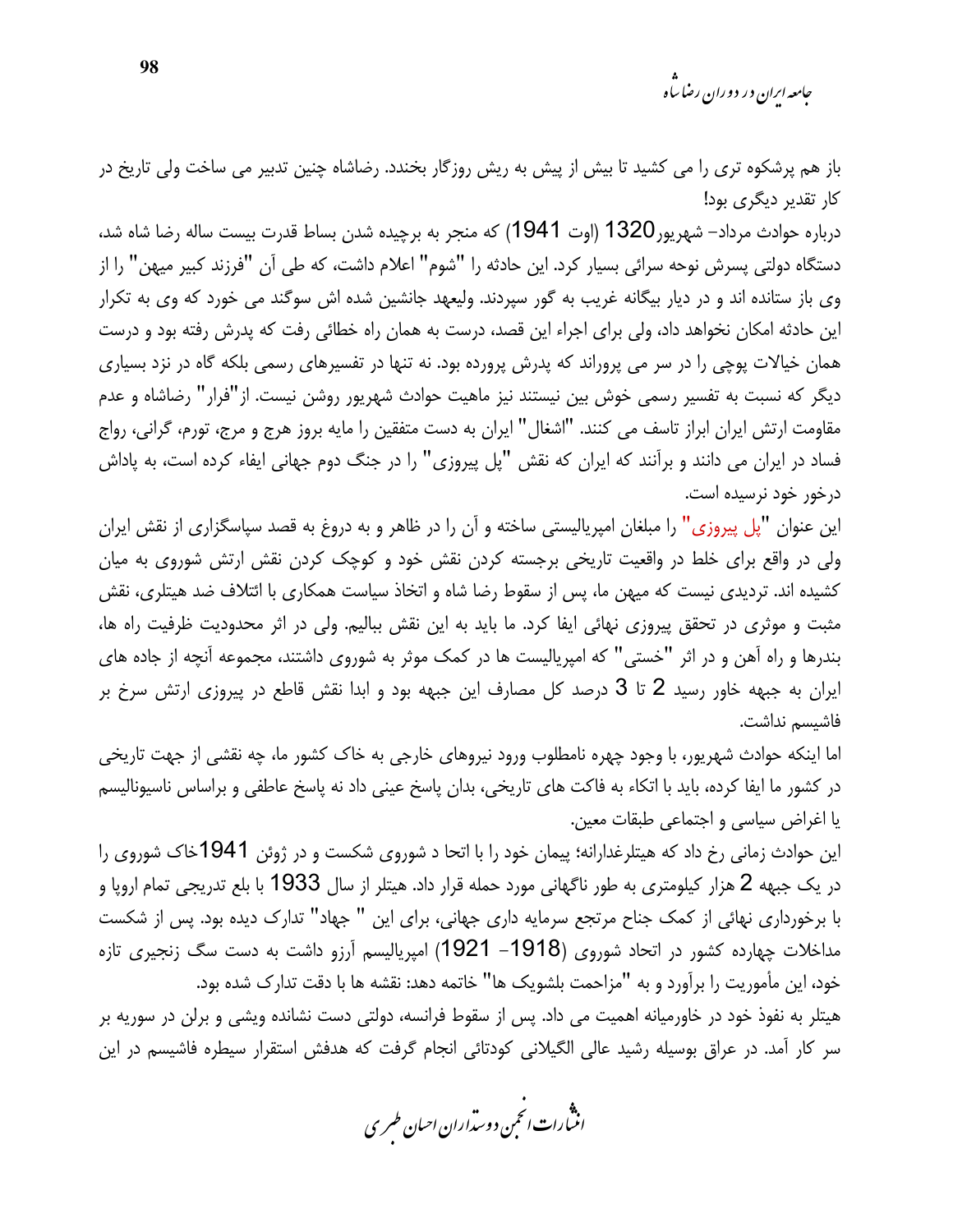*جامعه ایرا*ن در دوران رضا س<sup>ا</sup>ه

باز هم پرشکوه تری را می کشید تا بیش از پیش به ریش روزگار بخندد. رضاشاه چنین تدبیر می ساخت ولی تاریخ در کار تقدیر دیگری بود!

درباره حوادث مرداد– شهریور 1320 (اوت 1941) که منجر به برچیده شدن بساط قدرت بیست ساله رضا شاه شد، دستگاه دولتی پسرش نوحه سرائی بسیار کرد. این حادثه را "شوم" اعلام داشت، که طی آن "فرزند کبیر میهن" را از وی باز ستانده اند و در دیار بیگانه غریب به گور سپردند. ولیعهد جانشین شده اش سوگند می خورد که وی به تکرار این حادثه امکان نخواهد داد، ولی برای اجراء این قصد، درست به همان راه خطائی رفت که پدرش رفته بود و درست همان خیالات پوچی را در سر می پروراند که پدرش پرورده بود. نه تنها در تفسیرهای رسمی بلکه گاه در نزد بسیاری دیگر که نسبت به تفسیر رسمی خوش بین نیستند نیز ماهیت حوادث شهریور روشن نیست. از"فرار" رضاشاه و عدم مقاومت ارتش ایران ابراز تاسف می کنند. "اشغال" ایران به دست متفقین را مایه بروز هرج و مرج، تورم، گرانی، رواج فساد در ایران می دانند و برآنند که ایران که نقش "پل پیروزی" را در جنگ دوم جهانی ایفاء کرده است، به پاداش درخور خود نرسیده است.

این عنوان "پل پیروزی" را مبلغان امپریالیستی ساخته و آن را در ظاهر و به دروغ به قصد سپاسگزاری از نقش ایران ولی در واقع برای خلط در واقعیت تاریخی برجسته کردن نقش خود و کوچک کردن نقش ارتش شوروی به میان کشیده اند. تردیدی نیست که میهن ما، پس از سقوط رضا شاه و اتخاذ سیاست همکاری با ائتلاف ضد هیتلری، نقش مثبت و موثری در تحقق پیروزی نهائی ایفا کرد. ما باید به این نقش ببالیم. ولی در اثر محدودیت ظرفیت راه ها، بندرها و راه آهن و در اثر "خستی" که امپریالیست ها در کمک موثر به شوروی داشتند، مجموعه آنچه از جاده های ایران به جبهه خاور رسید 2 تا 3 درصد کل مصارف این جبهه بود و ابدا نقش قاطع در پیروزی ارتش سرخ بر فاشىسم نداشت.

اما اینکه حوادث شهریور، با وجود چهره نامطلوب ورود نیروهای خارجی به خاک کشور ما، چه نقشی از جهت تاریخی در کشور ما ایفا کرده، باید با اتکاء به فاکت های تاریخی، بدان پاسخ عینی داد نه پاسخ عاطفی و براساس ناسیونالیسم يا اغراض سياسي و اجتماعي طبقات معين.

این حوادث زمانی رخ داد که هیتلرغدارانه؛ پیمان خود را با اتحا د شوروی شکست و در ژوئن 1941خاک شوروی را در یک جبهه 2 هزار کیلومتری به طور ناگهانی مورد حمله قرار داد. هیتلر از سال 1933 با بلع تدریجی تمام اروپا و با برخورداری نهائی از کمک جناح مرتجع سرمایه داری جهانی، برای این " جهاد" تدارک دیده بود. پس از شکست مداخلات چهارده کشور در اتحاد شوروی (1918– 1921) امپریالیسم آرزو داشت به دست سگ زنجیری تازه خود، این مأموریت را برآورد و به "مزاحمت بلشویک ها" خاتمه دهد: نقشه ها با دقت تدارک شده بود. هیتلر به نفوذ خود در خاورمیانه اهمیت می داد. پس از سقوط فرانسه، دولتی دست نشانده ویشی و برلن در سوریه بر سر کار آمد. در عراق بوسیله رشید عالی الگیلانی کودتائی انجام گرفت که هدفش استقرار سیطره فاشیسم در این

.<br>انثمارات انحمن دوسداران احبان طسری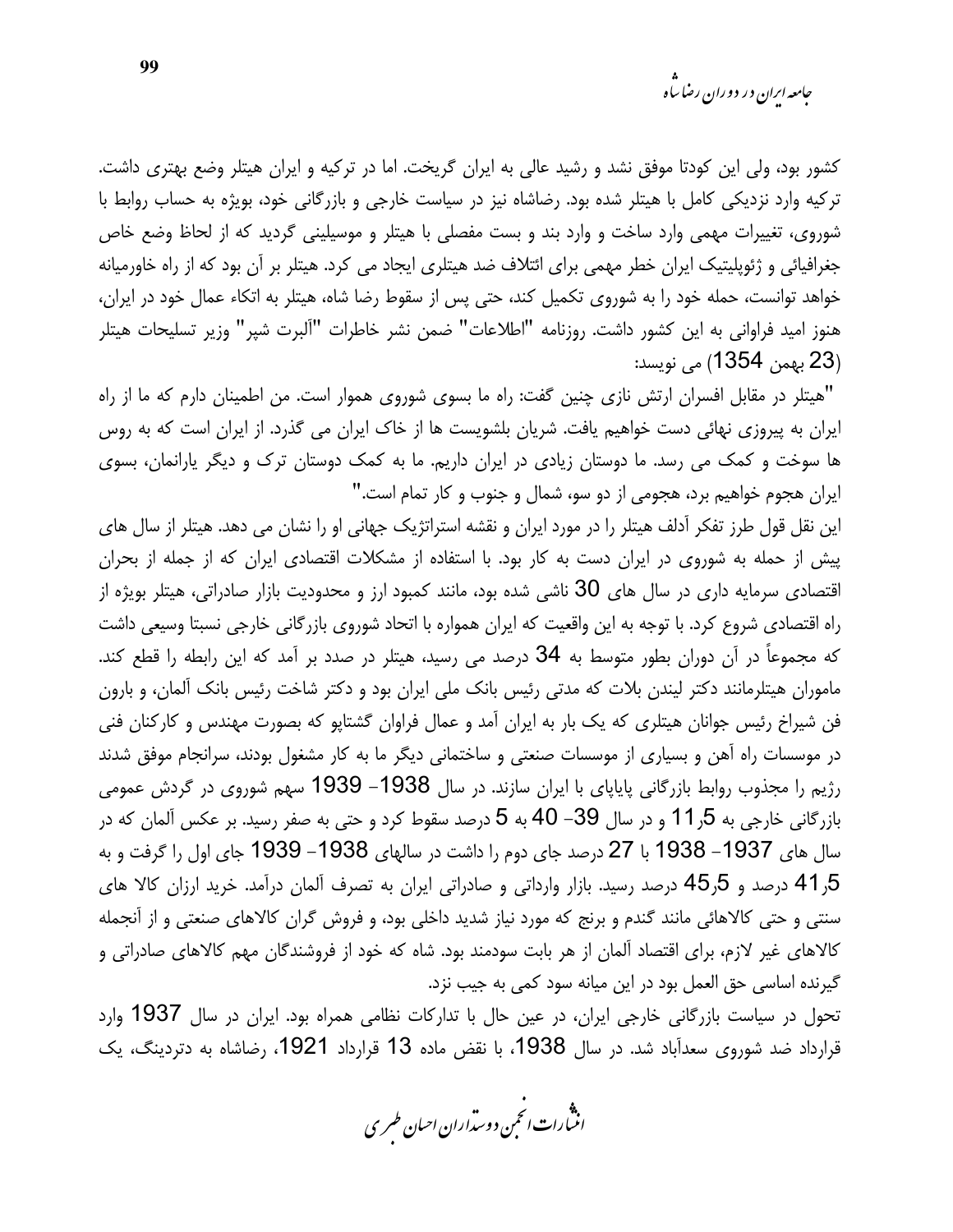کشور بود، ولی این کودتا موفق نشد و رشید عالی به ایران گریخت. اما در ترکیه و ایران هیتلر وضع بهتری داشت. ترکیه وارد نزدیکی کامل با هیتلر شده بود. رضاشاه نیز در سیاست خارجی و بازرگانی خود، بویژه به حساب روابط با شوروی، تغییرات مهمی وارد ساخت و وارد بند و بست مفصلی با هیتلر و موسیلینی گردید که از لحاظ وضع خاص جغرافیائی و ژئوپلیتیک ایران خطر مهمی برای ائتلاف ضد هیتلری ایجاد می کرد. هیتلر بر آن بود که از راه خاورمیانه خواهد توانست، حمله خود را به شوروی تکمیل کند، حتی پس از سقوط رضا شاه، هیتلر به اتکاء عمال خود در ایران، هنوز امید فراوانی به این کشور داشت. روزنامه "اطلاعات" ضمن نشر خاطرات "آلبرت شپر" وزیر تسلیحات هیتلر (23 بهمن 1354) مي نويسد:

"هیتلر در مقابل افسران ارتش نازی چنین گفت: راه ما بسوی شوروی هموار است. من اطمینان دارم که ما از راه ایران به پیروزی نهائی دست خواهیم یافت. شریان بلشویست ها از خاک ایران می گذرد. از ایران است که به روس ها سوخت و کمک می رسد. ما دوستان زیادی در ایران داریم. ما به کمک دوستان ترک و دیگر یارانمان، بسوی ایران هجوم خواهیم برد، هجومی از دو سو، شمال و جنوب و کار تمام است."

این نقل قول طرز تفکر آدلف هیتلر را در مورد ایران و نقشه استراتژیک جهانی او را نشان می دهد. هیتلر از سال های پیش از حمله به شوروی در ایران دست به کار بود. با استفاده از مشکلات اقتصادی ایران که از جمله از بحران اقتصادی سرمایه داری در سال های 30 ناشی شده بود، مانند کمبود ارز و محدودیت بازار صادراتی، هیتلر بویژه از راه اقتصادی شروع کرد. با توجه به این واقعیت که ایران همواره با اتحاد شوروی بازرگانی خارجی نسبتا وسیعی داشت که مجموعاً در آن دوران بطور متوسط به 34 درصد می رسید، هیتلر در صدد بر آمد که این رابطه را قطع کند. ماموران هیتلرمانند دکتر لیندن بلات که مدتی رئیس بانک ملی ایران بود و دکتر شاخت رئیس بانک آلمان، و بارون فن شیراخ رئیس جوانان هیتلری که یک بار به ایران آمد و عمال فراوان گشتایو که بصورت مهندس و کارکنان فنی در موسسات راه آهن و بسیاری از موسسات صنعتی و ساختمانی دیگر ما به کار مشغول بودند، سرانجام موفق شدند رژیم را مجذوب روابط بازرگانی پایاپای با ایران سازند. در سال 1938– 1939 سهم شوروی در گردش عمومی بازرگانی خارجی به 5ر11 و در سال 39– 40 به 5 درصد سقوط کرد و حتی به صفر رسید. بر عکس آلمان که در سال های 1937– 1938 با 27 درصد جای دوم را داشت در سالهای 1938– 1939 جای اول را گرفت و به 5ر41 درصد و 5ر45 درصد رسید. بازار وارداتی و صادراتی ایران به تصرف آلمان درآمد. خرید ارزان کالا های سنتی و حتی کالاهائی مانند گندم و برنج که مورد نیاز شدید داخلی بود، و فروش گران کالاهای صنعتی و از آنجمله کالاهای غیر لازم، برای اقتصاد آلمان از هر بابت سودمند بود. شاه که خود از فروشندگان مهم کالاهای صادراتی و گیرنده اساسی حق العمل بود در این میانه سود کمی به جیب نزد.

تحول در سیاست بازرگانی خارجی ایران، در عین حال با تدارکات نظامی همراه بود. ایران در سال 1937 وارد قرارداد ضد شوروی سعدآباد شد. در سال 1938، با نقض ماده 13 قرارداد 1921، رضاشاه به دتردینگ، یک

.<br>انن رات انحمن دوسداران احبان طسری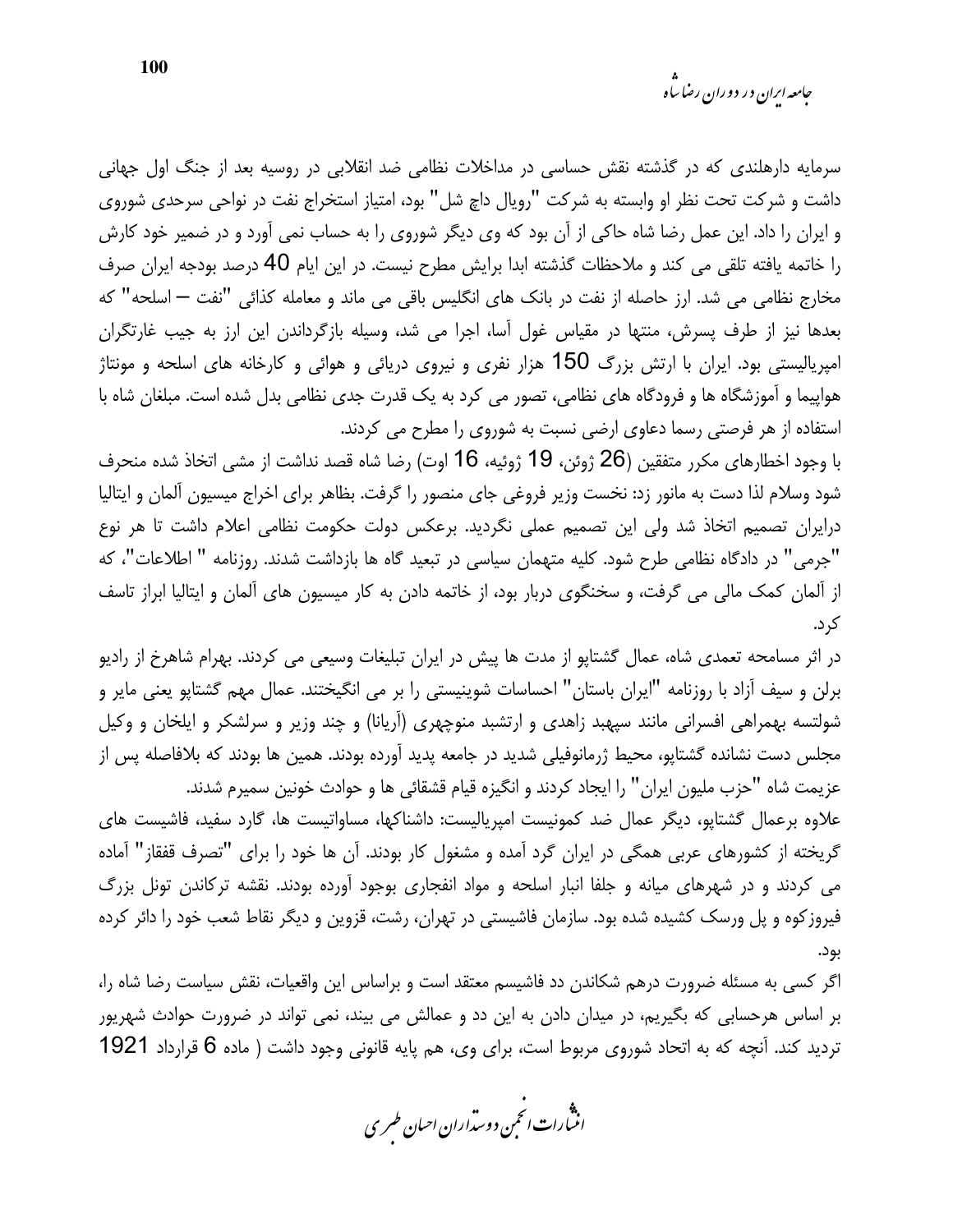*جامعه ایرا*ن در دوران رضا س<sup>ا</sup>ه

سرمایه دارهلندی که در گذشته نقش حساسی در مداخلات نظامی ضد انقلابی در روسیه بعد از جنگ اول جهانی داشت و شرکت تحت نظر او وابسته به شرکت "رویال داچ شل" بود، امتیاز استخراج نفت در نواحی سرحدی شوروی و ایران را داد. این عمل رضا شاه حاکی از آن بود که وی دیگر شوروی را به حساب نمی آورد و در ضمیر خود کارش را خاتمه یافته تلقی می کند و ملاحظات گذشته ابدا برایش مطرح نیست. در این ایام 40 درصد بودجه ایران صرف مخارج نظامی می شد. ارز حاصله از نفت در بانک های انگلیس باقی می ماند و معامله کذائی "نفت — اسلحه" که بعدها نیز از طرف پسرش، منتها در مقیاس غول آسا، اجرا می شد، وسیله بازگرداندن این ارز به جیب غارتگران امپریالیستی بود. ایران با ارتش بزرگ 150 هزار نفری و نیروی دریائی و هوائی و کارخانه های اسلحه و مونتاژ هواپیما و آموزشگاه ها و فرودگاه های نظامی، تصور می کرد به یک قدرت جدی نظامی بدل شده است. مبلغان شاه با استفاده از هر فرصتی رسما دعاوی ارضی نسبت به شوروی را مطرح می کردند.

با وجود اخطارهای مکرر متفقین (26 ژوئن، 19 ژوئیه، 16 اوت) رضا شاه قصد نداشت از مشی اتخاذ شده منحرف شود وسلام لذا دست به مانور زد: نخست وزير فروغي جاي منصور را گرفت. بظاهر براي اخراج ميسيون آلمان و ايتاليا درایران تصمیم اتخاذ شد ولی این تصمیم عملی نگردید. برعکس دولت حکومت نظامی اعلام داشت تا هر نوع "جرمی" در دادگاه نظامی طرح شود. کلیه متهمان سیاسی در تبعید گاه ها بازداشت شدند. روزنامه " اطلاعات"، که از آلمان کمک مالی می گرفت، و سخنگوی دربار بود، از خاتمه دادن به کار میسیون های آلمان و ایتالیا ابراز تاسف کر د.

در اثر مسامحه تعمدی شاه، عمال گشتاپو از مدت ها پیش در ایران تبلیغات وسیعی می کردند. بهرام شاهرخ از رادیو برلن و سیف آزاد با روزنامه "ایران باستان" احساسات شوینیستی را بر می انگیختند. عمال مهم گشتاپو یعنی مایر و شولتسه بهمراهی افسرانی مانند سپهبد زاهدی و ارتشبد منوچهری (آریانا) و چند وزیر و سرلشکر و ایلخان و وکیل مجلس دست نشانده گشتاپو، محیط ژرمانوفیلی شدید در جامعه پدید آورده بودند. همین ها بودند که بلافاصله پس از عزيمت شاه "حزب مليون ايران" را ايجاد كردند و انگيزه قيام قشقائي ها و حوادث خونين سميرم شدند. علاوه برعمال گشتاپو، دیگر عمال ضد کمونیست امپریالیست: داشناکها، مساواتیست ها، گارد سفید، فاشیست های

گریخته از کشورهای عربی همگی در ایران گرد آمده و مشغول کار بودند. آن ها خود را برای "تصرف قفقاز" آماده می کردند و در شهرهای میانه و جلفا انبار اسلحه و مواد انفجاری بوجود آورده بودند. نقشه ترکاندن تونل بزرگ فیروز کوه و پل ورسک کشیده شده بود. سازمان فاشیستی در تهران، رشت، قزوین و دیگر نقاط شعب خود را دائر کرده بود.

اگر کسی به مسئله ضرورت درهم شکاندن دد فاشیسم معتقد است و براساس این واقعیات، نقش سیاست رضا شاه را، بر اساس هرحسابی که بگیریم، در میدان دادن به این دد و عمالش می بیند، نمی تواند در ضرورت حوادث شهریور تردید کند. آنچه که به اتحاد شوروی مربوط است، برای وی، هم پایه قانونی وجود داشت ( ماده 6 قرارداد 1921

.<br>انث رات انجمن دوسداران احبان طسری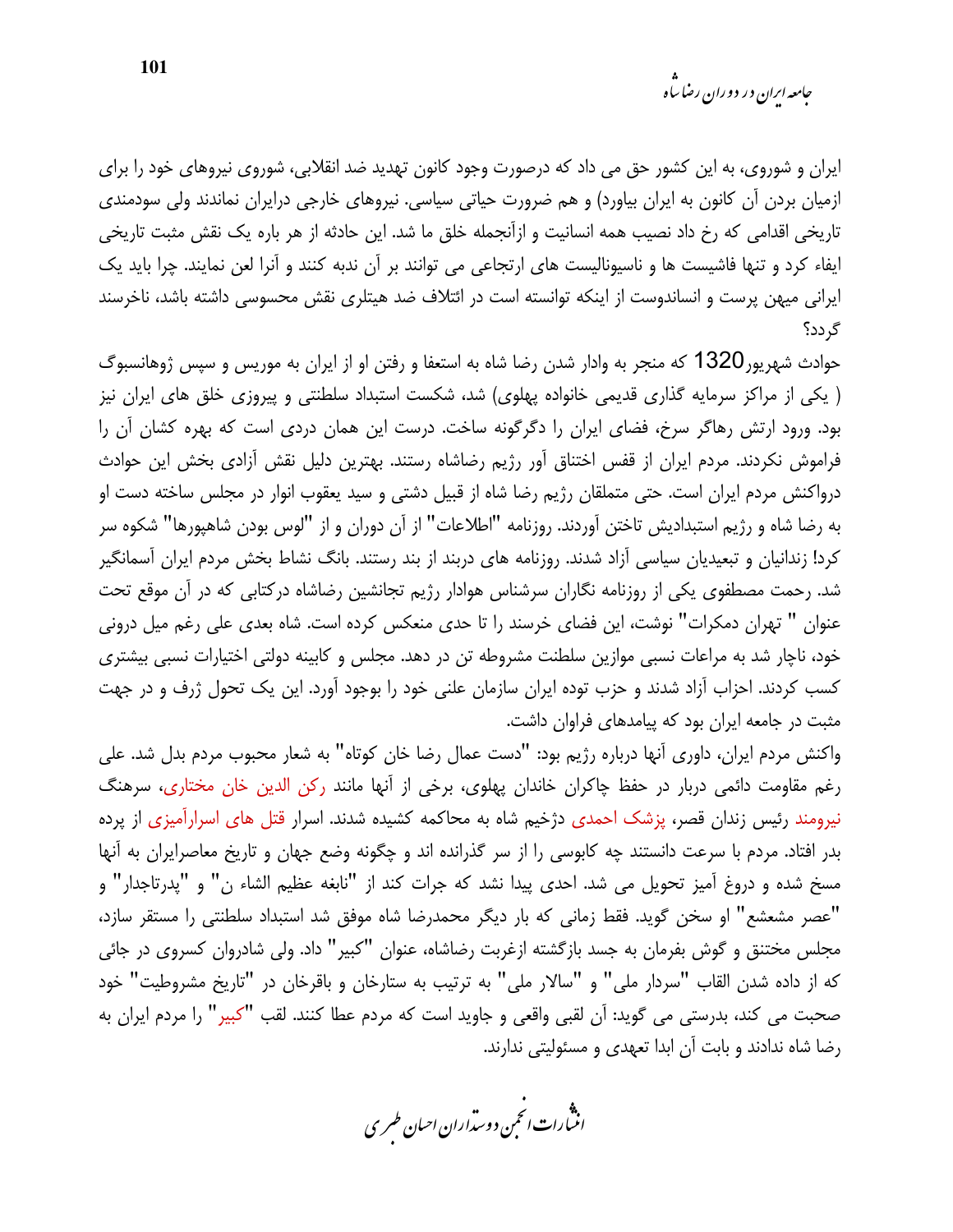ایران و شوروی، به این کشور حق می داد که درصورت وجود کانون تهدید ضد انقلابی، شوروی نیروهای خود را برای ازمیان بردن آن کانون به ایران بیاورد) و هم ضرورت حیاتی سیاسی. نیروهای خارجی درایران نماندند ولی سودمندی تاریخی اقدامی که رخ داد نصیب همه انسانیت و ازآنجمله خلق ما شد. این حادثه از هر باره یک نقش مثبت تاریخی ایفاء کرد و تنها فاشیست ها و ناسیونالیست های ارتجاعی می توانند بر آن ندبه کنند و آنرا لعن نمایند. چرا باید یک ایرانی میهن پرست و انساندوست از اینکه توانسته است در ائتلاف ضد هیتلری نقش محسوسی داشته باشد، ناخرسند گر دد؟

حوادث شهریور1320 که منجر به وادار شدن رضا شاه به استعفا و رفتن او از ایران به موریس و سپس ژوهانسبوگ ( یکی از مراکز سرمایه گذاری قدیمی خانواده پهلوی) شد، شکست استبداد سلطنتی و پیروزی خلق های ایران نیز بود. ورود ارتش رهاگر سرخ، فضای ایران را دگرگونه ساخت. درست این همان دردی است که بهره کشان آن را فراموش نکردند. مردم ایران از قفس اختناق آور رژیم رضاشاه رستند. بهترین دلیل نقش آزادی بخش این حوادث درواکنش مردم ایران است. حتی متملقان رژیم رضا شاه از قبیل دشتی و سید یعقوب انوار در مجلس ساخته دست او به رضا شاه و رژیم استبدادیش تاختن آوردند. روزنامه "اطلاعات" از آن دوران و از "لوس بودن شاهپورها" شکوه سر کرد! زندانیان و تبعیدیان سیاسی آزاد شدند. روزنامه های دربند از بند رستند. بانگ نشاط بخش مردم ایران آسمانگیر شد. رحمت مصطفوی یکی از روزنامه نگاران سرشناس هوادار رژیم تجانشین رضاشاه درکتابی که در آن موقع تحت عنوان " تهران دمکرات" نوشت، این فضای خرسند را تا حدی منعکس کرده است. شاه بعدی علی رغم میل درونی خود، ناچار شد به مراعات نسبی موازین سلطنت مشروطه تن در دهد. مجلس و کابینه دولتی اختیارات نسبی بیشتری کسب کردند. احزاب آزاد شدند و حزب توده ایران سازمان علنی خود را بوجود آورد. این یک تحول ژرف و در جهت مثبت در جامعه ایران بود که پیامدهای فراوان داشت.

واكنش مردم ايران، داوري آنها درباره رژيم بود: "دست عمال رضا خان كوتاه" به شعار محبوب مردم بدل شد. على رغم مقاومت دائمی دربار در حفظ چاکران خاندان پهلوی، برخی از آنها مانند رکن الدین خان مختاری، سرهنگ نیرومند رئیس زندان قصر، پزشک احمدی دژخیم شاه به محاکمه کشیده شدند. اسرار قتل های اسرارآمیزی از پرده بدر افتاد. مردم با سرعت دانستند چه کابوسی را از سر گذرانده اند و چگونه وضع جهان و تاریخ معاصرایران به آنها مسخ شده و دروغ آمیز تحویل می شد. احدی پیدا نشد که جرات کند از "نابغه عظیم الشاء ن" و "پدرتاجدار" و "عصر مشعشع" او سخن گوید. فقط زمانی که بار دیگر محمدرضا شاه موفق شد استبداد سلطنتی را مستقر سازد، مجلس مختنق و گوش بفرمان به جسد بازگشته ازغربت رضاشاه، عنوان "کبیر" داد. ولی شادروان کسروی در جائی كه از داده شدن القاب "سردار ملي" و "سالار ملي" به ترتيب به ستارخان و باقرخان در "تاريخ مشروطيت" خود صحبت می کند، بدرستی می گوید: آن لقبی واقعی و جاوید است که مردم عطا کنند. لقب "کبیر" را مردم ایران به رضا شاه ندادند و بابت آن ابدا تعهدی و مسئولیتی ندارند.

.<br>انتبارات *انحم*ن دوست<sub>ر</sub>اران احبان *طسر*ی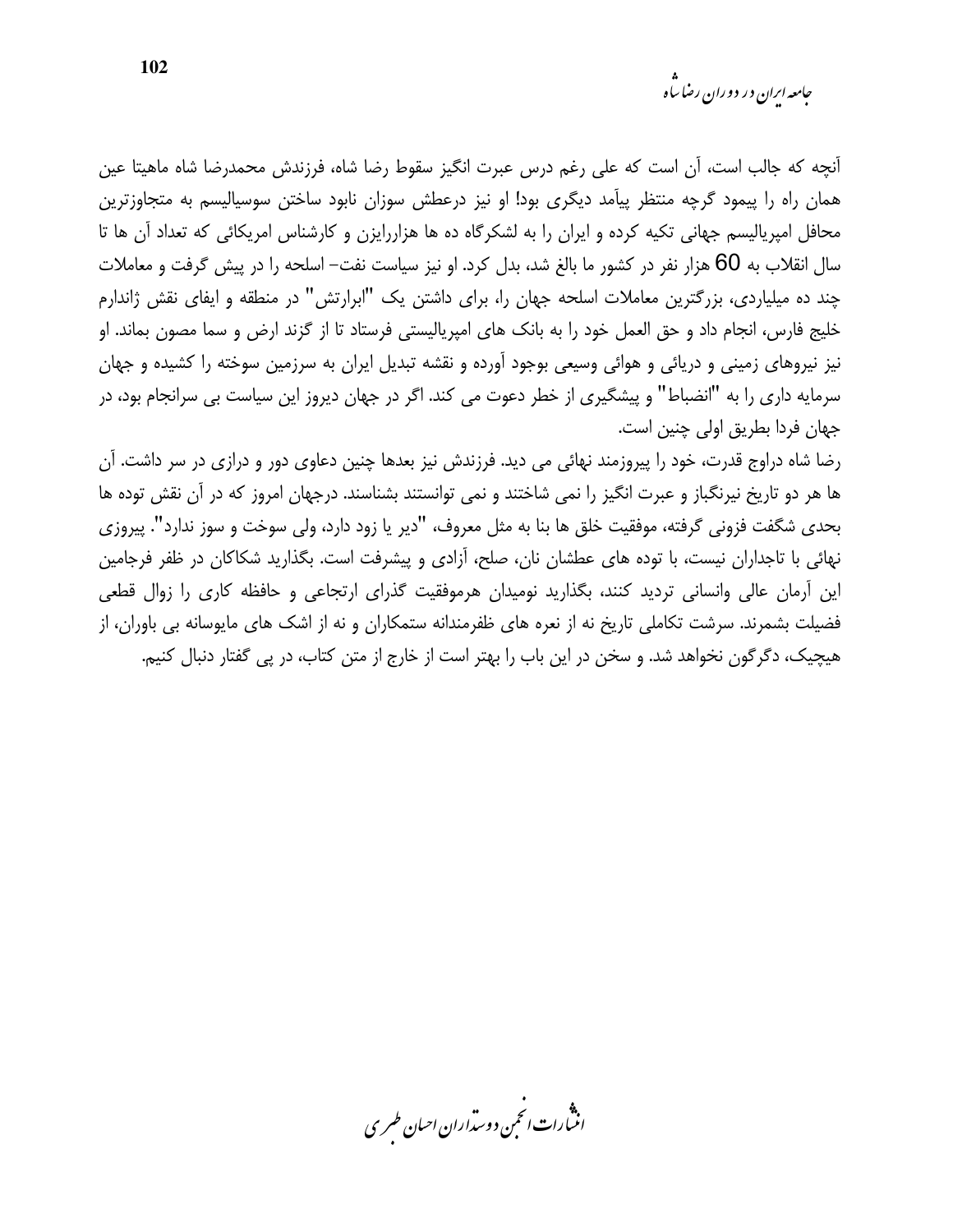*جامعه ارا*ن در دوران رضا ساه

آنچه که جالب است، آن است که علی رغم درس عبرت انگیز سقوط رضا شاه، فرزندش محمدرضا شاه ماهیتا عین همان راه را پیمود گرچه منتظر پیآمد دیگری بود! او نیز درعطش سوزان نابود ساختن سوسیالیسم به متجاوزترین محافل امیریالیسم جهانی تکیه کرده و ایران را به لشکرگاه ده ها هزاررایزن و کارشناس امریکائی که تعداد آن ها تا سال انقلاب به 60 هزار نفر در کشور ما بالغ شد، بدل کرد. او نیز سیاست نفت– اسلحه را در پیش گرفت و معاملات چند ده میلیاردی، بزرگترین معاملات اسلحه جهان را، برای داشتن یک "ابرارتش" در منطقه و ایفای نقش ژاندارم خلیج فارس، انجام داد و حق العمل خود را به بانک های امپریالیستی فرستاد تا از گزند ارض و سما مصون بماند. او نیز نیروهای زمینی و دریائی و هوائی وسیعی بوجود آورده و نقشه تبدیل ایران به سرزمین سوخته را کشیده و جهان سرمایه داری را به "انضباط" و پیشگیری از خطر دعوت می کند. اگر در جهان دیروز این سیاست بی سرانجام بود، در جهان فردا بطريق اولى چنين است.

رضا شاه دراوج قدرت، خود را پیروزمند نهائی می دید. فرزندش نیز بعدها چنین دعاوی دور و درازی در سر داشت. آن ها هر دو تاریخ نیرنگباز و عبرت انگیز را نمی شاختند و نمی توانستند بشناسند. درجهان امروز که در آن نقش توده ها بحدی شگفت فزونی گرفته، موفقیت خلق ها بنا به مثل معروف، "دیر یا زود دارد، ولی سوخت و سوز ندارد". پیروزی نهائی با تاجداران نیست، با توده های عطشان نان، صلح، آزادی و پیشرفت است. بگذارید شکاکان در ظفر فرجامین این آرمان عالی وانسانی تردید کنند، بگذارید نومیدان هرموفقیت گذرای ارتجاعی و حافظه کاری را زوال قطعی فضیلت بشمرند. سرشت تکاملی تاریخ نه از نعره های ظفرمندانه ستمکاران و نه از اشک های مایوسانه بی باوران، از هیچیک، دگرگون نخواهد شد. و سخن در این باب را بهتر است از خارج از متن کتاب، در پی گفتار دنبال کنیم.

.<br>انتبارات *انتم*ن دوسداران احیان *طسر*ی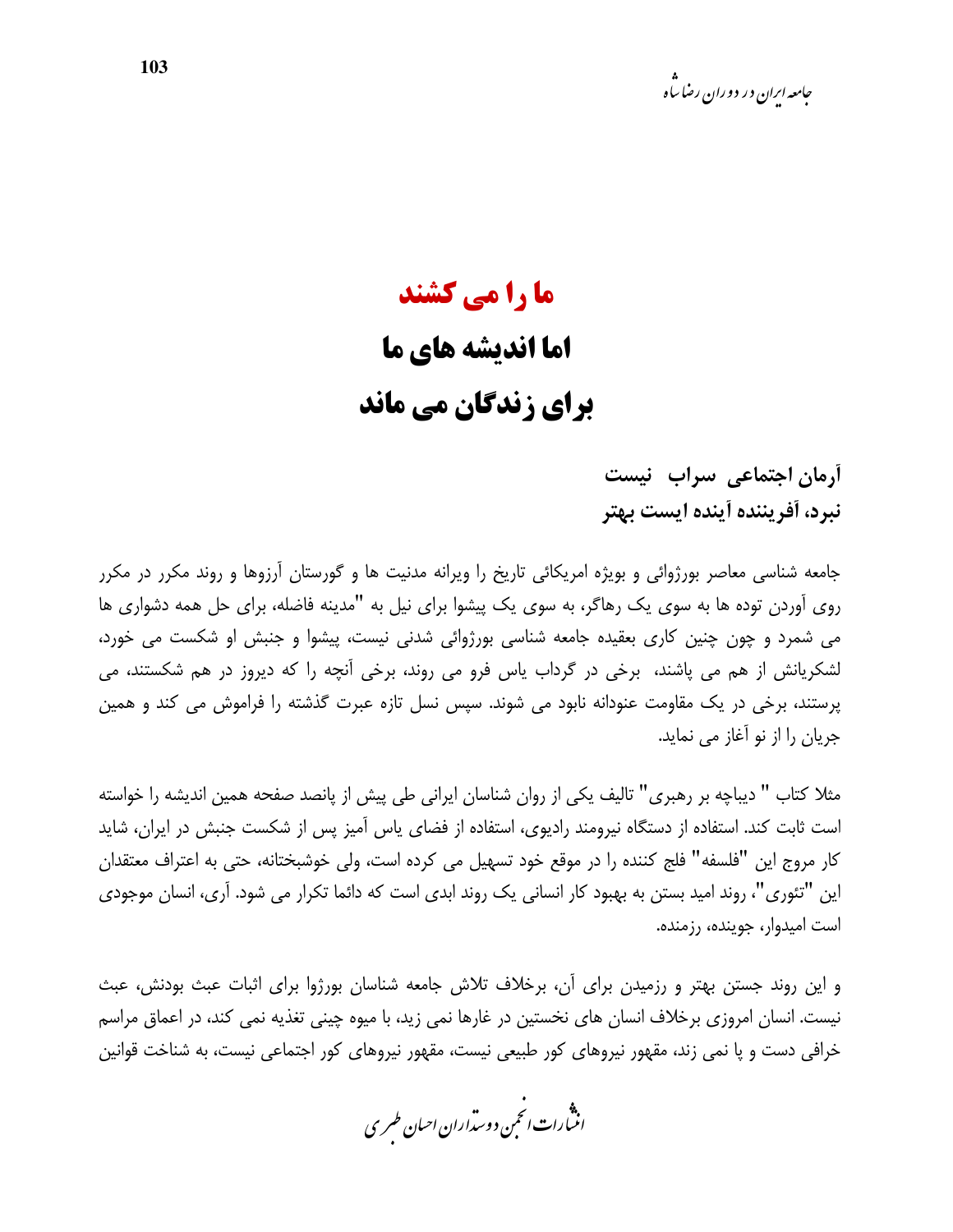# ما را می کشند اما اندیشه های ما برای زندگان می ماند

أرمان اجتماعي سراب نيست نبرد، أفريننده أينده ايست بهتر

جامعه شناسی معاصر بورژوائی و بویژه امریکائی تاریخ را ویرانه مدنیت ها و گورستان آرزوها و روند مکرر در مکرر روی آوردن توده ها به سوی یک رهاگر، به سوی یک پیشوا برای نیل به "مدینه فاضله، برای حل همه دشواری ها می شمرد و چون چنین کاری بعقیده جامعه شناسی بورژوائی شدنی نیست، پیشوا و جنبش او شکست می خورد، لشکریانش از هم می پاشند، برخی در گرداب پاس فرو می روند، برخی آنچه را که دیروز در هم شکستند، می پرستند، برخی در یک مقاومت عنودانه نابود می شوند. سپس نسل تازه عبرت گذشته را فراموش می کند و همین جریان را از نو آغاز می نماید.

مثلا کتاب " دیباچه بر رهبری" تالیف یکی از روان شناسان ایرانی طی پیش از پانصد صفحه همین اندیشه را خواسته است ثابت کند. استفاده از دستگاه نیرومند رادیوی، استفاده از فضای یاس آمیز پس از شکست جنبش در ایران، شاید كار مروج اين "فلسفه" فلج كننده را در موقع خود تسهيل مي كرده است، ولي خوشبختانه، حتى به اعتراف معتقدان این "تئوری"، روند امید بستن به بهبود کار انسانی یک روند ابدی است که دائما تکرار می شود. آری، انسان موجودی است امیدوار، جوینده، رزمنده.

و این روند جستن بهتر و رزمیدن برای آن، برخلاف تلاش جامعه شناسان بورژوا برای اثبات عبث بودنش، عبث نیست. انسان امروزی برخلاف انسان های نخستین در غارها نمی زید، با میوه چینی تغذیه نمی کند، در اعماق مراسم خرافی دست و پا نمی زند، مقهور نیروهای کور طبیعی نیست، مقهور نیروهای کور اجتماعی نیست، به شناخت قوانین

.<br>انثمارات انحمن دوسداران احبان طسری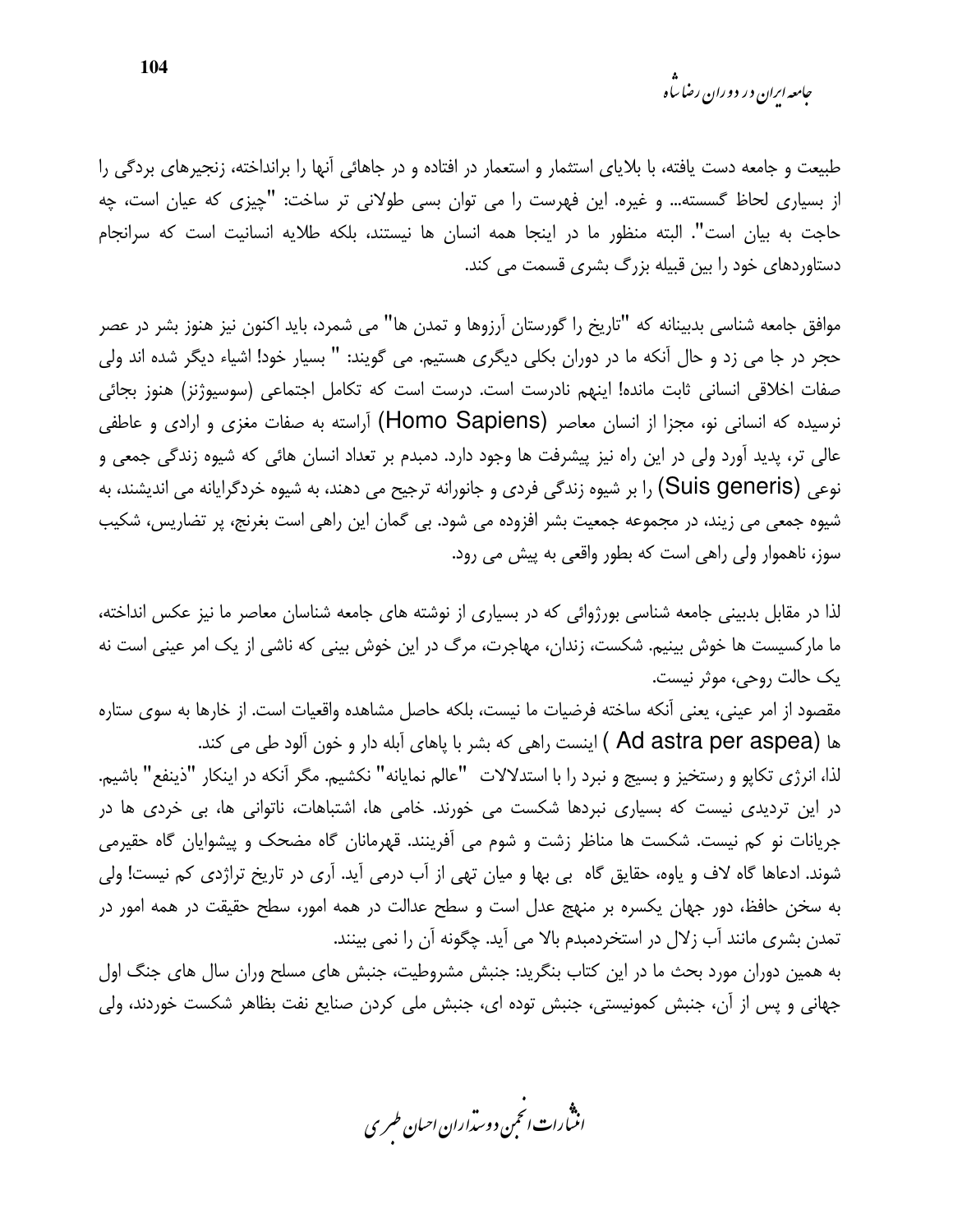*جامعه ایرا*ن در دوران رضا ساه

طبیعت و جامعه دست یافته، با بلایای استثمار و استعمار در افتاده و در جاهائی آنها را برانداخته، زنجیرهای بردگی را از بسیاری لحاظ گسسته… و غیره. این فهرست را می توان بسی طولانی تر ساخت: "چیزی که عیان است، چه حاجت به بیان است". البته منظور ما در اینجا همه انسان ها نیستند، بلکه طلایه انسانیت است که سرانجام دستاوردهای خود را بین قبیله بزرگ بشری قسمت می کند.

موافق جامعه شناسی بدبینانه که "تاریخ را گورستان آرزوها و تمدن ها" می شمرد، باید اکنون نیز هنوز بشر در عصر حجر در جا می زد و حال آنکه ما در دوران بکلی دیگری هستیم. می گویند: " بسیار خود! اشیاء دیگر شده اند ولی صفات اخلاقی انسانی ثابت مانده! اینهم نادرست است. درست است که تکامل اجتماعی (سوسیوژنز) هنوز بجائی نرسیده که انسانی نو، مجزا از انسان معاصر (Homo Sapiens) آراسته به صفات مغزی و ارادی و عاطفی عالی تر، پدید آورد ولی در این راه نیز پیشرفت ها وجود دارد. دمبدم بر تعداد انسان هائی که شیوه زندگی جمعی و نوعي (Suis generis) را بر شيوه زندگي فردي و جانورانه ترجيح مي دهند، به شيوه خردگرايانه مي انديشند، به شیوه جمعی می زیند، در مجموعه جمعیت بشر افزوده می شود. بی گمان این راهی است بغرنج، پر تضاریس، شکیب سوز، ناهموار ولی راهی است که بطور واقعی به پیش می رود.

لذا در مقابل بدبینی جامعه شناسی بورژوائی که در بسیاری از نوشته های جامعه شناسان معاصر ما نیز عکس انداخته، ما مارکسیست ها خوش بینیم. شکست، زندان، مهاجرت، مرگ در این خوش بینی که ناشی از یک امر عینی است نه یک حالت روحی، موثر نیست.

مقصود از امر عيني، يعني آنكه ساخته فرضيات ما نيست، بلكه حاصل مشاهده واقعيات است. از خارها به سوى ستاره ها (Ad astra per aspea ) اینست راهی که بشر با پاهای آبله دار و خون آلود طی می کند.

لذا، انرژی تکاپو و رستخیز و بسیج و نبرد را با استدلالات "عالم نمایانه" نکشیم. مگر آنکه در اینکار "ذینفع" باشیم. در این تردیدی نیست که بسیاری نبردها شکست می خورند. خامی ها، اشتباهات، ناتوانی ها، بی خردی ها در جریانات نو کم نیست. شکست ها مناظر زشت و شوم می آفرینند. قهرمانان گاه مضحک و پیشوایان گاه حقیرمی شوند. ادعاها گاه لاف و یاوه، حقایق گاه بی بها و میان تهی از آب درمی آید. آری در تاریخ تراژدی کم نیست! ولی به سخن حافظ، دور جهان یکسره بر منهج عدل است و سطح عدالت در همه امور، سطح حقیقت در همه امور در تمدن بشری مانند آب زلال در استخردمبدم بالا می آید. چگونه آن را نمی بینند.

به همین دوران مورد بحث ما در این کتاب بنگرید: جنبش مشروطیت، جنبش های مسلح وران سال های جنگ اول جهانی و پس از آن، جنبش کمونیستی، جنبش توده ای، جنبش ملی کردن صنایع نفت بظاهر شکست خوردند، ولی

.<br>اننمارات انخمن دوست<sub>را</sub>ران احسان طسری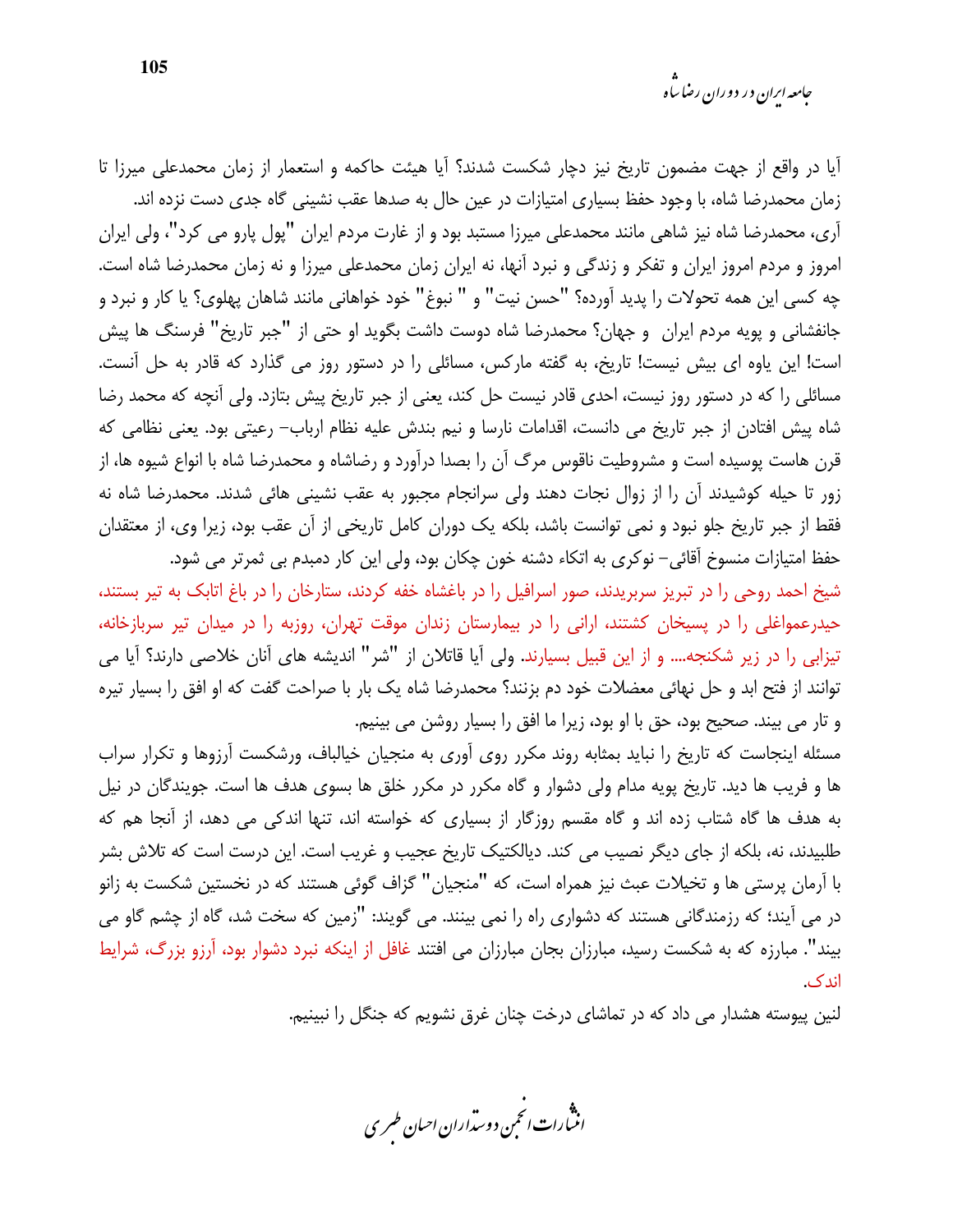آیا در واقع از جهت مضمون تاریخ نیز دچار شکست شدند؟ آیا هیئت حاکمه و استعمار از زمان محمدعلی میرزا تا زمان محمدرضا شاه، با وجود حفظ بسیاری امتیازات در عین حال به صدها عقب نشینی گاه جدی دست نزده اند. آری، محمدرضا شاه نیز شاهی مانند محمدعلی میرزا مستبد بود و از غارت مردم ایران "پول پارو می کرد"، ولی ایران امروز و مردم امروز ایران و تفکر و زندگی و نبرد آنها، نه ایران زمان محمدعلی میرزا و نه زمان محمدرضا شاه است. چه کسی این همه تحولات را پدید آورده؟ "حسن نیت" و " نبوغ" خود خواهانی مانند شاهان پهلوی؟ یا کار و نبرد و جانفشانی و پویه مردم ایران و جهان؟ محمدرضا شاه دوست داشت بگوید او حتی از "جبر تاریخ" فرسنگ ها پیش است! این یاوه ای بیش نیست! تاریخ، به گفته مارکس، مسائلی را در دستور روز می گذارد که قادر به حل آنست. مسائلی را که در دستور روز نیست، احدی قادر نیست حل کند، یعنی از جبر تاریخ پیش بتازد. ولی آنچه که محمد رضا شاه پیش افتادن از جبر تاریخ می دانست، اقدامات نارسا و نیم بندش علیه نظام ارباب– رعیتی بود. یعنی نظامی که قرن هاست پوسیده است و مشروطیت ناقوس مرگ آن را بصدا درآورد و رضاشاه و محمدرضا شاه با انواع شیوه ها، از زور تا حیله کوشیدند آن را از زوال نجات دهند ولی سرانجام مجبور به عقب نشینی هائی شدند. محمدرضا شاه نه فقط از جبر تاریخ جلو نبود و نمی توانست باشد، بلکه یک دوران کامل تاریخی از آن عقب بود، زیرا وی، از معتقدان حفظ امتيازات منسوخ آقائي– نوكري به اتكاء دشنه خون چكان بود، ولي اين كار دمبدم بي ثمرتر مي شود.

شیخ احمد روحی را در تبریز سربریدند، صور اسرافیل را در باغشاه خفه کردند، ستارخان را در باغ اتابک به تیر بستند، حیدرعمواغلی را در پسیخان کشتند، ارانی را در بیمارستان زندان موقت تهران، روزبه را در میدان تیر سربازخانه، تیزابی را در زیر شکنجه.... و از این قبیل بسیارند. ولی آیا قاتلان از "شر" اندیشه های آنان خلاصی دارند؟ آیا می توانند از فتح ابد و حل نهائی معضلات خود دم بزنند؟ محمدرضا شاه یک بار با صراحت گفت که او افق را بسیار تیره و تار می بیند. صحیح بود، حق با او بود، زیرا ما افق را بسیار روشن می بینیم.

مسئله اینجاست که تاریخ را نباید بمثابه روند مکرر روی آوری به منجیان خیالباف، ورشکست آرزوها و تکرار سراب ها و فریب ها دید. تاریخ پویه مدام ولی دشوار و گاه مکرر در مکرر خلق ها بسوی هدف ها است. جویندگان در نیل به هدف ها گاه شتاب زده اند و گاه مقسم روزگار از بسیاری که خواسته اند، تنها اندکی می دهد، از آنجا هم که طلبیدند، نه، بلکه از جای دیگر نصیب می کند. دیالکتیک تاریخ عجیب و غریب است. این درست است که تلاش بشر با آرمان پرستی ها و تخیلات عبث نیز همراه است، که "منجیان" گزاف گوئی هستند که در نخستین شکست به زانو در می آیند؛ که رزمندگانی هستند که دشواری راه را نمی بینند. می گویند: "زمین که سخت شد، گاه از چشم گاو می بیند". مبارزه که به شکست رسید، مبارزان بجان مبارزان می افتند غافل از اینکه نبرد دشوار بود، آرزو بزرگ، شرایط اندک.

لنین پیوسته هشدار می داد که در تماشای درخت چنان غرق نشویم که جنگل را نبینیم.

.<br>انن رات انجمن دوسداران احبان طسری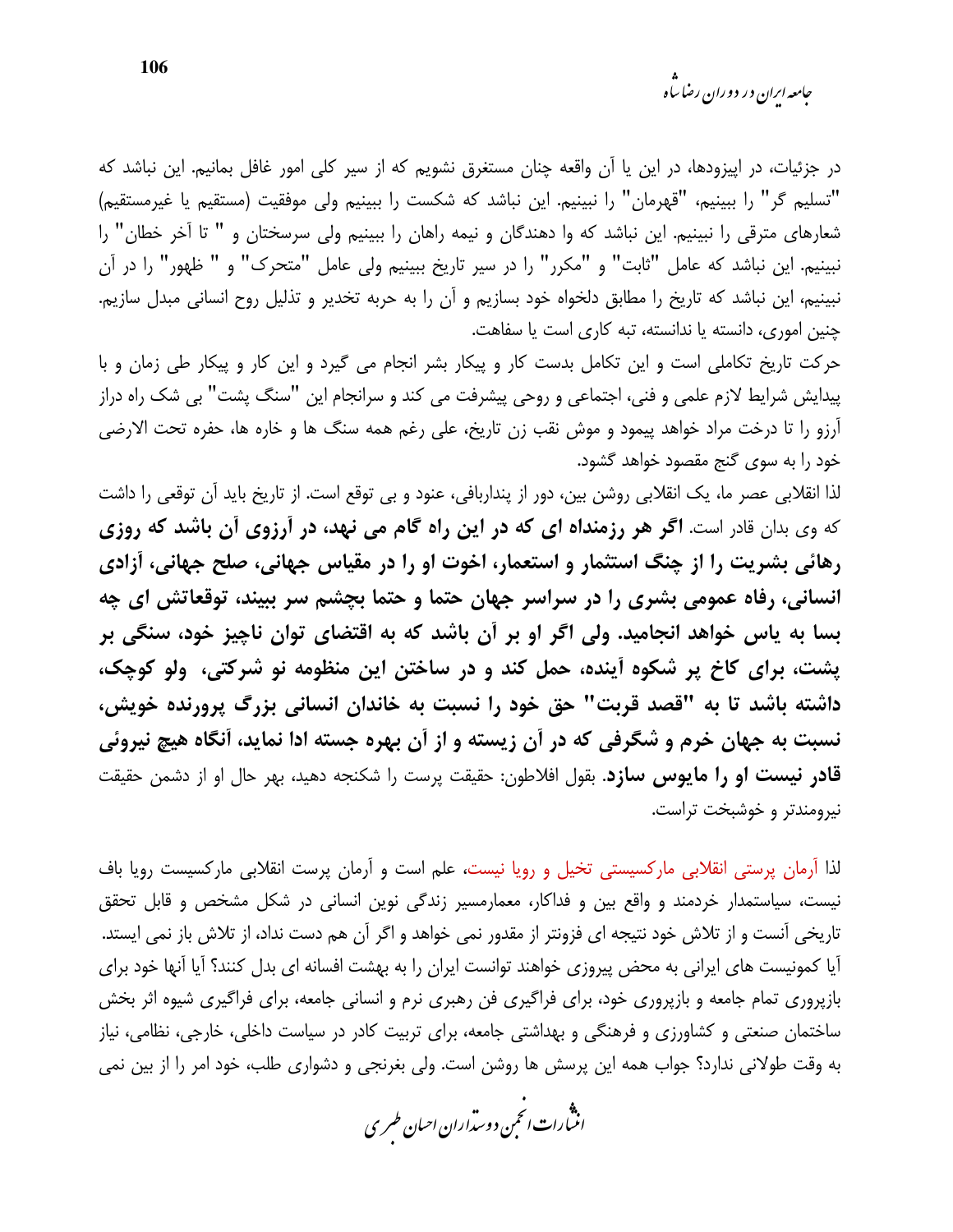<sub>حامعه ابران در دوران رضا ساه</sub>

در جزئیات، در اپیزودها، در این یا آن واقعه چنان مستغرق نشویم که از سیر کلی امور غافل بمانیم. این نباشد که "تسليم گر" را ببينيم، "قهرمان" را نبينيم. اين نباشد كه شكست را ببينيم ولي موفقيت (مستقيم يا غيرمستقيم) شعارهای مترقی را نبینیم. این نباشد که وا دهندگان و نیمه راهان را ببینیم ولی سرسختان و " تا آخر خطان" را نبينيم. اين نباشد كه عامل "ثابت" و "مكرر" را در سير تاريخ ببينيم ولي عامل "متحرك" و " ظهور" را در آن نبینیم، این نباشد که تاریخ را مطابق دلخواه خود بسازیم و آن را به حربه تخدیر و تذلیل روح انسانی مبدل سازیم. چنین اموری، دانسته یا ندانسته، تبه کاری است یا سفاهت.

حرکت تاریخ تکاملی است و این تکامل بدست کار و پیکار بشر انجام می گیرد و این کار و پیکار طی زمان و با پیدایش شرایط لازم علمی و فنی، اجتماعی و روحی پیشرفت می کند و سرانجام این "سنگ پشت" بی شک راه دراز آرزو را تا درخت مراد خواهد پیمود و موش نقب زن تاریخ، علی رغم همه سنگ ها و خاره ها، حفره تحت الارضی خود را به سوی گنج مقصود خواهد گشود.

لذا انقلابی عصر ما، یک انقلابی روشن بین، دور از پنداربافی، عنود و بی توقع است. از تاریخ باید آن توقعی را داشت که وی بدان قادر است. **اگر هر رزمنداه ای که در این راه گام می نهد، در آرزوی آن باشد که روزی** رهائی بشریت را از چنگ استثمار و استعمار، اخوت او را در مقیاس جهانی، صلح جهانی، آزادی انسانی، رفاه عمومی بشری را در سراسر جهان حتما و حتما بچشم سر ببیند، توقعاتش ای چه بسا به پاس خواهد انجامید. ولی اگر او بر آن باشد که به اقتضای توان ناچیز خود، سنگی بر یشت، برای کاخ پر شکوه آینده، حمل کند و در ساختن این منظومه نو شرکتی، ولو کوچک، داشته باشد تا به "قصد قربت" حق خود را نسبت به خاندان انسانی بزرگ پرورنده خویش، نسبت به جهان خرم و شگرفی که در آن زیسته و از آن بهره جسته ادا نماید، آنگاه هیچ نیروئی قادر نیست او را مایوس سازد. بقول افلاطون: حقیقت پرست را شکنجه دهید، بهر حال او از دشمن حقیقت نيرومندتر و خوشبخت تراست.

لذا آرمان پرستی انقلابی مارکسیستی تخیل و رویا نیست، علم است و آرمان پرست انقلابی مارکسیست رویا باف نیست، سیاستمدار خردمند و واقع بین و فداکار، معمارمسیر زندگی نوین انسانی در شکل مشخص و قابل تحقق تاریخی آنست و از تلاش خود نتیجه ای فزونتر از مقدور نمی خواهد و اگر آن هم دست نداد، از تلاش باز نمی ایستد. آیا کمونیست های ایرانی به محض پیروزی خواهند توانست ایران را به بهشت افسانه ای بدل کنند؟ آیا آنها خود برای بازپروری تمام جامعه و بازپروری خود، برای فراگیری فن رهبری نرم و انسانی جامعه، برای فراگیری شیوه اثر بخش ساختمان صنعتی و کشاورزی و فرهنگی و بهداشتی جامعه، برای تربیت کادر در سیاست داخلی، خارجی، نظامی، نیاز به وقت طولانی ندارد؟ جواب همه این پرسش ها روشن است. ولی بغرنجی و دشواری طلب، خود امر را از بین نمی

.<br>انثمارات انځمن د وسداران احبان طسری